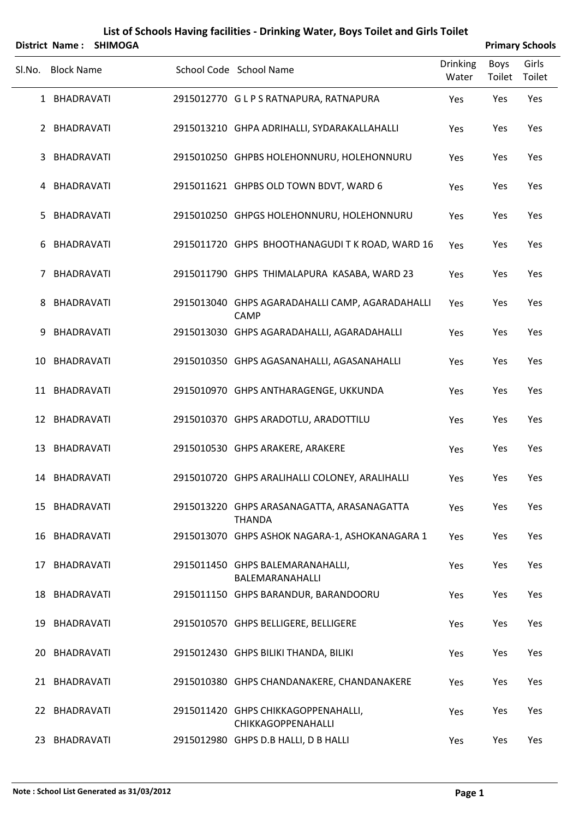|        |                   | District Name: SHIMOGA |                                                                  |                          |                | <b>Primary Schools</b> |
|--------|-------------------|------------------------|------------------------------------------------------------------|--------------------------|----------------|------------------------|
| SI.No. | <b>Block Name</b> |                        | School Code School Name                                          | <b>Drinking</b><br>Water | Boys<br>Toilet | Girls<br>Toilet        |
|        | 1 BHADRAVATI      |                        | 2915012770 GLPS RATNAPURA, RATNAPURA                             | Yes                      | Yes            | Yes                    |
|        | 2 BHADRAVATI      |                        | 2915013210 GHPA ADRIHALLI, SYDARAKALLAHALLI                      | Yes                      | Yes            | Yes                    |
| 3      | <b>BHADRAVATI</b> |                        | 2915010250 GHPBS HOLEHONNURU, HOLEHONNURU                        | Yes                      | Yes            | Yes                    |
|        | 4 BHADRAVATI      |                        | 2915011621 GHPBS OLD TOWN BDVT, WARD 6                           | Yes                      | Yes            | Yes                    |
| 5.     | BHADRAVATI        |                        | 2915010250 GHPGS HOLEHONNURU, HOLEHONNURU                        | Yes                      | Yes            | Yes                    |
| 6      | <b>BHADRAVATI</b> |                        | 2915011720 GHPS BHOOTHANAGUDI TK ROAD, WARD 16                   | Yes                      | Yes            | Yes                    |
| 7      | <b>BHADRAVATI</b> |                        | 2915011790 GHPS THIMALAPURA KASABA, WARD 23                      | Yes                      | Yes            | Yes                    |
| 8      | BHADRAVATI        |                        | 2915013040 GHPS AGARADAHALLI CAMP, AGARADAHALLI<br><b>CAMP</b>   | Yes                      | Yes            | Yes                    |
| 9      | <b>BHADRAVATI</b> |                        | 2915013030 GHPS AGARADAHALLI, AGARADAHALLI                       | Yes                      | Yes            | Yes                    |
| 10     | BHADRAVATI        |                        | 2915010350 GHPS AGASANAHALLI, AGASANAHALLI                       | Yes                      | Yes            | Yes                    |
|        | 11 BHADRAVATI     |                        | 2915010970 GHPS ANTHARAGENGE, UKKUNDA                            | Yes                      | Yes            | Yes                    |
|        | 12 BHADRAVATI     |                        | 2915010370 GHPS ARADOTLU, ARADOTTILU                             | Yes                      | Yes            | Yes                    |
| 13     | <b>BHADRAVATI</b> |                        | 2915010530 GHPS ARAKERE, ARAKERE                                 | Yes                      | Yes            | Yes                    |
|        | 14 BHADRAVATI     |                        | 2915010720 GHPS ARALIHALLI COLONEY, ARALIHALLI                   | Yes                      | Yes            | Yes                    |
|        | 15 BHADRAVATI     |                        | 2915013220 GHPS ARASANAGATTA, ARASANAGATTA<br><b>THANDA</b>      | Yes                      | Yes            | Yes                    |
|        | 16 BHADRAVATI     |                        | 2915013070 GHPS ASHOK NAGARA-1, ASHOKANAGARA 1                   | Yes                      | Yes            | Yes                    |
|        | 17 BHADRAVATI     |                        | 2915011450 GHPS BALEMARANAHALLI,<br>BALEMARANAHALLI              | Yes                      | Yes            | Yes                    |
|        | 18 BHADRAVATI     |                        | 2915011150 GHPS BARANDUR, BARANDOORU                             | Yes                      | Yes            | Yes                    |
|        | 19 BHADRAVATI     |                        | 2915010570 GHPS BELLIGERE, BELLIGERE                             | Yes                      | Yes            | Yes                    |
|        | 20 BHADRAVATI     |                        | 2915012430 GHPS BILIKI THANDA, BILIKI                            | Yes                      | Yes            | Yes                    |
|        | 21 BHADRAVATI     |                        | 2915010380 GHPS CHANDANAKERE, CHANDANAKERE                       | Yes                      | Yes            | Yes                    |
|        | 22 BHADRAVATI     |                        | 2915011420 GHPS CHIKKAGOPPENAHALLI,<br><b>CHIKKAGOPPENAHALLI</b> | Yes                      | Yes            | Yes                    |
|        | 23 BHADRAVATI     |                        | 2915012980 GHPS D.B HALLI, D B HALLI                             | Yes                      | Yes            | Yes                    |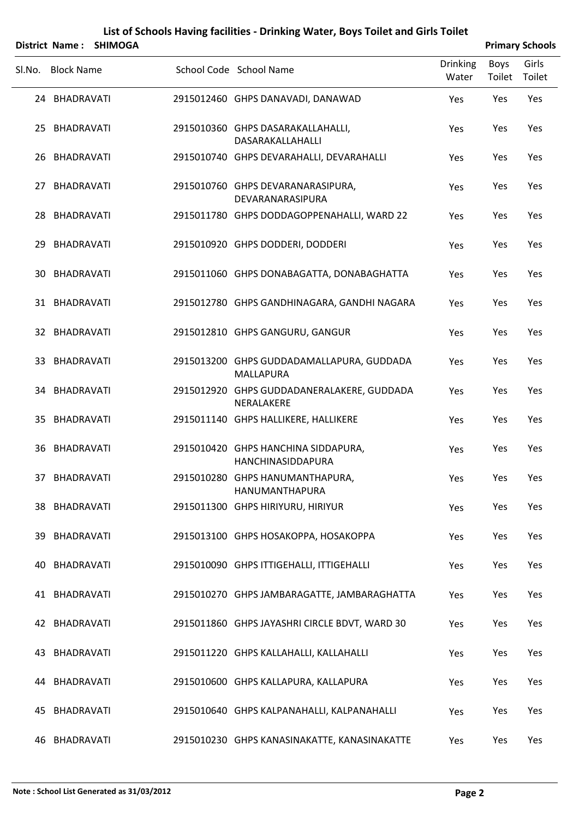|        |                   | District Name: SHIMOGA |                                                               |                          |                | <b>Primary Schools</b> |
|--------|-------------------|------------------------|---------------------------------------------------------------|--------------------------|----------------|------------------------|
| Sl.No. | <b>Block Name</b> |                        | School Code School Name                                       | <b>Drinking</b><br>Water | Boys<br>Toilet | Girls<br>Toilet        |
|        | 24 BHADRAVATI     |                        | 2915012460 GHPS DANAVADI, DANAWAD                             | Yes                      | Yes            | Yes                    |
|        | 25 BHADRAVATI     |                        | 2915010360 GHPS DASARAKALLAHALLI,<br>DASARAKALLAHALLI         | Yes                      | Yes            | Yes                    |
| 26     | BHADRAVATI        |                        | 2915010740 GHPS DEVARAHALLI, DEVARAHALLI                      | Yes                      | Yes            | Yes                    |
|        | 27 BHADRAVATI     |                        | 2915010760 GHPS DEVARANARASIPURA,<br>DEVARANARASIPURA         | Yes                      | Yes            | Yes                    |
| 28     | BHADRAVATI        |                        | 2915011780 GHPS DODDAGOPPENAHALLI, WARD 22                    | Yes                      | Yes            | Yes                    |
|        | 29 BHADRAVATI     |                        | 2915010920 GHPS DODDERI, DODDERI                              | Yes                      | Yes            | Yes                    |
| 30     | BHADRAVATI        |                        | 2915011060 GHPS DONABAGATTA, DONABAGHATTA                     | Yes                      | Yes            | Yes                    |
|        | 31 BHADRAVATI     |                        | 2915012780 GHPS GANDHINAGARA, GANDHI NAGARA                   | Yes                      | Yes            | Yes                    |
|        | 32 BHADRAVATI     |                        | 2915012810 GHPS GANGURU, GANGUR                               | Yes                      | Yes            | Yes                    |
|        | 33 BHADRAVATI     |                        | 2915013200 GHPS GUDDADAMALLAPURA, GUDDADA<br><b>MALLAPURA</b> | Yes                      | Yes            | Yes                    |
|        | 34 BHADRAVATI     |                        | 2915012920 GHPS GUDDADANERALAKERE, GUDDADA<br>NERALAKERE      | Yes                      | Yes            | Yes                    |
|        | 35 BHADRAVATI     |                        | 2915011140 GHPS HALLIKERE, HALLIKERE                          | Yes                      | Yes            | Yes                    |
|        | 36 BHADRAVATI     |                        | 2915010420 GHPS HANCHINA SIDDAPURA,<br>HANCHINASIDDAPURA      | Yes                      | Yes            | Yes                    |
|        | 37 BHADRAVATI     |                        | 2915010280 GHPS HANUMANTHAPURA,<br><b>HANUMANTHAPURA</b>      | Yes                      | Yes            | Yes                    |
|        | 38 BHADRAVATI     |                        | 2915011300 GHPS HIRIYURU, HIRIYUR                             | Yes                      | Yes            | Yes                    |
|        | 39 BHADRAVATI     |                        | 2915013100 GHPS HOSAKOPPA, HOSAKOPPA                          | Yes                      | Yes            | Yes                    |
| 40     | BHADRAVATI        |                        | 2915010090 GHPS ITTIGEHALLI, ITTIGEHALLI                      | Yes                      | Yes            | Yes                    |
|        | 41 BHADRAVATI     |                        | 2915010270 GHPS JAMBARAGATTE, JAMBARAGHATTA                   | Yes                      | Yes            | Yes                    |
|        | 42 BHADRAVATI     |                        | 2915011860 GHPS JAYASHRI CIRCLE BDVT, WARD 30                 | Yes                      | Yes            | Yes                    |
|        | 43 BHADRAVATI     |                        | 2915011220 GHPS KALLAHALLI, KALLAHALLI                        | Yes                      | Yes            | Yes                    |
|        | 44 BHADRAVATI     |                        | 2915010600 GHPS KALLAPURA, KALLAPURA                          | Yes                      | Yes            | Yes                    |
| 45     | BHADRAVATI        |                        | 2915010640 GHPS KALPANAHALLI, KALPANAHALLI                    | Yes                      | Yes            | Yes                    |
|        | 46 BHADRAVATI     |                        | 2915010230 GHPS KANASINAKATTE, KANASINAKATTE                  | Yes                      | Yes            | Yes                    |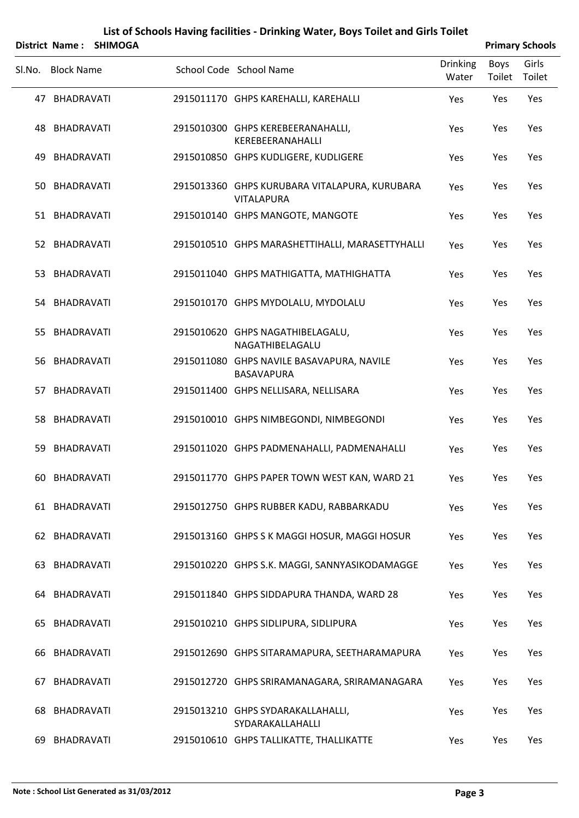|     | List of Schools Having facilities - Drinking Water, Boys Toilet and Girls Toilet |                |  |                                                                    |                          |                |                        |  |  |  |
|-----|----------------------------------------------------------------------------------|----------------|--|--------------------------------------------------------------------|--------------------------|----------------|------------------------|--|--|--|
|     | <b>District Name:</b>                                                            | <b>SHIMOGA</b> |  |                                                                    |                          |                | <b>Primary Schools</b> |  |  |  |
|     | Sl.No. Block Name                                                                |                |  | School Code School Name                                            | <b>Drinking</b><br>Water | Boys<br>Toilet | Girls<br>Toilet        |  |  |  |
|     | 47 BHADRAVATI                                                                    |                |  | 2915011170 GHPS KAREHALLI, KAREHALLI                               | Yes                      | Yes            | Yes                    |  |  |  |
|     | 48 BHADRAVATI                                                                    |                |  | 2915010300 GHPS KEREBEERANAHALLI,<br>KEREBEERANAHALLI              | Yes                      | Yes            | Yes                    |  |  |  |
| 49  | BHADRAVATI                                                                       |                |  | 2915010850 GHPS KUDLIGERE, KUDLIGERE                               | Yes                      | Yes            | Yes                    |  |  |  |
| 50. | BHADRAVATI                                                                       |                |  | 2915013360 GHPS KURUBARA VITALAPURA, KURUBARA<br><b>VITALAPURA</b> | Yes                      | Yes            | Yes                    |  |  |  |
|     | 51 BHADRAVATI                                                                    |                |  | 2915010140 GHPS MANGOTE, MANGOTE                                   | Yes                      | Yes            | Yes                    |  |  |  |
|     | 52 BHADRAVATI                                                                    |                |  | 2915010510 GHPS MARASHETTIHALLI, MARASETTYHALLI                    | Yes                      | Yes            | Yes                    |  |  |  |
|     | 53 BHADRAVATI                                                                    |                |  | 2915011040 GHPS MATHIGATTA, MATHIGHATTA                            | Yes                      | Yes            | Yes                    |  |  |  |
|     | 54 BHADRAVATI                                                                    |                |  | 2915010170 GHPS MYDOLALU, MYDOLALU                                 | Yes                      | Yes            | Yes                    |  |  |  |
| 55  | BHADRAVATI                                                                       |                |  | 2915010620 GHPS NAGATHIBELAGALU,<br>NAGATHIBELAGALU                | Yes                      | Yes            | Yes                    |  |  |  |
|     | 56 BHADRAVATI                                                                    |                |  | 2915011080 GHPS NAVILE BASAVAPURA, NAVILE<br><b>BASAVAPURA</b>     | Yes                      | Yes            | Yes                    |  |  |  |
|     | 57 BHADRAVATI                                                                    |                |  | 2915011400 GHPS NELLISARA, NELLISARA                               | Yes                      | Yes            | Yes                    |  |  |  |
| 58. | BHADRAVATI                                                                       |                |  | 2915010010 GHPS NIMBEGONDI, NIMBEGONDI                             | Yes                      | Yes            | Yes                    |  |  |  |
| 59  | BHADRAVATI                                                                       |                |  | 2915011020 GHPS PADMENAHALLI, PADMENAHALLI                         | Yes                      | Yes            | Yes                    |  |  |  |
|     | 60 BHADRAVATI                                                                    |                |  | 2915011770 GHPS PAPER TOWN WEST KAN, WARD 21                       | Yes                      | Yes            | Yes                    |  |  |  |
|     | 61 BHADRAVATI                                                                    |                |  | 2915012750 GHPS RUBBER KADU, RABBARKADU                            | Yes                      | Yes            | Yes                    |  |  |  |
|     | 62 BHADRAVATI                                                                    |                |  | 2915013160 GHPS S K MAGGI HOSUR, MAGGI HOSUR                       | Yes                      | Yes            | Yes                    |  |  |  |
|     | 63 BHADRAVATI                                                                    |                |  | 2915010220 GHPS S.K. MAGGI, SANNYASIKODAMAGGE                      | Yes                      | Yes            | Yes                    |  |  |  |
|     | 64 BHADRAVATI                                                                    |                |  | 2915011840 GHPS SIDDAPURA THANDA, WARD 28                          | Yes                      | Yes            | Yes                    |  |  |  |
|     | 65 BHADRAVATI                                                                    |                |  | 2915010210 GHPS SIDLIPURA, SIDLIPURA                               | Yes                      | Yes            | Yes                    |  |  |  |
|     | 66 BHADRAVATI                                                                    |                |  | 2915012690 GHPS SITARAMAPURA, SEETHARAMAPURA                       | Yes                      | Yes            | Yes                    |  |  |  |
|     | 67 BHADRAVATI                                                                    |                |  | 2915012720 GHPS SRIRAMANAGARA, SRIRAMANAGARA                       | Yes                      | Yes            | Yes                    |  |  |  |
|     | 68 BHADRAVATI                                                                    |                |  | 2915013210 GHPS SYDARAKALLAHALLI,<br>SYDARAKALLAHALLI              | Yes                      | Yes            | Yes                    |  |  |  |
|     | 69 BHADRAVATI                                                                    |                |  | 2915010610 GHPS TALLIKATTE, THALLIKATTE                            | Yes                      | Yes            | Yes                    |  |  |  |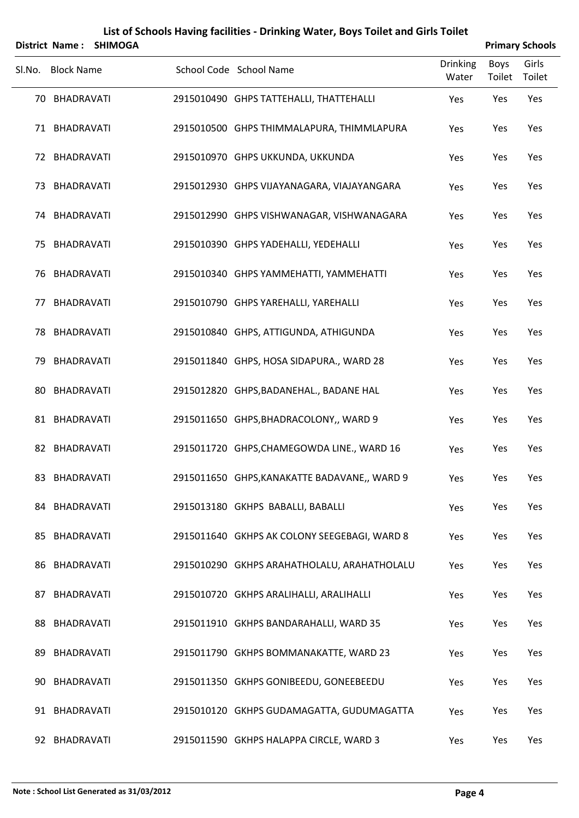|        | District Name:    | <b>SHIMOGA</b> |                                              |                          | <b>Primary Schools</b> |                 |
|--------|-------------------|----------------|----------------------------------------------|--------------------------|------------------------|-----------------|
| Sl.No. | <b>Block Name</b> |                | School Code School Name                      | <b>Drinking</b><br>Water | <b>Boys</b><br>Toilet  | Girls<br>Toilet |
|        | 70 BHADRAVATI     |                | 2915010490 GHPS TATTEHALLI, THATTEHALLI      | Yes                      | Yes                    | Yes             |
|        | 71 BHADRAVATI     |                | 2915010500 GHPS THIMMALAPURA, THIMMLAPURA    | Yes                      | Yes                    | Yes             |
|        | 72 BHADRAVATI     |                | 2915010970 GHPS UKKUNDA, UKKUNDA             | Yes                      | Yes                    | Yes             |
|        | 73 BHADRAVATI     |                | 2915012930 GHPS VIJAYANAGARA, VIAJAYANGARA   | Yes                      | Yes                    | Yes             |
| 74     | <b>BHADRAVATI</b> |                | 2915012990 GHPS VISHWANAGAR, VISHWANAGARA    | Yes                      | Yes                    | Yes             |
|        | 75 BHADRAVATI     |                | 2915010390 GHPS YADEHALLI, YEDEHALLI         | Yes                      | Yes                    | Yes             |
| 76     | <b>BHADRAVATI</b> |                | 2915010340 GHPS YAMMEHATTI, YAMMEHATTI       | Yes                      | Yes                    | Yes             |
|        | 77 BHADRAVATI     |                | 2915010790 GHPS YAREHALLI, YAREHALLI         | Yes                      | Yes                    | Yes             |
| 78     | BHADRAVATI        |                | 2915010840 GHPS, ATTIGUNDA, ATHIGUNDA        | Yes                      | Yes                    | Yes             |
| 79     | BHADRAVATI        |                | 2915011840 GHPS, HOSA SIDAPURA., WARD 28     | Yes                      | Yes                    | Yes             |
| 80     | <b>BHADRAVATI</b> |                | 2915012820 GHPS, BADANEHAL., BADANE HAL      | Yes                      | Yes                    | Yes             |
|        | 81 BHADRAVATI     |                | 2915011650 GHPS, BHADRACOLONY,, WARD 9       | Yes                      | Yes                    | Yes             |
|        | 82 BHADRAVATI     |                | 2915011720 GHPS, CHAMEGOWDA LINE., WARD 16   | Yes                      | Yes                    | Yes             |
|        | 83 BHADRAVATI     |                | 2915011650 GHPS, KANAKATTE BADAVANE,, WARD 9 | Yes                      | Yes                    | Yes             |
|        | 84 BHADRAVATI     |                | 2915013180 GKHPS BABALLI, BABALLI            | Yes                      | Yes                    | Yes             |
|        | 85 BHADRAVATI     |                | 2915011640 GKHPS AK COLONY SEEGEBAGI, WARD 8 | Yes                      | Yes                    | Yes             |
|        | 86 BHADRAVATI     |                | 2915010290 GKHPS ARAHATHOLALU, ARAHATHOLALU  | Yes                      | Yes                    | Yes             |
|        | 87 BHADRAVATI     |                | 2915010720 GKHPS ARALIHALLI, ARALIHALLI      | Yes                      | Yes                    | Yes             |
|        | 88 BHADRAVATI     |                | 2915011910 GKHPS BANDARAHALLI, WARD 35       | Yes                      | Yes                    | Yes             |
| 89.    | BHADRAVATI        |                | 2915011790 GKHPS BOMMANAKATTE, WARD 23       | Yes                      | Yes                    | Yes             |
|        | 90 BHADRAVATI     |                | 2915011350 GKHPS GONIBEEDU, GONEEBEEDU       | Yes                      | Yes                    | Yes             |
|        | 91 BHADRAVATI     |                | 2915010120 GKHPS GUDAMAGATTA, GUDUMAGATTA    | Yes                      | Yes                    | Yes             |
|        | 92 BHADRAVATI     |                | 2915011590 GKHPS HALAPPA CIRCLE, WARD 3      | Yes                      | Yes                    | Yes             |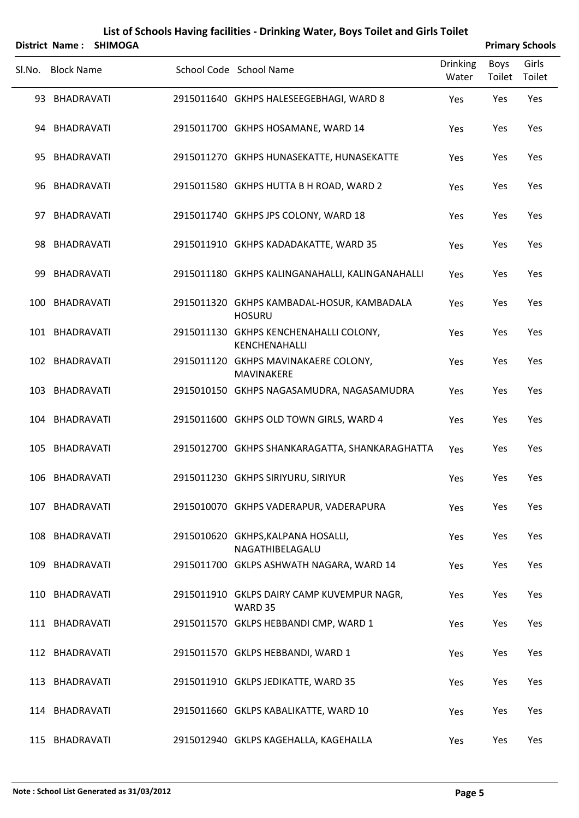|        | <b>District Name:</b> | <b>SHIMOGA</b> |                                                             |                          |                       | <b>Primary Schools</b> |
|--------|-----------------------|----------------|-------------------------------------------------------------|--------------------------|-----------------------|------------------------|
| Sl.No. | <b>Block Name</b>     |                | School Code School Name                                     | <b>Drinking</b><br>Water | <b>Boys</b><br>Toilet | Girls<br>Toilet        |
|        | 93 BHADRAVATI         |                | 2915011640 GKHPS HALESEEGEBHAGI, WARD 8                     | Yes                      | Yes                   | Yes                    |
|        | 94 BHADRAVATI         |                | 2915011700 GKHPS HOSAMANE, WARD 14                          | Yes                      | Yes                   | Yes                    |
|        | 95 BHADRAVATI         |                | 2915011270 GKHPS HUNASEKATTE, HUNASEKATTE                   | Yes                      | Yes                   | Yes                    |
|        | 96 BHADRAVATI         |                | 2915011580 GKHPS HUTTA B H ROAD, WARD 2                     | Yes                      | Yes                   | Yes                    |
|        | 97 BHADRAVATI         |                | 2915011740 GKHPS JPS COLONY, WARD 18                        | Yes                      | Yes                   | Yes                    |
|        | 98 BHADRAVATI         |                | 2915011910 GKHPS KADADAKATTE, WARD 35                       | Yes                      | Yes                   | Yes                    |
| 99     | BHADRAVATI            |                | 2915011180 GKHPS KALINGANAHALLI, KALINGANAHALLI             | Yes                      | Yes                   | Yes                    |
|        | 100 BHADRAVATI        |                | 2915011320 GKHPS KAMBADAL-HOSUR, KAMBADALA<br><b>HOSURU</b> | Yes                      | Yes                   | Yes                    |
|        | 101 BHADRAVATI        |                | 2915011130 GKHPS KENCHENAHALLI COLONY,<br>KENCHENAHALLI     | Yes                      | Yes                   | Yes                    |
|        | 102 BHADRAVATI        |                | 2915011120 GKHPS MAVINAKAERE COLONY,<br>MAVINAKERE          | Yes                      | Yes                   | Yes                    |
|        | 103 BHADRAVATI        |                | 2915010150 GKHPS NAGASAMUDRA, NAGASAMUDRA                   | Yes                      | Yes                   | Yes                    |
|        | 104 BHADRAVATI        |                | 2915011600 GKHPS OLD TOWN GIRLS, WARD 4                     | Yes                      | Yes                   | Yes                    |
| 105    | BHADRAVATI            |                | 2915012700 GKHPS SHANKARAGATTA, SHANKARAGHATTA              | Yes                      | Yes                   | Yes                    |
|        | 106 BHADRAVATI        |                | 2915011230 GKHPS SIRIYURU, SIRIYUR                          | Yes                      | Yes                   | Yes                    |
|        | 107 BHADRAVATI        |                | 2915010070 GKHPS VADERAPUR, VADERAPURA                      | Yes                      | Yes                   | Yes                    |
|        | 108 BHADRAVATI        |                | 2915010620 GKHPS, KALPANA HOSALLI,<br>NAGATHIBELAGALU       | Yes                      | Yes                   | Yes                    |
|        | 109 BHADRAVATI        |                | 2915011700 GKLPS ASHWATH NAGARA, WARD 14                    | Yes                      | Yes                   | Yes                    |
|        | 110 BHADRAVATI        |                | 2915011910 GKLPS DAIRY CAMP KUVEMPUR NAGR,<br>WARD 35       | Yes                      | Yes                   | Yes                    |
|        | 111 BHADRAVATI        |                | 2915011570 GKLPS HEBBANDI CMP, WARD 1                       | Yes                      | Yes                   | Yes                    |
|        | 112 BHADRAVATI        |                | 2915011570 GKLPS HEBBANDI, WARD 1                           | Yes                      | Yes                   | Yes                    |
|        | 113 BHADRAVATI        |                | 2915011910 GKLPS JEDIKATTE, WARD 35                         | Yes                      | Yes                   | Yes                    |
|        | 114 BHADRAVATI        |                | 2915011660 GKLPS KABALIKATTE, WARD 10                       | Yes                      | Yes                   | Yes                    |
|        | 115 BHADRAVATI        |                | 2915012940 GKLPS KAGEHALLA, KAGEHALLA                       | Yes                      | Yes                   | Yes                    |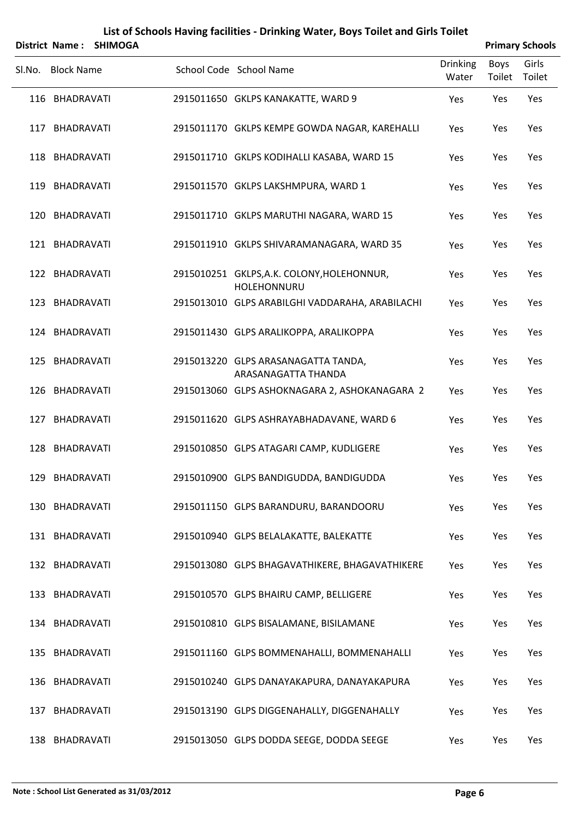|        | <b>District Name:</b> | <b>SHIMOGA</b> |                                                            |                          |                | <b>Primary Schools</b> |
|--------|-----------------------|----------------|------------------------------------------------------------|--------------------------|----------------|------------------------|
| SI.No. | <b>Block Name</b>     |                | School Code School Name                                    | <b>Drinking</b><br>Water | Boys<br>Toilet | Girls<br>Toilet        |
|        | 116 BHADRAVATI        |                | 2915011650 GKLPS KANAKATTE, WARD 9                         | Yes                      | Yes            | Yes                    |
|        | 117 BHADRAVATI        |                | 2915011170 GKLPS KEMPE GOWDA NAGAR, KAREHALLI              | Yes                      | Yes            | Yes                    |
|        | 118 BHADRAVATI        |                | 2915011710 GKLPS KODIHALLI KASABA, WARD 15                 | Yes                      | Yes            | Yes                    |
|        | 119 BHADRAVATI        |                | 2915011570 GKLPS LAKSHMPURA, WARD 1                        | Yes                      | Yes            | Yes                    |
| 120    | BHADRAVATI            |                | 2915011710 GKLPS MARUTHI NAGARA, WARD 15                   | Yes                      | Yes            | Yes                    |
|        | 121 BHADRAVATI        |                | 2915011910 GKLPS SHIVARAMANAGARA, WARD 35                  | Yes                      | Yes            | Yes                    |
|        | 122 BHADRAVATI        |                | 2915010251 GKLPS, A.K. COLONY, HOLEHONNUR,<br>HOLEHONNURU  | Yes                      | Yes            | Yes                    |
|        | 123 BHADRAVATI        |                | 2915013010 GLPS ARABILGHI VADDARAHA, ARABILACHI            | Yes                      | Yes            | Yes                    |
|        | 124 BHADRAVATI        |                | 2915011430 GLPS ARALIKOPPA, ARALIKOPPA                     | Yes                      | Yes            | Yes                    |
|        | 125 BHADRAVATI        |                | 2915013220 GLPS ARASANAGATTA TANDA,<br>ARASANAGATTA THANDA | Yes                      | Yes            | Yes                    |
|        | 126 BHADRAVATI        |                | 2915013060 GLPS ASHOKNAGARA 2, ASHOKANAGARA 2              | Yes                      | Yes            | Yes                    |
|        | 127 BHADRAVATI        |                | 2915011620 GLPS ASHRAYABHADAVANE, WARD 6                   | Yes                      | Yes            | Yes                    |
| 128    | BHADRAVATI            |                | 2915010850 GLPS ATAGARI CAMP, KUDLIGERE                    | Yes                      | Yes            | Yes                    |
|        | 129 BHADRAVATI        |                | 2915010900 GLPS BANDIGUDDA, BANDIGUDDA                     | Yes                      | Yes            | Yes                    |
|        | 130 BHADRAVATI        |                | 2915011150 GLPS BARANDURU, BARANDOORU                      | Yes                      | Yes            | Yes                    |
|        | 131 BHADRAVATI        |                | 2915010940 GLPS BELALAKATTE, BALEKATTE                     | Yes                      | Yes            | Yes                    |
|        | 132 BHADRAVATI        |                | 2915013080 GLPS BHAGAVATHIKERE, BHAGAVATHIKERE             | Yes                      | Yes            | Yes                    |
|        | 133 BHADRAVATI        |                | 2915010570 GLPS BHAIRU CAMP, BELLIGERE                     | Yes                      | Yes            | Yes                    |
|        | 134 BHADRAVATI        |                | 2915010810 GLPS BISALAMANE, BISILAMANE                     | Yes                      | Yes            | Yes                    |
|        | 135 BHADRAVATI        |                | 2915011160 GLPS BOMMENAHALLI, BOMMENAHALLI                 | Yes                      | Yes            | Yes                    |
|        | 136 BHADRAVATI        |                | 2915010240 GLPS DANAYAKAPURA, DANAYAKAPURA                 | Yes                      | Yes            | Yes                    |
|        | 137 BHADRAVATI        |                | 2915013190 GLPS DIGGENAHALLY, DIGGENAHALLY                 | Yes                      | Yes            | Yes                    |
|        | 138 BHADRAVATI        |                | 2915013050 GLPS DODDA SEEGE, DODDA SEEGE                   | Yes                      | Yes            | Yes                    |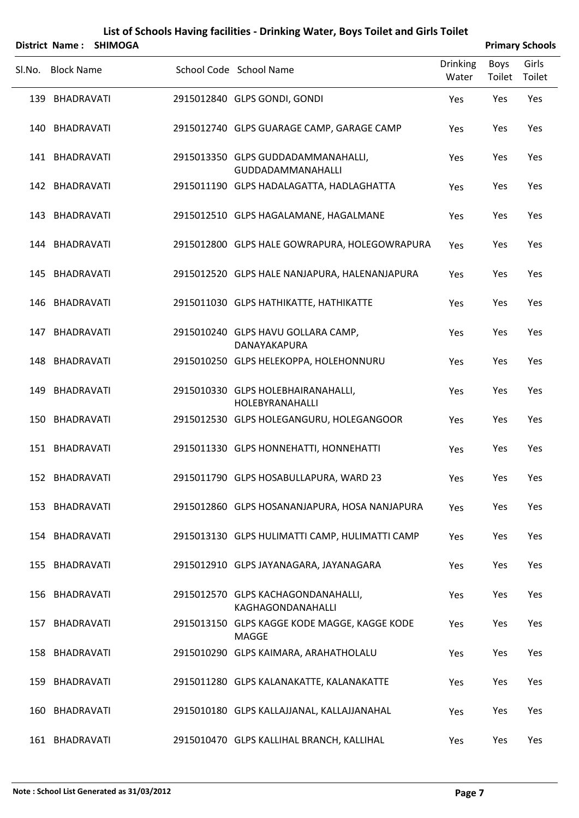|     |                   | District Name: SHIMOGA |                                                                |                          |                | <b>Primary Schools</b> |
|-----|-------------------|------------------------|----------------------------------------------------------------|--------------------------|----------------|------------------------|
|     | Sl.No. Block Name |                        | School Code School Name                                        | <b>Drinking</b><br>Water | Boys<br>Toilet | Girls<br>Toilet        |
|     | 139 BHADRAVATI    |                        | 2915012840 GLPS GONDI, GONDI                                   | Yes                      | Yes            | Yes                    |
|     | 140 BHADRAVATI    |                        | 2915012740 GLPS GUARAGE CAMP, GARAGE CAMP                      | Yes                      | Yes            | Yes                    |
|     | 141 BHADRAVATI    |                        | 2915013350 GLPS GUDDADAMMANAHALLI,<br><b>GUDDADAMMANAHALLI</b> | Yes                      | Yes            | Yes                    |
|     | 142 BHADRAVATI    |                        | 2915011190 GLPS HADALAGATTA, HADLAGHATTA                       | Yes                      | Yes            | Yes                    |
| 143 | BHADRAVATI        |                        | 2915012510 GLPS HAGALAMANE, HAGALMANE                          | Yes                      | Yes            | Yes                    |
|     | 144 BHADRAVATI    |                        | 2915012800 GLPS HALE GOWRAPURA, HOLEGOWRAPURA                  | Yes                      | Yes            | Yes                    |
|     | 145 BHADRAVATI    |                        | 2915012520 GLPS HALE NANJAPURA, HALENANJAPURA                  | Yes                      | Yes            | Yes                    |
|     | 146 BHADRAVATI    |                        | 2915011030 GLPS HATHIKATTE, HATHIKATTE                         | Yes                      | Yes            | Yes                    |
|     | 147 BHADRAVATI    |                        | 2915010240 GLPS HAVU GOLLARA CAMP,<br>DANAYAKAPURA             | Yes                      | Yes            | Yes                    |
|     | 148 BHADRAVATI    |                        | 2915010250 GLPS HELEKOPPA, HOLEHONNURU                         | Yes                      | Yes            | Yes                    |
| 149 | BHADRAVATI        |                        | 2915010330 GLPS HOLEBHAIRANAHALLI,<br>HOLEBYRANAHALLI          | Yes                      | Yes            | Yes                    |
|     | 150 BHADRAVATI    |                        | 2915012530 GLPS HOLEGANGURU, HOLEGANGOOR                       | Yes                      | Yes            | Yes                    |
|     | 151 BHADRAVATI    |                        | 2915011330 GLPS HONNEHATTI, HONNEHATTI                         | Yes                      | Yes            | Yes                    |
|     | 152 BHADRAVATI    |                        | 2915011790 GLPS HOSABULLAPURA, WARD 23                         | Yes                      | Yes            | Yes                    |
|     | 153 BHADRAVATI    |                        | 2915012860 GLPS HOSANANJAPURA, HOSA NANJAPURA                  | Yes                      | Yes            | Yes                    |
|     | 154 BHADRAVATI    |                        | 2915013130 GLPS HULIMATTI CAMP, HULIMATTI CAMP                 | Yes                      | Yes            | Yes                    |
|     | 155 BHADRAVATI    |                        | 2915012910 GLPS JAYANAGARA, JAYANAGARA                         | Yes                      | Yes            | Yes                    |
|     | 156 BHADRAVATI    |                        | 2915012570 GLPS KACHAGONDANAHALLI,<br>KAGHAGONDANAHALLI        | Yes                      | Yes            | Yes                    |
|     | 157 BHADRAVATI    |                        | 2915013150 GLPS KAGGE KODE MAGGE, KAGGE KODE<br>MAGGE          | Yes                      | Yes            | Yes                    |
|     | 158 BHADRAVATI    |                        | 2915010290 GLPS KAIMARA, ARAHATHOLALU                          | Yes                      | Yes            | Yes                    |
|     | 159 BHADRAVATI    |                        | 2915011280 GLPS KALANAKATTE, KALANAKATTE                       | Yes                      | Yes            | Yes                    |
| 160 | <b>BHADRAVATI</b> |                        | 2915010180 GLPS KALLAJJANAL, KALLAJJANAHAL                     | Yes                      | Yes            | Yes                    |
|     | 161 BHADRAVATI    |                        | 2915010470 GLPS KALLIHAL BRANCH, KALLIHAL                      | Yes                      | Yes            | Yes                    |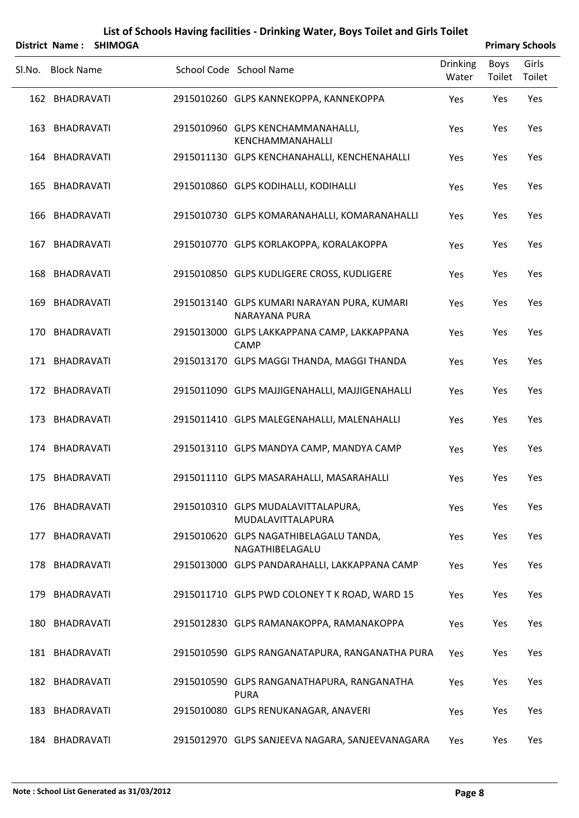|        | <b>District Name:</b> | <b>SHIMOGA</b> |                                                              |                          |                       | <b>Primary Schools</b> |
|--------|-----------------------|----------------|--------------------------------------------------------------|--------------------------|-----------------------|------------------------|
| Sl.No. | <b>Block Name</b>     |                | School Code School Name                                      | <b>Drinking</b><br>Water | <b>Boys</b><br>Toilet | Girls<br>Toilet        |
|        | 162 BHADRAVATI        |                | 2915010260 GLPS KANNEKOPPA, KANNEKOPPA                       | Yes                      | Yes                   | Yes                    |
|        | 163 BHADRAVATI        |                | 2915010960 GLPS KENCHAMMANAHALLI,<br>KENCHAMMANAHALLI        | Yes                      | Yes                   | Yes                    |
|        | 164 BHADRAVATI        |                | 2915011130 GLPS KENCHANAHALLI, KENCHENAHALLI                 | Yes                      | Yes                   | Yes                    |
|        | 165 BHADRAVATI        |                | 2915010860 GLPS KODIHALLI, KODIHALLI                         | Yes                      | Yes                   | Yes                    |
|        | 166 BHADRAVATI        |                | 2915010730 GLPS KOMARANAHALLI, KOMARANAHALLI                 | Yes                      | Yes                   | Yes                    |
|        | 167 BHADRAVATI        |                | 2915010770 GLPS KORLAKOPPA, KORALAKOPPA                      | Yes                      | Yes                   | Yes                    |
|        | 168 BHADRAVATI        |                | 2915010850 GLPS KUDLIGERE CROSS, KUDLIGERE                   | Yes                      | Yes                   | Yes                    |
|        | 169 BHADRAVATI        |                | 2915013140 GLPS KUMARI NARAYAN PURA, KUMARI<br>NARAYANA PURA | Yes                      | Yes                   | Yes                    |
|        | 170 BHADRAVATI        |                | 2915013000 GLPS LAKKAPPANA CAMP, LAKKAPPANA<br>CAMP          | Yes                      | Yes                   | Yes                    |
|        | 171 BHADRAVATI        |                | 2915013170 GLPS MAGGI THANDA, MAGGI THANDA                   | Yes                      | Yes                   | Yes                    |
|        | 172 BHADRAVATI        |                | 2915011090 GLPS MAJJIGENAHALLI, MAJJIGENAHALLI               | Yes                      | Yes                   | Yes                    |
|        | 173 BHADRAVATI        |                | 2915011410 GLPS MALEGENAHALLI, MALENAHALLI                   | Yes                      | Yes                   | Yes                    |
|        | 174 BHADRAVATI        |                | 2915013110 GLPS MANDYA CAMP, MANDYA CAMP                     | Yes                      | Yes                   | Yes                    |
|        | 175 BHADRAVATI        |                | 2915011110 GLPS MASARAHALLI, MASARAHALLI                     | Yes                      | Yes                   | Yes                    |
|        | 176 BHADRAVATI        |                | 2915010310 GLPS MUDALAVITTALAPURA,<br>MUDALAVITTALAPURA      | Yes                      | Yes                   | Yes                    |
|        | 177 BHADRAVATI        |                | 2915010620 GLPS NAGATHIBELAGALU TANDA,<br>NAGATHIBELAGALU    | Yes                      | Yes                   | Yes                    |
|        | 178 BHADRAVATI        |                | 2915013000 GLPS PANDARAHALLI, LAKKAPPANA CAMP                | Yes                      | Yes                   | Yes                    |
|        | 179 BHADRAVATI        |                | 2915011710 GLPS PWD COLONEY T K ROAD, WARD 15                | Yes                      | Yes                   | Yes                    |
|        | 180 BHADRAVATI        |                | 2915012830 GLPS RAMANAKOPPA, RAMANAKOPPA                     | Yes                      | Yes                   | Yes                    |
|        | 181 BHADRAVATI        |                | 2915010590 GLPS RANGANATAPURA, RANGANATHA PURA               | Yes                      | Yes                   | Yes                    |
|        | 182 BHADRAVATI        |                | 2915010590 GLPS RANGANATHAPURA, RANGANATHA<br><b>PURA</b>    | Yes                      | Yes                   | Yes                    |
|        | 183 BHADRAVATI        |                | 2915010080 GLPS RENUKANAGAR, ANAVERI                         | Yes                      | Yes                   | Yes                    |
|        | 184 BHADRAVATI        |                | 2915012970 GLPS SANJEEVA NAGARA, SANJEEVANAGARA              | Yes                      | Yes                   | Yes                    |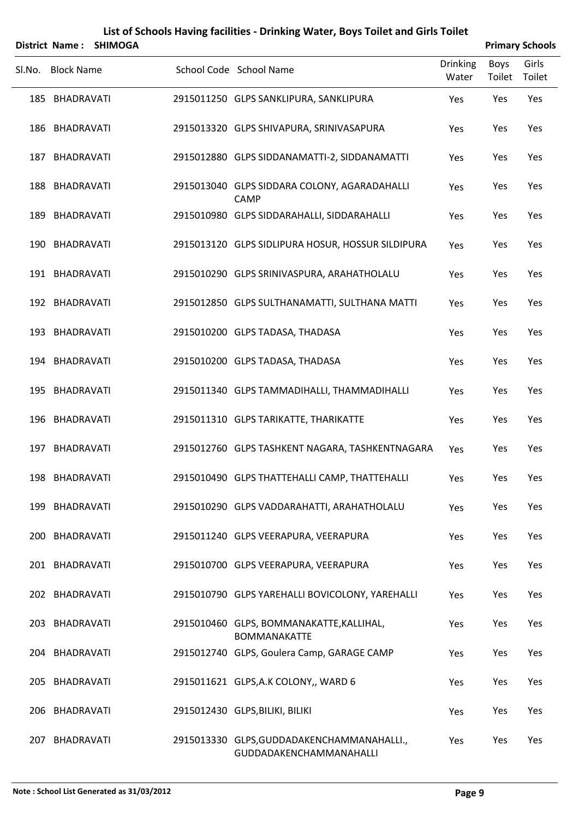|        | District Name:    | <b>SHIMOGA</b> |                                                                       |                   | <b>Primary Schools</b> |                 |
|--------|-------------------|----------------|-----------------------------------------------------------------------|-------------------|------------------------|-----------------|
| SI.No. | <b>Block Name</b> |                | School Code School Name                                               | Drinking<br>Water | <b>Boys</b><br>Toilet  | Girls<br>Toilet |
|        | 185 BHADRAVATI    |                | 2915011250 GLPS SANKLIPURA, SANKLIPURA                                | Yes               | Yes                    | Yes             |
|        | 186 BHADRAVATI    |                | 2915013320 GLPS SHIVAPURA, SRINIVASAPURA                              | Yes               | Yes                    | Yes             |
|        | 187 BHADRAVATI    |                | 2915012880 GLPS SIDDANAMATTI-2, SIDDANAMATTI                          | Yes               | Yes                    | Yes             |
|        | 188 BHADRAVATI    |                | 2915013040 GLPS SIDDARA COLONY, AGARADAHALLI<br><b>CAMP</b>           | Yes               | Yes                    | Yes             |
|        | 189 BHADRAVATI    |                | 2915010980 GLPS SIDDARAHALLI, SIDDARAHALLI                            | Yes               | Yes                    | Yes             |
|        | 190 BHADRAVATI    |                | 2915013120 GLPS SIDLIPURA HOSUR, HOSSUR SILDIPURA                     | Yes               | Yes                    | Yes             |
|        | 191 BHADRAVATI    |                | 2915010290 GLPS SRINIVASPURA, ARAHATHOLALU                            | Yes               | Yes                    | Yes             |
|        | 192 BHADRAVATI    |                | 2915012850 GLPS SULTHANAMATTI, SULTHANA MATTI                         | Yes               | Yes                    | Yes             |
|        | 193 BHADRAVATI    |                | 2915010200 GLPS TADASA, THADASA                                       | Yes               | Yes                    | Yes             |
|        | 194 BHADRAVATI    |                | 2915010200 GLPS TADASA, THADASA                                       | Yes               | Yes                    | Yes             |
|        | 195 BHADRAVATI    |                | 2915011340 GLPS TAMMADIHALLI, THAMMADIHALLI                           | Yes               | Yes                    | Yes             |
|        | 196 BHADRAVATI    |                | 2915011310 GLPS TARIKATTE, THARIKATTE                                 | Yes               | Yes                    | Yes             |
|        | 197 BHADRAVATI    |                | 2915012760 GLPS TASHKENT NAGARA, TASHKENTNAGARA                       | Yes               | Yes                    | Yes             |
|        | 198 BHADRAVATI    |                | 2915010490 GLPS THATTEHALLI CAMP, THATTEHALLI                         | Yes               | Yes                    | Yes             |
|        | 199 BHADRAVATI    |                | 2915010290 GLPS VADDARAHATTI, ARAHATHOLALU                            | Yes               | Yes                    | Yes             |
| 200    | BHADRAVATI        |                | 2915011240 GLPS VEERAPURA, VEERAPURA                                  | Yes               | Yes                    | Yes             |
|        | 201 BHADRAVATI    |                | 2915010700 GLPS VEERAPURA, VEERAPURA                                  | Yes               | Yes                    | Yes             |
|        | 202 BHADRAVATI    |                | 2915010790 GLPS YAREHALLI BOVICOLONY, YAREHALLI                       | Yes               | Yes                    | Yes             |
|        | 203 BHADRAVATI    |                | 2915010460 GLPS, BOMMANAKATTE, KALLIHAL,<br><b>BOMMANAKATTE</b>       | Yes               | Yes                    | Yes             |
|        | 204 BHADRAVATI    |                | 2915012740 GLPS, Goulera Camp, GARAGE CAMP                            | Yes               | Yes                    | Yes             |
|        | 205 BHADRAVATI    |                | 2915011621 GLPS, A.K COLONY,, WARD 6                                  | Yes               | Yes                    | Yes             |
| 206    | BHADRAVATI        |                | 2915012430 GLPS, BILIKI, BILIKI                                       | Yes               | Yes                    | Yes             |
|        | 207 BHADRAVATI    |                | 2915013330 GLPS, GUDDADAKENCHAMMANAHALLI.,<br>GUDDADAKENCHAMMANAHALLI | Yes               | Yes                    | Yes             |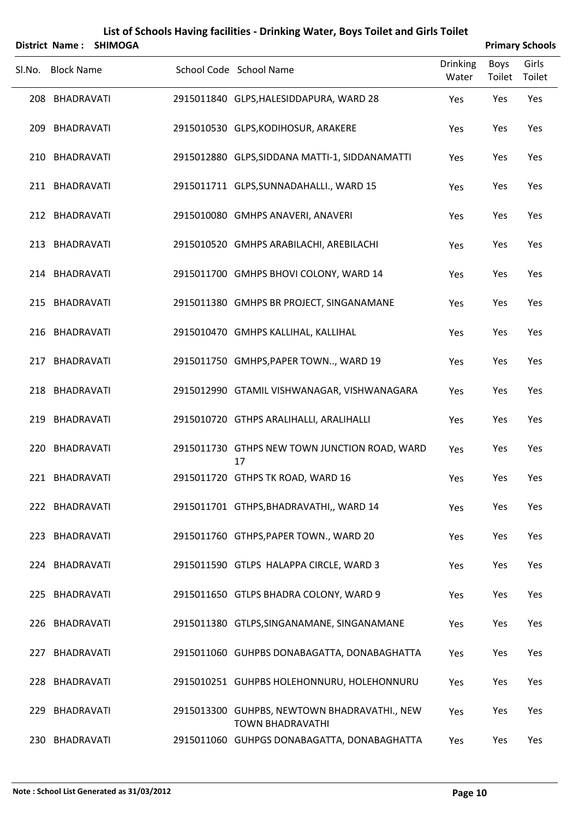|        |                   | District Name: SHIMOGA |                                                                         |                          |                | <b>Primary Schools</b> |
|--------|-------------------|------------------------|-------------------------------------------------------------------------|--------------------------|----------------|------------------------|
| Sl.No. | <b>Block Name</b> |                        | School Code School Name                                                 | <b>Drinking</b><br>Water | Boys<br>Toilet | Girls<br>Toilet        |
|        | 208 BHADRAVATI    |                        | 2915011840 GLPS, HALESIDDAPURA, WARD 28                                 | Yes                      | Yes            | Yes                    |
|        | 209 BHADRAVATI    |                        | 2915010530 GLPS, KODIHOSUR, ARAKERE                                     | Yes                      | Yes            | Yes                    |
|        | 210 BHADRAVATI    |                        | 2915012880 GLPS, SIDDANA MATTI-1, SIDDANAMATTI                          | Yes                      | Yes            | Yes                    |
|        | 211 BHADRAVATI    |                        | 2915011711 GLPS, SUNNADAHALLI., WARD 15                                 | Yes                      | Yes            | Yes                    |
|        | 212 BHADRAVATI    |                        | 2915010080 GMHPS ANAVERI, ANAVERI                                       | Yes                      | Yes            | Yes                    |
|        | 213 BHADRAVATI    |                        | 2915010520 GMHPS ARABILACHI, AREBILACHI                                 | Yes                      | Yes            | Yes                    |
|        | 214 BHADRAVATI    |                        | 2915011700 GMHPS BHOVI COLONY, WARD 14                                  | Yes                      | Yes            | Yes                    |
|        | 215 BHADRAVATI    |                        | 2915011380 GMHPS BR PROJECT, SINGANAMANE                                | Yes                      | Yes            | Yes                    |
|        | 216 BHADRAVATI    |                        | 2915010470 GMHPS KALLIHAL, KALLIHAL                                     | Yes                      | Yes            | Yes                    |
|        | 217 BHADRAVATI    |                        | 2915011750 GMHPS, PAPER TOWN, WARD 19                                   | Yes                      | Yes            | Yes                    |
|        | 218 BHADRAVATI    |                        | 2915012990 GTAMIL VISHWANAGAR, VISHWANAGARA                             | Yes                      | Yes            | Yes                    |
|        | 219 BHADRAVATI    |                        | 2915010720 GTHPS ARALIHALLI, ARALIHALLI                                 | Yes                      | Yes            | Yes                    |
| 220    | BHADRAVATI        |                        | 2915011730 GTHPS NEW TOWN JUNCTION ROAD, WARD<br>17                     | Yes                      | Yes            | Yes                    |
|        | 221 BHADRAVATI    |                        | 2915011720 GTHPS TK ROAD, WARD 16                                       | Yes                      | Yes            | Yes                    |
|        | 222 BHADRAVATI    |                        | 2915011701 GTHPS, BHADRAVATHI,, WARD 14                                 | Yes                      | Yes            | Yes                    |
|        | 223 BHADRAVATI    |                        | 2915011760 GTHPS, PAPER TOWN., WARD 20                                  | Yes                      | Yes            | Yes                    |
|        | 224 BHADRAVATI    |                        | 2915011590 GTLPS HALAPPA CIRCLE, WARD 3                                 | Yes                      | Yes            | Yes                    |
|        | 225 BHADRAVATI    |                        | 2915011650 GTLPS BHADRA COLONY, WARD 9                                  | Yes                      | Yes            | Yes                    |
|        | 226 BHADRAVATI    |                        | 2915011380 GTLPS, SINGANAMANE, SINGANAMANE                              | Yes                      | Yes            | Yes                    |
|        | 227 BHADRAVATI    |                        | 2915011060 GUHPBS DONABAGATTA, DONABAGHATTA                             | Yes                      | Yes            | Yes                    |
|        | 228 BHADRAVATI    |                        | 2915010251 GUHPBS HOLEHONNURU, HOLEHONNURU                              | Yes                      | Yes            | Yes                    |
| 229    | BHADRAVATI        |                        | 2915013300 GUHPBS, NEWTOWN BHADRAVATHI., NEW<br><b>TOWN BHADRAVATHI</b> | Yes                      | Yes            | Yes                    |
|        | 230 BHADRAVATI    |                        | 2915011060 GUHPGS DONABAGATTA, DONABAGHATTA                             | Yes                      | Yes            | Yes                    |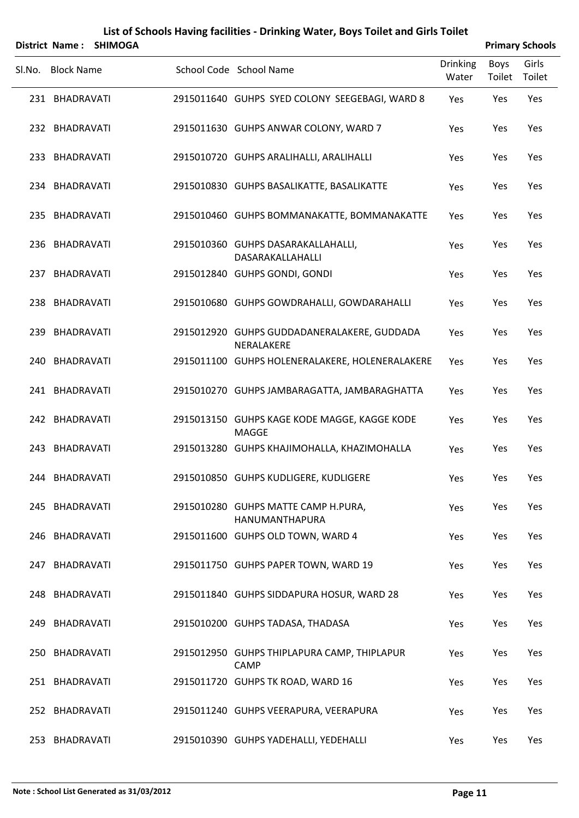|        |                   | District Name: SHIMOGA |                                                              |                          |                       | <b>Primary Schools</b> |
|--------|-------------------|------------------------|--------------------------------------------------------------|--------------------------|-----------------------|------------------------|
| Sl.No. | <b>Block Name</b> |                        | School Code School Name                                      | <b>Drinking</b><br>Water | <b>Boys</b><br>Toilet | Girls<br>Toilet        |
|        | 231 BHADRAVATI    |                        | 2915011640 GUHPS SYED COLONY SEEGEBAGI, WARD 8               | Yes                      | Yes                   | Yes                    |
|        | 232 BHADRAVATI    |                        | 2915011630 GUHPS ANWAR COLONY, WARD 7                        | Yes                      | Yes                   | Yes                    |
|        | 233 BHADRAVATI    |                        | 2915010720 GUHPS ARALIHALLI, ARALIHALLI                      | Yes                      | Yes                   | Yes                    |
|        | 234 BHADRAVATI    |                        | 2915010830 GUHPS BASALIKATTE, BASALIKATTE                    | Yes                      | Yes                   | Yes                    |
|        | 235 BHADRAVATI    |                        | 2915010460 GUHPS BOMMANAKATTE, BOMMANAKATTE                  | Yes                      | Yes                   | Yes                    |
|        | 236 BHADRAVATI    |                        | 2915010360 GUHPS DASARAKALLAHALLI,<br>DASARAKALLAHALLI       | Yes                      | Yes                   | Yes                    |
| 237    | BHADRAVATI        |                        | 2915012840 GUHPS GONDI, GONDI                                | Yes                      | Yes                   | Yes                    |
|        | 238 BHADRAVATI    |                        | 2915010680 GUHPS GOWDRAHALLI, GOWDARAHALLI                   | Yes                      | Yes                   | Yes                    |
| 239    | BHADRAVATI        |                        | 2915012920 GUHPS GUDDADANERALAKERE, GUDDADA<br>NERALAKERE    | Yes                      | Yes                   | Yes                    |
|        | 240 BHADRAVATI    |                        | 2915011100 GUHPS HOLENERALAKERE, HOLENERALAKERE              | <b>Yes</b>               | Yes                   | Yes                    |
|        | 241 BHADRAVATI    |                        | 2915010270 GUHPS JAMBARAGATTA, JAMBARAGHATTA                 | Yes                      | Yes                   | Yes                    |
|        | 242 BHADRAVATI    |                        | 2915013150 GUHPS KAGE KODE MAGGE, KAGGE KODE<br><b>MAGGE</b> | Yes                      | Yes                   | Yes                    |
| 243    | BHADRAVATI        |                        | 2915013280 GUHPS KHAJIMOHALLA, KHAZIMOHALLA                  | Yes                      | Yes                   | Yes                    |
|        | 244 BHADRAVATI    |                        | 2915010850 GUHPS KUDLIGERE, KUDLIGERE                        | Yes                      | Yes                   | Yes                    |
|        | 245 BHADRAVATI    |                        | 2915010280 GUHPS MATTE CAMP H.PURA,<br>HANUMANTHAPURA        | Yes                      | Yes                   | Yes                    |
|        | 246 BHADRAVATI    |                        | 2915011600 GUHPS OLD TOWN, WARD 4                            | Yes                      | Yes                   | Yes                    |
|        | 247 BHADRAVATI    |                        | 2915011750 GUHPS PAPER TOWN, WARD 19                         | Yes                      | Yes                   | Yes                    |
|        | 248 BHADRAVATI    |                        | 2915011840 GUHPS SIDDAPURA HOSUR, WARD 28                    | Yes                      | Yes                   | Yes                    |
|        | 249 BHADRAVATI    |                        | 2915010200 GUHPS TADASA, THADASA                             | Yes                      | Yes                   | Yes                    |
|        | 250 BHADRAVATI    |                        | 2915012950 GUHPS THIPLAPURA CAMP, THIPLAPUR<br>CAMP          | Yes                      | Yes                   | Yes                    |
|        | 251 BHADRAVATI    |                        | 2915011720 GUHPS TK ROAD, WARD 16                            | Yes                      | Yes                   | Yes                    |
|        | 252 BHADRAVATI    |                        | 2915011240 GUHPS VEERAPURA, VEERAPURA                        | Yes                      | Yes                   | Yes                    |
|        | 253 BHADRAVATI    |                        | 2915010390 GUHPS YADEHALLI, YEDEHALLI                        | Yes                      | Yes                   | Yes                    |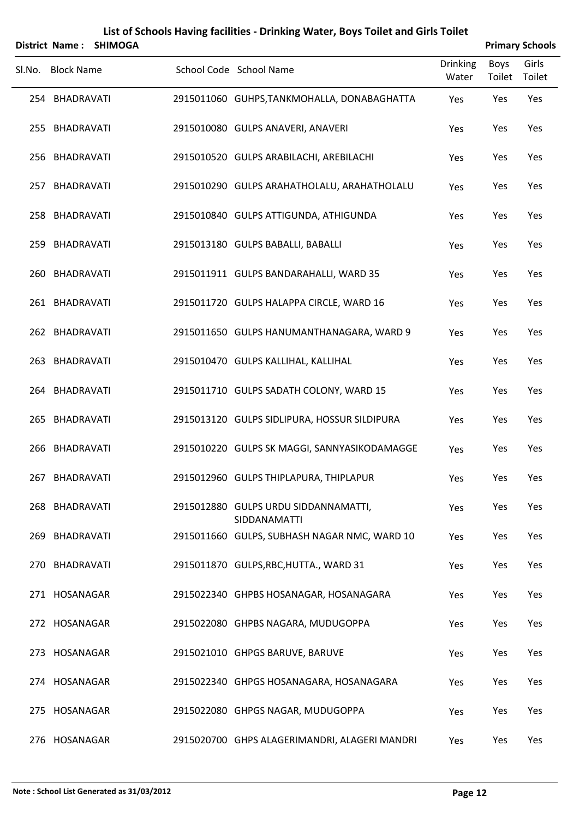|        | <b>District Name:</b> | <b>SHIMOGA</b> |                                                      |                          |                | <b>Primary Schools</b> |
|--------|-----------------------|----------------|------------------------------------------------------|--------------------------|----------------|------------------------|
| Sl.No. | <b>Block Name</b>     |                | School Code School Name                              | <b>Drinking</b><br>Water | Boys<br>Toilet | Girls<br>Toilet        |
|        | 254 BHADRAVATI        |                | 2915011060 GUHPS, TANKMOHALLA, DONABAGHATTA          | Yes                      | Yes            | Yes                    |
|        | 255 BHADRAVATI        |                | 2915010080 GULPS ANAVERI, ANAVERI                    | Yes                      | Yes            | Yes                    |
|        | 256 BHADRAVATI        |                | 2915010520 GULPS ARABILACHI, AREBILACHI              | Yes                      | Yes            | Yes                    |
|        | 257 BHADRAVATI        |                | 2915010290 GULPS ARAHATHOLALU, ARAHATHOLALU          | Yes                      | Yes            | Yes                    |
|        | 258 BHADRAVATI        |                | 2915010840 GULPS ATTIGUNDA, ATHIGUNDA                | Yes                      | Yes            | Yes                    |
|        | 259 BHADRAVATI        |                | 2915013180 GULPS BABALLI, BABALLI                    | Yes                      | Yes            | Yes                    |
| 260    | BHADRAVATI            |                | 2915011911 GULPS BANDARAHALLI, WARD 35               | Yes                      | Yes            | Yes                    |
|        | 261 BHADRAVATI        |                | 2915011720 GULPS HALAPPA CIRCLE, WARD 16             | Yes                      | Yes            | Yes                    |
|        | 262 BHADRAVATI        |                | 2915011650 GULPS HANUMANTHANAGARA, WARD 9            | Yes                      | Yes            | Yes                    |
|        | 263 BHADRAVATI        |                | 2915010470 GULPS KALLIHAL, KALLIHAL                  | Yes                      | Yes            | Yes                    |
|        | 264 BHADRAVATI        |                | 2915011710 GULPS SADATH COLONY, WARD 15              | Yes                      | Yes            | Yes                    |
|        | 265 BHADRAVATI        |                | 2915013120 GULPS SIDLIPURA, HOSSUR SILDIPURA         | Yes                      | Yes            | Yes                    |
| 266    | BHADRAVATI            |                | 2915010220 GULPS SK MAGGI, SANNYASIKODAMAGGE         | Yes                      | Yes            | Yes                    |
|        | 267 BHADRAVATI        |                | 2915012960 GULPS THIPLAPURA, THIPLAPUR               | Yes                      | Yes            | Yes                    |
|        | 268 BHADRAVATI        |                | 2915012880 GULPS URDU SIDDANNAMATTI,<br>SIDDANAMATTI | Yes                      | Yes            | Yes                    |
|        | 269 BHADRAVATI        |                | 2915011660 GULPS, SUBHASH NAGAR NMC, WARD 10         | Yes                      | Yes            | Yes                    |
|        | 270 BHADRAVATI        |                | 2915011870 GULPS, RBC, HUTTA., WARD 31               | Yes                      | Yes            | Yes                    |
|        | 271 HOSANAGAR         |                | 2915022340 GHPBS HOSANAGAR, HOSANAGARA               | Yes                      | Yes            | Yes                    |
|        | 272 HOSANAGAR         |                | 2915022080 GHPBS NAGARA, MUDUGOPPA                   | Yes                      | Yes            | Yes                    |
|        | 273 HOSANAGAR         |                | 2915021010 GHPGS BARUVE, BARUVE                      | Yes                      | Yes            | Yes                    |
|        | 274 HOSANAGAR         |                | 2915022340 GHPGS HOSANAGARA, HOSANAGARA              | Yes                      | Yes            | Yes                    |
|        | 275 HOSANAGAR         |                | 2915022080 GHPGS NAGAR, MUDUGOPPA                    | Yes                      | Yes            | Yes                    |
|        | 276 HOSANAGAR         |                | 2915020700 GHPS ALAGERIMANDRI, ALAGERI MANDRI        | Yes                      | Yes            | Yes                    |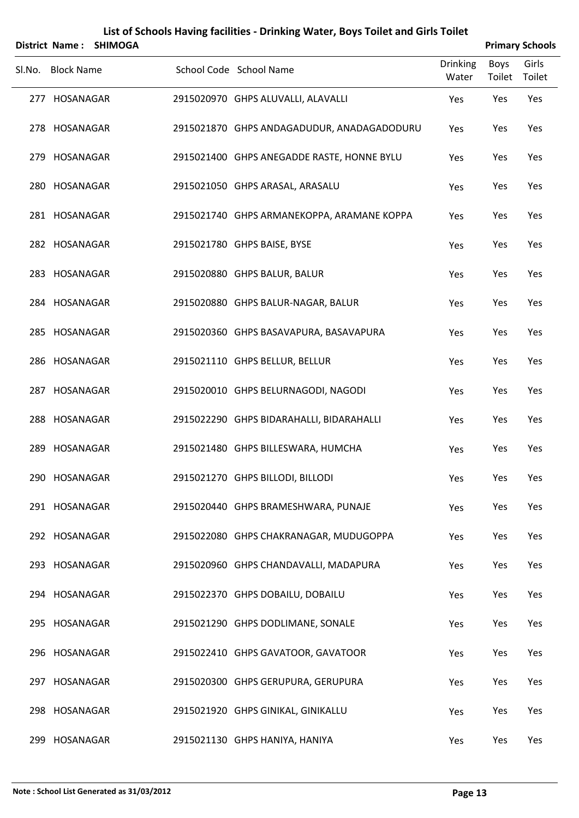|        | <b>District Name:</b> | <b>SHIMOGA</b> |                                            |                          |                       | <b>Primary Schools</b> |
|--------|-----------------------|----------------|--------------------------------------------|--------------------------|-----------------------|------------------------|
| Sl.No. | <b>Block Name</b>     |                | School Code School Name                    | <b>Drinking</b><br>Water | <b>Boys</b><br>Toilet | Girls<br>Toilet        |
|        | 277 HOSANAGAR         |                | 2915020970 GHPS ALUVALLI, ALAVALLI         | Yes                      | Yes                   | Yes                    |
|        | 278 HOSANAGAR         |                | 2915021870 GHPS ANDAGADUDUR, ANADAGADODURU | Yes                      | Yes                   | Yes                    |
|        | 279 HOSANAGAR         |                | 2915021400 GHPS ANEGADDE RASTE, HONNE BYLU | Yes                      | Yes                   | Yes                    |
|        | 280 HOSANAGAR         |                | 2915021050 GHPS ARASAL, ARASALU            | Yes                      | Yes                   | Yes                    |
|        | 281 HOSANAGAR         |                | 2915021740 GHPS ARMANEKOPPA, ARAMANE KOPPA | Yes                      | Yes                   | Yes                    |
|        | 282 HOSANAGAR         |                | 2915021780 GHPS BAISE, BYSE                | Yes                      | Yes                   | Yes                    |
|        | 283 HOSANAGAR         |                | 2915020880 GHPS BALUR, BALUR               | Yes                      | Yes                   | Yes                    |
|        | 284 HOSANAGAR         |                | 2915020880 GHPS BALUR-NAGAR, BALUR         | Yes                      | Yes                   | Yes                    |
|        | 285 HOSANAGAR         |                | 2915020360 GHPS BASAVAPURA, BASAVAPURA     | Yes                      | Yes                   | Yes                    |
|        | 286 HOSANAGAR         |                | 2915021110 GHPS BELLUR, BELLUR             | Yes                      | Yes                   | Yes                    |
|        | 287 HOSANAGAR         |                | 2915020010 GHPS BELURNAGODI, NAGODI        | Yes                      | Yes                   | Yes                    |
|        | 288 HOSANAGAR         |                | 2915022290 GHPS BIDARAHALLI, BIDARAHALLI   | Yes                      | Yes                   | Yes                    |
|        | 289 HOSANAGAR         |                | 2915021480 GHPS BILLESWARA, HUMCHA         | Yes                      | Yes                   | Yes                    |
|        | 290 HOSANAGAR         |                | 2915021270 GHPS BILLODI, BILLODI           | Yes                      | Yes                   | Yes                    |
|        | 291 HOSANAGAR         |                | 2915020440 GHPS BRAMESHWARA, PUNAJE        | Yes                      | Yes                   | Yes                    |
|        | 292 HOSANAGAR         |                | 2915022080 GHPS CHAKRANAGAR, MUDUGOPPA     | Yes                      | Yes                   | Yes                    |
|        | 293 HOSANAGAR         |                | 2915020960 GHPS CHANDAVALLI, MADAPURA      | Yes                      | Yes                   | Yes                    |
|        | 294 HOSANAGAR         |                | 2915022370 GHPS DOBAILU, DOBAILU           | Yes                      | Yes                   | Yes                    |
|        | 295 HOSANAGAR         |                | 2915021290 GHPS DODLIMANE, SONALE          | Yes                      | Yes                   | Yes                    |
|        | 296 HOSANAGAR         |                | 2915022410 GHPS GAVATOOR, GAVATOOR         | Yes                      | Yes                   | Yes                    |
|        | 297 HOSANAGAR         |                | 2915020300 GHPS GERUPURA, GERUPURA         | Yes                      | Yes                   | Yes                    |
|        | 298 HOSANAGAR         |                | 2915021920 GHPS GINIKAL, GINIKALLU         | Yes                      | Yes                   | Yes                    |
|        | 299 HOSANAGAR         |                | 2915021130 GHPS HANIYA, HANIYA             | Yes                      | Yes                   | Yes                    |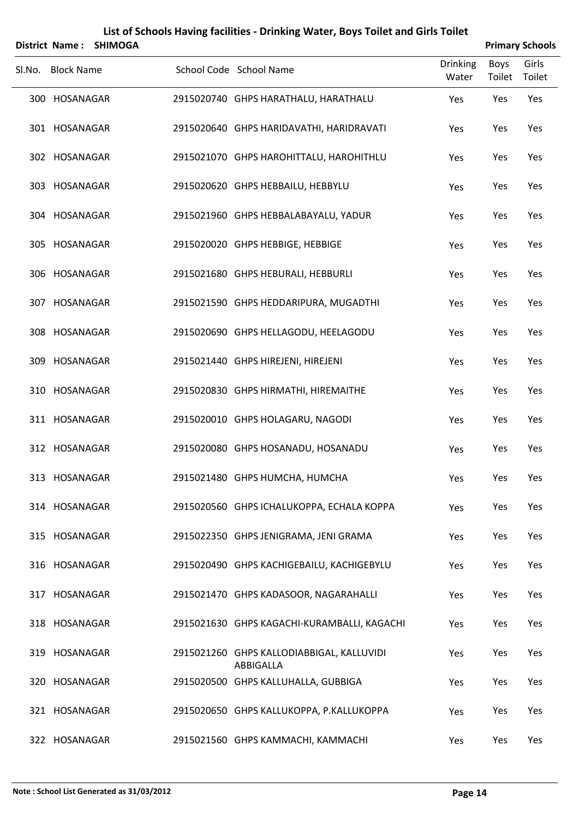|        |                   | District Name: SHIMOGA |                                                        |                          | <b>Primary Schools</b> |                 |
|--------|-------------------|------------------------|--------------------------------------------------------|--------------------------|------------------------|-----------------|
| Sl.No. | <b>Block Name</b> |                        | School Code School Name                                | <b>Drinking</b><br>Water | Boys<br>Toilet         | Girls<br>Toilet |
|        | 300 HOSANAGAR     |                        | 2915020740 GHPS HARATHALU, HARATHALU                   | Yes                      | Yes                    | Yes             |
|        | 301 HOSANAGAR     |                        | 2915020640 GHPS HARIDAVATHI, HARIDRAVATI               | Yes                      | Yes                    | Yes             |
|        | 302 HOSANAGAR     |                        | 2915021070 GHPS HAROHITTALU, HAROHITHLU                | Yes                      | Yes                    | Yes             |
|        | 303 HOSANAGAR     |                        | 2915020620 GHPS HEBBAILU, HEBBYLU                      | Yes                      | Yes                    | Yes             |
|        | 304 HOSANAGAR     |                        | 2915021960 GHPS HEBBALABAYALU, YADUR                   | Yes                      | Yes                    | Yes             |
|        | 305 HOSANAGAR     |                        | 2915020020 GHPS HEBBIGE, HEBBIGE                       | Yes                      | Yes                    | Yes             |
|        | 306 HOSANAGAR     |                        | 2915021680 GHPS HEBURALI, HEBBURLI                     | Yes                      | Yes                    | Yes             |
|        | 307 HOSANAGAR     |                        | 2915021590 GHPS HEDDARIPURA, MUGADTHI                  | Yes                      | Yes                    | Yes             |
|        | 308 HOSANAGAR     |                        | 2915020690 GHPS HELLAGODU, HEELAGODU                   | Yes                      | Yes                    | Yes             |
|        | 309 HOSANAGAR     |                        | 2915021440 GHPS HIREJENI, HIREJENI                     | Yes                      | Yes                    | Yes             |
|        | 310 HOSANAGAR     |                        | 2915020830 GHPS HIRMATHI, HIREMAITHE                   | Yes                      | Yes                    | Yes             |
|        | 311 HOSANAGAR     |                        | 2915020010 GHPS HOLAGARU, NAGODI                       | Yes                      | Yes                    | Yes             |
|        | 312 HOSANAGAR     |                        | 2915020080 GHPS HOSANADU, HOSANADU                     | Yes                      | Yes                    | Yes             |
|        | 313 HOSANAGAR     |                        | 2915021480 GHPS HUMCHA, HUMCHA                         | Yes                      | Yes                    | Yes             |
|        | 314 HOSANAGAR     |                        | 2915020560 GHPS ICHALUKOPPA, ECHALA KOPPA              | Yes                      | Yes                    | Yes             |
|        | 315 HOSANAGAR     |                        | 2915022350 GHPS JENIGRAMA, JENI GRAMA                  | Yes                      | Yes                    | Yes             |
|        | 316 HOSANAGAR     |                        | 2915020490 GHPS KACHIGEBAILU, KACHIGEBYLU              | Yes                      | Yes                    | Yes             |
|        | 317 HOSANAGAR     |                        | 2915021470 GHPS KADASOOR, NAGARAHALLI                  | Yes                      | Yes                    | Yes             |
|        | 318 HOSANAGAR     |                        | 2915021630 GHPS KAGACHI-KURAMBALLI, KAGACHI            | Yes                      | Yes                    | Yes             |
|        | 319 HOSANAGAR     |                        | 2915021260 GHPS KALLODIABBIGAL, KALLUVIDI<br>ABBIGALLA | Yes                      | Yes                    | Yes             |
|        | 320 HOSANAGAR     |                        | 2915020500 GHPS KALLUHALLA, GUBBIGA                    | Yes                      | Yes                    | Yes             |
|        | 321 HOSANAGAR     |                        | 2915020650 GHPS KALLUKOPPA, P.KALLUKOPPA               | Yes                      | Yes                    | Yes             |
|        | 322 HOSANAGAR     |                        | 2915021560 GHPS KAMMACHI, KAMMACHI                     | Yes                      | Yes                    | Yes             |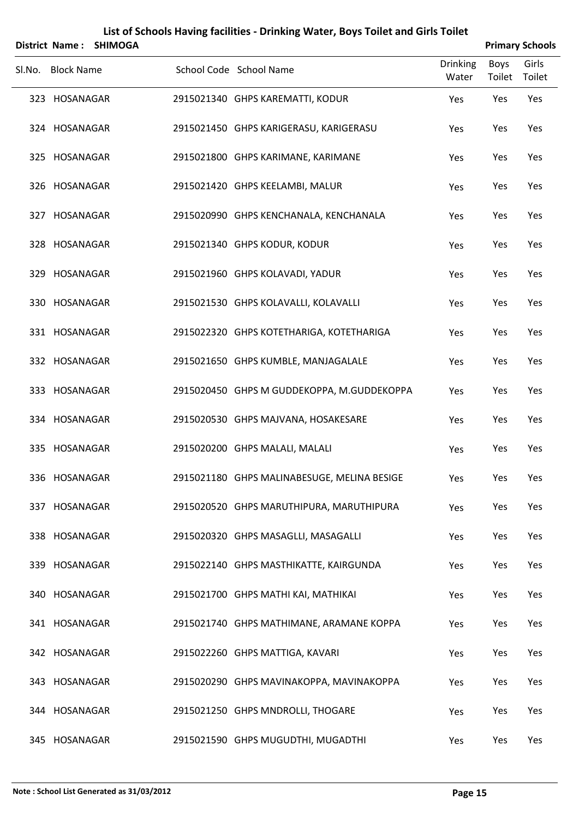|        |                   | District Name: SHIMOGA |                                             |                          |                | <b>Primary Schools</b> |
|--------|-------------------|------------------------|---------------------------------------------|--------------------------|----------------|------------------------|
| SI.No. | <b>Block Name</b> |                        | School Code School Name                     | <b>Drinking</b><br>Water | Boys<br>Toilet | Girls<br>Toilet        |
|        | 323 HOSANAGAR     |                        | 2915021340 GHPS KAREMATTI, KODUR            | Yes                      | Yes            | Yes                    |
|        | 324 HOSANAGAR     |                        | 2915021450 GHPS KARIGERASU, KARIGERASU      | Yes                      | Yes            | Yes                    |
|        | 325 HOSANAGAR     |                        | 2915021800 GHPS KARIMANE, KARIMANE          | Yes                      | Yes            | Yes                    |
|        | 326 HOSANAGAR     |                        | 2915021420 GHPS KEELAMBI, MALUR             | Yes                      | Yes            | Yes                    |
|        | 327 HOSANAGAR     |                        | 2915020990 GHPS KENCHANALA, KENCHANALA      | Yes                      | Yes            | Yes                    |
|        | 328 HOSANAGAR     |                        | 2915021340 GHPS KODUR, KODUR                | Yes                      | Yes            | Yes                    |
|        | 329 HOSANAGAR     |                        | 2915021960 GHPS KOLAVADI, YADUR             | Yes                      | Yes            | Yes                    |
|        | 330 HOSANAGAR     |                        | 2915021530 GHPS KOLAVALLI, KOLAVALLI        | Yes                      | Yes            | Yes                    |
|        | 331 HOSANAGAR     |                        | 2915022320 GHPS KOTETHARIGA, KOTETHARIGA    | Yes                      | Yes            | Yes                    |
|        | 332 HOSANAGAR     |                        | 2915021650 GHPS KUMBLE, MANJAGALALE         | Yes                      | Yes            | Yes                    |
|        | 333 HOSANAGAR     |                        | 2915020450 GHPS M GUDDEKOPPA, M.GUDDEKOPPA  | Yes                      | Yes            | Yes                    |
|        | 334 HOSANAGAR     |                        | 2915020530 GHPS MAJVANA, HOSAKESARE         | Yes                      | Yes            | Yes                    |
|        | 335 HOSANAGAR     |                        | 2915020200 GHPS MALALI, MALALI              | Yes                      | Yes            | Yes                    |
|        | 336 HOSANAGAR     |                        | 2915021180 GHPS MALINABESUGE, MELINA BESIGE | Yes                      | Yes            | Yes                    |
|        | 337 HOSANAGAR     |                        | 2915020520 GHPS MARUTHIPURA, MARUTHIPURA    | Yes                      | Yes            | Yes                    |
|        | 338 HOSANAGAR     |                        | 2915020320 GHPS MASAGLLI, MASAGALLI         | Yes                      | Yes            | Yes                    |
|        | 339 HOSANAGAR     |                        | 2915022140 GHPS MASTHIKATTE, KAIRGUNDA      | Yes                      | Yes            | Yes                    |
|        | 340 HOSANAGAR     |                        | 2915021700 GHPS MATHI KAI, MATHIKAI         | Yes                      | Yes            | Yes                    |
|        | 341 HOSANAGAR     |                        | 2915021740 GHPS MATHIMANE, ARAMANE KOPPA    | Yes                      | Yes            | Yes                    |
|        | 342 HOSANAGAR     |                        | 2915022260 GHPS MATTIGA, KAVARI             | Yes                      | Yes            | Yes                    |
|        | 343 HOSANAGAR     |                        | 2915020290 GHPS MAVINAKOPPA, MAVINAKOPPA    | Yes                      | Yes            | Yes                    |
|        | 344 HOSANAGAR     |                        | 2915021250 GHPS MNDROLLI, THOGARE           | Yes                      | Yes            | Yes                    |
|        | 345 HOSANAGAR     |                        | 2915021590 GHPS MUGUDTHI, MUGADTHI          | Yes                      | Yes            | Yes                    |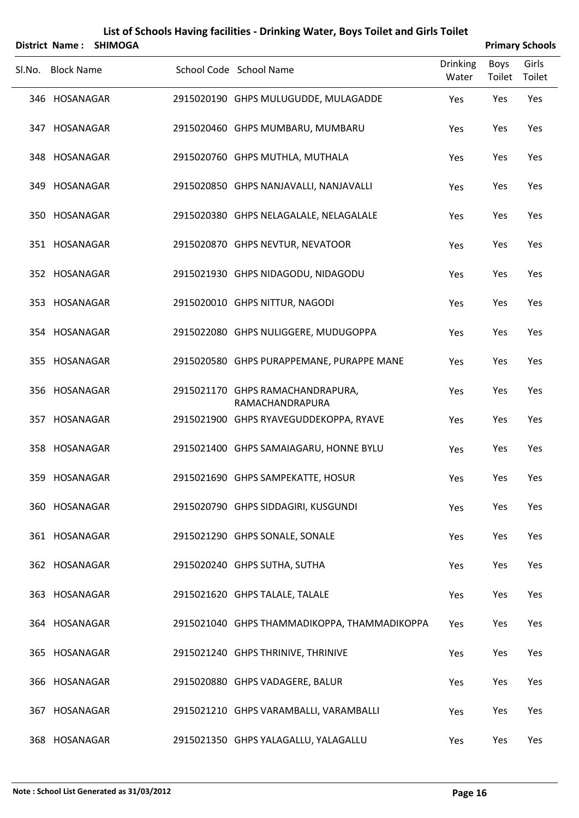|        | <b>District Name:</b> | <b>SHIMOGA</b> |                                                     |                          |                       | <b>Primary Schools</b> |
|--------|-----------------------|----------------|-----------------------------------------------------|--------------------------|-----------------------|------------------------|
| Sl.No. | <b>Block Name</b>     |                | School Code School Name                             | <b>Drinking</b><br>Water | <b>Boys</b><br>Toilet | Girls<br>Toilet        |
|        | 346 HOSANAGAR         |                | 2915020190 GHPS MULUGUDDE, MULAGADDE                | Yes                      | Yes                   | Yes                    |
|        | 347 HOSANAGAR         |                | 2915020460 GHPS MUMBARU, MUMBARU                    | Yes                      | Yes                   | Yes                    |
|        | 348 HOSANAGAR         |                | 2915020760 GHPS MUTHLA, MUTHALA                     | Yes                      | Yes                   | Yes                    |
|        | 349 HOSANAGAR         |                | 2915020850 GHPS NANJAVALLI, NANJAVALLI              | Yes                      | Yes                   | Yes                    |
|        | 350 HOSANAGAR         |                | 2915020380 GHPS NELAGALALE, NELAGALALE              | Yes                      | Yes                   | Yes                    |
|        | 351 HOSANAGAR         |                | 2915020870 GHPS NEVTUR, NEVATOOR                    | Yes                      | Yes                   | Yes                    |
|        | 352 HOSANAGAR         |                | 2915021930 GHPS NIDAGODU, NIDAGODU                  | Yes                      | Yes                   | Yes                    |
|        | 353 HOSANAGAR         |                | 2915020010 GHPS NITTUR, NAGODI                      | Yes                      | Yes                   | Yes                    |
|        | 354 HOSANAGAR         |                | 2915022080 GHPS NULIGGERE, MUDUGOPPA                | Yes                      | Yes                   | Yes                    |
|        | 355 HOSANAGAR         |                | 2915020580 GHPS PURAPPEMANE, PURAPPE MANE           | Yes                      | Yes                   | Yes                    |
|        | 356 HOSANAGAR         |                | 2915021170 GHPS RAMACHANDRAPURA,<br>RAMACHANDRAPURA | Yes                      | Yes                   | Yes                    |
|        | 357 HOSANAGAR         |                | 2915021900 GHPS RYAVEGUDDEKOPPA, RYAVE              | Yes                      | Yes                   | Yes                    |
|        | 358 HOSANAGAR         |                | 2915021400 GHPS SAMAIAGARU, HONNE BYLU              | Yes                      | Yes                   | Yes                    |
|        | 359 HOSANAGAR         |                | 2915021690 GHPS SAMPEKATTE, HOSUR                   | Yes                      | Yes                   | Yes                    |
|        | 360 HOSANAGAR         |                | 2915020790 GHPS SIDDAGIRI, KUSGUNDI                 | Yes                      | Yes                   | Yes                    |
|        | 361 HOSANAGAR         |                | 2915021290 GHPS SONALE, SONALE                      | Yes                      | Yes                   | Yes                    |
|        | 362 HOSANAGAR         |                | 2915020240 GHPS SUTHA, SUTHA                        | Yes                      | Yes                   | Yes                    |
|        | 363 HOSANAGAR         |                | 2915021620 GHPS TALALE, TALALE                      | Yes                      | Yes                   | Yes                    |
|        | 364 HOSANAGAR         |                | 2915021040 GHPS THAMMADIKOPPA, THAMMADIKOPPA        | Yes                      | Yes                   | Yes                    |
|        | 365 HOSANAGAR         |                | 2915021240 GHPS THRINIVE, THRINIVE                  | Yes                      | Yes                   | Yes                    |
|        | 366 HOSANAGAR         |                | 2915020880 GHPS VADAGERE, BALUR                     | Yes                      | Yes                   | Yes                    |
|        | 367 HOSANAGAR         |                | 2915021210 GHPS VARAMBALLI, VARAMBALLI              | Yes                      | Yes                   | Yes                    |
|        | 368 HOSANAGAR         |                | 2915021350 GHPS YALAGALLU, YALAGALLU                | Yes                      | Yes                   | Yes                    |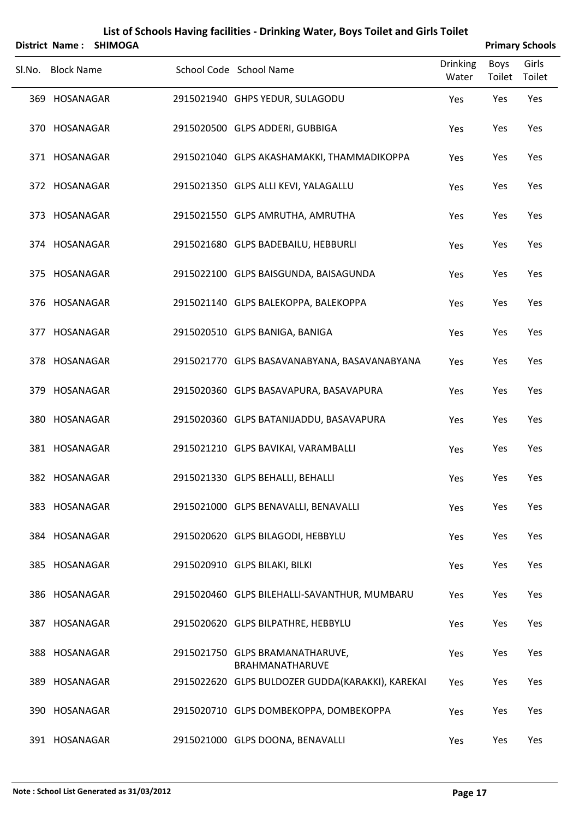|                   | District Name: SHIMOGA |                                                    |                          | <b>Primary Schools</b> |                 |
|-------------------|------------------------|----------------------------------------------------|--------------------------|------------------------|-----------------|
| Sl.No. Block Name |                        | School Code School Name                            | <b>Drinking</b><br>Water | Boys<br>Toilet         | Girls<br>Toilet |
| 369 HOSANAGAR     |                        | 2915021940 GHPS YEDUR, SULAGODU                    | Yes                      | Yes                    | Yes             |
| 370 HOSANAGAR     |                        | 2915020500 GLPS ADDERI, GUBBIGA                    | Yes                      | Yes                    | Yes             |
| 371 HOSANAGAR     |                        | 2915021040 GLPS AKASHAMAKKI, THAMMADIKOPPA         | Yes                      | Yes                    | Yes             |
| 372 HOSANAGAR     |                        | 2915021350 GLPS ALLI KEVI, YALAGALLU               | Yes                      | Yes                    | Yes             |
| 373 HOSANAGAR     |                        | 2915021550 GLPS AMRUTHA, AMRUTHA                   | Yes                      | Yes                    | Yes             |
| 374 HOSANAGAR     |                        | 2915021680 GLPS BADEBAILU, HEBBURLI                | Yes                      | Yes                    | Yes             |
| 375 HOSANAGAR     |                        | 2915022100 GLPS BAISGUNDA, BAISAGUNDA              | Yes                      | Yes                    | Yes             |
| 376 HOSANAGAR     |                        | 2915021140 GLPS BALEKOPPA, BALEKOPPA               | Yes                      | Yes                    | Yes             |
| 377 HOSANAGAR     |                        | 2915020510 GLPS BANIGA, BANIGA                     | Yes                      | Yes                    | Yes             |
| 378 HOSANAGAR     |                        | 2915021770 GLPS BASAVANABYANA, BASAVANABYANA       | Yes                      | Yes                    | Yes             |
| 379 HOSANAGAR     |                        | 2915020360 GLPS BASAVAPURA, BASAVAPURA             | Yes                      | Yes                    | Yes             |
| 380 HOSANAGAR     |                        | 2915020360 GLPS BATANIJADDU, BASAVAPURA            | Yes                      | Yes                    | Yes             |
| 381 HOSANAGAR     |                        | 2915021210 GLPS BAVIKAI, VARAMBALLI                | Yes                      | Yes                    | Yes             |
| 382 HOSANAGAR     |                        | 2915021330 GLPS BEHALLI, BEHALLI                   | Yes                      | Yes                    | Yes             |
| 383 HOSANAGAR     |                        | 2915021000 GLPS BENAVALLI, BENAVALLI               | Yes                      | Yes                    | Yes             |
| 384 HOSANAGAR     |                        | 2915020620 GLPS BILAGODI, HEBBYLU                  | Yes                      | Yes                    | Yes             |
| 385 HOSANAGAR     |                        | 2915020910 GLPS BILAKI, BILKI                      | Yes                      | Yes                    | Yes             |
| 386 HOSANAGAR     |                        | 2915020460 GLPS BILEHALLI-SAVANTHUR, MUMBARU       | Yes                      | Yes                    | Yes             |
| 387 HOSANAGAR     |                        | 2915020620 GLPS BILPATHRE, HEBBYLU                 | Yes                      | Yes                    | Yes             |
| 388 HOSANAGAR     |                        | 2915021750 GLPS BRAMANATHARUVE,<br>BRAHMANATHARUVE | Yes                      | Yes                    | Yes             |
| 389 HOSANAGAR     |                        | 2915022620 GLPS BULDOZER GUDDA(KARAKKI), KAREKAI   | Yes                      | Yes                    | Yes             |
| 390 HOSANAGAR     |                        | 2915020710 GLPS DOMBEKOPPA, DOMBEKOPPA             | Yes                      | Yes                    | Yes             |
| 391 HOSANAGAR     |                        | 2915021000 GLPS DOONA, BENAVALLI                   | Yes                      | Yes                    | Yes             |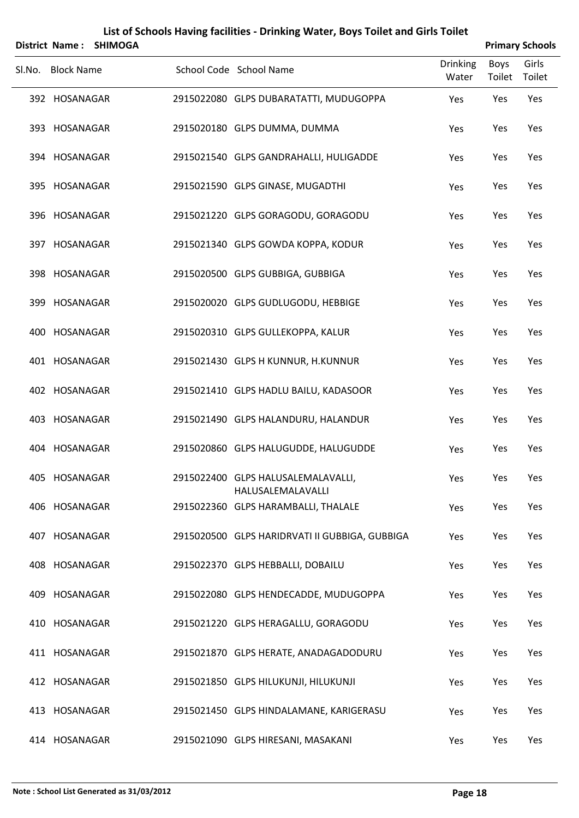|        |                   | District Name: SHIMOGA |                                                         |                          |                       | <b>Primary Schools</b> |
|--------|-------------------|------------------------|---------------------------------------------------------|--------------------------|-----------------------|------------------------|
| SI.No. | <b>Block Name</b> |                        | School Code School Name                                 | <b>Drinking</b><br>Water | <b>Boys</b><br>Toilet | Girls<br>Toilet        |
|        | 392 HOSANAGAR     |                        | 2915022080 GLPS DUBARATATTI, MUDUGOPPA                  | Yes                      | Yes                   | Yes                    |
|        | 393 HOSANAGAR     |                        | 2915020180 GLPS DUMMA, DUMMA                            | Yes                      | Yes                   | Yes                    |
|        | 394 HOSANAGAR     |                        | 2915021540 GLPS GANDRAHALLI, HULIGADDE                  | Yes                      | Yes                   | Yes                    |
|        | 395 HOSANAGAR     |                        | 2915021590 GLPS GINASE, MUGADTHI                        | Yes                      | Yes                   | Yes                    |
|        | 396 HOSANAGAR     |                        | 2915021220 GLPS GORAGODU, GORAGODU                      | Yes                      | Yes                   | Yes                    |
|        | 397 HOSANAGAR     |                        | 2915021340 GLPS GOWDA KOPPA, KODUR                      | Yes                      | Yes                   | Yes                    |
|        | 398 HOSANAGAR     |                        | 2915020500 GLPS GUBBIGA, GUBBIGA                        | Yes                      | Yes                   | Yes                    |
|        | 399 HOSANAGAR     |                        | 2915020020 GLPS GUDLUGODU, HEBBIGE                      | Yes                      | Yes                   | Yes                    |
|        | 400 HOSANAGAR     |                        | 2915020310 GLPS GULLEKOPPA, KALUR                       | Yes                      | Yes                   | Yes                    |
|        | 401 HOSANAGAR     |                        | 2915021430 GLPS H KUNNUR, H.KUNNUR                      | Yes                      | Yes                   | Yes                    |
|        | 402 HOSANAGAR     |                        | 2915021410 GLPS HADLU BAILU, KADASOOR                   | Yes                      | Yes                   | Yes                    |
|        | 403 HOSANAGAR     |                        | 2915021490 GLPS HALANDURU, HALANDUR                     | Yes                      | Yes                   | Yes                    |
|        | 404 HOSANAGAR     |                        | 2915020860 GLPS HALUGUDDE, HALUGUDDE                    | Yes                      | Yes                   | Yes                    |
|        | 405 HOSANAGAR     |                        | 2915022400 GLPS HALUSALEMALAVALLI,<br>HALUSALEMALAVALLI | Yes                      | Yes                   | Yes                    |
|        | 406 HOSANAGAR     |                        | 2915022360 GLPS HARAMBALLI, THALALE                     | Yes                      | Yes                   | Yes                    |
|        | 407 HOSANAGAR     |                        | 2915020500 GLPS HARIDRVATI II GUBBIGA, GUBBIGA          | Yes                      | Yes                   | Yes                    |
|        | 408 HOSANAGAR     |                        | 2915022370 GLPS HEBBALLI, DOBAILU                       | Yes                      | Yes                   | Yes                    |
|        | 409 HOSANAGAR     |                        | 2915022080 GLPS HENDECADDE, MUDUGOPPA                   | Yes                      | Yes                   | Yes                    |
|        | 410 HOSANAGAR     |                        | 2915021220 GLPS HERAGALLU, GORAGODU                     | Yes                      | Yes                   | Yes                    |
|        | 411 HOSANAGAR     |                        | 2915021870 GLPS HERATE, ANADAGADODURU                   | Yes                      | Yes                   | Yes                    |
|        | 412 HOSANAGAR     |                        | 2915021850 GLPS HILUKUNJI, HILUKUNJI                    | Yes                      | Yes                   | Yes                    |
|        | 413 HOSANAGAR     |                        | 2915021450 GLPS HINDALAMANE, KARIGERASU                 | Yes                      | Yes                   | Yes                    |
|        | 414 HOSANAGAR     |                        | 2915021090 GLPS HIRESANI, MASAKANI                      | Yes                      | Yes                   | Yes                    |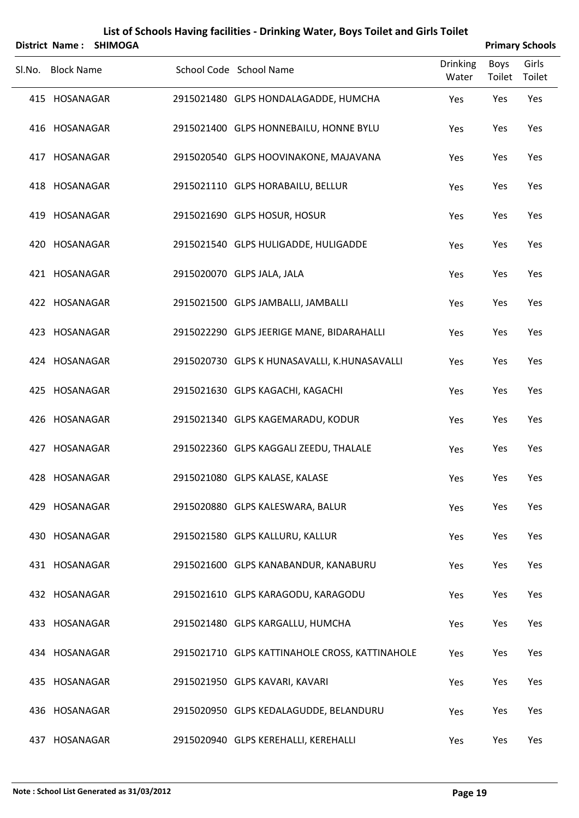|     | <b>District Name:</b> | <b>SHIMOGA</b> |                                                |                          |                | <b>Primary Schools</b> |
|-----|-----------------------|----------------|------------------------------------------------|--------------------------|----------------|------------------------|
|     | Sl.No. Block Name     |                | School Code School Name                        | <b>Drinking</b><br>Water | Boys<br>Toilet | Girls<br>Toilet        |
|     | 415 HOSANAGAR         |                | 2915021480 GLPS HONDALAGADDE, HUMCHA           | Yes                      | Yes            | Yes                    |
|     | 416 HOSANAGAR         |                | 2915021400 GLPS HONNEBAILU, HONNE BYLU         | Yes                      | Yes            | Yes                    |
|     | 417 HOSANAGAR         |                | 2915020540 GLPS HOOVINAKONE, MAJAVANA          | Yes                      | Yes            | Yes                    |
|     | 418 HOSANAGAR         |                | 2915021110 GLPS HORABAILU, BELLUR              | Yes                      | Yes            | Yes                    |
|     | 419 HOSANAGAR         |                | 2915021690 GLPS HOSUR, HOSUR                   | Yes                      | Yes            | Yes                    |
|     | 420 HOSANAGAR         |                | 2915021540 GLPS HULIGADDE, HULIGADDE           | Yes                      | Yes            | Yes                    |
|     | 421 HOSANAGAR         |                | 2915020070 GLPS JALA, JALA                     | Yes                      | Yes            | Yes                    |
|     | 422 HOSANAGAR         |                | 2915021500 GLPS JAMBALLI, JAMBALLI             | Yes                      | Yes            | Yes                    |
|     | 423 HOSANAGAR         |                | 2915022290 GLPS JEERIGE MANE, BIDARAHALLI      | Yes                      | Yes            | Yes                    |
|     | 424 HOSANAGAR         |                | 2915020730 GLPS K HUNASAVALLI, K.HUNASAVALLI   | Yes                      | Yes            | Yes                    |
| 425 | HOSANAGAR             |                | 2915021630 GLPS KAGACHI, KAGACHI               | Yes                      | Yes            | Yes                    |
|     | 426 HOSANAGAR         |                | 2915021340 GLPS KAGEMARADU, KODUR              | Yes                      | Yes            | Yes                    |
|     | 427 HOSANAGAR         |                | 2915022360 GLPS KAGGALI ZEEDU, THALALE         | Yes                      | Yes            | Yes                    |
|     | 428 HOSANAGAR         |                | 2915021080 GLPS KALASE, KALASE                 | Yes                      | Yes            | Yes                    |
|     | 429 HOSANAGAR         |                | 2915020880 GLPS KALESWARA, BALUR               | Yes                      | Yes            | Yes                    |
|     | 430 HOSANAGAR         |                | 2915021580 GLPS KALLURU, KALLUR                | Yes                      | Yes            | Yes                    |
|     | 431 HOSANAGAR         |                | 2915021600 GLPS KANABANDUR, KANABURU           | Yes                      | Yes            | Yes                    |
|     | 432 HOSANAGAR         |                | 2915021610 GLPS KARAGODU, KARAGODU             | Yes                      | Yes            | Yes                    |
|     | 433 HOSANAGAR         |                | 2915021480 GLPS KARGALLU, HUMCHA               | Yes                      | Yes            | Yes                    |
|     | 434 HOSANAGAR         |                | 2915021710 GLPS KATTINAHOLE CROSS, KATTINAHOLE | Yes                      | Yes            | Yes                    |
|     | 435 HOSANAGAR         |                | 2915021950 GLPS KAVARI, KAVARI                 | Yes                      | Yes            | Yes                    |
|     | 436 HOSANAGAR         |                | 2915020950 GLPS KEDALAGUDDE, BELANDURU         | Yes                      | Yes            | Yes                    |
|     | 437 HOSANAGAR         |                | 2915020940 GLPS KEREHALLI, KEREHALLI           | Yes                      | Yes            | Yes                    |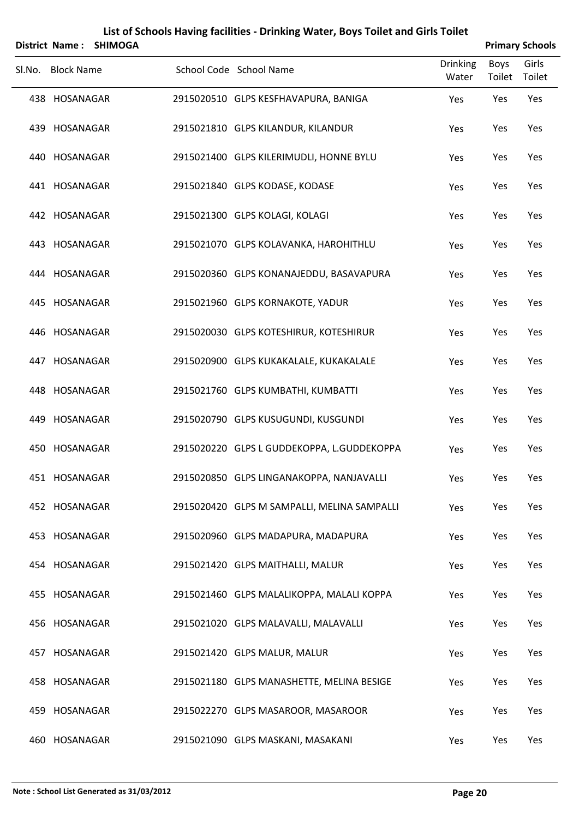| <b>District Name:</b> | <b>SHIMOGA</b> |                                             |                          |                | <b>Primary Schools</b> |
|-----------------------|----------------|---------------------------------------------|--------------------------|----------------|------------------------|
| Sl.No. Block Name     |                | School Code School Name                     | <b>Drinking</b><br>Water | Boys<br>Toilet | Girls<br>Toilet        |
| 438 HOSANAGAR         |                | 2915020510 GLPS KESFHAVAPURA, BANIGA        | Yes                      | Yes            | Yes                    |
| 439 HOSANAGAR         |                | 2915021810 GLPS KILANDUR, KILANDUR          | Yes                      | Yes            | Yes                    |
| 440 HOSANAGAR         |                | 2915021400 GLPS KILERIMUDLI, HONNE BYLU     | Yes                      | Yes            | Yes                    |
| 441 HOSANAGAR         |                | 2915021840 GLPS KODASE, KODASE              | Yes                      | Yes            | Yes                    |
| 442 HOSANAGAR         |                | 2915021300 GLPS KOLAGI, KOLAGI              | Yes                      | Yes            | Yes                    |
| 443 HOSANAGAR         |                | 2915021070 GLPS KOLAVANKA, HAROHITHLU       | Yes                      | Yes            | Yes                    |
| 444 HOSANAGAR         |                | 2915020360 GLPS KONANAJEDDU, BASAVAPURA     | Yes                      | Yes            | Yes                    |
| 445 HOSANAGAR         |                | 2915021960 GLPS KORNAKOTE, YADUR            | Yes                      | Yes            | Yes                    |
| 446 HOSANAGAR         |                | 2915020030 GLPS KOTESHIRUR, KOTESHIRUR      | Yes                      | Yes            | Yes                    |
| 447 HOSANAGAR         |                | 2915020900 GLPS KUKAKALALE, KUKAKALALE      | Yes                      | Yes            | Yes                    |
| 448 HOSANAGAR         |                | 2915021760 GLPS KUMBATHI, KUMBATTI          | Yes                      | Yes            | Yes                    |
| 449 HOSANAGAR         |                | 2915020790 GLPS KUSUGUNDI, KUSGUNDI         | Yes                      | Yes            | Yes                    |
| 450 HOSANAGAR         |                | 2915020220 GLPS L GUDDEKOPPA, L.GUDDEKOPPA  | Yes                      | Yes            | Yes                    |
| 451 HOSANAGAR         |                | 2915020850 GLPS LINGANAKOPPA, NANJAVALLI    | Yes                      | Yes            | Yes                    |
| 452 HOSANAGAR         |                | 2915020420 GLPS M SAMPALLI, MELINA SAMPALLI | Yes                      | Yes            | Yes                    |
| 453 HOSANAGAR         |                | 2915020960 GLPS MADAPURA, MADAPURA          | Yes                      | Yes            | Yes                    |
| 454 HOSANAGAR         |                | 2915021420 GLPS MAITHALLI, MALUR            | Yes                      | Yes            | Yes                    |
| 455 HOSANAGAR         |                | 2915021460 GLPS MALALIKOPPA, MALALI KOPPA   | Yes                      | Yes            | Yes                    |
| 456 HOSANAGAR         |                | 2915021020 GLPS MALAVALLI, MALAVALLI        | Yes                      | Yes            | Yes                    |
| 457 HOSANAGAR         |                | 2915021420 GLPS MALUR, MALUR                | Yes                      | Yes            | Yes                    |
| 458 HOSANAGAR         |                | 2915021180 GLPS MANASHETTE, MELINA BESIGE   | Yes                      | Yes            | Yes                    |
| 459 HOSANAGAR         |                | 2915022270 GLPS MASAROOR, MASAROOR          | Yes                      | Yes            | Yes                    |
| 460 HOSANAGAR         |                | 2915021090 GLPS MASKANI, MASAKANI           | Yes                      | Yes            | Yes                    |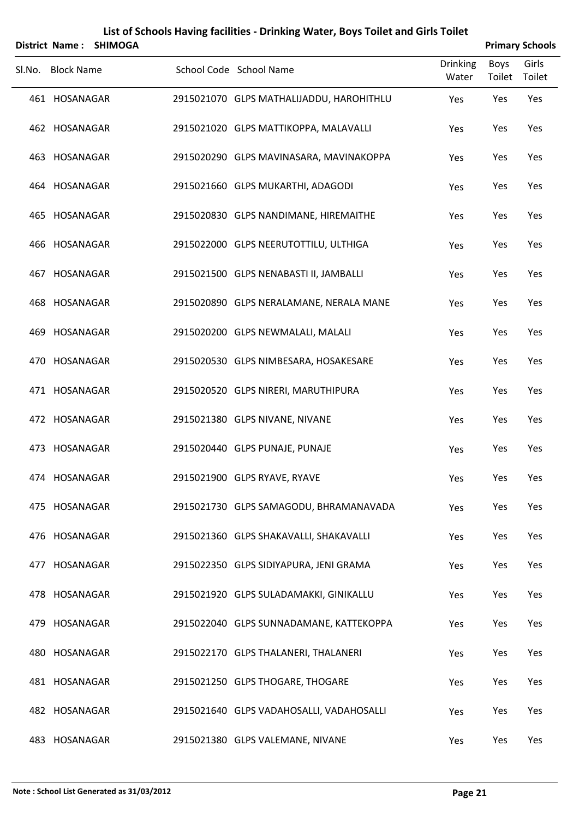| <b>District Name:</b> | <b>SHIMOGA</b> |                                          |                          |                       | <b>Primary Schools</b> |
|-----------------------|----------------|------------------------------------------|--------------------------|-----------------------|------------------------|
| Sl.No. Block Name     |                | School Code School Name                  | <b>Drinking</b><br>Water | <b>Boys</b><br>Toilet | Girls<br>Toilet        |
| 461 HOSANAGAR         |                | 2915021070 GLPS MATHALIJADDU, HAROHITHLU | Yes                      | Yes                   | Yes                    |
| 462 HOSANAGAR         |                | 2915021020 GLPS MATTIKOPPA, MALAVALLI    | Yes                      | Yes                   | Yes                    |
| 463 HOSANAGAR         |                | 2915020290 GLPS MAVINASARA, MAVINAKOPPA  | Yes                      | Yes                   | Yes                    |
| 464 HOSANAGAR         |                | 2915021660 GLPS MUKARTHI, ADAGODI        | Yes                      | Yes                   | Yes                    |
| 465 HOSANAGAR         |                | 2915020830 GLPS NANDIMANE, HIREMAITHE    | Yes                      | Yes                   | Yes                    |
| 466 HOSANAGAR         |                | 2915022000 GLPS NEERUTOTTILU, ULTHIGA    | Yes                      | Yes                   | Yes                    |
| 467 HOSANAGAR         |                | 2915021500 GLPS NENABASTI II, JAMBALLI   | Yes                      | Yes                   | Yes                    |
| 468 HOSANAGAR         |                | 2915020890 GLPS NERALAMANE, NERALA MANE  | Yes                      | Yes                   | Yes                    |
| 469 HOSANAGAR         |                | 2915020200 GLPS NEWMALALI, MALALI        | Yes                      | Yes                   | Yes                    |
| 470 HOSANAGAR         |                | 2915020530 GLPS NIMBESARA, HOSAKESARE    | Yes                      | Yes                   | Yes                    |
| 471 HOSANAGAR         |                | 2915020520 GLPS NIRERI, MARUTHIPURA      | Yes                      | Yes                   | Yes                    |
| 472 HOSANAGAR         |                | 2915021380 GLPS NIVANE, NIVANE           | Yes                      | Yes                   | Yes                    |
| 473 HOSANAGAR         |                | 2915020440 GLPS PUNAJE, PUNAJE           | Yes                      | Yes                   | Yes                    |
| 474 HOSANAGAR         |                | 2915021900 GLPS RYAVE, RYAVE             | Yes                      | Yes                   | Yes                    |
| 475 HOSANAGAR         |                | 2915021730 GLPS SAMAGODU, BHRAMANAVADA   | Yes                      | Yes                   | Yes                    |
| 476 HOSANAGAR         |                | 2915021360 GLPS SHAKAVALLI, SHAKAVALLI   | Yes                      | Yes                   | Yes                    |
| 477 HOSANAGAR         |                | 2915022350 GLPS SIDIYAPURA, JENI GRAMA   | Yes                      | Yes                   | Yes                    |
| 478 HOSANAGAR         |                | 2915021920 GLPS SULADAMAKKI, GINIKALLU   | Yes                      | Yes                   | Yes                    |
| 479 HOSANAGAR         |                | 2915022040 GLPS SUNNADAMANE, KATTEKOPPA  | Yes                      | Yes                   | Yes                    |
| 480 HOSANAGAR         |                | 2915022170 GLPS THALANERI, THALANERI     | Yes                      | Yes                   | Yes                    |
| 481 HOSANAGAR         |                | 2915021250 GLPS THOGARE, THOGARE         | Yes                      | Yes                   | Yes                    |
| 482 HOSANAGAR         |                | 2915021640 GLPS VADAHOSALLI, VADAHOSALLI | Yes                      | Yes                   | Yes                    |
| 483 HOSANAGAR         |                | 2915021380 GLPS VALEMANE, NIVANE         | Yes                      | Yes                   | Yes                    |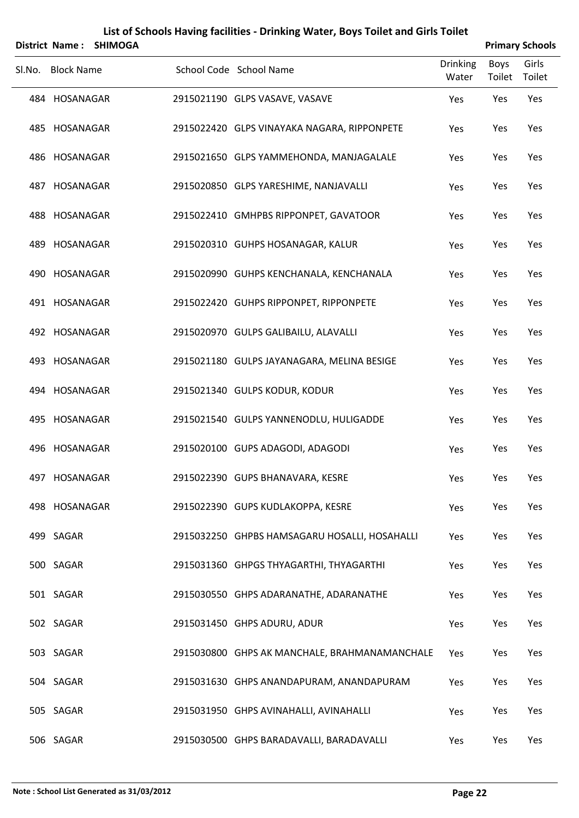|        |                   | District Name: SHIMOGA |                                               |                          |                | <b>Primary Schools</b> |
|--------|-------------------|------------------------|-----------------------------------------------|--------------------------|----------------|------------------------|
| SI.No. | <b>Block Name</b> |                        | School Code School Name                       | <b>Drinking</b><br>Water | Boys<br>Toilet | Girls<br>Toilet        |
|        | 484 HOSANAGAR     |                        | 2915021190 GLPS VASAVE, VASAVE                | Yes                      | Yes            | Yes                    |
|        | 485 HOSANAGAR     |                        | 2915022420 GLPS VINAYAKA NAGARA, RIPPONPETE   | Yes                      | Yes            | Yes                    |
|        | 486 HOSANAGAR     |                        | 2915021650 GLPS YAMMEHONDA, MANJAGALALE       | Yes                      | Yes            | Yes                    |
|        | 487 HOSANAGAR     |                        | 2915020850 GLPS YARESHIME, NANJAVALLI         | Yes                      | Yes            | Yes                    |
|        | 488 HOSANAGAR     |                        | 2915022410 GMHPBS RIPPONPET, GAVATOOR         | Yes                      | Yes            | Yes                    |
|        | 489 HOSANAGAR     |                        | 2915020310 GUHPS HOSANAGAR, KALUR             | Yes                      | Yes            | Yes                    |
|        | 490 HOSANAGAR     |                        | 2915020990 GUHPS KENCHANALA, KENCHANALA       | Yes                      | Yes            | Yes                    |
|        | 491 HOSANAGAR     |                        | 2915022420 GUHPS RIPPONPET, RIPPONPETE        | Yes                      | Yes            | Yes                    |
|        | 492 HOSANAGAR     |                        | 2915020970 GULPS GALIBAILU, ALAVALLI          | Yes                      | Yes            | Yes                    |
|        | 493 HOSANAGAR     |                        | 2915021180 GULPS JAYANAGARA, MELINA BESIGE    | Yes                      | Yes            | Yes                    |
|        | 494 HOSANAGAR     |                        | 2915021340 GULPS KODUR, KODUR                 | Yes                      | Yes            | Yes                    |
|        | 495 HOSANAGAR     |                        | 2915021540 GULPS YANNENODLU, HULIGADDE        | Yes                      | Yes            | Yes                    |
|        | 496 HOSANAGAR     |                        | 2915020100 GUPS ADAGODI, ADAGODI              | Yes                      | Yes            | Yes                    |
|        | 497 HOSANAGAR     |                        | 2915022390 GUPS BHANAVARA, KESRE              | Yes                      | Yes            | Yes                    |
|        | 498 HOSANAGAR     |                        | 2915022390 GUPS KUDLAKOPPA, KESRE             | Yes                      | Yes            | Yes                    |
|        | 499 SAGAR         |                        | 2915032250 GHPBS HAMSAGARU HOSALLI, HOSAHALLI | Yes                      | Yes            | Yes                    |
|        | 500 SAGAR         |                        | 2915031360 GHPGS THYAGARTHI, THYAGARTHI       | Yes                      | Yes            | Yes                    |
|        | 501 SAGAR         |                        | 2915030550 GHPS ADARANATHE, ADARANATHE        | Yes                      | Yes            | Yes                    |
|        | 502 SAGAR         |                        | 2915031450 GHPS ADURU, ADUR                   | Yes                      | Yes            | Yes                    |
|        | 503 SAGAR         |                        | 2915030800 GHPS AK MANCHALE, BRAHMANAMANCHALE | Yes                      | Yes            | Yes                    |
|        | 504 SAGAR         |                        | 2915031630 GHPS ANANDAPURAM, ANANDAPURAM      | Yes                      | Yes            | Yes                    |
|        | 505 SAGAR         |                        | 2915031950 GHPS AVINAHALLI, AVINAHALLI        | Yes                      | Yes            | Yes                    |
|        | 506 SAGAR         |                        | 2915030500 GHPS BARADAVALLI, BARADAVALLI      | Yes                      | Yes            | Yes                    |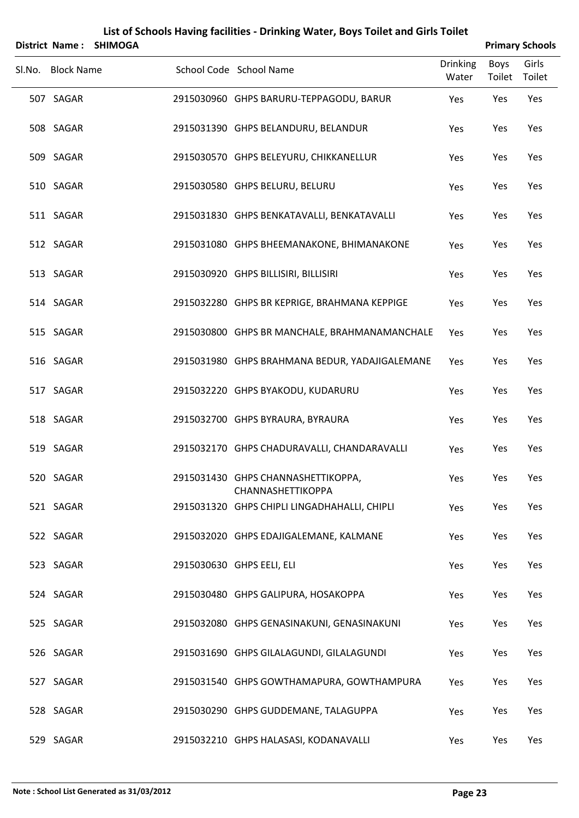|                   | District Name: SHIMOGA |                                                         |                          |                | <b>Primary Schools</b> |
|-------------------|------------------------|---------------------------------------------------------|--------------------------|----------------|------------------------|
| Sl.No. Block Name |                        | School Code School Name                                 | <b>Drinking</b><br>Water | Boys<br>Toilet | Girls<br>Toilet        |
| 507 SAGAR         |                        | 2915030960 GHPS BARURU-TEPPAGODU, BARUR                 | Yes                      | Yes            | Yes                    |
| 508 SAGAR         |                        | 2915031390 GHPS BELANDURU, BELANDUR                     | Yes                      | Yes            | Yes                    |
| 509 SAGAR         |                        | 2915030570 GHPS BELEYURU, CHIKKANELLUR                  | Yes                      | Yes            | Yes                    |
| 510 SAGAR         |                        | 2915030580 GHPS BELURU, BELURU                          | Yes                      | Yes            | Yes                    |
| 511 SAGAR         |                        | 2915031830 GHPS BENKATAVALLI, BENKATAVALLI              | Yes                      | Yes            | Yes                    |
| 512 SAGAR         |                        | 2915031080 GHPS BHEEMANAKONE, BHIMANAKONE               | Yes                      | Yes            | Yes                    |
| 513 SAGAR         |                        | 2915030920 GHPS BILLISIRI, BILLISIRI                    | Yes                      | Yes            | Yes                    |
| 514 SAGAR         |                        | 2915032280 GHPS BR KEPRIGE, BRAHMANA KEPPIGE            | Yes                      | Yes            | Yes                    |
| 515 SAGAR         |                        | 2915030800 GHPS BR MANCHALE, BRAHMANAMANCHALE           | Yes                      | Yes            | Yes                    |
| 516 SAGAR         |                        | 2915031980 GHPS BRAHMANA BEDUR, YADAJIGALEMANE          | Yes                      | Yes            | Yes                    |
| 517 SAGAR         |                        | 2915032220 GHPS BYAKODU, KUDARURU                       | Yes                      | Yes            | Yes                    |
| 518 SAGAR         |                        | 2915032700 GHPS BYRAURA, BYRAURA                        | Yes                      | Yes            | Yes                    |
| 519 SAGAR         |                        | 2915032170 GHPS CHADURAVALLI, CHANDARAVALLI             | Yes                      | Yes            | Yes                    |
| 520 SAGAR         |                        | 2915031430 GHPS CHANNASHETTIKOPPA,<br>CHANNASHETTIKOPPA | Yes                      | Yes            | Yes                    |
| 521 SAGAR         |                        | 2915031320 GHPS CHIPLI LINGADHAHALLI, CHIPLI            | Yes                      | Yes            | Yes                    |
| 522 SAGAR         |                        | 2915032020 GHPS EDAJIGALEMANE, KALMANE                  | Yes                      | Yes            | Yes                    |
| 523 SAGAR         |                        | 2915030630 GHPS EELI, ELI                               | Yes                      | Yes            | Yes                    |
| 524 SAGAR         |                        | 2915030480 GHPS GALIPURA, HOSAKOPPA                     | Yes                      | Yes            | Yes                    |
| 525 SAGAR         |                        | 2915032080 GHPS GENASINAKUNI, GENASINAKUNI              | Yes                      | Yes            | Yes                    |
| 526 SAGAR         |                        | 2915031690 GHPS GILALAGUNDI, GILALAGUNDI                | Yes                      | Yes            | Yes                    |
| 527 SAGAR         |                        | 2915031540 GHPS GOWTHAMAPURA, GOWTHAMPURA               | Yes                      | Yes            | Yes                    |
| 528 SAGAR         |                        | 2915030290 GHPS GUDDEMANE, TALAGUPPA                    | Yes                      | Yes            | Yes                    |
| 529 SAGAR         |                        | 2915032210 GHPS HALASASI, KODANAVALLI                   | Yes                      | Yes            | Yes                    |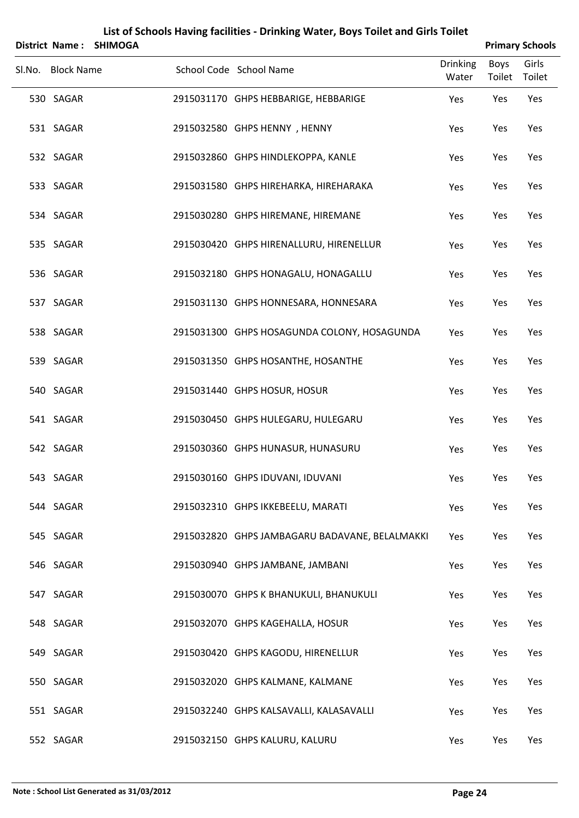|                   | District Name: SHIMOGA |                                                |                          |                | <b>Primary Schools</b> |
|-------------------|------------------------|------------------------------------------------|--------------------------|----------------|------------------------|
| Sl.No. Block Name |                        | School Code School Name                        | <b>Drinking</b><br>Water | Boys<br>Toilet | Girls<br>Toilet        |
| 530 SAGAR         |                        | 2915031170 GHPS HEBBARIGE, HEBBARIGE           | Yes                      | Yes            | Yes                    |
| 531 SAGAR         |                        | 2915032580 GHPS HENNY, HENNY                   | Yes                      | Yes            | Yes                    |
| 532 SAGAR         |                        | 2915032860 GHPS HINDLEKOPPA, KANLE             | Yes                      | Yes            | Yes                    |
| 533 SAGAR         |                        | 2915031580 GHPS HIREHARKA, HIREHARAKA          | Yes                      | Yes            | Yes                    |
| 534 SAGAR         |                        | 2915030280 GHPS HIREMANE, HIREMANE             | Yes                      | Yes            | Yes                    |
| 535 SAGAR         |                        | 2915030420 GHPS HIRENALLURU, HIRENELLUR        | Yes                      | Yes            | Yes                    |
| 536 SAGAR         |                        | 2915032180 GHPS HONAGALU, HONAGALLU            | Yes                      | Yes            | Yes                    |
| 537 SAGAR         |                        | 2915031130 GHPS HONNESARA, HONNESARA           | Yes                      | Yes            | Yes                    |
| 538 SAGAR         |                        | 2915031300 GHPS HOSAGUNDA COLONY, HOSAGUNDA    | Yes                      | Yes            | Yes                    |
| 539 SAGAR         |                        | 2915031350 GHPS HOSANTHE, HOSANTHE             | Yes                      | Yes            | Yes                    |
| 540 SAGAR         |                        | 2915031440 GHPS HOSUR, HOSUR                   | Yes                      | Yes            | Yes                    |
| 541 SAGAR         |                        | 2915030450 GHPS HULEGARU, HULEGARU             | Yes                      | Yes            | Yes                    |
| 542 SAGAR         |                        | 2915030360 GHPS HUNASUR, HUNASURU              | Yes                      | Yes            | Yes                    |
| 543 SAGAR         |                        | 2915030160 GHPS IDUVANI, IDUVANI               | Yes                      | Yes            | Yes                    |
| 544 SAGAR         |                        | 2915032310 GHPS IKKEBEELU, MARATI              | Yes                      | Yes            | Yes                    |
| 545 SAGAR         |                        | 2915032820 GHPS JAMBAGARU BADAVANE, BELALMAKKI | Yes                      | Yes            | Yes                    |
| 546 SAGAR         |                        | 2915030940 GHPS JAMBANE, JAMBANI               | Yes                      | Yes            | Yes                    |
| 547 SAGAR         |                        | 2915030070 GHPS K BHANUKULI, BHANUKULI         | Yes                      | Yes            | Yes                    |
| 548 SAGAR         |                        | 2915032070 GHPS KAGEHALLA, HOSUR               | Yes                      | Yes            | Yes                    |
| 549 SAGAR         |                        | 2915030420 GHPS KAGODU, HIRENELLUR             | Yes                      | Yes            | Yes                    |
| 550 SAGAR         |                        | 2915032020 GHPS KALMANE, KALMANE               | Yes                      | Yes            | Yes                    |
| 551 SAGAR         |                        | 2915032240 GHPS KALSAVALLI, KALASAVALLI        | Yes                      | Yes            | Yes                    |
| 552 SAGAR         |                        | 2915032150 GHPS KALURU, KALURU                 | Yes                      | Yes            | Yes                    |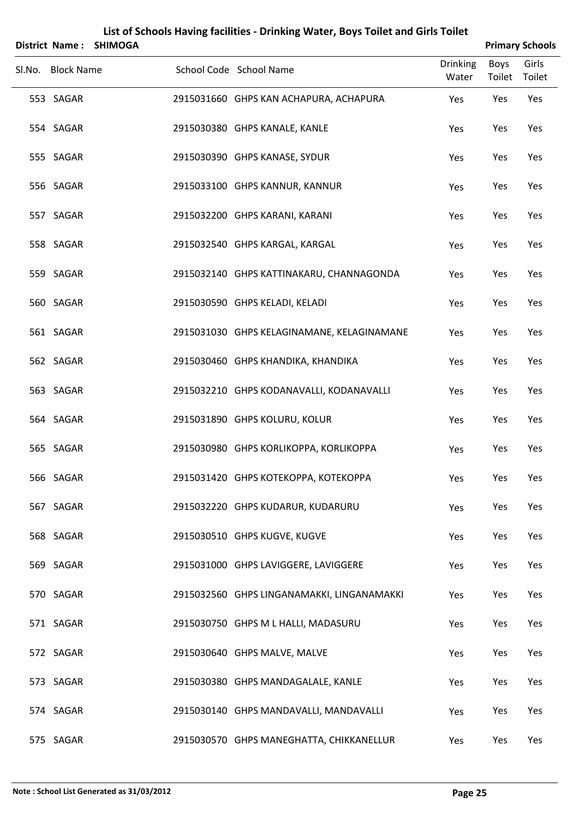|                   | District Name: SHIMOGA |                                            |                          |                | <b>Primary Schools</b> |
|-------------------|------------------------|--------------------------------------------|--------------------------|----------------|------------------------|
| Sl.No. Block Name |                        | School Code School Name                    | <b>Drinking</b><br>Water | Boys<br>Toilet | Girls<br>Toilet        |
| 553 SAGAR         |                        | 2915031660 GHPS KAN ACHAPURA, ACHAPURA     | Yes                      | Yes            | Yes                    |
| 554 SAGAR         |                        | 2915030380 GHPS KANALE, KANLE              | Yes                      | Yes            | Yes                    |
| 555 SAGAR         |                        | 2915030390 GHPS KANASE, SYDUR              | Yes                      | Yes            | Yes                    |
| 556 SAGAR         |                        | 2915033100 GHPS KANNUR, KANNUR             | Yes                      | Yes            | Yes                    |
| 557 SAGAR         |                        | 2915032200 GHPS KARANI, KARANI             | Yes                      | Yes            | Yes                    |
| 558 SAGAR         |                        | 2915032540 GHPS KARGAL, KARGAL             | Yes                      | Yes            | Yes                    |
| 559 SAGAR         |                        | 2915032140 GHPS KATTINAKARU, CHANNAGONDA   | Yes                      | Yes            | Yes                    |
| 560 SAGAR         |                        | 2915030590 GHPS KELADI, KELADI             | Yes                      | Yes            | Yes                    |
| 561 SAGAR         |                        | 2915031030 GHPS KELAGINAMANE, KELAGINAMANE | Yes                      | Yes            | Yes                    |
| 562 SAGAR         |                        | 2915030460 GHPS KHANDIKA, KHANDIKA         | Yes                      | Yes            | Yes                    |
| 563 SAGAR         |                        | 2915032210 GHPS KODANAVALLI, KODANAVALLI   | Yes                      | Yes            | Yes                    |
| 564 SAGAR         |                        | 2915031890 GHPS KOLURU, KOLUR              | Yes                      | Yes            | Yes                    |
| 565 SAGAR         |                        | 2915030980 GHPS KORLIKOPPA, KORLIKOPPA     | Yes                      | Yes            | Yes                    |
| 566 SAGAR         |                        | 2915031420 GHPS KOTEKOPPA, KOTEKOPPA       | Yes                      | Yes            | Yes                    |
| 567 SAGAR         |                        | 2915032220 GHPS KUDARUR, KUDARURU          | Yes                      | Yes            | Yes                    |
| 568 SAGAR         |                        | 2915030510 GHPS KUGVE, KUGVE               | Yes                      | Yes            | Yes                    |
| 569 SAGAR         |                        | 2915031000 GHPS LAVIGGERE, LAVIGGERE       | Yes                      | Yes            | Yes                    |
| 570 SAGAR         |                        | 2915032560 GHPS LINGANAMAKKI, LINGANAMAKKI | Yes                      | Yes            | Yes                    |
| 571 SAGAR         |                        | 2915030750 GHPS M L HALLI, MADASURU        | Yes                      | Yes            | Yes                    |
| 572 SAGAR         |                        | 2915030640 GHPS MALVE, MALVE               | Yes                      | Yes            | Yes                    |
| 573 SAGAR         |                        | 2915030380 GHPS MANDAGALALE, KANLE         | Yes                      | Yes            | Yes                    |
| 574 SAGAR         |                        | 2915030140 GHPS MANDAVALLI, MANDAVALLI     | Yes                      | Yes            | Yes                    |
| 575 SAGAR         |                        | 2915030570 GHPS MANEGHATTA, CHIKKANELLUR   | Yes                      | Yes            | Yes                    |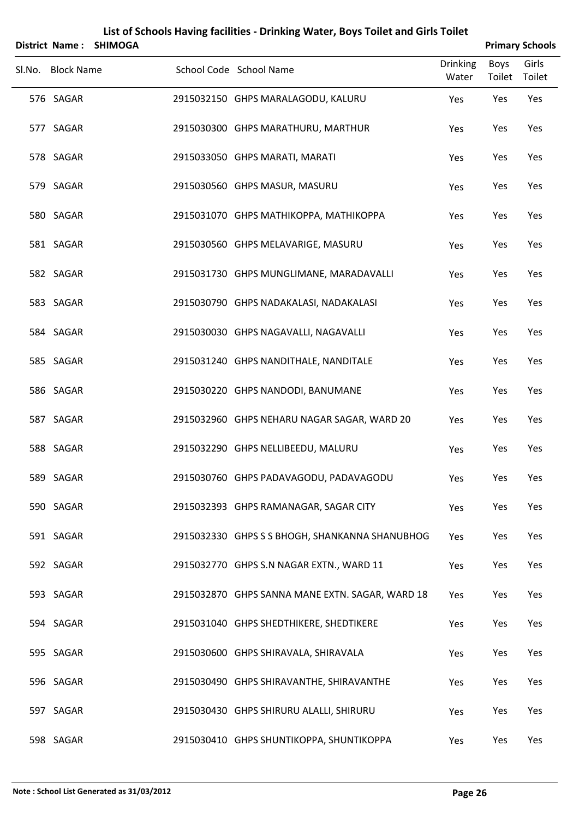| <b>District Name:</b> | <b>SHIMOGA</b> |                                                 |                          |                | <b>Primary Schools</b> |
|-----------------------|----------------|-------------------------------------------------|--------------------------|----------------|------------------------|
| Sl.No. Block Name     |                | School Code School Name                         | <b>Drinking</b><br>Water | Boys<br>Toilet | Girls<br>Toilet        |
| 576 SAGAR             |                | 2915032150 GHPS MARALAGODU, KALURU              | Yes                      | Yes            | Yes                    |
| 577 SAGAR             |                | 2915030300 GHPS MARATHURU, MARTHUR              | Yes                      | Yes            | Yes                    |
| 578 SAGAR             |                | 2915033050 GHPS MARATI, MARATI                  | Yes                      | Yes            | Yes                    |
| 579 SAGAR             |                | 2915030560 GHPS MASUR, MASURU                   | Yes                      | Yes            | Yes                    |
| 580 SAGAR             |                | 2915031070 GHPS MATHIKOPPA, MATHIKOPPA          | Yes                      | Yes            | Yes                    |
| 581 SAGAR             |                | 2915030560 GHPS MELAVARIGE, MASURU              | Yes                      | Yes            | Yes                    |
| 582 SAGAR             |                | 2915031730 GHPS MUNGLIMANE, MARADAVALLI         | Yes                      | Yes            | Yes                    |
| 583 SAGAR             |                | 2915030790 GHPS NADAKALASI, NADAKALASI          | Yes                      | Yes            | Yes                    |
| 584 SAGAR             |                | 2915030030 GHPS NAGAVALLI, NAGAVALLI            | Yes                      | Yes            | Yes                    |
| 585 SAGAR             |                | 2915031240 GHPS NANDITHALE, NANDITALE           | Yes                      | Yes            | Yes                    |
| 586 SAGAR             |                | 2915030220 GHPS NANDODI, BANUMANE               | Yes                      | Yes            | Yes                    |
| 587 SAGAR             |                | 2915032960 GHPS NEHARU NAGAR SAGAR, WARD 20     | Yes                      | Yes            | Yes                    |
| 588 SAGAR             |                | 2915032290 GHPS NELLIBEEDU, MALURU              | Yes                      | Yes            | Yes                    |
| 589 SAGAR             |                | 2915030760 GHPS PADAVAGODU, PADAVAGODU          | Yes                      | Yes            | Yes                    |
| 590 SAGAR             |                | 2915032393 GHPS RAMANAGAR, SAGAR CITY           | Yes                      | Yes            | Yes                    |
| 591 SAGAR             |                | 2915032330 GHPS S S BHOGH, SHANKANNA SHANUBHOG  | Yes                      | Yes            | Yes                    |
| 592 SAGAR             |                | 2915032770 GHPS S.N NAGAR EXTN., WARD 11        | Yes                      | Yes            | Yes                    |
| 593 SAGAR             |                | 2915032870 GHPS SANNA MANE EXTN. SAGAR, WARD 18 | Yes                      | Yes            | Yes                    |
| 594 SAGAR             |                | 2915031040 GHPS SHEDTHIKERE, SHEDTIKERE         | Yes                      | Yes            | Yes                    |
| 595 SAGAR             |                | 2915030600 GHPS SHIRAVALA, SHIRAVALA            | Yes                      | Yes            | Yes                    |
| 596 SAGAR             |                | 2915030490 GHPS SHIRAVANTHE, SHIRAVANTHE        | Yes                      | Yes            | Yes                    |
| 597 SAGAR             |                | 2915030430 GHPS SHIRURU ALALLI, SHIRURU         | Yes                      | Yes            | Yes                    |
| 598 SAGAR             |                | 2915030410 GHPS SHUNTIKOPPA, SHUNTIKOPPA        | Yes                      | Yes            | Yes                    |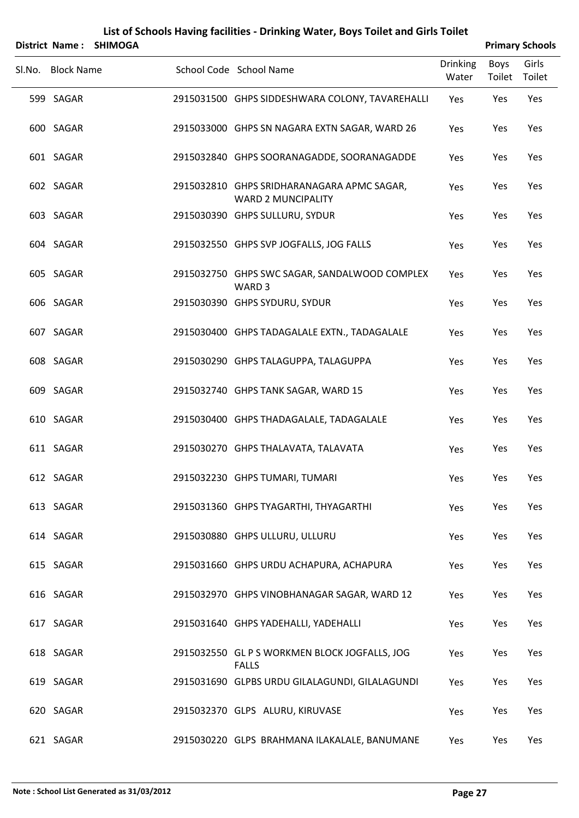|                   | District Name: SHIMOGA |                                                                         |                          |                       | <b>Primary Schools</b> |
|-------------------|------------------------|-------------------------------------------------------------------------|--------------------------|-----------------------|------------------------|
| Sl.No. Block Name |                        | School Code School Name                                                 | <b>Drinking</b><br>Water | <b>Boys</b><br>Toilet | Girls<br>Toilet        |
| 599 SAGAR         |                        | 2915031500 GHPS SIDDESHWARA COLONY, TAVAREHALLI                         | Yes                      | Yes                   | Yes                    |
| 600 SAGAR         |                        | 2915033000 GHPS SN NAGARA EXTN SAGAR, WARD 26                           | Yes                      | Yes                   | Yes                    |
| 601 SAGAR         |                        | 2915032840 GHPS SOORANAGADDE, SOORANAGADDE                              | Yes                      | Yes                   | Yes                    |
| 602 SAGAR         |                        | 2915032810 GHPS SRIDHARANAGARA APMC SAGAR,<br><b>WARD 2 MUNCIPALITY</b> | Yes                      | Yes                   | Yes                    |
| 603 SAGAR         |                        | 2915030390 GHPS SULLURU, SYDUR                                          | Yes                      | Yes                   | Yes                    |
| 604 SAGAR         |                        | 2915032550 GHPS SVP JOGFALLS, JOG FALLS                                 | Yes                      | Yes                   | Yes                    |
| 605 SAGAR         |                        | 2915032750 GHPS SWC SAGAR, SANDALWOOD COMPLEX<br>WARD <sub>3</sub>      | Yes                      | Yes                   | Yes                    |
| 606 SAGAR         |                        | 2915030390 GHPS SYDURU, SYDUR                                           | Yes                      | Yes                   | Yes                    |
| 607 SAGAR         |                        | 2915030400 GHPS TADAGALALE EXTN., TADAGALALE                            | Yes                      | Yes                   | Yes                    |
| 608 SAGAR         |                        | 2915030290 GHPS TALAGUPPA, TALAGUPPA                                    | Yes                      | Yes                   | Yes                    |
| 609 SAGAR         |                        | 2915032740 GHPS TANK SAGAR, WARD 15                                     | Yes                      | Yes                   | Yes                    |
| 610 SAGAR         |                        | 2915030400 GHPS THADAGALALE, TADAGALALE                                 | Yes                      | Yes                   | Yes                    |
| 611 SAGAR         |                        | 2915030270 GHPS THALAVATA, TALAVATA                                     | Yes                      | Yes                   | Yes                    |
| 612 SAGAR         |                        | 2915032230 GHPS TUMARI, TUMARI                                          | Yes                      | Yes                   | Yes                    |
| 613 SAGAR         |                        | 2915031360 GHPS TYAGARTHI, THYAGARTHI                                   | Yes                      | Yes                   | Yes                    |
| 614 SAGAR         |                        | 2915030880 GHPS ULLURU, ULLURU                                          | Yes                      | Yes                   | Yes                    |
| 615 SAGAR         |                        | 2915031660 GHPS URDU ACHAPURA, ACHAPURA                                 | Yes                      | Yes                   | Yes                    |
| 616 SAGAR         |                        | 2915032970 GHPS VINOBHANAGAR SAGAR, WARD 12                             | Yes                      | Yes                   | Yes                    |
| 617 SAGAR         |                        | 2915031640 GHPS YADEHALLI, YADEHALLI                                    | Yes                      | Yes                   | Yes                    |
| 618 SAGAR         |                        | 2915032550 GL P S WORKMEN BLOCK JOGFALLS, JOG<br><b>FALLS</b>           | Yes                      | Yes                   | Yes                    |
| 619 SAGAR         |                        | 2915031690 GLPBS URDU GILALAGUNDI, GILALAGUNDI                          | Yes                      | Yes                   | Yes                    |
| 620 SAGAR         |                        | 2915032370 GLPS ALURU, KIRUVASE                                         | Yes                      | Yes                   | Yes                    |
| 621 SAGAR         |                        | 2915030220 GLPS BRAHMANA ILAKALALE, BANUMANE                            | Yes                      | Yes                   | Yes                    |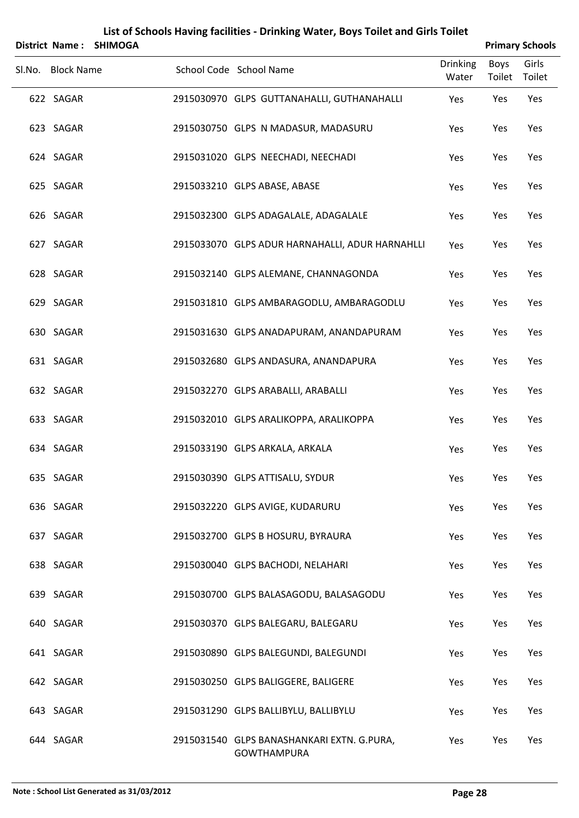| <b>District Name:</b> | <b>SHIMOGA</b> |                                                                  |                   |                       | <b>Primary Schools</b> |
|-----------------------|----------------|------------------------------------------------------------------|-------------------|-----------------------|------------------------|
| Sl.No. Block Name     |                | School Code School Name                                          | Drinking<br>Water | Boys<br>Toilet Toilet | Girls                  |
| 622 SAGAR             |                | 2915030970 GLPS GUTTANAHALLI, GUTHANAHALLI                       | Yes               | Yes                   | Yes                    |
| 623 SAGAR             |                | 2915030750 GLPS N MADASUR, MADASURU                              | Yes               | Yes                   | Yes                    |
| 624 SAGAR             |                | 2915031020 GLPS NEECHADI, NEECHADI                               | Yes               | Yes                   | Yes                    |
| 625 SAGAR             |                | 2915033210 GLPS ABASE, ABASE                                     | Yes               | Yes                   | Yes                    |
| 626 SAGAR             |                | 2915032300 GLPS ADAGALALE, ADAGALALE                             | Yes               | Yes                   | Yes                    |
| 627 SAGAR             |                | 2915033070 GLPS ADUR HARNAHALLI, ADUR HARNAHLLI                  | Yes               | Yes                   | Yes                    |
| 628 SAGAR             |                | 2915032140 GLPS ALEMANE, CHANNAGONDA                             | Yes               | Yes                   | Yes                    |
| 629 SAGAR             |                | 2915031810 GLPS AMBARAGODLU, AMBARAGODLU                         | Yes               | Yes                   | Yes                    |
| 630 SAGAR             |                | 2915031630 GLPS ANADAPURAM, ANANDAPURAM                          | Yes               | Yes                   | Yes                    |
| 631 SAGAR             |                | 2915032680 GLPS ANDASURA, ANANDAPURA                             | Yes               | Yes                   | Yes                    |
| 632 SAGAR             |                | 2915032270 GLPS ARABALLI, ARABALLI                               | Yes               | Yes                   | Yes                    |
| 633 SAGAR             |                | 2915032010 GLPS ARALIKOPPA, ARALIKOPPA                           | Yes               | Yes                   | Yes                    |
| 634 SAGAR             |                | 2915033190 GLPS ARKALA, ARKALA                                   | Yes               | Yes                   | Yes                    |
| 635 SAGAR             |                | 2915030390 GLPS ATTISALU, SYDUR                                  | Yes               | Yes                   | Yes                    |
| 636 SAGAR             |                | 2915032220 GLPS AVIGE, KUDARURU                                  | Yes               | Yes                   | Yes                    |
| 637 SAGAR             |                | 2915032700 GLPS B HOSURU, BYRAURA                                | Yes               | Yes                   | Yes                    |
| 638 SAGAR             |                | 2915030040 GLPS BACHODI, NELAHARI                                | Yes               | Yes                   | Yes                    |
| 639 SAGAR             |                | 2915030700 GLPS BALASAGODU, BALASAGODU                           | Yes               | Yes                   | Yes                    |
| 640 SAGAR             |                | 2915030370 GLPS BALEGARU, BALEGARU                               | Yes               | Yes                   | Yes                    |
| 641 SAGAR             |                | 2915030890 GLPS BALEGUNDI, BALEGUNDI                             | Yes               | Yes                   | Yes                    |
| 642 SAGAR             |                | 2915030250 GLPS BALIGGERE, BALIGERE                              | Yes               | Yes                   | Yes                    |
| 643 SAGAR             |                | 2915031290 GLPS BALLIBYLU, BALLIBYLU                             | Yes               | Yes                   | Yes                    |
| 644 SAGAR             |                | 2915031540 GLPS BANASHANKARI EXTN. G.PURA,<br><b>GOWTHAMPURA</b> | Yes               | Yes                   | Yes                    |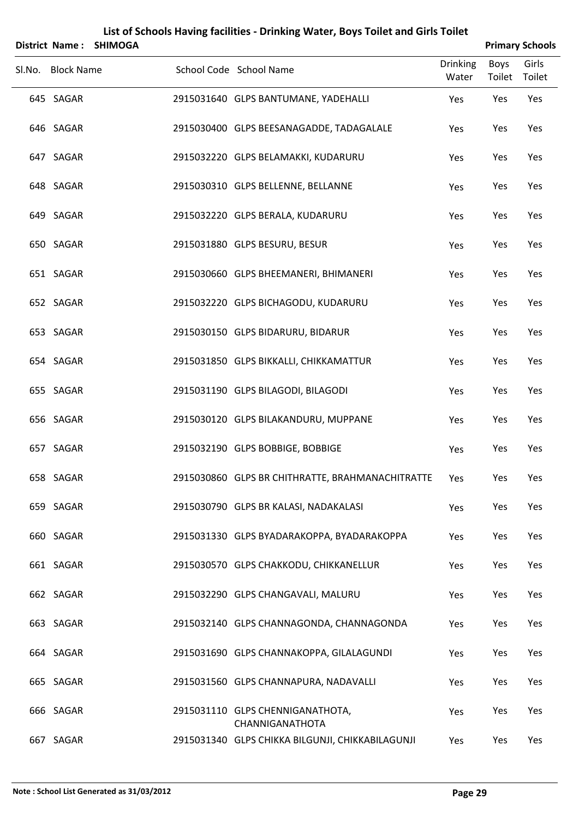|                   | District Name: SHIMOGA |                                                     |                          |                | <b>Primary Schools</b> |
|-------------------|------------------------|-----------------------------------------------------|--------------------------|----------------|------------------------|
| Sl.No. Block Name |                        | School Code School Name                             | <b>Drinking</b><br>Water | Boys<br>Toilet | Girls<br>Toilet        |
| 645 SAGAR         |                        | 2915031640 GLPS BANTUMANE, YADEHALLI                | Yes                      | Yes            | Yes                    |
| 646 SAGAR         |                        | 2915030400 GLPS BEESANAGADDE, TADAGALALE            | Yes                      | Yes            | Yes                    |
| 647 SAGAR         |                        | 2915032220 GLPS BELAMAKKI, KUDARURU                 | Yes                      | Yes            | Yes                    |
| 648 SAGAR         |                        | 2915030310 GLPS BELLENNE, BELLANNE                  | Yes                      | Yes            | Yes                    |
| 649 SAGAR         |                        | 2915032220 GLPS BERALA, KUDARURU                    | Yes                      | Yes            | Yes                    |
| 650 SAGAR         |                        | 2915031880 GLPS BESURU, BESUR                       | Yes                      | Yes            | Yes                    |
| 651 SAGAR         |                        | 2915030660 GLPS BHEEMANERI, BHIMANERI               | Yes                      | Yes            | Yes                    |
| 652 SAGAR         |                        | 2915032220 GLPS BICHAGODU, KUDARURU                 | Yes                      | Yes            | Yes                    |
| 653 SAGAR         |                        | 2915030150 GLPS BIDARURU, BIDARUR                   | Yes                      | Yes            | Yes                    |
| 654 SAGAR         |                        | 2915031850 GLPS BIKKALLI, CHIKKAMATTUR              | Yes                      | Yes            | Yes                    |
| 655 SAGAR         |                        | 2915031190 GLPS BILAGODI, BILAGODI                  | Yes                      | Yes            | Yes                    |
| 656 SAGAR         |                        | 2915030120 GLPS BILAKANDURU, MUPPANE                | Yes                      | Yes            | Yes                    |
| 657 SAGAR         |                        | 2915032190 GLPS BOBBIGE, BOBBIGE                    | Yes                      | Yes            | Yes                    |
| 658 SAGAR         |                        | 2915030860 GLPS BR CHITHRATTE, BRAHMANACHITRATTE    | Yes                      | Yes            | Yes                    |
| 659 SAGAR         |                        | 2915030790 GLPS BR KALASI, NADAKALASI               | Yes                      | Yes            | Yes                    |
| 660 SAGAR         |                        | 2915031330 GLPS BYADARAKOPPA, BYADARAKOPPA          | Yes                      | Yes            | Yes                    |
| 661 SAGAR         |                        | 2915030570 GLPS CHAKKODU, CHIKKANELLUR              | Yes                      | Yes            | Yes                    |
| 662 SAGAR         |                        | 2915032290 GLPS CHANGAVALI, MALURU                  | Yes                      | Yes            | Yes                    |
| 663 SAGAR         |                        | 2915032140 GLPS CHANNAGONDA, CHANNAGONDA            | Yes                      | Yes            | Yes                    |
| 664 SAGAR         |                        | 2915031690 GLPS CHANNAKOPPA, GILALAGUNDI            | Yes                      | Yes            | Yes                    |
| 665 SAGAR         |                        | 2915031560 GLPS CHANNAPURA, NADAVALLI               | Yes                      | Yes            | Yes                    |
| 666 SAGAR         |                        | 2915031110 GLPS CHENNIGANATHOTA,<br>CHANNIGANATHOTA | Yes                      | Yes            | Yes                    |
| 667 SAGAR         |                        | 2915031340 GLPS CHIKKA BILGUNJI, CHIKKABILAGUNJI    | Yes                      | Yes            | Yes                    |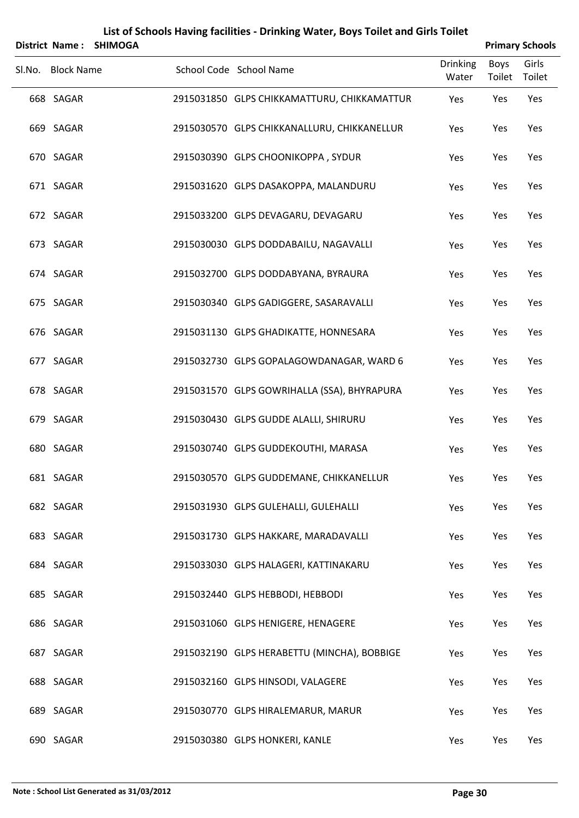| <b>District Name:</b> | <b>SHIMOGA</b> |                                             |                          |                       | <b>Primary Schools</b> |
|-----------------------|----------------|---------------------------------------------|--------------------------|-----------------------|------------------------|
| Sl.No. Block Name     |                | School Code School Name                     | <b>Drinking</b><br>Water | <b>Boys</b><br>Toilet | Girls<br>Toilet        |
| 668 SAGAR             |                | 2915031850 GLPS CHIKKAMATTURU, CHIKKAMATTUR | Yes                      | Yes                   | Yes                    |
| 669 SAGAR             |                | 2915030570 GLPS CHIKKANALLURU, CHIKKANELLUR | Yes                      | Yes                   | Yes                    |
| 670 SAGAR             |                | 2915030390 GLPS CHOONIKOPPA, SYDUR          | Yes                      | Yes                   | Yes                    |
| 671 SAGAR             |                | 2915031620 GLPS DASAKOPPA, MALANDURU        | Yes                      | Yes                   | Yes                    |
| 672 SAGAR             |                | 2915033200 GLPS DEVAGARU, DEVAGARU          | Yes                      | Yes                   | Yes                    |
| 673 SAGAR             |                | 2915030030 GLPS DODDABAILU, NAGAVALLI       | Yes                      | Yes                   | Yes                    |
| 674 SAGAR             |                | 2915032700 GLPS DODDABYANA, BYRAURA         | Yes                      | Yes                   | Yes                    |
| 675 SAGAR             |                | 2915030340 GLPS GADIGGERE, SASARAVALLI      | Yes                      | Yes                   | Yes                    |
| 676 SAGAR             |                | 2915031130 GLPS GHADIKATTE, HONNESARA       | Yes                      | Yes                   | Yes                    |
| 677 SAGAR             |                | 2915032730 GLPS GOPALAGOWDANAGAR, WARD 6    | Yes                      | Yes                   | Yes                    |
| 678 SAGAR             |                | 2915031570 GLPS GOWRIHALLA (SSA), BHYRAPURA | Yes                      | Yes                   | Yes                    |
| 679 SAGAR             |                | 2915030430 GLPS GUDDE ALALLI, SHIRURU       | Yes                      | Yes                   | Yes                    |
| 680 SAGAR             |                | 2915030740 GLPS GUDDEKOUTHI, MARASA         | Yes                      | Yes                   | Yes                    |
| 681 SAGAR             |                | 2915030570 GLPS GUDDEMANE, CHIKKANELLUR     | Yes                      | Yes                   | Yes                    |
| 682 SAGAR             |                | 2915031930 GLPS GULEHALLI, GULEHALLI        | Yes                      | Yes                   | Yes                    |
| 683 SAGAR             |                | 2915031730 GLPS HAKKARE, MARADAVALLI        | Yes                      | Yes                   | Yes                    |
| 684 SAGAR             |                | 2915033030 GLPS HALAGERI, KATTINAKARU       | Yes                      | Yes                   | Yes                    |
| 685 SAGAR             |                | 2915032440 GLPS HEBBODI, HEBBODI            | Yes                      | Yes                   | Yes                    |
| 686 SAGAR             |                | 2915031060 GLPS HENIGERE, HENAGERE          | Yes                      | Yes                   | Yes                    |
| 687 SAGAR             |                | 2915032190 GLPS HERABETTU (MINCHA), BOBBIGE | Yes                      | Yes                   | Yes                    |
| 688 SAGAR             |                | 2915032160 GLPS HINSODI, VALAGERE           | Yes                      | Yes                   | Yes                    |
| 689 SAGAR             |                | 2915030770 GLPS HIRALEMARUR, MARUR          | Yes                      | Yes                   | Yes                    |
| 690 SAGAR             |                | 2915030380 GLPS HONKERI, KANLE              | Yes                      | Yes                   | Yes                    |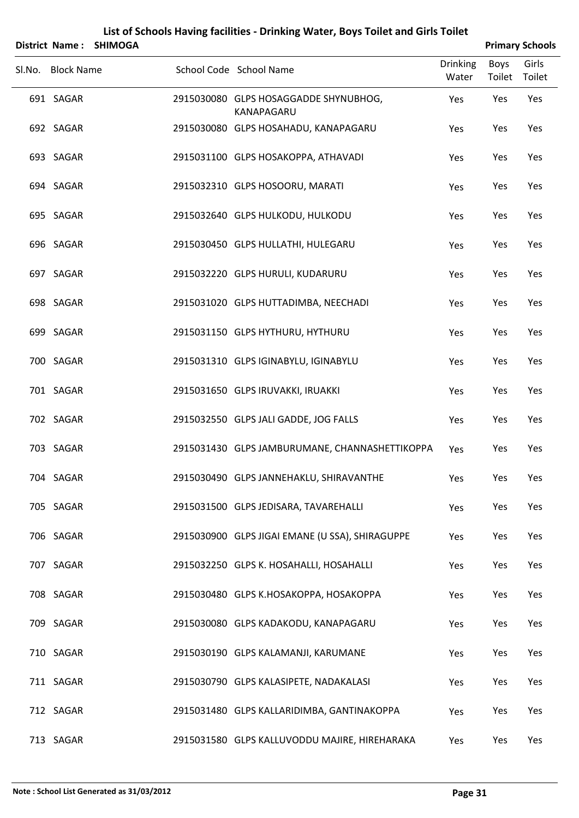|                   | District Name: SHIMOGA |                                                     |                          |                | <b>Primary Schools</b> |
|-------------------|------------------------|-----------------------------------------------------|--------------------------|----------------|------------------------|
| Sl.No. Block Name |                        | School Code School Name                             | <b>Drinking</b><br>Water | Boys<br>Toilet | Girls<br>Toilet        |
| 691 SAGAR         |                        | 2915030080 GLPS HOSAGGADDE SHYNUBHOG,<br>KANAPAGARU | Yes                      | Yes            | Yes                    |
| 692 SAGAR         |                        | 2915030080 GLPS HOSAHADU, KANAPAGARU                | Yes                      | Yes            | Yes                    |
| 693 SAGAR         |                        | 2915031100 GLPS HOSAKOPPA, ATHAVADI                 | Yes                      | Yes            | Yes                    |
| 694 SAGAR         |                        | 2915032310 GLPS HOSOORU, MARATI                     | Yes                      | Yes            | Yes                    |
| 695 SAGAR         |                        | 2915032640 GLPS HULKODU, HULKODU                    | Yes                      | Yes            | Yes                    |
| 696 SAGAR         |                        | 2915030450 GLPS HULLATHI, HULEGARU                  | Yes                      | Yes            | Yes                    |
| 697 SAGAR         |                        | 2915032220 GLPS HURULI, KUDARURU                    | Yes                      | Yes            | Yes                    |
| 698 SAGAR         |                        | 2915031020 GLPS HUTTADIMBA, NEECHADI                | Yes                      | Yes            | Yes                    |
| 699 SAGAR         |                        | 2915031150 GLPS HYTHURU, HYTHURU                    | Yes                      | Yes            | Yes                    |
| 700 SAGAR         |                        | 2915031310 GLPS IGINABYLU, IGINABYLU                | Yes                      | Yes            | Yes                    |
| 701 SAGAR         |                        | 2915031650 GLPS IRUVAKKI, IRUAKKI                   | Yes                      | Yes            | Yes                    |
| 702 SAGAR         |                        | 2915032550 GLPS JALI GADDE, JOG FALLS               | Yes                      | Yes            | Yes                    |
| 703 SAGAR         |                        | 2915031430 GLPS JAMBURUMANE, CHANNASHETTIKOPPA      | Yes                      | Yes            | Yes                    |
| 704 SAGAR         |                        | 2915030490 GLPS JANNEHAKLU, SHIRAVANTHE             | Yes                      | Yes            | Yes                    |
| 705 SAGAR         |                        | 2915031500 GLPS JEDISARA, TAVAREHALLI               | Yes                      | Yes            | Yes                    |
| 706 SAGAR         |                        | 2915030900 GLPS JIGAI EMANE (U SSA), SHIRAGUPPE     | Yes                      | Yes            | Yes                    |
| 707 SAGAR         |                        | 2915032250 GLPS K. HOSAHALLI, HOSAHALLI             | Yes                      | Yes            | Yes                    |
| 708 SAGAR         |                        | 2915030480 GLPS K.HOSAKOPPA, HOSAKOPPA              | Yes                      | Yes            | Yes                    |
| 709 SAGAR         |                        | 2915030080 GLPS KADAKODU, KANAPAGARU                | Yes                      | Yes            | Yes                    |
| 710 SAGAR         |                        | 2915030190 GLPS KALAMANJI, KARUMANE                 | Yes                      | Yes            | Yes                    |
| 711 SAGAR         |                        | 2915030790 GLPS KALASIPETE, NADAKALASI              | Yes                      | Yes            | Yes                    |
| 712 SAGAR         |                        | 2915031480 GLPS KALLARIDIMBA, GANTINAKOPPA          | Yes                      | Yes            | Yes                    |
| 713 SAGAR         |                        | 2915031580 GLPS KALLUVODDU MAJIRE, HIREHARAKA       | Yes                      | Yes            | Yes                    |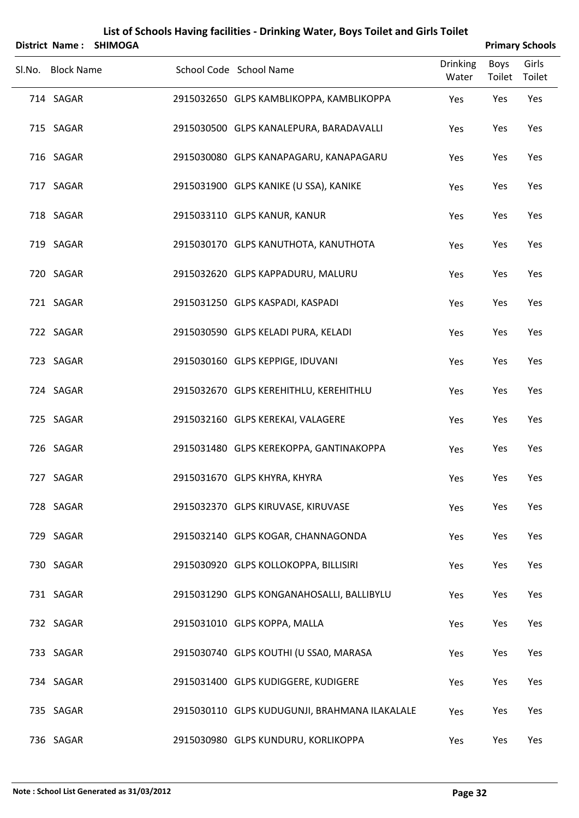|                   | District Name: SHIMOGA |                                               |                          |                       | <b>Primary Schools</b> |
|-------------------|------------------------|-----------------------------------------------|--------------------------|-----------------------|------------------------|
| Sl.No. Block Name |                        | School Code School Name                       | <b>Drinking</b><br>Water | <b>Boys</b><br>Toilet | Girls<br>Toilet        |
| 714 SAGAR         |                        | 2915032650 GLPS KAMBLIKOPPA, KAMBLIKOPPA      | Yes                      | Yes                   | Yes                    |
| 715 SAGAR         |                        | 2915030500 GLPS KANALEPURA, BARADAVALLI       | Yes                      | Yes                   | Yes                    |
| 716 SAGAR         |                        | 2915030080 GLPS KANAPAGARU, KANAPAGARU        | Yes                      | Yes                   | Yes                    |
| 717 SAGAR         |                        | 2915031900 GLPS KANIKE (U SSA), KANIKE        | Yes                      | Yes                   | Yes                    |
| 718 SAGAR         |                        | 2915033110 GLPS KANUR, KANUR                  | Yes                      | Yes                   | Yes                    |
| 719 SAGAR         |                        | 2915030170 GLPS KANUTHOTA, KANUTHOTA          | Yes                      | Yes                   | Yes                    |
| 720 SAGAR         |                        | 2915032620 GLPS KAPPADURU, MALURU             | Yes                      | Yes                   | Yes                    |
| 721 SAGAR         |                        | 2915031250 GLPS KASPADI, KASPADI              | Yes                      | Yes                   | Yes                    |
| 722 SAGAR         |                        | 2915030590 GLPS KELADI PURA, KELADI           | Yes                      | Yes                   | Yes                    |
| 723 SAGAR         |                        | 2915030160 GLPS KEPPIGE, IDUVANI              | Yes                      | Yes                   | Yes                    |
| 724 SAGAR         |                        | 2915032670 GLPS KEREHITHLU, KEREHITHLU        | Yes                      | Yes                   | Yes                    |
| 725 SAGAR         |                        | 2915032160 GLPS KEREKAI, VALAGERE             | Yes                      | Yes                   | Yes                    |
| 726 SAGAR         |                        | 2915031480 GLPS KEREKOPPA, GANTINAKOPPA       | Yes                      | Yes                   | Yes                    |
| 727 SAGAR         |                        | 2915031670 GLPS KHYRA, KHYRA                  | Yes                      | Yes                   | Yes                    |
| 728 SAGAR         |                        | 2915032370 GLPS KIRUVASE, KIRUVASE            | Yes                      | Yes                   | Yes                    |
| 729 SAGAR         |                        | 2915032140 GLPS KOGAR, CHANNAGONDA            | Yes                      | Yes                   | Yes                    |
| 730 SAGAR         |                        | 2915030920 GLPS KOLLOKOPPA, BILLISIRI         | Yes                      | Yes                   | Yes                    |
| 731 SAGAR         |                        | 2915031290 GLPS KONGANAHOSALLI, BALLIBYLU     | Yes                      | Yes                   | Yes                    |
| 732 SAGAR         |                        | 2915031010 GLPS KOPPA, MALLA                  | Yes                      | Yes                   | Yes                    |
| 733 SAGAR         |                        | 2915030740 GLPS KOUTHI (U SSA0, MARASA        | Yes                      | Yes                   | Yes                    |
| 734 SAGAR         |                        | 2915031400 GLPS KUDIGGERE, KUDIGERE           | Yes                      | Yes                   | Yes                    |
| 735 SAGAR         |                        | 2915030110 GLPS KUDUGUNJI, BRAHMANA ILAKALALE | Yes                      | Yes                   | Yes                    |
| 736 SAGAR         |                        | 2915030980 GLPS KUNDURU, KORLIKOPPA           | Yes                      | Yes                   | Yes                    |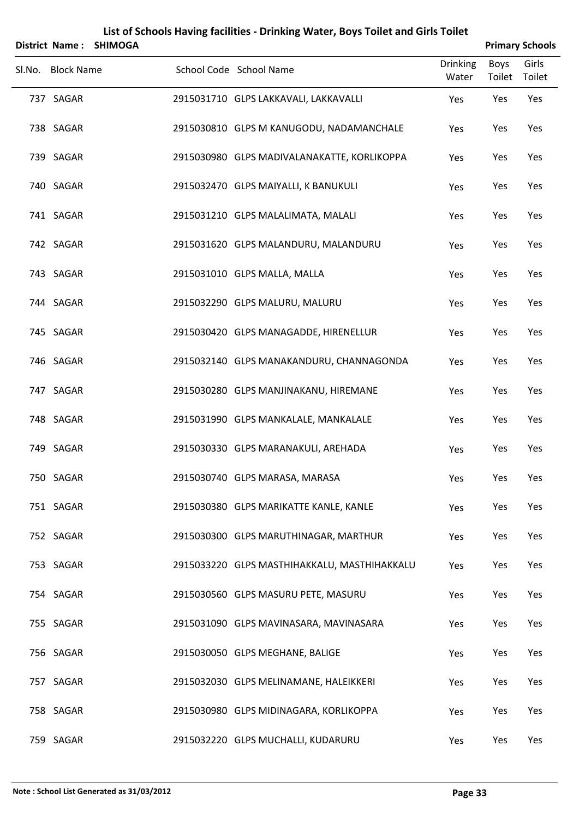|                   | District Name: SHIMOGA |                                              |                          |                       | <b>Primary Schools</b> |
|-------------------|------------------------|----------------------------------------------|--------------------------|-----------------------|------------------------|
| Sl.No. Block Name |                        | School Code School Name                      | <b>Drinking</b><br>Water | <b>Boys</b><br>Toilet | Girls<br>Toilet        |
| 737 SAGAR         |                        | 2915031710 GLPS LAKKAVALI, LAKKAVALLI        | Yes                      | Yes                   | Yes                    |
| 738 SAGAR         |                        | 2915030810 GLPS M KANUGODU, NADAMANCHALE     | Yes                      | Yes                   | Yes                    |
| 739 SAGAR         |                        | 2915030980 GLPS MADIVALANAKATTE, KORLIKOPPA  | Yes                      | Yes                   | Yes                    |
| 740 SAGAR         |                        | 2915032470 GLPS MAIYALLI, K BANUKULI         | Yes                      | Yes                   | Yes                    |
| 741 SAGAR         |                        | 2915031210 GLPS MALALIMATA, MALALI           | Yes                      | Yes                   | Yes                    |
| 742 SAGAR         |                        | 2915031620 GLPS MALANDURU, MALANDURU         | Yes                      | Yes                   | Yes                    |
| 743 SAGAR         |                        | 2915031010 GLPS MALLA, MALLA                 | Yes                      | Yes                   | Yes                    |
| 744 SAGAR         |                        | 2915032290 GLPS MALURU, MALURU               | Yes                      | Yes                   | Yes                    |
| 745 SAGAR         |                        | 2915030420 GLPS MANAGADDE, HIRENELLUR        | Yes                      | Yes                   | Yes                    |
| 746 SAGAR         |                        | 2915032140 GLPS MANAKANDURU, CHANNAGONDA     | Yes                      | Yes                   | Yes                    |
| 747 SAGAR         |                        | 2915030280 GLPS MANJINAKANU, HIREMANE        | Yes                      | Yes                   | Yes                    |
| 748 SAGAR         |                        | 2915031990 GLPS MANKALALE, MANKALALE         | Yes                      | Yes                   | Yes                    |
| 749 SAGAR         |                        | 2915030330 GLPS MARANAKULI, AREHADA          | Yes                      | Yes                   | Yes                    |
| 750 SAGAR         |                        | 2915030740 GLPS MARASA, MARASA               | Yes                      | Yes                   | Yes                    |
| 751 SAGAR         |                        | 2915030380 GLPS MARIKATTE KANLE, KANLE       | Yes                      | Yes                   | Yes                    |
| 752 SAGAR         |                        | 2915030300 GLPS MARUTHINAGAR, MARTHUR        | Yes                      | Yes                   | Yes                    |
| 753 SAGAR         |                        | 2915033220 GLPS MASTHIHAKKALU, MASTHIHAKKALU | Yes                      | Yes                   | Yes                    |
| 754 SAGAR         |                        | 2915030560 GLPS MASURU PETE, MASURU          | Yes                      | Yes                   | Yes                    |
| 755 SAGAR         |                        | 2915031090 GLPS MAVINASARA, MAVINASARA       | Yes                      | Yes                   | Yes                    |
| 756 SAGAR         |                        | 2915030050 GLPS MEGHANE, BALIGE              | Yes                      | Yes                   | Yes                    |
| 757 SAGAR         |                        | 2915032030 GLPS MELINAMANE, HALEIKKERI       | Yes                      | Yes                   | Yes                    |
| 758 SAGAR         |                        | 2915030980 GLPS MIDINAGARA, KORLIKOPPA       | Yes                      | Yes                   | Yes                    |
| 759 SAGAR         |                        | 2915032220 GLPS MUCHALLI, KUDARURU           | Yes                      | Yes                   | Yes                    |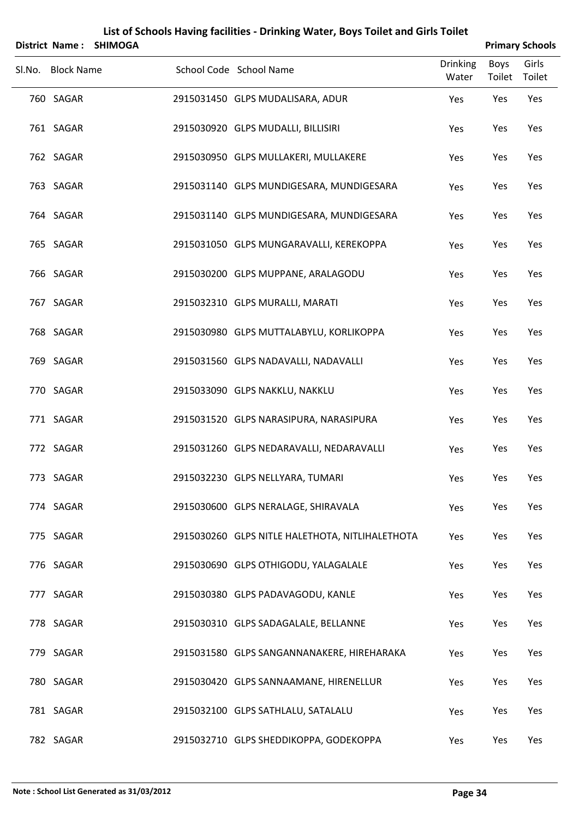| List of Schools Having facilities - Drinking Water, Boys Toilet and Girls Toilet |                        |                                                 |                          |                       |                        |  |  |  |
|----------------------------------------------------------------------------------|------------------------|-------------------------------------------------|--------------------------|-----------------------|------------------------|--|--|--|
|                                                                                  | District Name: SHIMOGA |                                                 |                          |                       | <b>Primary Schools</b> |  |  |  |
| Sl.No. Block Name                                                                |                        | School Code School Name                         | <b>Drinking</b><br>Water | <b>Boys</b><br>Toilet | Girls<br>Toilet        |  |  |  |
| 760 SAGAR                                                                        |                        | 2915031450 GLPS MUDALISARA, ADUR                | Yes                      | Yes                   | Yes                    |  |  |  |
| 761 SAGAR                                                                        |                        | 2915030920 GLPS MUDALLI, BILLISIRI              | Yes                      | Yes                   | Yes                    |  |  |  |
| 762 SAGAR                                                                        |                        | 2915030950 GLPS MULLAKERI, MULLAKERE            | Yes                      | Yes                   | Yes                    |  |  |  |
| 763 SAGAR                                                                        |                        | 2915031140 GLPS MUNDIGESARA, MUNDIGESARA        | Yes                      | Yes                   | Yes                    |  |  |  |
| 764 SAGAR                                                                        |                        | 2915031140 GLPS MUNDIGESARA, MUNDIGESARA        | Yes                      | Yes                   | Yes                    |  |  |  |
| 765 SAGAR                                                                        |                        | 2915031050 GLPS MUNGARAVALLI, KEREKOPPA         | Yes                      | Yes                   | Yes                    |  |  |  |
| 766 SAGAR                                                                        |                        | 2915030200 GLPS MUPPANE, ARALAGODU              | Yes                      | Yes                   | Yes                    |  |  |  |
| 767 SAGAR                                                                        |                        | 2915032310 GLPS MURALLI, MARATI                 | Yes                      | Yes                   | Yes                    |  |  |  |
| 768 SAGAR                                                                        |                        | 2915030980 GLPS MUTTALABYLU, KORLIKOPPA         | Yes                      | Yes                   | Yes                    |  |  |  |
| 769 SAGAR                                                                        |                        | 2915031560 GLPS NADAVALLI, NADAVALLI            | Yes                      | Yes                   | Yes                    |  |  |  |
| 770 SAGAR                                                                        |                        | 2915033090 GLPS NAKKLU, NAKKLU                  | Yes                      | Yes                   | Yes                    |  |  |  |
| 771 SAGAR                                                                        |                        | 2915031520 GLPS NARASIPURA, NARASIPURA          | Yes                      | Yes                   | Yes                    |  |  |  |
| 772 SAGAR                                                                        |                        | 2915031260 GLPS NEDARAVALLI, NEDARAVALLI        | Yes                      | Yes                   | Yes                    |  |  |  |
| 773 SAGAR                                                                        |                        | 2915032230 GLPS NELLYARA, TUMARI                | Yes                      | Yes                   | Yes                    |  |  |  |
| 774 SAGAR                                                                        |                        | 2915030600 GLPS NERALAGE, SHIRAVALA             | Yes                      | Yes                   | Yes                    |  |  |  |
| 775 SAGAR                                                                        |                        | 2915030260 GLPS NITLE HALETHOTA, NITLIHALETHOTA | Yes                      | Yes                   | Yes                    |  |  |  |
| 776 SAGAR                                                                        |                        | 2915030690 GLPS OTHIGODU, YALAGALALE            | Yes                      | Yes                   | Yes                    |  |  |  |
| 777 SAGAR                                                                        |                        | 2915030380 GLPS PADAVAGODU, KANLE               | Yes                      | Yes                   | Yes                    |  |  |  |
| 778 SAGAR                                                                        |                        | 2915030310 GLPS SADAGALALE, BELLANNE            | Yes                      | Yes                   | Yes                    |  |  |  |
| 779 SAGAR                                                                        |                        | 2915031580 GLPS SANGANNANAKERE, HIREHARAKA      | Yes                      | Yes                   | Yes                    |  |  |  |
| 780 SAGAR                                                                        |                        | 2915030420 GLPS SANNAAMANE, HIRENELLUR          | Yes                      | Yes                   | Yes                    |  |  |  |
| 781 SAGAR                                                                        |                        | 2915032100 GLPS SATHLALU, SATALALU              | Yes                      | Yes                   | Yes                    |  |  |  |
| 782 SAGAR                                                                        |                        | 2915032710 GLPS SHEDDIKOPPA, GODEKOPPA          | Yes                      | Yes                   | Yes                    |  |  |  |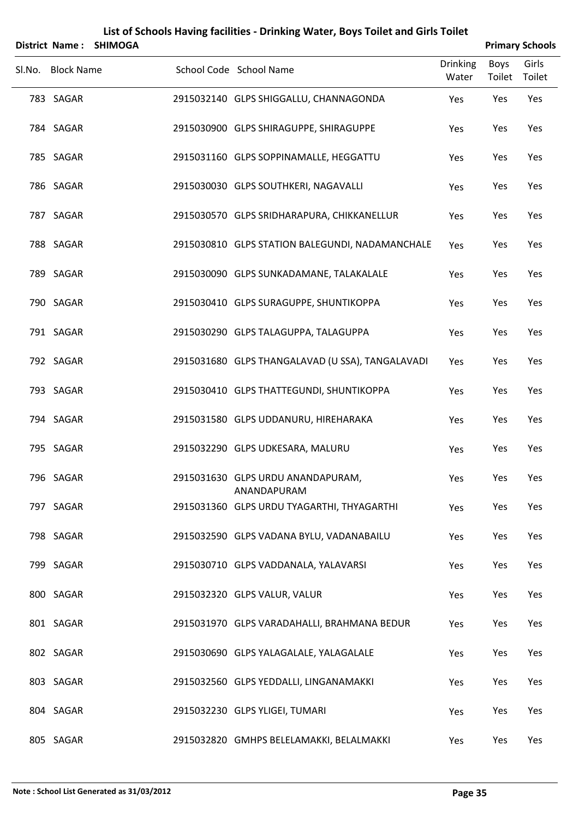| <b>District Name:</b> | <b>SHIMOGA</b> |                                                  |                          |                | <b>Primary Schools</b> |
|-----------------------|----------------|--------------------------------------------------|--------------------------|----------------|------------------------|
| Sl.No. Block Name     |                | School Code School Name                          | <b>Drinking</b><br>Water | Boys<br>Toilet | Girls<br>Toilet        |
| 783 SAGAR             |                | 2915032140 GLPS SHIGGALLU, CHANNAGONDA           | Yes                      | Yes            | Yes                    |
| 784 SAGAR             |                | 2915030900 GLPS SHIRAGUPPE, SHIRAGUPPE           | Yes                      | Yes            | Yes                    |
| 785 SAGAR             |                | 2915031160 GLPS SOPPINAMALLE, HEGGATTU           | Yes                      | Yes            | Yes                    |
| 786 SAGAR             |                | 2915030030 GLPS SOUTHKERI, NAGAVALLI             | Yes                      | Yes            | Yes                    |
| 787 SAGAR             |                | 2915030570 GLPS SRIDHARAPURA, CHIKKANELLUR       | Yes                      | Yes            | Yes                    |
| 788 SAGAR             |                | 2915030810 GLPS STATION BALEGUNDI, NADAMANCHALE  | Yes                      | Yes            | Yes                    |
| 789 SAGAR             |                | 2915030090 GLPS SUNKADAMANE, TALAKALALE          | Yes                      | Yes            | Yes                    |
| 790 SAGAR             |                | 2915030410 GLPS SURAGUPPE, SHUNTIKOPPA           | Yes                      | Yes            | Yes                    |
| 791 SAGAR             |                | 2915030290 GLPS TALAGUPPA, TALAGUPPA             | Yes                      | Yes            | Yes                    |
| 792 SAGAR             |                | 2915031680 GLPS THANGALAVAD (U SSA), TANGALAVADI | Yes                      | Yes            | Yes                    |
| 793 SAGAR             |                | 2915030410 GLPS THATTEGUNDI, SHUNTIKOPPA         | Yes                      | Yes            | Yes                    |
| 794 SAGAR             |                | 2915031580 GLPS UDDANURU, HIREHARAKA             | Yes                      | Yes            | Yes                    |
| 795 SAGAR             |                | 2915032290 GLPS UDKESARA, MALURU                 | Yes                      | Yes            | Yes                    |
| 796 SAGAR             |                | 2915031630 GLPS URDU ANANDAPURAM,<br>ANANDAPURAM | Yes                      | Yes            | Yes                    |
| 797 SAGAR             |                | 2915031360 GLPS URDU TYAGARTHI, THYAGARTHI       | Yes                      | Yes            | Yes                    |
| 798 SAGAR             |                | 2915032590 GLPS VADANA BYLU, VADANABAILU         | Yes                      | Yes            | Yes                    |
| 799 SAGAR             |                | 2915030710 GLPS VADDANALA, YALAVARSI             | Yes                      | Yes            | Yes                    |
| 800 SAGAR             |                | 2915032320 GLPS VALUR, VALUR                     | Yes                      | Yes            | Yes                    |
| 801 SAGAR             |                | 2915031970 GLPS VARADAHALLI, BRAHMANA BEDUR      | Yes                      | Yes            | Yes                    |
| 802 SAGAR             |                | 2915030690 GLPS YALAGALALE, YALAGALALE           | Yes                      | Yes            | Yes                    |
| 803 SAGAR             |                | 2915032560 GLPS YEDDALLI, LINGANAMAKKI           | Yes                      | Yes            | Yes                    |
| 804 SAGAR             |                | 2915032230 GLPS YLIGEI, TUMARI                   | Yes                      | Yes            | Yes                    |
| 805 SAGAR             |                | 2915032820 GMHPS BELELAMAKKI, BELALMAKKI         | Yes                      | Yes            | Yes                    |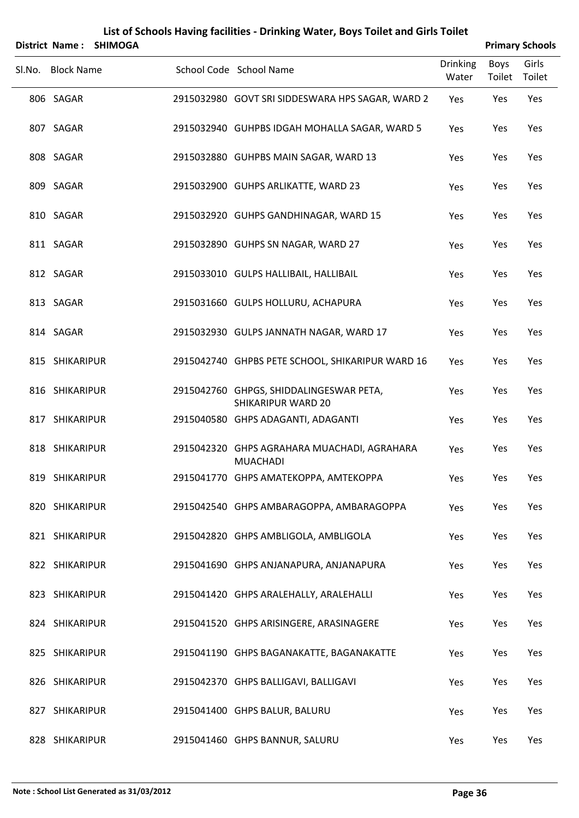| List of Schools Having facilities - Drinking Water, Boys Toilet and Girls Toilet<br><b>Primary Schools</b><br>District Name:<br><b>SHIMOGA</b> |  |  |                                                                      |                          |                |                 |  |  |  |
|------------------------------------------------------------------------------------------------------------------------------------------------|--|--|----------------------------------------------------------------------|--------------------------|----------------|-----------------|--|--|--|
| Sl.No. Block Name                                                                                                                              |  |  | School Code School Name                                              | <b>Drinking</b><br>Water | Boys<br>Toilet | Girls<br>Toilet |  |  |  |
| 806 SAGAR                                                                                                                                      |  |  | 2915032980 GOVT SRI SIDDESWARA HPS SAGAR, WARD 2                     | Yes                      | Yes            | Yes             |  |  |  |
| 807 SAGAR                                                                                                                                      |  |  | 2915032940 GUHPBS IDGAH MOHALLA SAGAR, WARD 5                        | Yes                      | Yes            | Yes             |  |  |  |
| 808 SAGAR                                                                                                                                      |  |  | 2915032880 GUHPBS MAIN SAGAR, WARD 13                                | Yes                      | Yes            | Yes             |  |  |  |
| 809 SAGAR                                                                                                                                      |  |  | 2915032900 GUHPS ARLIKATTE, WARD 23                                  | Yes                      | Yes            | Yes             |  |  |  |
| 810 SAGAR                                                                                                                                      |  |  | 2915032920 GUHPS GANDHINAGAR, WARD 15                                | Yes                      | Yes            | Yes             |  |  |  |
| 811 SAGAR                                                                                                                                      |  |  | 2915032890 GUHPS SN NAGAR, WARD 27                                   | Yes                      | Yes            | Yes             |  |  |  |
| 812 SAGAR                                                                                                                                      |  |  | 2915033010 GULPS HALLIBAIL, HALLIBAIL                                | Yes                      | Yes            | Yes             |  |  |  |
| 813 SAGAR                                                                                                                                      |  |  | 2915031660 GULPS HOLLURU, ACHAPURA                                   | Yes                      | Yes            | Yes             |  |  |  |
| 814 SAGAR                                                                                                                                      |  |  | 2915032930 GULPS JANNATH NAGAR, WARD 17                              | Yes                      | Yes            | Yes             |  |  |  |
| 815 SHIKARIPUR                                                                                                                                 |  |  | 2915042740 GHPBS PETE SCHOOL, SHIKARIPUR WARD 16                     | Yes                      | Yes            | Yes             |  |  |  |
| 816 SHIKARIPUR                                                                                                                                 |  |  | 2915042760 GHPGS, SHIDDALINGESWAR PETA,<br><b>SHIKARIPUR WARD 20</b> | Yes                      | Yes            | Yes             |  |  |  |
| 817 SHIKARIPUR                                                                                                                                 |  |  | 2915040580 GHPS ADAGANTI, ADAGANTI                                   | Yes                      | Yes            | Yes             |  |  |  |
| 818 SHIKARIPUR                                                                                                                                 |  |  | 2915042320 GHPS AGRAHARA MUACHADI, AGRAHARA<br><b>MUACHADI</b>       | Yes                      | Yes            | Yes             |  |  |  |
| 819 SHIKARIPUR                                                                                                                                 |  |  | 2915041770 GHPS AMATEKOPPA, AMTEKOPPA                                | Yes                      | Yes            | Yes             |  |  |  |
| 820 SHIKARIPUR                                                                                                                                 |  |  | 2915042540 GHPS AMBARAGOPPA, AMBARAGOPPA                             | Yes                      | Yes            | Yes             |  |  |  |
| 821 SHIKARIPUR                                                                                                                                 |  |  | 2915042820 GHPS AMBLIGOLA, AMBLIGOLA                                 | Yes                      | Yes            | Yes             |  |  |  |
| 822 SHIKARIPUR                                                                                                                                 |  |  | 2915041690 GHPS ANJANAPURA, ANJANAPURA                               | Yes                      | Yes            | Yes             |  |  |  |
| 823 SHIKARIPUR                                                                                                                                 |  |  | 2915041420 GHPS ARALEHALLY, ARALEHALLI                               | Yes                      | Yes            | Yes             |  |  |  |
| 824 SHIKARIPUR                                                                                                                                 |  |  | 2915041520 GHPS ARISINGERE, ARASINAGERE                              | Yes                      | Yes            | Yes             |  |  |  |
| 825 SHIKARIPUR                                                                                                                                 |  |  | 2915041190 GHPS BAGANAKATTE, BAGANAKATTE                             | Yes                      | Yes            | Yes             |  |  |  |
| 826 SHIKARIPUR                                                                                                                                 |  |  | 2915042370 GHPS BALLIGAVI, BALLIGAVI                                 | Yes                      | Yes            | Yes             |  |  |  |
| 827 SHIKARIPUR                                                                                                                                 |  |  | 2915041400 GHPS BALUR, BALURU                                        | Yes                      | Yes            | Yes             |  |  |  |
| 828 SHIKARIPUR                                                                                                                                 |  |  | 2915041460 GHPS BANNUR, SALURU                                       | Yes                      | Yes            | Yes             |  |  |  |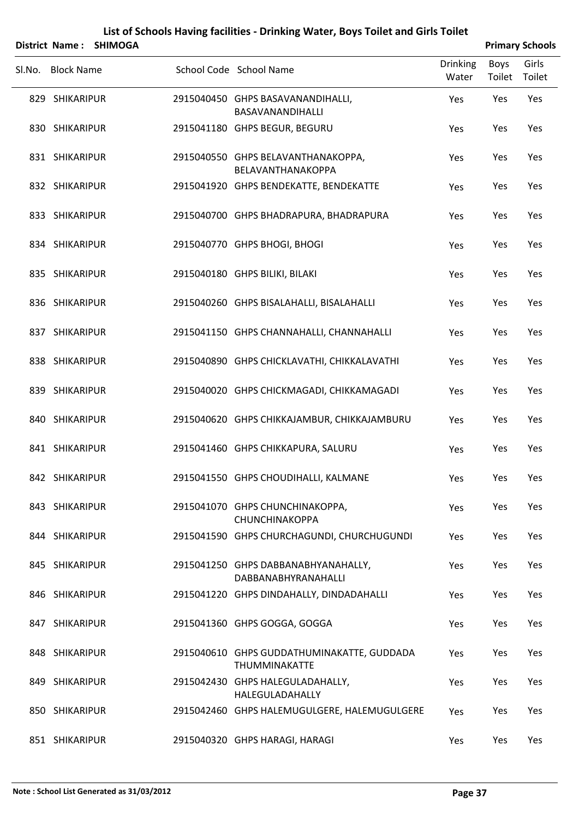| List of Schools Having facilities - Drinking Water, Boys Toilet and Girls Toilet |                        |  |                                                             |                          |                       |                        |  |  |  |
|----------------------------------------------------------------------------------|------------------------|--|-------------------------------------------------------------|--------------------------|-----------------------|------------------------|--|--|--|
|                                                                                  | District Name: SHIMOGA |  |                                                             |                          |                       | <b>Primary Schools</b> |  |  |  |
| Sl.No. Block Name                                                                |                        |  | School Code School Name                                     | <b>Drinking</b><br>Water | <b>Boys</b><br>Toilet | Girls<br>Toilet        |  |  |  |
| 829 SHIKARIPUR                                                                   |                        |  | 2915040450 GHPS BASAVANANDIHALLI,<br>BASAVANANDIHALLI       | Yes                      | Yes                   | Yes                    |  |  |  |
| 830 SHIKARIPUR                                                                   |                        |  | 2915041180 GHPS BEGUR, BEGURU                               | Yes                      | Yes                   | Yes                    |  |  |  |
| 831 SHIKARIPUR                                                                   |                        |  | 2915040550 GHPS BELAVANTHANAKOPPA,<br>BELAVANTHANAKOPPA     | Yes                      | Yes                   | Yes                    |  |  |  |
| 832 SHIKARIPUR                                                                   |                        |  | 2915041920 GHPS BENDEKATTE, BENDEKATTE                      | Yes                      | Yes                   | Yes                    |  |  |  |
| 833 SHIKARIPUR                                                                   |                        |  | 2915040700 GHPS BHADRAPURA, BHADRAPURA                      | Yes                      | Yes                   | Yes                    |  |  |  |
| 834 SHIKARIPUR                                                                   |                        |  | 2915040770 GHPS BHOGI, BHOGI                                | Yes                      | Yes                   | Yes                    |  |  |  |
| 835 SHIKARIPUR                                                                   |                        |  | 2915040180 GHPS BILIKI, BILAKI                              | Yes                      | Yes                   | Yes                    |  |  |  |
| 836 SHIKARIPUR                                                                   |                        |  | 2915040260 GHPS BISALAHALLI, BISALAHALLI                    | Yes                      | Yes                   | Yes                    |  |  |  |
| 837 SHIKARIPUR                                                                   |                        |  | 2915041150 GHPS CHANNAHALLI, CHANNAHALLI                    | Yes                      | Yes                   | Yes                    |  |  |  |
| 838 SHIKARIPUR                                                                   |                        |  | 2915040890 GHPS CHICKLAVATHI, CHIKKALAVATHI                 | Yes                      | Yes                   | Yes                    |  |  |  |
| 839 SHIKARIPUR                                                                   |                        |  | 2915040020 GHPS CHICKMAGADI, CHIKKAMAGADI                   | Yes                      | Yes                   | Yes                    |  |  |  |
| 840 SHIKARIPUR                                                                   |                        |  | 2915040620 GHPS CHIKKAJAMBUR, CHIKKAJAMBURU                 | Yes                      | Yes                   | Yes                    |  |  |  |
| 841 SHIKARIPUR                                                                   |                        |  | 2915041460 GHPS CHIKKAPURA, SALURU                          | Yes                      | Yes                   | Yes                    |  |  |  |
| 842 SHIKARIPUR                                                                   |                        |  | 2915041550 GHPS CHOUDIHALLI, KALMANE                        | Yes                      | Yes                   | <b>Yes</b>             |  |  |  |
| 843 SHIKARIPUR                                                                   |                        |  | 2915041070 GHPS CHUNCHINAKOPPA,<br><b>CHUNCHINAKOPPA</b>    | <b>Yes</b>               | Yes                   | Yes                    |  |  |  |
| 844 SHIKARIPUR                                                                   |                        |  | 2915041590 GHPS CHURCHAGUNDI, CHURCHUGUNDI                  | Yes                      | Yes                   | Yes                    |  |  |  |
| 845 SHIKARIPUR                                                                   |                        |  | 2915041250 GHPS DABBANABHYANAHALLY,<br>DABBANABHYRANAHALLI  | <b>Yes</b>               | Yes                   | Yes                    |  |  |  |
| 846 SHIKARIPUR                                                                   |                        |  | 2915041220 GHPS DINDAHALLY, DINDADAHALLI                    | Yes                      | Yes                   | Yes                    |  |  |  |
| 847 SHIKARIPUR                                                                   |                        |  | 2915041360 GHPS GOGGA, GOGGA                                | <b>Yes</b>               | Yes                   | <b>Yes</b>             |  |  |  |
| 848 SHIKARIPUR                                                                   |                        |  | 2915040610 GHPS GUDDATHUMINAKATTE, GUDDADA<br>THUMMINAKATTE | Yes                      | Yes                   | Yes                    |  |  |  |
| 849 SHIKARIPUR                                                                   |                        |  | 2915042430 GHPS HALEGULADAHALLY,<br>HALEGULADAHALLY         | <b>Yes</b>               | Yes                   | <b>Yes</b>             |  |  |  |
| 850 SHIKARIPUR                                                                   |                        |  | 2915042460 GHPS HALEMUGULGERE, HALEMUGULGERE                | <b>Yes</b>               | Yes                   | Yes                    |  |  |  |
| 851 SHIKARIPUR                                                                   |                        |  | 2915040320 GHPS HARAGI, HARAGI                              | Yes                      | Yes                   | Yes                    |  |  |  |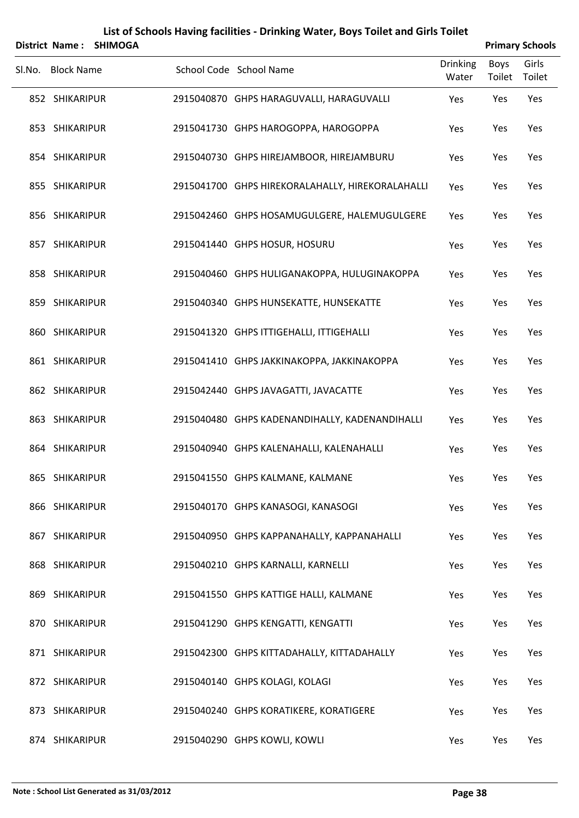|        | <b>District Name:</b> | <b>SHIMOGA</b> |                                                  |                          |                | <b>Primary Schools</b> |
|--------|-----------------------|----------------|--------------------------------------------------|--------------------------|----------------|------------------------|
| SI.No. | <b>Block Name</b>     |                | School Code School Name                          | <b>Drinking</b><br>Water | Boys<br>Toilet | Girls<br>Toilet        |
|        | 852 SHIKARIPUR        |                | 2915040870 GHPS HARAGUVALLI, HARAGUVALLI         | Yes                      | Yes            | Yes                    |
|        | 853 SHIKARIPUR        |                | 2915041730 GHPS HAROGOPPA, HAROGOPPA             | Yes                      | Yes            | Yes                    |
|        | 854 SHIKARIPUR        |                | 2915040730 GHPS HIREJAMBOOR, HIREJAMBURU         | Yes                      | Yes            | Yes                    |
|        | 855 SHIKARIPUR        |                | 2915041700 GHPS HIREKORALAHALLY, HIREKORALAHALLI | Yes                      | Yes            | Yes                    |
|        | 856 SHIKARIPUR        |                | 2915042460 GHPS HOSAMUGULGERE, HALEMUGULGERE     | Yes                      | Yes            | Yes                    |
|        | 857 SHIKARIPUR        |                | 2915041440 GHPS HOSUR, HOSURU                    | Yes                      | Yes            | Yes                    |
|        | 858 SHIKARIPUR        |                | 2915040460 GHPS HULIGANAKOPPA, HULUGINAKOPPA     | Yes                      | Yes            | Yes                    |
|        | 859 SHIKARIPUR        |                | 2915040340 GHPS HUNSEKATTE, HUNSEKATTE           | Yes                      | Yes            | Yes                    |
|        | 860 SHIKARIPUR        |                | 2915041320 GHPS ITTIGEHALLI, ITTIGEHALLI         | Yes                      | Yes            | Yes                    |
|        | 861 SHIKARIPUR        |                | 2915041410 GHPS JAKKINAKOPPA, JAKKINAKOPPA       | Yes                      | Yes            | Yes                    |
|        | 862 SHIKARIPUR        |                | 2915042440 GHPS JAVAGATTI, JAVACATTE             | Yes                      | Yes            | Yes                    |
|        | 863 SHIKARIPUR        |                | 2915040480 GHPS KADENANDIHALLY, KADENANDIHALLI   | Yes                      | Yes            | Yes                    |
|        | 864 SHIKARIPUR        |                | 2915040940 GHPS KALENAHALLI, KALENAHALLI         | Yes                      | Yes            | Yes                    |
|        | 865 SHIKARIPUR        |                | 2915041550 GHPS KALMANE, KALMANE                 | Yes                      | Yes            | Yes                    |
|        | 866 SHIKARIPUR        |                | 2915040170 GHPS KANASOGI, KANASOGI               | Yes                      | Yes            | Yes                    |
|        | 867 SHIKARIPUR        |                | 2915040950 GHPS KAPPANAHALLY, KAPPANAHALLI       | Yes                      | Yes            | Yes                    |
|        | 868 SHIKARIPUR        |                | 2915040210 GHPS KARNALLI, KARNELLI               | Yes                      | Yes            | Yes                    |
|        | 869 SHIKARIPUR        |                | 2915041550 GHPS KATTIGE HALLI, KALMANE           | Yes                      | Yes            | Yes                    |
|        | 870 SHIKARIPUR        |                | 2915041290 GHPS KENGATTI, KENGATTI               | Yes                      | Yes            | Yes                    |
|        | 871 SHIKARIPUR        |                | 2915042300 GHPS KITTADAHALLY, KITTADAHALLY       | Yes                      | Yes            | Yes                    |
|        | 872 SHIKARIPUR        |                | 2915040140 GHPS KOLAGI, KOLAGI                   | Yes                      | Yes            | Yes                    |
|        | 873 SHIKARIPUR        |                | 2915040240 GHPS KORATIKERE, KORATIGERE           | Yes                      | Yes            | Yes                    |
|        | 874 SHIKARIPUR        |                | 2915040290 GHPS KOWLI, KOWLI                     | Yes                      | Yes            | Yes                    |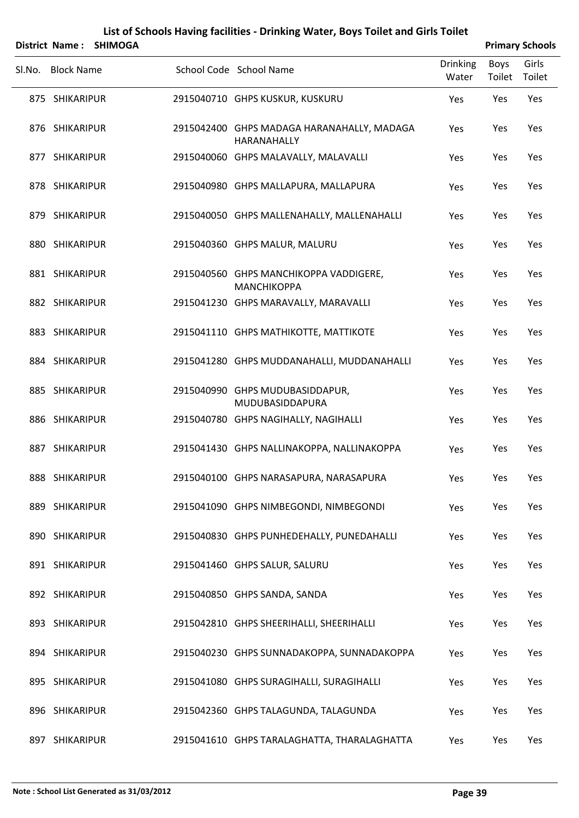|        | <b>District Name:</b> | <b>SHIMOGA</b> |                                                           |                          |                       | <b>Primary Schools</b> |
|--------|-----------------------|----------------|-----------------------------------------------------------|--------------------------|-----------------------|------------------------|
| SI.No. | <b>Block Name</b>     |                | School Code School Name                                   | <b>Drinking</b><br>Water | Boys<br>Toilet Toilet | Girls                  |
|        | 875 SHIKARIPUR        |                | 2915040710 GHPS KUSKUR, KUSKURU                           | Yes                      | Yes                   | Yes                    |
|        | 876 SHIKARIPUR        |                | 2915042400 GHPS MADAGA HARANAHALLY, MADAGA<br>HARANAHALLY | Yes                      | Yes                   | Yes                    |
|        | 877 SHIKARIPUR        |                | 2915040060 GHPS MALAVALLY, MALAVALLI                      | Yes                      | Yes                   | Yes                    |
|        | 878 SHIKARIPUR        |                | 2915040980 GHPS MALLAPURA, MALLAPURA                      | Yes                      | Yes                   | Yes                    |
|        | 879 SHIKARIPUR        |                | 2915040050 GHPS MALLENAHALLY, MALLENAHALLI                | Yes                      | Yes                   | Yes                    |
|        | 880 SHIKARIPUR        |                | 2915040360 GHPS MALUR, MALURU                             | Yes                      | Yes                   | Yes                    |
|        | 881 SHIKARIPUR        |                | 2915040560 GHPS MANCHIKOPPA VADDIGERE,<br>MANCHIKOPPA     | Yes                      | Yes                   | Yes                    |
|        | 882 SHIKARIPUR        |                | 2915041230 GHPS MARAVALLY, MARAVALLI                      | Yes                      | Yes                   | Yes                    |
|        | 883 SHIKARIPUR        |                | 2915041110 GHPS MATHIKOTTE, MATTIKOTE                     | Yes                      | Yes                   | Yes                    |
|        | 884 SHIKARIPUR        |                | 2915041280 GHPS MUDDANAHALLI, MUDDANAHALLI                | Yes                      | Yes                   | Yes                    |
|        | 885 SHIKARIPUR        |                | 2915040990 GHPS MUDUBASIDDAPUR,<br>MUDUBASIDDAPURA        | Yes                      | Yes                   | Yes                    |
|        | 886 SHIKARIPUR        |                | 2915040780 GHPS NAGIHALLY, NAGIHALLI                      | Yes                      | Yes                   | Yes                    |
|        | 887 SHIKARIPUR        |                | 2915041430 GHPS NALLINAKOPPA, NALLINAKOPPA                | Yes                      | Yes                   | Yes                    |
|        | 888 SHIKARIPUR        |                | 2915040100 GHPS NARASAPURA, NARASAPURA                    | Yes                      | Yes                   | Yes                    |
|        | 889 SHIKARIPUR        |                | 2915041090 GHPS NIMBEGONDI, NIMBEGONDI                    | Yes                      | Yes                   | Yes                    |
|        | 890 SHIKARIPUR        |                | 2915040830 GHPS PUNHEDEHALLY, PUNEDAHALLI                 | Yes                      | Yes                   | Yes                    |
|        | 891 SHIKARIPUR        |                | 2915041460 GHPS SALUR, SALURU                             | Yes                      | Yes                   | Yes                    |
|        | 892 SHIKARIPUR        |                | 2915040850 GHPS SANDA, SANDA                              | Yes                      | Yes                   | Yes                    |
|        | 893 SHIKARIPUR        |                | 2915042810 GHPS SHEERIHALLI, SHEERIHALLI                  | Yes                      | Yes                   | Yes                    |
|        | 894 SHIKARIPUR        |                | 2915040230 GHPS SUNNADAKOPPA, SUNNADAKOPPA                | Yes                      | Yes                   | Yes                    |
|        | 895 SHIKARIPUR        |                | 2915041080 GHPS SURAGIHALLI, SURAGIHALLI                  | Yes                      | Yes                   | Yes                    |
|        | 896 SHIKARIPUR        |                | 2915042360 GHPS TALAGUNDA, TALAGUNDA                      | Yes                      | Yes                   | Yes                    |
|        | 897 SHIKARIPUR        |                | 2915041610 GHPS TARALAGHATTA, THARALAGHATTA               | Yes                      | Yes                   | Yes                    |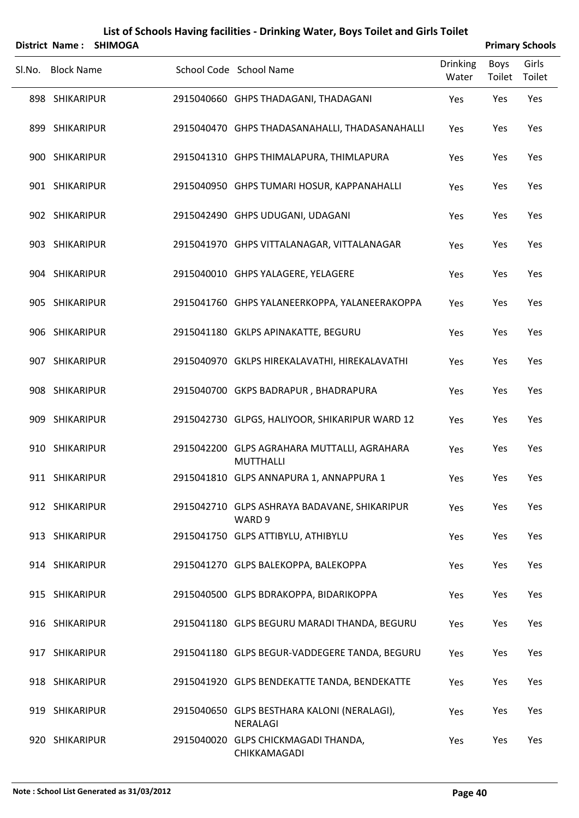| <b>District Name:</b> | <b>SHIMOGA</b> | List of Schools Having facilities - Drinking Water, Boys Toilet and Girls Toilet |                          |                       | <b>Primary Schools</b> |
|-----------------------|----------------|----------------------------------------------------------------------------------|--------------------------|-----------------------|------------------------|
| Sl.No. Block Name     |                | School Code School Name                                                          | <b>Drinking</b><br>Water | <b>Boys</b><br>Toilet | Girls<br>Toilet        |
| 898 SHIKARIPUR        |                | 2915040660 GHPS THADAGANI, THADAGANI                                             | Yes                      | Yes                   | Yes                    |
| 899 SHIKARIPUR        |                | 2915040470 GHPS THADASANAHALLI, THADASANAHALLI                                   | Yes                      | Yes                   | Yes                    |
| 900 SHIKARIPUR        |                | 2915041310 GHPS THIMALAPURA, THIMLAPURA                                          | Yes                      | Yes                   | Yes                    |
| 901 SHIKARIPUR        |                | 2915040950 GHPS TUMARI HOSUR, KAPPANAHALLI                                       | Yes                      | Yes                   | Yes                    |
| 902 SHIKARIPUR        |                | 2915042490 GHPS UDUGANI, UDAGANI                                                 | Yes                      | Yes                   | Yes                    |
| 903 SHIKARIPUR        |                | 2915041970 GHPS VITTALANAGAR, VITTALANAGAR                                       | Yes                      | Yes                   | Yes                    |
| 904 SHIKARIPUR        |                | 2915040010 GHPS YALAGERE, YELAGERE                                               | Yes                      | Yes                   | Yes                    |
| 905 SHIKARIPUR        |                | 2915041760 GHPS YALANEERKOPPA, YALANEERAKOPPA                                    | Yes                      | Yes                   | Yes                    |
| 906 SHIKARIPUR        |                | 2915041180 GKLPS APINAKATTE, BEGURU                                              | Yes                      | Yes                   | Yes                    |
| 907 SHIKARIPUR        |                | 2915040970 GKLPS HIREKALAVATHI, HIREKALAVATHI                                    | Yes                      | Yes                   | Yes                    |
| 908 SHIKARIPUR        |                | 2915040700 GKPS BADRAPUR, BHADRAPURA                                             | Yes                      | Yes                   | Yes                    |
| 909 SHIKARIPUR        |                | 2915042730 GLPGS, HALIYOOR, SHIKARIPUR WARD 12                                   | Yes                      | Yes                   | Yes                    |
| 910 SHIKARIPUR        |                | 2915042200 GLPS AGRAHARA MUTTALLI, AGRAHARA<br>MUTTHALLI                         | Yes                      | Yes                   | Yes                    |
| 911 SHIKARIPUR        |                | 2915041810 GLPS ANNAPURA 1, ANNAPPURA 1                                          | Yes                      | Yes                   | Yes                    |
| 912 SHIKARIPUR        |                | 2915042710 GLPS ASHRAYA BADAVANE, SHIKARIPUR<br>WARD 9                           | Yes                      | Yes                   | Yes                    |
| 913 SHIKARIPUR        |                | 2915041750 GLPS ATTIBYLU, ATHIBYLU                                               | Yes                      | Yes                   | Yes                    |
| 914 SHIKARIPUR        |                | 2915041270 GLPS BALEKOPPA, BALEKOPPA                                             | Yes                      | Yes                   | Yes                    |
| 915 SHIKARIPUR        |                | 2915040500 GLPS BDRAKOPPA, BIDARIKOPPA                                           | Yes                      | Yes                   | Yes                    |
| 916 SHIKARIPUR        |                | 2915041180 GLPS BEGURU MARADI THANDA, BEGURU                                     | Yes                      | Yes                   | Yes                    |
| 917 SHIKARIPUR        |                | 2915041180 GLPS BEGUR-VADDEGERE TANDA, BEGURU                                    | Yes                      | Yes                   | Yes                    |
| 918 SHIKARIPUR        |                | 2915041920 GLPS BENDEKATTE TANDA, BENDEKATTE                                     | Yes                      | Yes                   | Yes                    |
| 919 SHIKARIPUR        |                | 2915040650 GLPS BESTHARA KALONI (NERALAGI),<br><b>NERALAGI</b>                   | Yes                      | Yes                   | Yes                    |
| 920 SHIKARIPUR        |                | 2915040020 GLPS CHICKMAGADI THANDA,<br>CHIKKAMAGADI                              | Yes                      | Yes                   | Yes                    |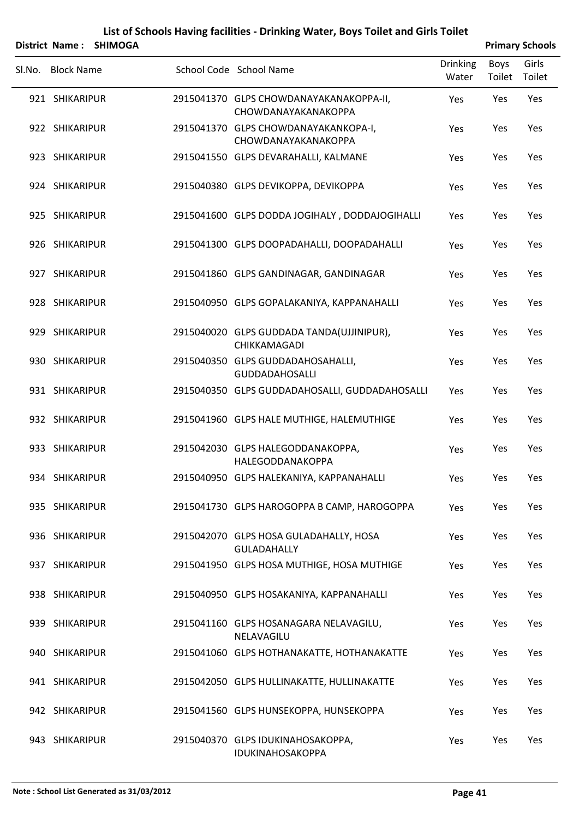|        |                   | District Name: SHIMOGA |                                                                |                          |                | <b>Primary Schools</b> |
|--------|-------------------|------------------------|----------------------------------------------------------------|--------------------------|----------------|------------------------|
| SI.No. | <b>Block Name</b> |                        | School Code School Name                                        | <b>Drinking</b><br>Water | Boys<br>Toilet | Girls<br>Toilet        |
|        | 921 SHIKARIPUR    |                        | 2915041370 GLPS CHOWDANAYAKANAKOPPA-II,<br>CHOWDANAYAKANAKOPPA | Yes                      | Yes            | Yes                    |
|        | 922 SHIKARIPUR    |                        | 2915041370 GLPS CHOWDANAYAKANKOPA-I,<br>CHOWDANAYAKANAKOPPA    | Yes                      | Yes            | Yes                    |
|        | 923 SHIKARIPUR    |                        | 2915041550 GLPS DEVARAHALLI, KALMANE                           | Yes                      | Yes            | Yes                    |
|        | 924 SHIKARIPUR    |                        | 2915040380 GLPS DEVIKOPPA, DEVIKOPPA                           | Yes                      | Yes            | Yes                    |
|        | 925 SHIKARIPUR    |                        | 2915041600 GLPS DODDA JOGIHALY, DODDAJOGIHALLI                 | Yes                      | Yes            | Yes                    |
|        | 926 SHIKARIPUR    |                        | 2915041300 GLPS DOOPADAHALLI, DOOPADAHALLI                     | Yes                      | Yes            | Yes                    |
|        | 927 SHIKARIPUR    |                        | 2915041860 GLPS GANDINAGAR, GANDINAGAR                         | Yes                      | Yes            | Yes                    |
|        | 928 SHIKARIPUR    |                        | 2915040950 GLPS GOPALAKANIYA, KAPPANAHALLI                     | Yes                      | Yes            | Yes                    |
|        | 929 SHIKARIPUR    |                        | 2915040020 GLPS GUDDADA TANDA(UJJINIPUR),<br>CHIKKAMAGADI      | Yes                      | Yes            | Yes                    |
|        | 930 SHIKARIPUR    |                        | 2915040350 GLPS GUDDADAHOSAHALLI,<br><b>GUDDADAHOSALLI</b>     | Yes                      | Yes            | Yes                    |
|        | 931 SHIKARIPUR    |                        | 2915040350 GLPS GUDDADAHOSALLI, GUDDADAHOSALLI                 | Yes                      | Yes            | Yes                    |
|        | 932 SHIKARIPUR    |                        | 2915041960 GLPS HALE MUTHIGE, HALEMUTHIGE                      | Yes                      | Yes            | Yes                    |
|        | 933 SHIKARIPUR    |                        | 2915042030 GLPS HALEGODDANAKOPPA,<br>HALEGODDANAKOPPA          | Yes                      | Yes            | Yes                    |
|        | 934 SHIKARIPUR    |                        | 2915040950 GLPS HALEKANIYA, KAPPANAHALLI                       | Yes                      | Yes            | Yes                    |
|        | 935 SHIKARIPUR    |                        | 2915041730 GLPS HAROGOPPA B CAMP, HAROGOPPA                    | Yes                      | Yes            | Yes                    |
|        | 936 SHIKARIPUR    |                        | 2915042070 GLPS HOSA GULADAHALLY, HOSA<br><b>GULADAHALLY</b>   | Yes                      | Yes            | Yes                    |
|        | 937 SHIKARIPUR    |                        | 2915041950 GLPS HOSA MUTHIGE, HOSA MUTHIGE                     | Yes                      | Yes            | Yes                    |
|        | 938 SHIKARIPUR    |                        | 2915040950 GLPS HOSAKANIYA, KAPPANAHALLI                       | Yes                      | Yes            | Yes                    |
|        | 939 SHIKARIPUR    |                        | 2915041160 GLPS HOSANAGARA NELAVAGILU,<br>NELAVAGILU           | Yes                      | Yes            | Yes                    |
|        | 940 SHIKARIPUR    |                        | 2915041060 GLPS HOTHANAKATTE, HOTHANAKATTE                     | Yes                      | Yes            | Yes                    |
|        | 941 SHIKARIPUR    |                        | 2915042050 GLPS HULLINAKATTE, HULLINAKATTE                     | Yes                      | Yes            | Yes                    |
|        | 942 SHIKARIPUR    |                        | 2915041560 GLPS HUNSEKOPPA, HUNSEKOPPA                         | Yes                      | Yes            | Yes                    |
|        | 943 SHIKARIPUR    |                        | 2915040370 GLPS IDUKINAHOSAKOPPA,<br>IDUKINAHOSAKOPPA          | Yes                      | Yes            | Yes                    |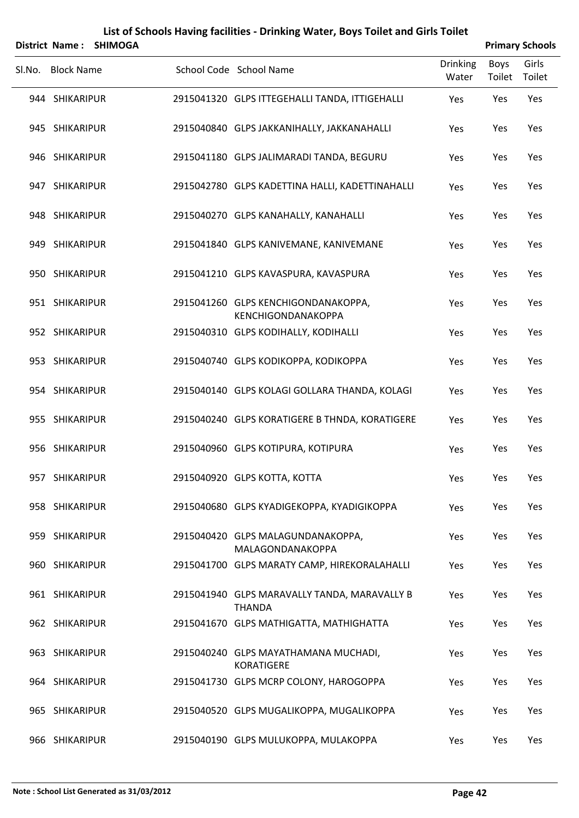|        | <b>District Name:</b> | <b>SHIMOGA</b> | List of Schools Having facilities - Drinking Water, Boys Toilet and Girls Toilet |                          |                | <b>Primary Schools</b> |
|--------|-----------------------|----------------|----------------------------------------------------------------------------------|--------------------------|----------------|------------------------|
| SI.No. | <b>Block Name</b>     |                | School Code School Name                                                          | <b>Drinking</b><br>Water | Boys<br>Toilet | Girls<br>Toilet        |
|        | 944 SHIKARIPUR        |                | 2915041320 GLPS ITTEGEHALLI TANDA, ITTIGEHALLI                                   | Yes                      | Yes            | Yes                    |
|        | 945 SHIKARIPUR        |                | 2915040840 GLPS JAKKANIHALLY, JAKKANAHALLI                                       | Yes                      | Yes            | Yes                    |
|        | 946 SHIKARIPUR        |                | 2915041180 GLPS JALIMARADI TANDA, BEGURU                                         | Yes                      | Yes            | Yes                    |
|        | 947 SHIKARIPUR        |                | 2915042780 GLPS KADETTINA HALLI, KADETTINAHALLI                                  | Yes                      | Yes            | Yes                    |
|        | 948 SHIKARIPUR        |                | 2915040270 GLPS KANAHALLY, KANAHALLI                                             | Yes                      | Yes            | Yes                    |
|        | 949 SHIKARIPUR        |                | 2915041840 GLPS KANIVEMANE, KANIVEMANE                                           | Yes                      | Yes            | Yes                    |
|        | 950 SHIKARIPUR        |                | 2915041210 GLPS KAVASPURA, KAVASPURA                                             | Yes                      | Yes            | Yes                    |
|        | 951 SHIKARIPUR        |                | 2915041260 GLPS KENCHIGONDANAKOPPA,<br>KENCHIGONDANAKOPPA                        | Yes                      | Yes            | Yes                    |
|        | 952 SHIKARIPUR        |                | 2915040310 GLPS KODIHALLY, KODIHALLI                                             | Yes                      | Yes            | Yes                    |
|        | 953 SHIKARIPUR        |                | 2915040740 GLPS KODIKOPPA, KODIKOPPA                                             | Yes                      | Yes            | Yes                    |
|        | 954 SHIKARIPUR        |                | 2915040140 GLPS KOLAGI GOLLARA THANDA, KOLAGI                                    | Yes                      | Yes            | Yes                    |
|        | 955 SHIKARIPUR        |                | 2915040240 GLPS KORATIGERE B THNDA, KORATIGERE                                   | Yes                      | Yes            | Yes                    |
|        | 956 SHIKARIPUR        |                | 2915040960 GLPS KOTIPURA, KOTIPURA                                               | Yes                      | Yes            | Yes                    |
|        | 957 SHIKARIPUR        |                | 2915040920 GLPS KOTTA, KOTTA                                                     | Yes                      | Yes            | Yes                    |
|        | 958 SHIKARIPUR        |                | 2915040680 GLPS KYADIGEKOPPA, KYADIGIKOPPA                                       | <b>Yes</b>               | Yes            | Yes                    |
|        | 959 SHIKARIPUR        |                | 2915040420 GLPS MALAGUNDANAKOPPA,<br>MALAGONDANAKOPPA                            | Yes                      | Yes            | Yes                    |
|        | 960 SHIKARIPUR        |                | 2915041700 GLPS MARATY CAMP, HIREKORALAHALLI                                     | Yes                      | Yes            | Yes                    |
|        | 961 SHIKARIPUR        |                | 2915041940 GLPS MARAVALLY TANDA, MARAVALLY B<br><b>THANDA</b>                    | Yes                      | Yes            | Yes                    |
|        | 962 SHIKARIPUR        |                | 2915041670 GLPS MATHIGATTA, MATHIGHATTA                                          | Yes                      | Yes            | Yes                    |
|        | 963 SHIKARIPUR        |                | 2915040240 GLPS MAYATHAMANA MUCHADI,<br><b>KORATIGERE</b>                        | Yes                      | Yes            | Yes                    |
|        | 964 SHIKARIPUR        |                | 2915041730 GLPS MCRP COLONY, HAROGOPPA                                           | Yes                      | Yes            | Yes                    |
|        | 965 SHIKARIPUR        |                | 2915040520 GLPS MUGALIKOPPA, MUGALIKOPPA                                         | Yes                      | Yes            | Yes                    |
|        | 966 SHIKARIPUR        |                | 2915040190 GLPS MULUKOPPA, MULAKOPPA                                             | Yes                      | Yes            | Yes                    |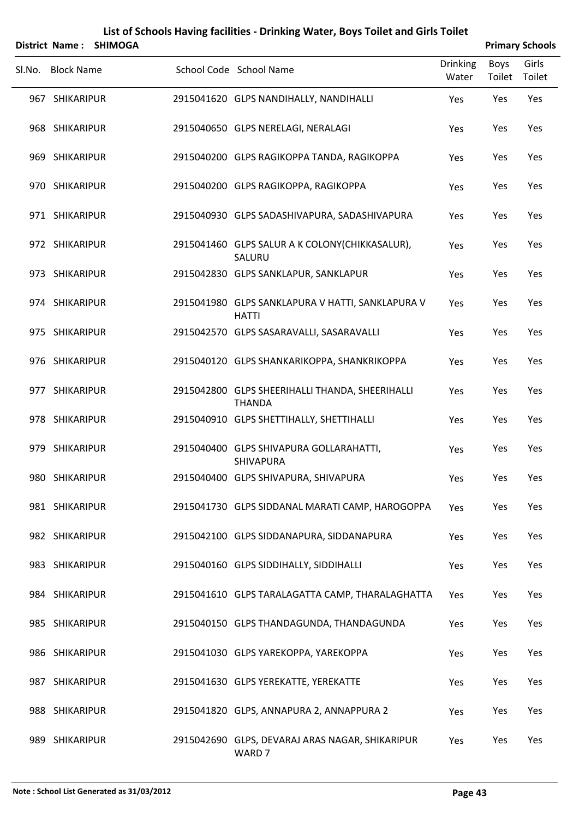|        |                   | District Name: SHIMOGA |                                                                  |                          |                | <b>Primary Schools</b> |
|--------|-------------------|------------------------|------------------------------------------------------------------|--------------------------|----------------|------------------------|
| Sl.No. | <b>Block Name</b> |                        | School Code School Name                                          | <b>Drinking</b><br>Water | Boys<br>Toilet | Girls<br>Toilet        |
|        | 967 SHIKARIPUR    |                        | 2915041620 GLPS NANDIHALLY, NANDIHALLI                           | Yes                      | Yes            | Yes                    |
|        | 968 SHIKARIPUR    |                        | 2915040650 GLPS NERELAGI, NERALAGI                               | Yes                      | Yes            | Yes                    |
|        | 969 SHIKARIPUR    |                        | 2915040200 GLPS RAGIKOPPA TANDA, RAGIKOPPA                       | Yes                      | Yes            | Yes                    |
|        | 970 SHIKARIPUR    |                        | 2915040200 GLPS RAGIKOPPA, RAGIKOPPA                             | Yes                      | Yes            | Yes                    |
|        | 971 SHIKARIPUR    |                        | 2915040930 GLPS SADASHIVAPURA, SADASHIVAPURA                     | Yes                      | Yes            | Yes                    |
|        | 972 SHIKARIPUR    |                        | 2915041460 GLPS SALUR A K COLONY (CHIKKASALUR),<br>SALURU        | Yes                      | Yes            | Yes                    |
|        | 973 SHIKARIPUR    |                        | 2915042830 GLPS SANKLAPUR, SANKLAPUR                             | Yes                      | Yes            | Yes                    |
|        | 974 SHIKARIPUR    |                        | 2915041980 GLPS SANKLAPURA V HATTI, SANKLAPURA V<br><b>HATTI</b> | Yes                      | Yes            | Yes                    |
|        | 975 SHIKARIPUR    |                        | 2915042570 GLPS SASARAVALLI, SASARAVALLI                         | Yes                      | Yes            | Yes                    |
|        | 976 SHIKARIPUR    |                        | 2915040120 GLPS SHANKARIKOPPA, SHANKRIKOPPA                      | Yes                      | Yes            | Yes                    |
|        | 977 SHIKARIPUR    |                        | 2915042800 GLPS SHEERIHALLI THANDA, SHEERIHALLI<br><b>THANDA</b> | Yes                      | Yes            | Yes                    |
|        | 978 SHIKARIPUR    |                        | 2915040910 GLPS SHETTIHALLY, SHETTIHALLI                         | Yes                      | Yes            | Yes                    |
|        | 979 SHIKARIPUR    |                        | 2915040400 GLPS SHIVAPURA GOLLARAHATTI,<br>SHIVAPURA             | Yes                      | Yes            | Yes                    |
|        | 980 SHIKARIPUR    |                        | 2915040400 GLPS SHIVAPURA, SHIVAPURA                             | Yes                      | Yes            | Yes                    |
|        | 981 SHIKARIPUR    |                        | 2915041730 GLPS SIDDANAL MARATI CAMP, HAROGOPPA                  | Yes                      | Yes            | Yes                    |
|        | 982 SHIKARIPUR    |                        | 2915042100 GLPS SIDDANAPURA, SIDDANAPURA                         | Yes                      | Yes            | Yes                    |
|        | 983 SHIKARIPUR    |                        | 2915040160 GLPS SIDDIHALLY, SIDDIHALLI                           | Yes                      | Yes            | Yes                    |
|        | 984 SHIKARIPUR    |                        | 2915041610 GLPS TARALAGATTA CAMP, THARALAGHATTA                  | Yes                      | Yes            | Yes                    |
|        | 985 SHIKARIPUR    |                        | 2915040150 GLPS THANDAGUNDA, THANDAGUNDA                         | Yes                      | Yes            | Yes                    |
|        | 986 SHIKARIPUR    |                        | 2915041030 GLPS YAREKOPPA, YAREKOPPA                             | Yes                      | Yes            | Yes                    |
|        | 987 SHIKARIPUR    |                        | 2915041630 GLPS YEREKATTE, YEREKATTE                             | Yes                      | Yes            | Yes                    |
|        | 988 SHIKARIPUR    |                        | 2915041820 GLPS, ANNAPURA 2, ANNAPPURA 2                         | Yes                      | Yes            | Yes                    |
|        | 989 SHIKARIPUR    |                        | 2915042690 GLPS, DEVARAJ ARAS NAGAR, SHIKARIPUR                  | Yes                      | Yes            | Yes                    |

WARD 7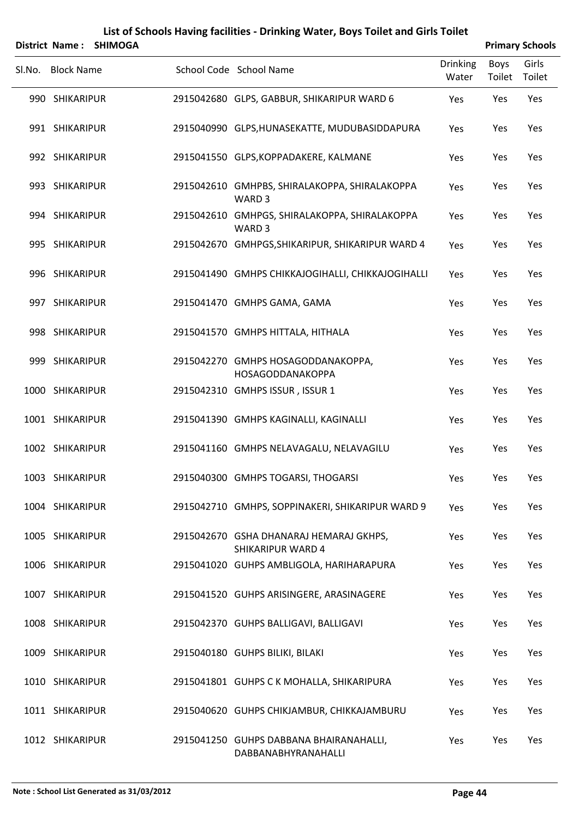|        | <b>District Name:</b> | List of Schools Having facilities - Drinking Water, Boys Toilet and Girls Toilet<br><b>SHIMOGA</b> | <b>Primary Schools</b>                                              |                          |                |                 |
|--------|-----------------------|----------------------------------------------------------------------------------------------------|---------------------------------------------------------------------|--------------------------|----------------|-----------------|
| SI.No. | <b>Block Name</b>     |                                                                                                    | School Code School Name                                             | <b>Drinking</b><br>Water | Boys<br>Toilet | Girls<br>Toilet |
|        | 990 SHIKARIPUR        |                                                                                                    | 2915042680 GLPS, GABBUR, SHIKARIPUR WARD 6                          | Yes                      | Yes            | Yes             |
|        | 991 SHIKARIPUR        |                                                                                                    | 2915040990 GLPS, HUNASEKATTE, MUDUBASIDDAPURA                       | Yes                      | Yes            | Yes             |
|        | 992 SHIKARIPUR        |                                                                                                    | 2915041550 GLPS, KOPPADAKERE, KALMANE                               | Yes                      | Yes            | Yes             |
|        | 993 SHIKARIPUR        |                                                                                                    | 2915042610 GMHPBS, SHIRALAKOPPA, SHIRALAKOPPA                       | Yes                      | Yes            | Yes             |
|        |                       |                                                                                                    | WARD 3                                                              |                          |                |                 |
|        | 994 SHIKARIPUR        |                                                                                                    | 2915042610 GMHPGS, SHIRALAKOPPA, SHIRALAKOPPA<br>WARD <sub>3</sub>  | Yes                      | Yes            | Yes             |
|        | 995 SHIKARIPUR        |                                                                                                    | 2915042670 GMHPGS, SHIKARIPUR, SHIKARIPUR WARD 4                    | Yes                      | Yes            | Yes             |
|        | 996 SHIKARIPUR        |                                                                                                    | 2915041490 GMHPS CHIKKAJOGIHALLI, CHIKKAJOGIHALLI                   | Yes                      | Yes            | Yes             |
|        | 997 SHIKARIPUR        |                                                                                                    | 2915041470 GMHPS GAMA, GAMA                                         | Yes                      | Yes            | Yes             |
|        | 998 SHIKARIPUR        |                                                                                                    | 2915041570 GMHPS HITTALA, HITHALA                                   | Yes                      | Yes            | Yes             |
|        | 999 SHIKARIPUR        |                                                                                                    | 2915042270 GMHPS HOSAGODDANAKOPPA,<br>HOSAGODDANAKOPPA              | Yes                      | Yes            | Yes             |
|        | 1000 SHIKARIPUR       |                                                                                                    | 2915042310 GMHPS ISSUR, ISSUR 1                                     | Yes                      | Yes            | Yes             |
|        | 1001 SHIKARIPUR       |                                                                                                    | 2915041390 GMHPS KAGINALLI, KAGINALLI                               | Yes                      | Yes            | Yes             |
|        | 1002 SHIKARIPUR       |                                                                                                    | 2915041160 GMHPS NELAVAGALU, NELAVAGILU                             | Yes                      | Yes            | Yes             |
|        | 1003 SHIKARIPUR       |                                                                                                    | 2915040300 GMHPS TOGARSI, THOGARSI                                  | Yes                      | Yes            | Yes             |
|        | 1004 SHIKARIPUR       |                                                                                                    | 2915042710 GMHPS, SOPPINAKERI, SHIKARIPUR WARD 9                    | Yes                      | Yes            | Yes             |
|        | 1005 SHIKARIPUR       |                                                                                                    | 2915042670 GSHA DHANARAJ HEMARAJ GKHPS,<br><b>SHIKARIPUR WARD 4</b> | Yes                      | Yes            | Yes             |
|        | 1006 SHIKARIPUR       |                                                                                                    | 2915041020 GUHPS AMBLIGOLA, HARIHARAPURA                            | Yes                      | Yes            | Yes             |
|        | 1007 SHIKARIPUR       |                                                                                                    | 2915041520 GUHPS ARISINGERE, ARASINAGERE                            | Yes                      | Yes            | Yes             |
|        | 1008 SHIKARIPUR       |                                                                                                    | 2915042370 GUHPS BALLIGAVI, BALLIGAVI                               | Yes                      | Yes            | Yes             |
|        | 1009 SHIKARIPUR       |                                                                                                    | 2915040180 GUHPS BILIKI, BILAKI                                     | Yes                      | Yes            | Yes             |
|        | 1010 SHIKARIPUR       |                                                                                                    | 2915041801 GUHPS CK MOHALLA, SHIKARIPURA                            | Yes                      | Yes            | Yes             |
|        | 1011 SHIKARIPUR       |                                                                                                    | 2915040620 GUHPS CHIKJAMBUR, CHIKKAJAMBURU                          | Yes                      | Yes            | Yes             |
|        | 1012 SHIKARIPUR       |                                                                                                    | 2915041250 GUHPS DABBANA BHAIRANAHALLI,                             | Yes                      | Yes            | Yes             |

DABBANABHYRANAHALLI

#### **Note : School List Generated as 31/03/2012 Page 44**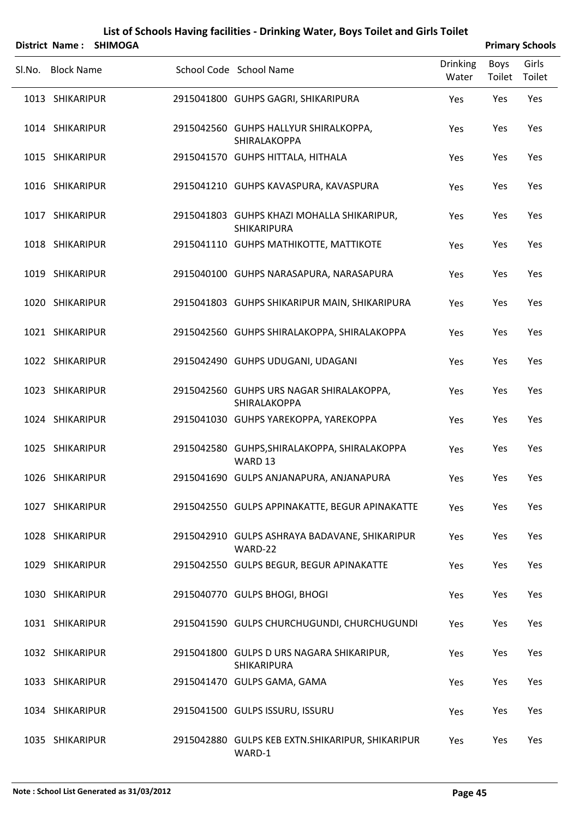|        | <b>District Name:</b> | <b>SHIMOGA</b> | List of Schools Having facilities - Drinking Water, Boys Toilet and Girls Toilet |                 |        | <b>Primary Schools</b> |
|--------|-----------------------|----------------|----------------------------------------------------------------------------------|-----------------|--------|------------------------|
|        |                       |                |                                                                                  | <b>Drinking</b> | Boys   | Girls                  |
| Sl.No. | <b>Block Name</b>     |                | School Code School Name                                                          | Water           | Toilet | Toilet                 |
|        | 1013 SHIKARIPUR       |                | 2915041800 GUHPS GAGRI, SHIKARIPURA                                              | Yes             | Yes    | Yes                    |
|        | 1014 SHIKARIPUR       |                | 2915042560 GUHPS HALLYUR SHIRALKOPPA,<br>SHIRALAKOPPA                            | Yes             | Yes    | Yes                    |
|        | 1015 SHIKARIPUR       |                | 2915041570 GUHPS HITTALA, HITHALA                                                | Yes             | Yes    | Yes                    |
|        | 1016 SHIKARIPUR       |                | 2915041210 GUHPS KAVASPURA, KAVASPURA                                            | Yes             | Yes    | Yes                    |
|        | 1017 SHIKARIPUR       |                | 2915041803 GUHPS KHAZI MOHALLA SHIKARIPUR,<br>SHIKARIPURA                        | Yes             | Yes    | Yes                    |
|        | 1018 SHIKARIPUR       |                | 2915041110 GUHPS MATHIKOTTE, MATTIKOTE                                           | Yes             | Yes    | Yes                    |
|        | 1019 SHIKARIPUR       |                | 2915040100 GUHPS NARASAPURA, NARASAPURA                                          | Yes             | Yes    | Yes                    |
|        | 1020 SHIKARIPUR       |                | 2915041803 GUHPS SHIKARIPUR MAIN, SHIKARIPURA                                    | Yes             | Yes    | Yes                    |
|        | 1021 SHIKARIPUR       |                | 2915042560 GUHPS SHIRALAKOPPA, SHIRALAKOPPA                                      | Yes             | Yes    | Yes                    |
|        | 1022 SHIKARIPUR       |                | 2915042490 GUHPS UDUGANI, UDAGANI                                                | Yes             | Yes    | Yes                    |
|        | 1023 SHIKARIPUR       |                | 2915042560 GUHPS URS NAGAR SHIRALAKOPPA,<br>SHIRALAKOPPA                         | Yes             | Yes    | Yes                    |
|        | 1024 SHIKARIPUR       |                | 2915041030 GUHPS YAREKOPPA, YAREKOPPA                                            | Yes             | Yes    | Yes                    |
|        | 1025 SHIKARIPUR       |                | 2915042580 GUHPS, SHIRALAKOPPA, SHIRALAKOPPA<br>WARD 13                          | Yes             | Yes    | Yes                    |
|        | 1026 SHIKARIPUR       |                | 2915041690 GULPS ANJANAPURA, ANJANAPURA                                          | Yes             | Yes    | Yes                    |
|        | 1027 SHIKARIPUR       |                | 2915042550 GULPS APPINAKATTE, BEGUR APINAKATTE                                   | Yes             | Yes    | Yes                    |
|        | 1028 SHIKARIPUR       |                | 2915042910 GULPS ASHRAYA BADAVANE, SHIKARIPUR<br>WARD-22                         | Yes             | Yes    | Yes                    |
|        | 1029 SHIKARIPUR       |                | 2915042550 GULPS BEGUR, BEGUR APINAKATTE                                         | Yes             | Yes    | Yes                    |
|        | 1030 SHIKARIPUR       |                | 2915040770 GULPS BHOGI, BHOGI                                                    | Yes             | Yes    | Yes                    |
|        | 1031 SHIKARIPUR       |                | 2915041590 GULPS CHURCHUGUNDI, CHURCHUGUNDI                                      | Yes             | Yes    | Yes                    |
|        | 1032 SHIKARIPUR       |                | 2915041800 GULPS D URS NAGARA SHIKARIPUR,<br>SHIKARIPURA                         | Yes             | Yes    | Yes                    |
|        | 1033 SHIKARIPUR       |                | 2915041470 GULPS GAMA, GAMA                                                      | Yes             | Yes    | Yes                    |
|        | 1034 SHIKARIPUR       |                | 2915041500 GULPS ISSURU, ISSURU                                                  | Yes             | Yes    | Yes                    |
|        | 1035 SHIKARIPUR       |                | 2915042880 GULPS KEB EXTN.SHIKARIPUR, SHIKARIPUR                                 | Yes             | Yes    | Yes                    |

WARD‐1

#### **Note : School List Generated as 31/03/2012 Page 45**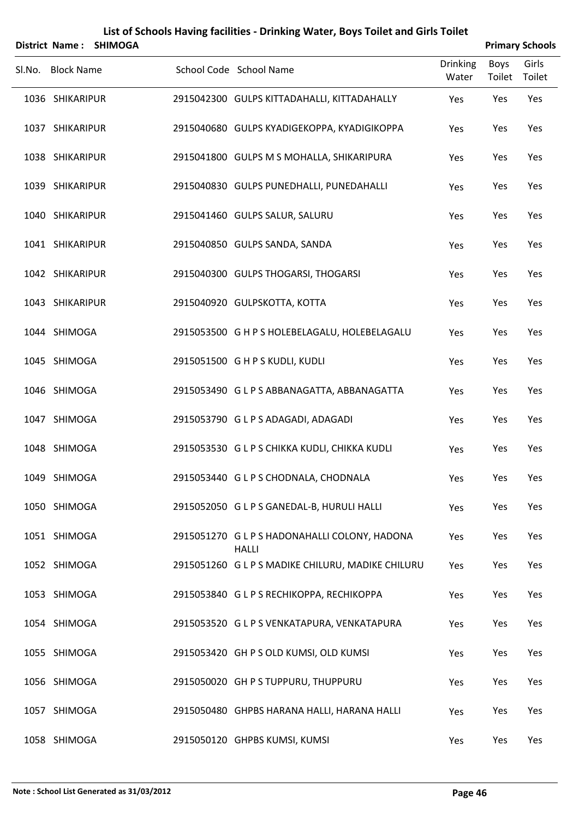| List of Schools Having facilities - Drinking Water, Boys Toilet and Girls Toilet<br><b>Primary Schools</b><br>District Name:<br><b>SHIMOGA</b> |                   |  |  |                                                               |                          |                |                 |  |
|------------------------------------------------------------------------------------------------------------------------------------------------|-------------------|--|--|---------------------------------------------------------------|--------------------------|----------------|-----------------|--|
|                                                                                                                                                | Sl.No. Block Name |  |  | School Code School Name                                       | <b>Drinking</b><br>Water | Boys<br>Toilet | Girls<br>Toilet |  |
|                                                                                                                                                | 1036 SHIKARIPUR   |  |  | 2915042300 GULPS KITTADAHALLI, KITTADAHALLY                   | Yes                      | Yes            | Yes             |  |
|                                                                                                                                                | 1037 SHIKARIPUR   |  |  | 2915040680 GULPS KYADIGEKOPPA, KYADIGIKOPPA                   | Yes                      | Yes            | Yes             |  |
|                                                                                                                                                | 1038 SHIKARIPUR   |  |  | 2915041800 GULPS M S MOHALLA, SHIKARIPURA                     | Yes                      | Yes            | Yes             |  |
|                                                                                                                                                | 1039 SHIKARIPUR   |  |  | 2915040830 GULPS PUNEDHALLI, PUNEDAHALLI                      | Yes                      | Yes            | Yes             |  |
|                                                                                                                                                | 1040 SHIKARIPUR   |  |  | 2915041460 GULPS SALUR, SALURU                                | Yes                      | Yes            | Yes             |  |
|                                                                                                                                                | 1041 SHIKARIPUR   |  |  | 2915040850 GULPS SANDA, SANDA                                 | Yes                      | Yes            | Yes             |  |
|                                                                                                                                                | 1042 SHIKARIPUR   |  |  | 2915040300 GULPS THOGARSI, THOGARSI                           | Yes                      | Yes            | Yes             |  |
|                                                                                                                                                | 1043 SHIKARIPUR   |  |  | 2915040920 GULPSKOTTA, KOTTA                                  | Yes                      | Yes            | Yes             |  |
|                                                                                                                                                | 1044 SHIMOGA      |  |  | 2915053500 G H P S HOLEBELAGALU, HOLEBELAGALU                 | Yes                      | Yes            | Yes             |  |
|                                                                                                                                                | 1045 SHIMOGA      |  |  | 2915051500 G H P S KUDLI, KUDLI                               | Yes                      | Yes            | Yes             |  |
|                                                                                                                                                | 1046 SHIMOGA      |  |  | 2915053490 GLPS ABBANAGATTA, ABBANAGATTA                      | Yes                      | Yes            | Yes             |  |
|                                                                                                                                                | 1047 SHIMOGA      |  |  | 2915053790 GLPS ADAGADI, ADAGADI                              | Yes                      | Yes            | Yes             |  |
|                                                                                                                                                | 1048 SHIMOGA      |  |  | 2915053530 GLPS CHIKKA KUDLI, CHIKKA KUDLI                    | Yes                      | Yes            | Yes             |  |
|                                                                                                                                                | 1049 SHIMOGA      |  |  | 2915053440 G L P S CHODNALA, CHODNALA                         | Yes                      | Yes            | Yes             |  |
|                                                                                                                                                | 1050 SHIMOGA      |  |  | 2915052050 GLPS GANEDAL-B, HURULI HALLI                       | Yes                      | Yes            | Yes             |  |
|                                                                                                                                                | 1051 SHIMOGA      |  |  | 2915051270 G L P S HADONAHALLI COLONY, HADONA<br><b>HALLI</b> | Yes                      | Yes            | Yes             |  |
|                                                                                                                                                | 1052 SHIMOGA      |  |  | 2915051260 G L P S MADIKE CHILURU, MADIKE CHILURU             | Yes                      | Yes            | Yes             |  |
|                                                                                                                                                | 1053 SHIMOGA      |  |  | 2915053840 GLPS RECHIKOPPA, RECHIKOPPA                        | Yes                      | Yes            | Yes             |  |
|                                                                                                                                                | 1054 SHIMOGA      |  |  | 2915053520 GLPS VENKATAPURA, VENKATAPURA                      | Yes                      | Yes            | Yes             |  |
|                                                                                                                                                | 1055 SHIMOGA      |  |  | 2915053420 GH P S OLD KUMSI, OLD KUMSI                        | Yes                      | Yes            | Yes             |  |
|                                                                                                                                                | 1056 SHIMOGA      |  |  | 2915050020 GH P S TUPPURU, THUPPURU                           | Yes                      | Yes            | Yes             |  |
|                                                                                                                                                | 1057 SHIMOGA      |  |  | 2915050480 GHPBS HARANA HALLI, HARANA HALLI                   | Yes                      | Yes            | Yes             |  |
|                                                                                                                                                | 1058 SHIMOGA      |  |  | 2915050120 GHPBS KUMSI, KUMSI                                 | Yes                      | Yes            | Yes             |  |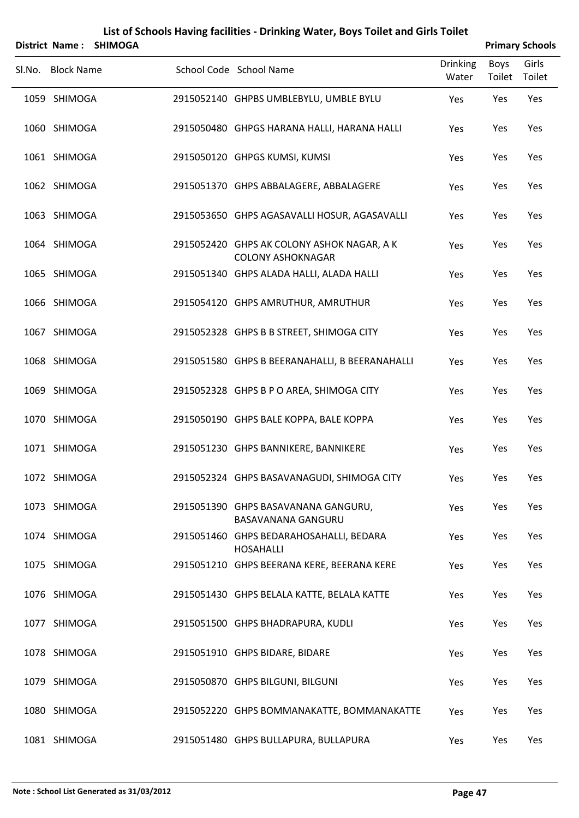| District Name:    | <b>SHIMOGA</b> | List of Schools Having facilities - Drinking Water, Boys Toilet and Girls Toilet |                          |                       | <b>Primary Schools</b> |
|-------------------|----------------|----------------------------------------------------------------------------------|--------------------------|-----------------------|------------------------|
| Sl.No. Block Name |                | School Code School Name                                                          | <b>Drinking</b><br>Water | <b>Boys</b><br>Toilet | Girls<br>Toilet        |
| 1059 SHIMOGA      |                | 2915052140 GHPBS UMBLEBYLU, UMBLE BYLU                                           | Yes                      | Yes                   | Yes                    |
| 1060 SHIMOGA      |                | 2915050480 GHPGS HARANA HALLI, HARANA HALLI                                      | Yes                      | Yes                   | Yes                    |
| 1061 SHIMOGA      |                | 2915050120 GHPGS KUMSI, KUMSI                                                    | Yes                      | Yes                   | Yes                    |
| 1062 SHIMOGA      |                | 2915051370 GHPS ABBALAGERE, ABBALAGERE                                           | Yes                      | Yes                   | Yes                    |
| 1063 SHIMOGA      |                | 2915053650 GHPS AGASAVALLI HOSUR, AGASAVALLI                                     | Yes                      | Yes                   | Yes                    |
| 1064 SHIMOGA      |                | 2915052420 GHPS AK COLONY ASHOK NAGAR, A K<br><b>COLONY ASHOKNAGAR</b>           | Yes                      | Yes                   | Yes                    |
| 1065 SHIMOGA      |                | 2915051340 GHPS ALADA HALLI, ALADA HALLI                                         | Yes                      | Yes                   | Yes                    |
| 1066 SHIMOGA      |                | 2915054120 GHPS AMRUTHUR, AMRUTHUR                                               | Yes                      | Yes                   | Yes                    |
| 1067 SHIMOGA      |                | 2915052328 GHPS B B STREET, SHIMOGA CITY                                         | Yes                      | Yes                   | Yes                    |
| 1068 SHIMOGA      |                | 2915051580 GHPS B BEERANAHALLI, B BEERANAHALLI                                   | Yes                      | Yes                   | Yes                    |
| 1069 SHIMOGA      |                | 2915052328 GHPS B P O AREA, SHIMOGA CITY                                         | Yes                      | Yes                   | Yes                    |
| 1070 SHIMOGA      |                | 2915050190 GHPS BALE KOPPA, BALE KOPPA                                           | Yes                      | Yes                   | Yes                    |
| 1071 SHIMOGA      |                | 2915051230 GHPS BANNIKERE, BANNIKERE                                             | Yes                      | Yes                   | Yes                    |
| 1072 SHIMOGA      |                | 2915052324 GHPS BASAVANAGUDI, SHIMOGA CITY                                       | Yes                      | Yes                   | Yes                    |
| 1073 SHIMOGA      |                | 2915051390 GHPS BASAVANANA GANGURU,<br><b>BASAVANANA GANGURU</b>                 | Yes                      | Yes                   | Yes                    |
| 1074 SHIMOGA      |                | 2915051460 GHPS BEDARAHOSAHALLI, BEDARA<br><b>HOSAHALLI</b>                      | Yes                      | Yes                   | Yes                    |
| 1075 SHIMOGA      |                | 2915051210 GHPS BEERANA KERE, BEERANA KERE                                       | Yes                      | Yes                   | Yes                    |
| 1076 SHIMOGA      |                | 2915051430 GHPS BELALA KATTE, BELALA KATTE                                       | Yes                      | Yes                   | Yes                    |
| 1077 SHIMOGA      |                | 2915051500 GHPS BHADRAPURA, KUDLI                                                | Yes                      | Yes                   | Yes                    |
| 1078 SHIMOGA      |                | 2915051910 GHPS BIDARE, BIDARE                                                   | Yes                      | Yes                   | Yes                    |
| 1079 SHIMOGA      |                | 2915050870 GHPS BILGUNI, BILGUNI                                                 | Yes                      | Yes                   | Yes                    |
| 1080 SHIMOGA      |                | 2915052220 GHPS BOMMANAKATTE, BOMMANAKATTE                                       | Yes                      | Yes                   | Yes                    |
| 1081 SHIMOGA      |                | 2915051480 GHPS BULLAPURA, BULLAPURA                                             | Yes                      | Yes                   | Yes                    |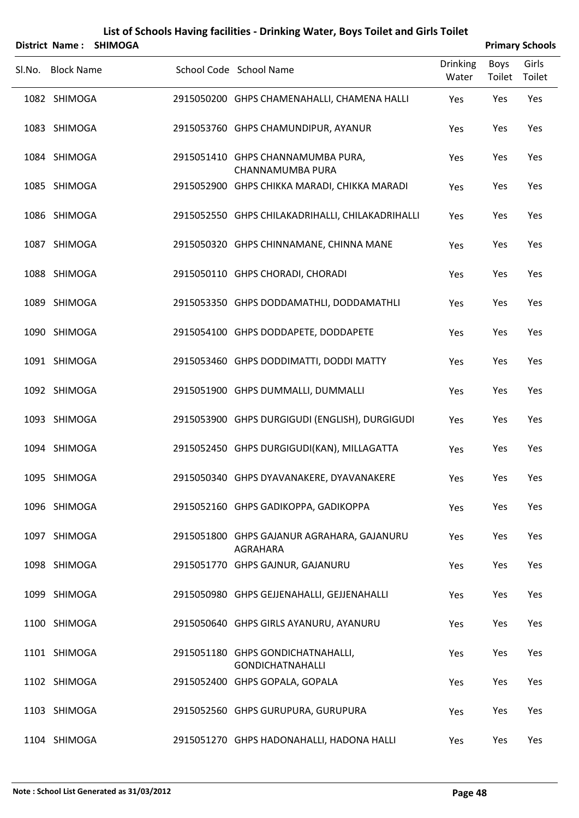|                   | District Name: SHIMOGA |                                                              |                          |                | <b>Primary Schools</b> |
|-------------------|------------------------|--------------------------------------------------------------|--------------------------|----------------|------------------------|
| Sl.No. Block Name |                        | School Code School Name                                      | <b>Drinking</b><br>Water | Boys<br>Toilet | Girls<br>Toilet        |
| 1082 SHIMOGA      |                        | 2915050200 GHPS CHAMENAHALLI, CHAMENA HALLI                  | Yes                      | Yes            | Yes                    |
| 1083 SHIMOGA      |                        | 2915053760 GHPS CHAMUNDIPUR, AYANUR                          | Yes                      | Yes            | Yes                    |
| 1084 SHIMOGA      |                        | 2915051410 GHPS CHANNAMUMBA PURA,<br>CHANNAMUMBA PURA        | Yes                      | Yes            | Yes                    |
| 1085 SHIMOGA      |                        | 2915052900 GHPS CHIKKA MARADI, CHIKKA MARADI                 | Yes                      | Yes            | Yes                    |
| 1086 SHIMOGA      |                        | 2915052550 GHPS CHILAKADRIHALLI, CHILAKADRIHALLI             | Yes                      | Yes            | Yes                    |
| 1087 SHIMOGA      |                        | 2915050320 GHPS CHINNAMANE, CHINNA MANE                      | Yes                      | Yes            | Yes                    |
| 1088 SHIMOGA      |                        | 2915050110 GHPS CHORADI, CHORADI                             | Yes                      | Yes            | Yes                    |
| 1089 SHIMOGA      |                        | 2915053350 GHPS DODDAMATHLI, DODDAMATHLI                     | Yes                      | Yes            | Yes                    |
| 1090 SHIMOGA      |                        | 2915054100 GHPS DODDAPETE, DODDAPETE                         | Yes                      | Yes            | Yes                    |
| 1091 SHIMOGA      |                        | 2915053460 GHPS DODDIMATTI, DODDI MATTY                      | Yes                      | Yes            | Yes                    |
| 1092 SHIMOGA      |                        | 2915051900 GHPS DUMMALLI, DUMMALLI                           | Yes                      | Yes            | Yes                    |
| 1093 SHIMOGA      |                        | 2915053900 GHPS DURGIGUDI (ENGLISH), DURGIGUDI               | Yes                      | Yes            | Yes                    |
| 1094 SHIMOGA      |                        | 2915052450 GHPS DURGIGUDI(KAN), MILLAGATTA                   | Yes                      | Yes            | Yes                    |
| 1095 SHIMOGA      |                        | 2915050340 GHPS DYAVANAKERE, DYAVANAKERE                     | Yes                      | Yes            | Yes                    |
| 1096 SHIMOGA      |                        | 2915052160 GHPS GADIKOPPA, GADIKOPPA                         | Yes                      | Yes            | Yes                    |
| 1097 SHIMOGA      |                        | 2915051800 GHPS GAJANUR AGRAHARA, GAJANURU<br>AGRAHARA       | Yes                      | Yes            | Yes                    |
| 1098 SHIMOGA      |                        | 2915051770 GHPS GAJNUR, GAJANURU                             | Yes                      | Yes            | Yes                    |
| 1099 SHIMOGA      |                        | 2915050980 GHPS GEJJENAHALLI, GEJJENAHALLI                   | Yes                      | Yes            | Yes                    |
| 1100 SHIMOGA      |                        | 2915050640 GHPS GIRLS AYANURU, AYANURU                       | Yes                      | Yes            | Yes                    |
| 1101 SHIMOGA      |                        | 2915051180 GHPS GONDICHATNAHALLI,<br><b>GONDICHATNAHALLI</b> | Yes                      | Yes            | Yes                    |
| 1102 SHIMOGA      |                        | 2915052400 GHPS GOPALA, GOPALA                               | Yes                      | Yes            | Yes                    |
| 1103 SHIMOGA      |                        | 2915052560 GHPS GURUPURA, GURUPURA                           | Yes                      | Yes            | Yes                    |
| 1104 SHIMOGA      |                        | 2915051270 GHPS HADONAHALLI, HADONA HALLI                    | Yes                      | Yes            | Yes                    |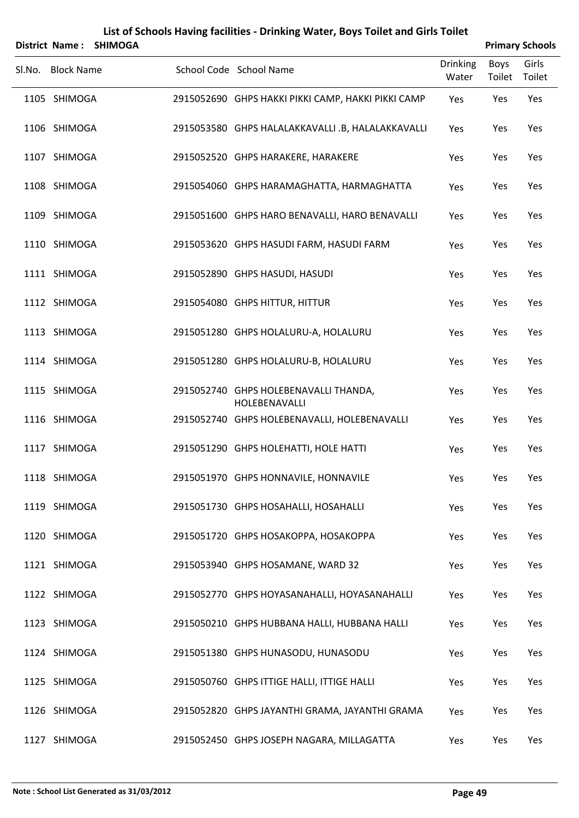| <b>District Name:</b> | <b>SHIMOGA</b> | List of Schools Having facilities - Drinking Water, Boys Toilet and Girls Toilet |                          |                | <b>Primary Schools</b> |
|-----------------------|----------------|----------------------------------------------------------------------------------|--------------------------|----------------|------------------------|
| Sl.No. Block Name     |                | School Code School Name                                                          | <b>Drinking</b><br>Water | Boys<br>Toilet | Girls<br>Toilet        |
| 1105 SHIMOGA          |                | 2915052690 GHPS HAKKI PIKKI CAMP, HAKKI PIKKI CAMP                               | Yes                      | Yes            | Yes                    |
| 1106 SHIMOGA          |                | 2915053580 GHPS HALALAKKAVALLI .B, HALALAKKAVALLI                                | Yes                      | Yes            | Yes                    |
| 1107 SHIMOGA          |                | 2915052520 GHPS HARAKERE, HARAKERE                                               | Yes                      | Yes            | Yes                    |
| 1108 SHIMOGA          |                | 2915054060 GHPS HARAMAGHATTA, HARMAGHATTA                                        | Yes                      | Yes            | Yes                    |
| 1109 SHIMOGA          |                | 2915051600 GHPS HARO BENAVALLI, HARO BENAVALLI                                   | Yes                      | Yes            | Yes                    |
| 1110 SHIMOGA          |                | 2915053620 GHPS HASUDI FARM, HASUDI FARM                                         | Yes                      | Yes            | Yes                    |
| 1111 SHIMOGA          |                | 2915052890 GHPS HASUDI, HASUDI                                                   | Yes                      | Yes            | Yes                    |
| 1112 SHIMOGA          |                | 2915054080 GHPS HITTUR, HITTUR                                                   | Yes                      | Yes            | Yes                    |
| 1113 SHIMOGA          |                | 2915051280 GHPS HOLALURU-A, HOLALURU                                             | Yes                      | Yes            | Yes                    |
| 1114 SHIMOGA          |                | 2915051280 GHPS HOLALURU-B, HOLALURU                                             | Yes                      | Yes            | Yes                    |
| 1115 SHIMOGA          |                | 2915052740 GHPS HOLEBENAVALLI THANDA,<br>HOLEBENAVALLI                           | Yes                      | Yes            | Yes                    |
| 1116 SHIMOGA          |                | 2915052740 GHPS HOLEBENAVALLI, HOLEBENAVALLI                                     | Yes                      | Yes            | Yes                    |
| 1117 SHIMOGA          |                | 2915051290 GHPS HOLEHATTI, HOLE HATTI                                            | Yes                      | Yes            | Yes                    |
| 1118 SHIMOGA          |                | 2915051970 GHPS HONNAVILE, HONNAVILE                                             | Yes                      | Yes            | Yes                    |
| 1119 SHIMOGA          |                | 2915051730 GHPS HOSAHALLI, HOSAHALLI                                             | Yes                      | Yes            | Yes                    |
| 1120 SHIMOGA          |                | 2915051720 GHPS HOSAKOPPA, HOSAKOPPA                                             | Yes                      | Yes            | Yes                    |
| 1121 SHIMOGA          |                | 2915053940 GHPS HOSAMANE, WARD 32                                                | Yes                      | Yes            | Yes                    |
| 1122 SHIMOGA          |                | 2915052770 GHPS HOYASANAHALLI, HOYASANAHALLI                                     | Yes                      | Yes            | Yes                    |
| 1123 SHIMOGA          |                | 2915050210 GHPS HUBBANA HALLI, HUBBANA HALLI                                     | Yes                      | Yes            | Yes                    |
| 1124 SHIMOGA          |                | 2915051380 GHPS HUNASODU, HUNASODU                                               | Yes                      | Yes            | Yes                    |
| 1125 SHIMOGA          |                | 2915050760 GHPS ITTIGE HALLI, ITTIGE HALLI                                       | Yes                      | Yes            | Yes                    |
| 1126 SHIMOGA          |                | 2915052820 GHPS JAYANTHI GRAMA, JAYANTHI GRAMA                                   | Yes                      | Yes            | Yes                    |
| 1127 SHIMOGA          |                | 2915052450 GHPS JOSEPH NAGARA, MILLAGATTA                                        | Yes                      | Yes            | Yes                    |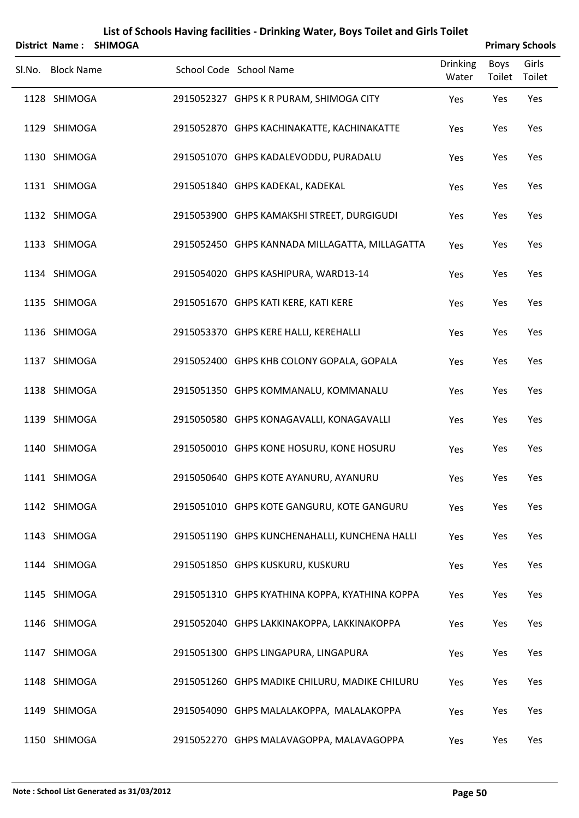|                   | District Name: SHIMOGA |                                                |                          |                | <b>Primary Schools</b> |
|-------------------|------------------------|------------------------------------------------|--------------------------|----------------|------------------------|
| Sl.No. Block Name |                        | School Code School Name                        | <b>Drinking</b><br>Water | Boys<br>Toilet | Girls<br>Toilet        |
| 1128 SHIMOGA      |                        | 2915052327 GHPS K R PURAM, SHIMOGA CITY        | Yes                      | Yes            | Yes                    |
| 1129 SHIMOGA      |                        | 2915052870 GHPS KACHINAKATTE, KACHINAKATTE     | Yes                      | Yes            | Yes                    |
| 1130 SHIMOGA      |                        | 2915051070 GHPS KADALEVODDU, PURADALU          | Yes                      | Yes            | Yes                    |
| 1131 SHIMOGA      |                        | 2915051840 GHPS KADEKAL, KADEKAL               | Yes                      | Yes            | Yes                    |
| 1132 SHIMOGA      |                        | 2915053900 GHPS KAMAKSHI STREET, DURGIGUDI     | Yes                      | Yes            | Yes                    |
| 1133 SHIMOGA      |                        | 2915052450 GHPS KANNADA MILLAGATTA, MILLAGATTA | Yes                      | Yes            | Yes                    |
| 1134 SHIMOGA      |                        | 2915054020 GHPS KASHIPURA, WARD13-14           | Yes                      | Yes            | Yes                    |
| 1135 SHIMOGA      |                        | 2915051670 GHPS KATI KERE, KATI KERE           | Yes                      | Yes            | Yes                    |
| 1136 SHIMOGA      |                        | 2915053370 GHPS KERE HALLI, KEREHALLI          | Yes                      | Yes            | Yes                    |
| 1137 SHIMOGA      |                        | 2915052400 GHPS KHB COLONY GOPALA, GOPALA      | Yes                      | Yes            | Yes                    |
| 1138 SHIMOGA      |                        | 2915051350 GHPS KOMMANALU, KOMMANALU           | Yes                      | Yes            | Yes                    |
| 1139 SHIMOGA      |                        | 2915050580 GHPS KONAGAVALLI, KONAGAVALLI       | Yes                      | Yes            | Yes                    |
| 1140 SHIMOGA      |                        | 2915050010 GHPS KONE HOSURU, KONE HOSURU       | Yes                      | Yes            | Yes                    |
| 1141 SHIMOGA      |                        | 2915050640 GHPS KOTE AYANURU, AYANURU          | Yes                      | Yes            | Yes                    |
| 1142 SHIMOGA      |                        | 2915051010 GHPS KOTE GANGURU, KOTE GANGURU     | Yes                      | Yes            | Yes                    |
| 1143 SHIMOGA      |                        | 2915051190 GHPS KUNCHENAHALLI, KUNCHENA HALLI  | Yes                      | Yes            | Yes                    |
| 1144 SHIMOGA      |                        | 2915051850 GHPS KUSKURU, KUSKURU               | Yes                      | Yes            | Yes                    |
| 1145 SHIMOGA      |                        | 2915051310 GHPS KYATHINA KOPPA, KYATHINA KOPPA | Yes                      | Yes            | Yes                    |
| 1146 SHIMOGA      |                        | 2915052040 GHPS LAKKINAKOPPA, LAKKINAKOPPA     | Yes                      | Yes            | Yes                    |
| 1147 SHIMOGA      |                        | 2915051300 GHPS LINGAPURA, LINGAPURA           | Yes                      | Yes            | Yes                    |
| 1148 SHIMOGA      |                        | 2915051260 GHPS MADIKE CHILURU, MADIKE CHILURU | Yes                      | Yes            | Yes                    |
| 1149 SHIMOGA      |                        | 2915054090 GHPS MALALAKOPPA, MALALAKOPPA       | Yes                      | Yes            | Yes                    |
| 1150 SHIMOGA      |                        | 2915052270 GHPS MALAVAGOPPA, MALAVAGOPPA       | Yes                      | Yes            | Yes                    |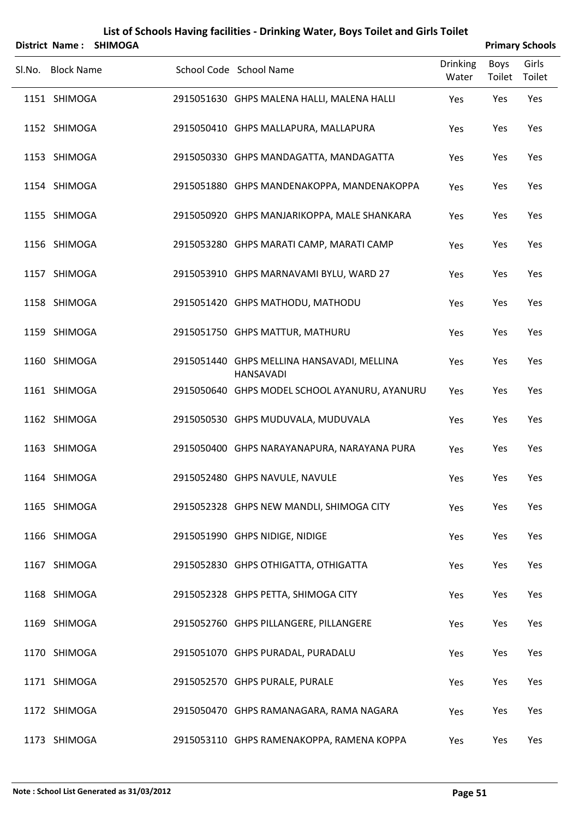|        | <b>District Name:</b> | <b>SHIMOGA</b> |                                                                |                          |                | <b>Primary Schools</b> |
|--------|-----------------------|----------------|----------------------------------------------------------------|--------------------------|----------------|------------------------|
| Sl.No. | <b>Block Name</b>     |                | School Code School Name                                        | <b>Drinking</b><br>Water | Boys<br>Toilet | Girls<br>Toilet        |
|        | 1151 SHIMOGA          |                | 2915051630 GHPS MALENA HALLI, MALENA HALLI                     | Yes                      | Yes            | Yes                    |
|        | 1152 SHIMOGA          |                | 2915050410 GHPS MALLAPURA, MALLAPURA                           | Yes                      | Yes            | Yes                    |
|        | 1153 SHIMOGA          |                | 2915050330 GHPS MANDAGATTA, MANDAGATTA                         | Yes                      | Yes            | Yes                    |
|        | 1154 SHIMOGA          |                | 2915051880 GHPS MANDENAKOPPA, MANDENAKOPPA                     | Yes                      | Yes            | Yes                    |
|        | 1155 SHIMOGA          |                | 2915050920 GHPS MANJARIKOPPA, MALE SHANKARA                    | Yes                      | Yes            | Yes                    |
|        | 1156 SHIMOGA          |                | 2915053280 GHPS MARATI CAMP, MARATI CAMP                       | Yes                      | Yes            | Yes                    |
|        | 1157 SHIMOGA          |                | 2915053910 GHPS MARNAVAMI BYLU, WARD 27                        | Yes                      | Yes            | Yes                    |
|        | 1158 SHIMOGA          |                | 2915051420 GHPS MATHODU, MATHODU                               | Yes                      | Yes            | Yes                    |
|        | 1159 SHIMOGA          |                | 2915051750 GHPS MATTUR, MATHURU                                | Yes                      | Yes            | Yes                    |
|        | 1160 SHIMOGA          |                | 2915051440 GHPS MELLINA HANSAVADI, MELLINA<br><b>HANSAVADI</b> | Yes                      | Yes            | Yes                    |
|        | 1161 SHIMOGA          |                | 2915050640 GHPS MODEL SCHOOL AYANURU, AYANURU                  | Yes                      | Yes            | Yes                    |
|        | 1162 SHIMOGA          |                | 2915050530 GHPS MUDUVALA, MUDUVALA                             | Yes                      | Yes            | Yes                    |
|        | 1163 SHIMOGA          |                | 2915050400 GHPS NARAYANAPURA, NARAYANA PURA                    | Yes                      | Yes            | Yes                    |
|        | 1164 SHIMOGA          |                | 2915052480 GHPS NAVULE, NAVULE                                 | Yes                      | Yes            | Yes                    |
|        | 1165 SHIMOGA          |                | 2915052328 GHPS NEW MANDLI, SHIMOGA CITY                       | Yes                      | Yes            | Yes                    |
|        | 1166 SHIMOGA          |                | 2915051990 GHPS NIDIGE, NIDIGE                                 | Yes                      | Yes            | Yes                    |
|        | 1167 SHIMOGA          |                | 2915052830 GHPS OTHIGATTA, OTHIGATTA                           | Yes                      | Yes            | Yes                    |
|        | 1168 SHIMOGA          |                | 2915052328 GHPS PETTA, SHIMOGA CITY                            | Yes                      | Yes            | Yes                    |
|        | 1169 SHIMOGA          |                | 2915052760 GHPS PILLANGERE, PILLANGERE                         | Yes                      | Yes            | Yes                    |
|        | 1170 SHIMOGA          |                | 2915051070 GHPS PURADAL, PURADALU                              | Yes                      | Yes            | Yes                    |
|        | 1171 SHIMOGA          |                | 2915052570 GHPS PURALE, PURALE                                 | Yes                      | Yes            | Yes                    |
|        | 1172 SHIMOGA          |                | 2915050470 GHPS RAMANAGARA, RAMA NAGARA                        | Yes                      | Yes            | Yes                    |
|        | 1173 SHIMOGA          |                | 2915053110 GHPS RAMENAKOPPA, RAMENA KOPPA                      | Yes                      | Yes            | Yes                    |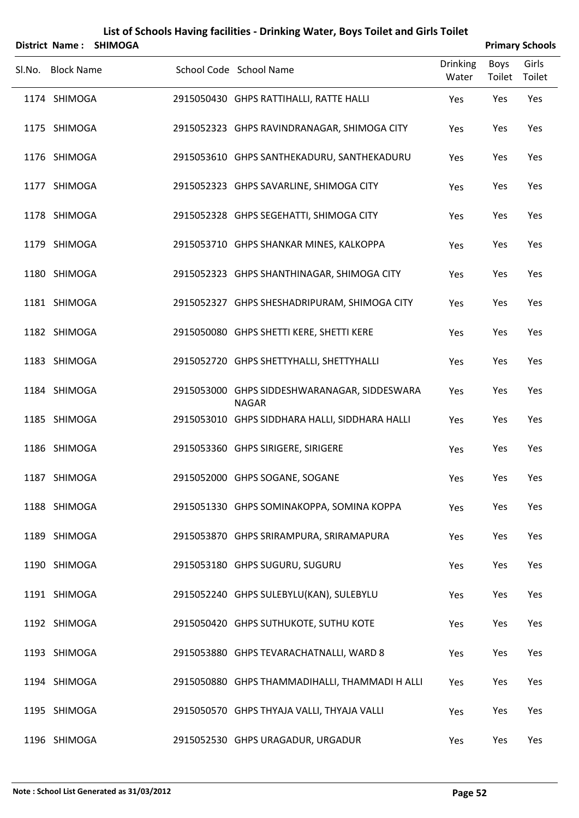|                   | District Name: SHIMOGA |                                                              |                          |                | <b>Primary Schools</b> |
|-------------------|------------------------|--------------------------------------------------------------|--------------------------|----------------|------------------------|
| Sl.No. Block Name |                        | School Code School Name                                      | <b>Drinking</b><br>Water | Boys<br>Toilet | Girls<br>Toilet        |
| 1174 SHIMOGA      |                        | 2915050430 GHPS RATTIHALLI, RATTE HALLI                      | Yes                      | Yes            | Yes                    |
| 1175 SHIMOGA      |                        | 2915052323 GHPS RAVINDRANAGAR, SHIMOGA CITY                  | Yes                      | Yes            | Yes                    |
| 1176 SHIMOGA      |                        | 2915053610 GHPS SANTHEKADURU, SANTHEKADURU                   | Yes                      | Yes            | Yes                    |
| 1177 SHIMOGA      |                        | 2915052323 GHPS SAVARLINE, SHIMOGA CITY                      | Yes                      | Yes            | Yes                    |
| 1178 SHIMOGA      |                        | 2915052328 GHPS SEGEHATTI, SHIMOGA CITY                      | Yes                      | Yes            | Yes                    |
| 1179 SHIMOGA      |                        | 2915053710 GHPS SHANKAR MINES, KALKOPPA                      | Yes                      | Yes            | Yes                    |
| 1180 SHIMOGA      |                        | 2915052323 GHPS SHANTHINAGAR, SHIMOGA CITY                   | Yes                      | Yes            | Yes                    |
| 1181 SHIMOGA      |                        | 2915052327 GHPS SHESHADRIPURAM, SHIMOGA CITY                 | Yes                      | Yes            | Yes                    |
| 1182 SHIMOGA      |                        | 2915050080 GHPS SHETTI KERE, SHETTI KERE                     | Yes                      | Yes            | Yes                    |
| 1183 SHIMOGA      |                        | 2915052720 GHPS SHETTYHALLI, SHETTYHALLI                     | Yes                      | Yes            | Yes                    |
| 1184 SHIMOGA      |                        | 2915053000 GHPS SIDDESHWARANAGAR, SIDDESWARA<br><b>NAGAR</b> | Yes                      | Yes            | Yes                    |
| 1185 SHIMOGA      |                        | 2915053010 GHPS SIDDHARA HALLI, SIDDHARA HALLI               | Yes                      | Yes            | Yes                    |
| 1186 SHIMOGA      |                        | 2915053360 GHPS SIRIGERE, SIRIGERE                           | Yes                      | Yes            | Yes                    |
| 1187 SHIMOGA      |                        | 2915052000 GHPS SOGANE, SOGANE                               | Yes                      | Yes            | Yes                    |
| 1188 SHIMOGA      |                        | 2915051330 GHPS SOMINAKOPPA, SOMINA KOPPA                    | Yes                      | Yes            | Yes                    |
| 1189 SHIMOGA      |                        | 2915053870 GHPS SRIRAMPURA, SRIRAMAPURA                      | Yes                      | Yes            | Yes                    |
| 1190 SHIMOGA      |                        | 2915053180 GHPS SUGURU, SUGURU                               | Yes                      | Yes            | Yes                    |
| 1191 SHIMOGA      |                        | 2915052240 GHPS SULEBYLU(KAN), SULEBYLU                      | Yes                      | Yes            | Yes                    |
| 1192 SHIMOGA      |                        | 2915050420 GHPS SUTHUKOTE, SUTHU KOTE                        | Yes                      | Yes            | Yes                    |
| 1193 SHIMOGA      |                        | 2915053880 GHPS TEVARACHATNALLI, WARD 8                      | Yes                      | Yes            | Yes                    |
| 1194 SHIMOGA      |                        | 2915050880 GHPS THAMMADIHALLI, THAMMADI H ALLI               | Yes                      | Yes            | Yes                    |
| 1195 SHIMOGA      |                        | 2915050570 GHPS THYAJA VALLI, THYAJA VALLI                   | Yes                      | Yes            | Yes                    |
| 1196 SHIMOGA      |                        | 2915052530 GHPS URAGADUR, URGADUR                            | Yes                      | Yes            | Yes                    |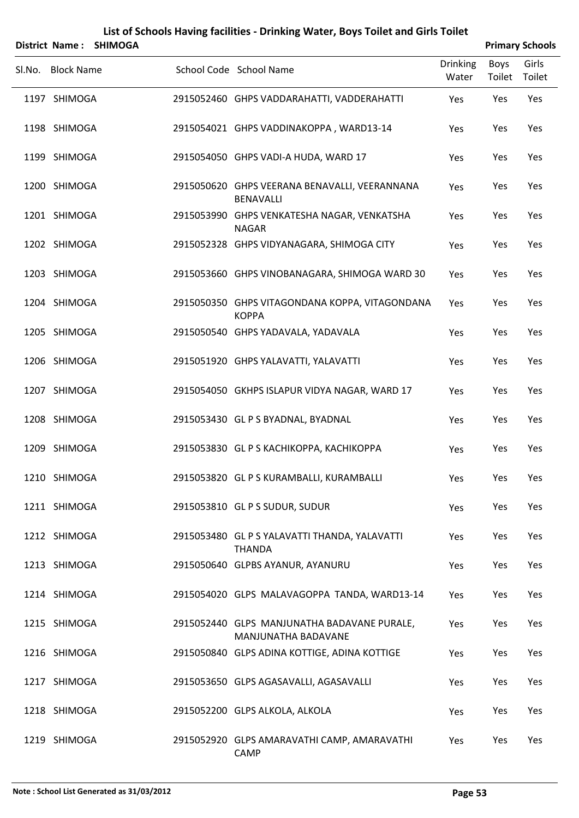|        | District Name:    | <b>SHIMOGA</b> | List of Schools Having facilities - Drinking Water, Boys Toilet and Girls Toilet |                          |                       | <b>Primary Schools</b> |
|--------|-------------------|----------------|----------------------------------------------------------------------------------|--------------------------|-----------------------|------------------------|
| Sl.No. | <b>Block Name</b> |                | School Code School Name                                                          | <b>Drinking</b><br>Water | <b>Boys</b><br>Toilet | Girls<br>Toilet        |
|        | 1197 SHIMOGA      |                | 2915052460 GHPS VADDARAHATTI, VADDERAHATTI                                       | Yes                      | Yes                   | Yes                    |
|        | 1198 SHIMOGA      |                | 2915054021 GHPS VADDINAKOPPA, WARD13-14                                          | Yes                      | Yes                   | Yes                    |
|        | 1199 SHIMOGA      |                | 2915054050 GHPS VADI-A HUDA, WARD 17                                             | Yes                      | Yes                   | Yes                    |
|        | 1200 SHIMOGA      |                | 2915050620 GHPS VEERANA BENAVALLI, VEERANNANA<br><b>BENAVALLI</b>                | Yes                      | Yes                   | Yes                    |
|        | 1201 SHIMOGA      |                | 2915053990 GHPS VENKATESHA NAGAR, VENKATSHA<br><b>NAGAR</b>                      | Yes                      | Yes                   | Yes                    |
|        | 1202 SHIMOGA      |                | 2915052328 GHPS VIDYANAGARA, SHIMOGA CITY                                        | Yes                      | Yes                   | Yes                    |
|        | 1203 SHIMOGA      |                | 2915053660 GHPS VINOBANAGARA, SHIMOGA WARD 30                                    | Yes                      | Yes                   | Yes                    |
|        | 1204 SHIMOGA      |                | 2915050350 GHPS VITAGONDANA KOPPA, VITAGONDANA<br><b>KOPPA</b>                   | Yes                      | Yes                   | Yes                    |
|        | 1205 SHIMOGA      |                | 2915050540 GHPS YADAVALA, YADAVALA                                               | Yes                      | Yes                   | Yes                    |
|        | 1206 SHIMOGA      |                | 2915051920 GHPS YALAVATTI, YALAVATTI                                             | Yes                      | Yes                   | Yes                    |
|        | 1207 SHIMOGA      |                | 2915054050 GKHPS ISLAPUR VIDYA NAGAR, WARD 17                                    | Yes                      | Yes                   | Yes                    |
|        | 1208 SHIMOGA      |                | 2915053430 GL P S BYADNAL, BYADNAL                                               | Yes                      | Yes                   | Yes                    |
|        | 1209 SHIMOGA      |                | 2915053830 GL P S KACHIKOPPA, KACHIKOPPA                                         | Yes                      | Yes                   | Yes                    |
|        | 1210 SHIMOGA      |                | 2915053820 GL P S KURAMBALLI, KURAMBALLI                                         | Yes                      | Yes                   | Yes                    |
|        | 1211 SHIMOGA      |                | 2915053810 GL P S SUDUR, SUDUR                                                   | Yes                      | Yes                   | Yes                    |
|        | 1212 SHIMOGA      |                | 2915053480 GL P S YALAVATTI THANDA, YALAVATTI<br><b>THANDA</b>                   | Yes                      | Yes                   | Yes                    |
|        | 1213 SHIMOGA      |                | 2915050640 GLPBS AYANUR, AYANURU                                                 | Yes                      | Yes                   | Yes                    |
|        | 1214 SHIMOGA      |                | 2915054020 GLPS MALAVAGOPPA TANDA, WARD13-14                                     | Yes                      | Yes                   | Yes                    |
|        | 1215 SHIMOGA      |                | 2915052440 GLPS MANJUNATHA BADAVANE PURALE,<br>MANJUNATHA BADAVANE               | Yes                      | Yes                   | Yes                    |
|        | 1216 SHIMOGA      |                | 2915050840 GLPS ADINA KOTTIGE, ADINA KOTTIGE                                     | Yes                      | Yes                   | Yes                    |
|        | 1217 SHIMOGA      |                | 2915053650 GLPS AGASAVALLI, AGASAVALLI                                           | Yes                      | Yes                   | Yes                    |
|        | 1218 SHIMOGA      |                | 2915052200 GLPS ALKOLA, ALKOLA                                                   | Yes                      | Yes                   | Yes                    |
|        | 1219 SHIMOGA      |                | 2915052920 GLPS AMARAVATHI CAMP, AMARAVATHI<br>CAMP                              | Yes                      | Yes                   | Yes                    |

#### **Note : School List Generated as 31/03/2012 Page 53**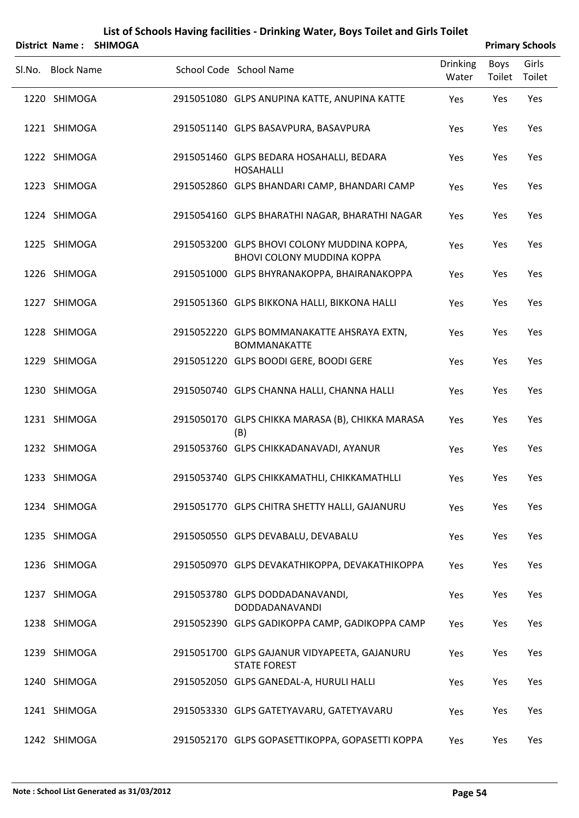|        |                   | District Name: SHIMOGA |                                                                                  |                          |                | <b>Primary Schools</b> |
|--------|-------------------|------------------------|----------------------------------------------------------------------------------|--------------------------|----------------|------------------------|
| Sl.No. | <b>Block Name</b> |                        | School Code School Name                                                          | <b>Drinking</b><br>Water | Boys<br>Toilet | Girls<br>Toilet        |
|        | 1220 SHIMOGA      |                        | 2915051080 GLPS ANUPINA KATTE, ANUPINA KATTE                                     | Yes                      | Yes            | Yes                    |
|        | 1221 SHIMOGA      |                        | 2915051140 GLPS BASAVPURA, BASAVPURA                                             | Yes                      | Yes            | Yes                    |
|        | 1222 SHIMOGA      |                        | 2915051460 GLPS BEDARA HOSAHALLI, BEDARA<br><b>HOSAHALLI</b>                     | Yes                      | Yes            | Yes                    |
|        | 1223 SHIMOGA      |                        | 2915052860 GLPS BHANDARI CAMP, BHANDARI CAMP                                     | Yes                      | Yes            | Yes                    |
|        | 1224 SHIMOGA      |                        | 2915054160 GLPS BHARATHI NAGAR, BHARATHI NAGAR                                   | Yes                      | Yes            | Yes                    |
|        | 1225 SHIMOGA      |                        | 2915053200 GLPS BHOVI COLONY MUDDINA KOPPA,<br><b>BHOVI COLONY MUDDINA KOPPA</b> | Yes                      | Yes            | Yes                    |
|        | 1226 SHIMOGA      |                        | 2915051000 GLPS BHYRANAKOPPA, BHAIRANAKOPPA                                      | Yes                      | Yes            | Yes                    |
|        | 1227 SHIMOGA      |                        | 2915051360 GLPS BIKKONA HALLI, BIKKONA HALLI                                     | Yes                      | Yes            | Yes                    |
|        | 1228 SHIMOGA      |                        | 2915052220 GLPS BOMMANAKATTE AHSRAYA EXTN,<br><b>BOMMANAKATTE</b>                | Yes                      | Yes            | Yes                    |
|        | 1229 SHIMOGA      |                        | 2915051220 GLPS BOODI GERE, BOODI GERE                                           | Yes                      | Yes            | Yes                    |
|        | 1230 SHIMOGA      |                        | 2915050740 GLPS CHANNA HALLI, CHANNA HALLI                                       | Yes                      | Yes            | Yes                    |
|        | 1231 SHIMOGA      |                        | 2915050170 GLPS CHIKKA MARASA (B), CHIKKA MARASA<br>(B)                          | Yes                      | Yes            | Yes                    |
|        | 1232 SHIMOGA      |                        | 2915053760 GLPS CHIKKADANAVADI, AYANUR                                           | Yes                      | Yes            | Yes                    |
|        | 1233 SHIMOGA      |                        | 2915053740 GLPS CHIKKAMATHLI, CHIKKAMATHLLI                                      | Yes                      | Yes            | Yes                    |
|        | 1234 SHIMOGA      |                        | 2915051770 GLPS CHITRA SHETTY HALLI, GAJANURU                                    | Yes                      | Yes            | Yes                    |
|        | 1235 SHIMOGA      |                        | 2915050550 GLPS DEVABALU, DEVABALU                                               | Yes                      | Yes            | Yes                    |
|        | 1236 SHIMOGA      |                        | 2915050970 GLPS DEVAKATHIKOPPA, DEVAKATHIKOPPA                                   | Yes                      | Yes            | Yes                    |
|        | 1237 SHIMOGA      |                        | 2915053780 GLPS DODDADANAVANDI,<br>DODDADANAVANDI                                | Yes                      | Yes            | Yes                    |
|        | 1238 SHIMOGA      |                        | 2915052390 GLPS GADIKOPPA CAMP, GADIKOPPA CAMP                                   | Yes                      | Yes            | Yes                    |
|        | 1239 SHIMOGA      |                        | 2915051700 GLPS GAJANUR VIDYAPEETA, GAJANURU<br><b>STATE FOREST</b>              | Yes                      | Yes            | Yes                    |
|        | 1240 SHIMOGA      |                        | 2915052050 GLPS GANEDAL-A, HURULI HALLI                                          | Yes                      | Yes            | Yes                    |
|        | 1241 SHIMOGA      |                        | 2915053330 GLPS GATETYAVARU, GATETYAVARU                                         | Yes                      | Yes            | Yes                    |
|        | 1242 SHIMOGA      |                        | 2915052170 GLPS GOPASETTIKOPPA, GOPASETTI KOPPA                                  | Yes                      | Yes            | Yes                    |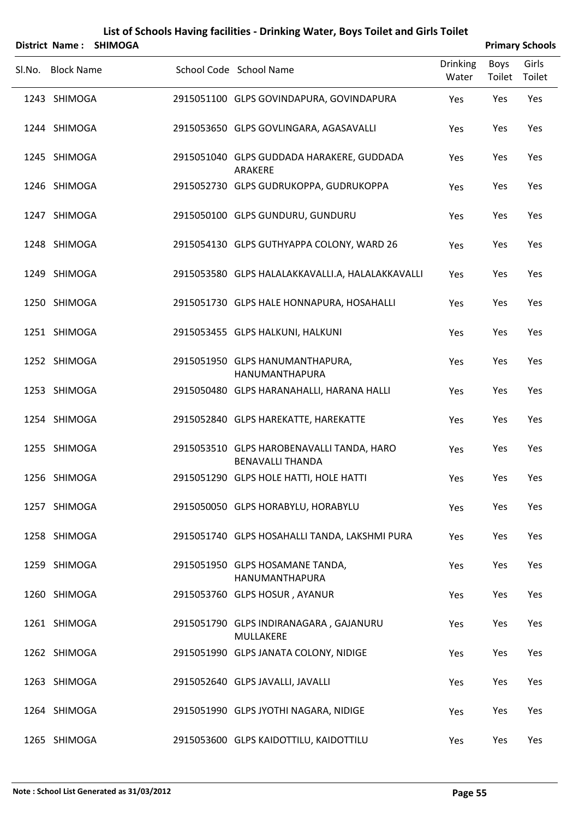|                   | District Name: SHIMOGA |                                                                      |                          |                | <b>Primary Schools</b> |
|-------------------|------------------------|----------------------------------------------------------------------|--------------------------|----------------|------------------------|
| Sl.No. Block Name |                        | School Code School Name                                              | <b>Drinking</b><br>Water | Boys<br>Toilet | Girls<br>Toilet        |
| 1243 SHIMOGA      |                        | 2915051100 GLPS GOVINDAPURA, GOVINDAPURA                             | Yes                      | Yes            | Yes                    |
| 1244 SHIMOGA      |                        | 2915053650 GLPS GOVLINGARA, AGASAVALLI                               | Yes                      | Yes            | Yes                    |
| 1245 SHIMOGA      |                        | 2915051040 GLPS GUDDADA HARAKERE, GUDDADA<br>ARAKERE                 | Yes                      | Yes            | Yes                    |
| 1246 SHIMOGA      |                        | 2915052730 GLPS GUDRUKOPPA, GUDRUKOPPA                               | Yes                      | Yes            | Yes                    |
| 1247 SHIMOGA      |                        | 2915050100 GLPS GUNDURU, GUNDURU                                     | Yes                      | Yes            | Yes                    |
| 1248 SHIMOGA      |                        | 2915054130 GLPS GUTHYAPPA COLONY, WARD 26                            | Yes                      | Yes            | Yes                    |
| 1249 SHIMOGA      |                        | 2915053580 GLPS HALALAKKAVALLI.A, HALALAKKAVALLI                     | Yes                      | Yes            | Yes                    |
| 1250 SHIMOGA      |                        | 2915051730 GLPS HALE HONNAPURA, HOSAHALLI                            | Yes                      | Yes            | Yes                    |
| 1251 SHIMOGA      |                        | 2915053455 GLPS HALKUNI, HALKUNI                                     | Yes                      | Yes            | Yes                    |
| 1252 SHIMOGA      |                        | 2915051950 GLPS HANUMANTHAPURA,<br>HANUMANTHAPURA                    | Yes                      | Yes            | Yes                    |
| 1253 SHIMOGA      |                        | 2915050480 GLPS HARANAHALLI, HARANA HALLI                            | Yes                      | Yes            | Yes                    |
| 1254 SHIMOGA      |                        | 2915052840 GLPS HAREKATTE, HAREKATTE                                 | Yes                      | Yes            | Yes                    |
| 1255 SHIMOGA      |                        | 2915053510 GLPS HAROBENAVALLI TANDA, HARO<br><b>BENAVALLI THANDA</b> | Yes                      | Yes            | Yes                    |
| 1256 SHIMOGA      |                        | 2915051290 GLPS HOLE HATTI, HOLE HATTI                               | Yes                      | Yes            | Yes                    |
| 1257 SHIMOGA      |                        | 2915050050 GLPS HORABYLU, HORABYLU                                   | Yes                      | Yes            | Yes                    |
| 1258 SHIMOGA      |                        | 2915051740 GLPS HOSAHALLI TANDA, LAKSHMI PURA                        | Yes                      | Yes            | Yes                    |
| 1259 SHIMOGA      |                        | 2915051950 GLPS HOSAMANE TANDA,<br>HANUMANTHAPURA                    | Yes                      | Yes            | Yes                    |
| 1260 SHIMOGA      |                        | 2915053760 GLPS HOSUR, AYANUR                                        | Yes                      | Yes            | Yes                    |
| 1261 SHIMOGA      |                        | 2915051790 GLPS INDIRANAGARA, GAJANURU<br>MULLAKERE                  | Yes                      | Yes            | Yes                    |
| 1262 SHIMOGA      |                        | 2915051990 GLPS JANATA COLONY, NIDIGE                                | Yes                      | Yes            | Yes                    |
| 1263 SHIMOGA      |                        | 2915052640 GLPS JAVALLI, JAVALLI                                     | Yes                      | Yes            | Yes                    |
| 1264 SHIMOGA      |                        | 2915051990 GLPS JYOTHI NAGARA, NIDIGE                                | Yes                      | Yes            | Yes                    |
| 1265 SHIMOGA      |                        | 2915053600 GLPS KAIDOTTILU, KAIDOTTILU                               | Yes                      | Yes            | Yes                    |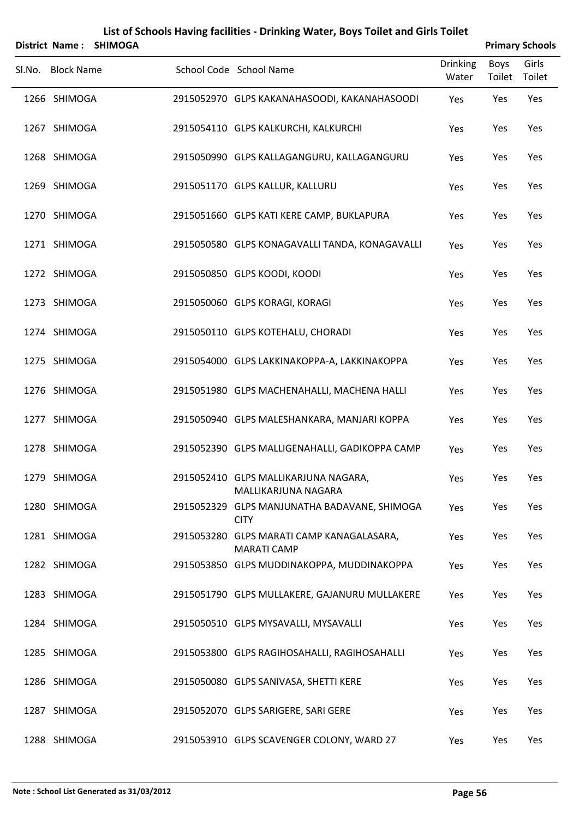|        | <b>District Name:</b> | <b>SHIMOGA</b> |                                                                 |                          |                       | <b>Primary Schools</b> |
|--------|-----------------------|----------------|-----------------------------------------------------------------|--------------------------|-----------------------|------------------------|
| Sl.No. | <b>Block Name</b>     |                | School Code School Name                                         | <b>Drinking</b><br>Water | <b>Boys</b><br>Toilet | Girls<br>Toilet        |
|        | 1266 SHIMOGA          |                | 2915052970 GLPS KAKANAHASOODI, KAKANAHASOODI                    | Yes                      | Yes                   | Yes                    |
|        | 1267 SHIMOGA          |                | 2915054110 GLPS KALKURCHI, KALKURCHI                            | Yes                      | Yes                   | Yes                    |
|        | 1268 SHIMOGA          |                | 2915050990 GLPS KALLAGANGURU, KALLAGANGURU                      | Yes                      | Yes                   | Yes                    |
|        | 1269 SHIMOGA          |                | 2915051170 GLPS KALLUR, KALLURU                                 | Yes                      | Yes                   | Yes                    |
|        | 1270 SHIMOGA          |                | 2915051660 GLPS KATI KERE CAMP, BUKLAPURA                       | Yes                      | Yes                   | Yes                    |
|        | 1271 SHIMOGA          |                | 2915050580 GLPS KONAGAVALLI TANDA, KONAGAVALLI                  | Yes                      | Yes                   | Yes                    |
|        | 1272 SHIMOGA          |                | 2915050850 GLPS KOODI, KOODI                                    | Yes                      | Yes                   | Yes                    |
|        | 1273 SHIMOGA          |                | 2915050060 GLPS KORAGI, KORAGI                                  | Yes                      | Yes                   | Yes                    |
|        | 1274 SHIMOGA          |                | 2915050110 GLPS KOTEHALU, CHORADI                               | Yes                      | Yes                   | Yes                    |
|        | 1275 SHIMOGA          |                | 2915054000 GLPS LAKKINAKOPPA-A, LAKKINAKOPPA                    | Yes                      | Yes                   | Yes                    |
|        | 1276 SHIMOGA          |                | 2915051980 GLPS MACHENAHALLI, MACHENA HALLI                     | Yes                      | Yes                   | Yes                    |
|        | 1277 SHIMOGA          |                | 2915050940 GLPS MALESHANKARA, MANJARI KOPPA                     | Yes                      | Yes                   | Yes                    |
|        | 1278 SHIMOGA          |                | 2915052390 GLPS MALLIGENAHALLI, GADIKOPPA CAMP                  | Yes                      | Yes                   | Yes                    |
|        | 1279 SHIMOGA          |                | 2915052410 GLPS MALLIKARJUNA NAGARA,<br>MALLIKARJUNA NAGARA     | Yes                      | Yes                   | Yes                    |
|        | 1280 SHIMOGA          |                | 2915052329 GLPS MANJUNATHA BADAVANE, SHIMOGA<br><b>CITY</b>     | Yes                      | Yes                   | Yes                    |
|        | 1281 SHIMOGA          |                | 2915053280 GLPS MARATI CAMP KANAGALASARA,<br><b>MARATI CAMP</b> | Yes                      | Yes                   | Yes                    |
|        | 1282 SHIMOGA          |                | 2915053850 GLPS MUDDINAKOPPA, MUDDINAKOPPA                      | Yes                      | Yes                   | Yes                    |
|        | 1283 SHIMOGA          |                | 2915051790 GLPS MULLAKERE, GAJANURU MULLAKERE                   | Yes                      | Yes                   | Yes                    |
|        | 1284 SHIMOGA          |                | 2915050510 GLPS MYSAVALLI, MYSAVALLI                            | Yes                      | Yes                   | Yes                    |
|        | 1285 SHIMOGA          |                | 2915053800 GLPS RAGIHOSAHALLI, RAGIHOSAHALLI                    | Yes                      | Yes                   | Yes                    |
|        | 1286 SHIMOGA          |                | 2915050080 GLPS SANIVASA, SHETTI KERE                           | Yes                      | Yes                   | Yes                    |
|        | 1287 SHIMOGA          |                | 2915052070 GLPS SARIGERE, SARI GERE                             | Yes                      | Yes                   | Yes                    |
|        | 1288 SHIMOGA          |                | 2915053910 GLPS SCAVENGER COLONY, WARD 27                       | Yes                      | Yes                   | Yes                    |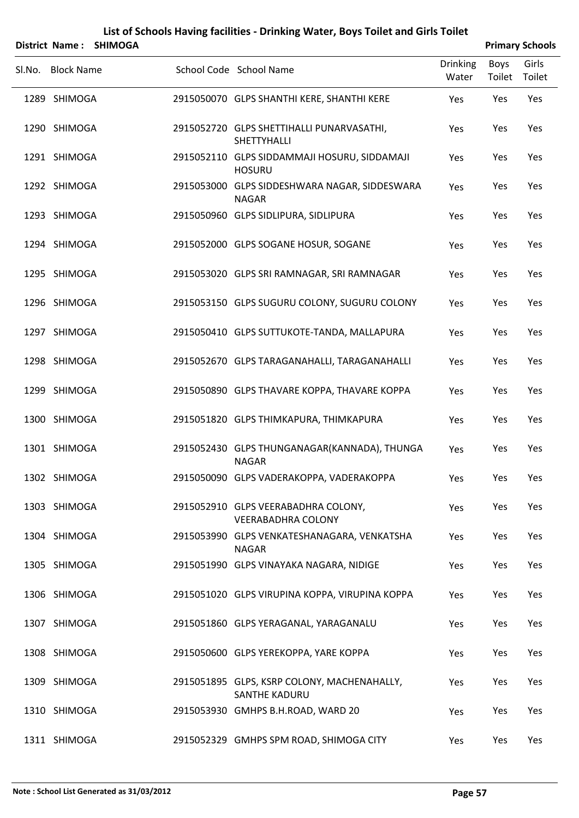|                   | District Name: SHIMOGA |                                                                     |                          |                | <b>Primary Schools</b> |
|-------------------|------------------------|---------------------------------------------------------------------|--------------------------|----------------|------------------------|
| Sl.No. Block Name |                        | School Code School Name                                             | <b>Drinking</b><br>Water | Boys<br>Toilet | Girls<br>Toilet        |
| 1289 SHIMOGA      |                        | 2915050070 GLPS SHANTHI KERE, SHANTHI KERE                          | Yes                      | Yes            | Yes                    |
| 1290 SHIMOGA      |                        | 2915052720 GLPS SHETTIHALLI PUNARVASATHI,<br>SHETTYHALLI            | Yes                      | Yes            | Yes                    |
| 1291 SHIMOGA      |                        | 2915052110 GLPS SIDDAMMAJI HOSURU, SIDDAMAJI<br><b>HOSURU</b>       | Yes                      | Yes            | Yes                    |
| 1292 SHIMOGA      |                        | 2915053000 GLPS SIDDESHWARA NAGAR, SIDDESWARA<br><b>NAGAR</b>       | Yes                      | Yes            | Yes                    |
| 1293 SHIMOGA      |                        | 2915050960 GLPS SIDLIPURA, SIDLIPURA                                | Yes                      | Yes            | Yes                    |
| 1294 SHIMOGA      |                        | 2915052000 GLPS SOGANE HOSUR, SOGANE                                | Yes                      | Yes            | Yes                    |
| 1295 SHIMOGA      |                        | 2915053020 GLPS SRI RAMNAGAR, SRI RAMNAGAR                          | Yes                      | Yes            | Yes                    |
| 1296 SHIMOGA      |                        | 2915053150 GLPS SUGURU COLONY, SUGURU COLONY                        | Yes                      | Yes            | Yes                    |
| 1297 SHIMOGA      |                        | 2915050410 GLPS SUTTUKOTE-TANDA, MALLAPURA                          | Yes                      | Yes            | Yes                    |
| 1298 SHIMOGA      |                        | 2915052670 GLPS TARAGANAHALLI, TARAGANAHALLI                        | Yes                      | Yes            | Yes                    |
| 1299 SHIMOGA      |                        | 2915050890 GLPS THAVARE KOPPA, THAVARE KOPPA                        | Yes                      | Yes            | Yes                    |
| 1300 SHIMOGA      |                        | 2915051820 GLPS THIMKAPURA, THIMKAPURA                              | Yes                      | Yes            | Yes                    |
| 1301 SHIMOGA      |                        | 2915052430 GLPS THUNGANAGAR(KANNADA), THUNGA<br><b>NAGAR</b>        | Yes                      | Yes            | Yes                    |
| 1302 SHIMOGA      |                        | 2915050090 GLPS VADERAKOPPA, VADERAKOPPA                            | Yes                      | Yes            | Yes                    |
| 1303 SHIMOGA      |                        | 2915052910 GLPS VEERABADHRA COLONY,<br><b>VEERABADHRA COLONY</b>    | Yes                      | Yes            | Yes                    |
| 1304 SHIMOGA      |                        | 2915053990 GLPS VENKATESHANAGARA, VENKATSHA<br><b>NAGAR</b>         | Yes                      | Yes            | Yes                    |
| 1305 SHIMOGA      |                        | 2915051990 GLPS VINAYAKA NAGARA, NIDIGE                             | Yes                      | Yes            | Yes                    |
| 1306 SHIMOGA      |                        | 2915051020 GLPS VIRUPINA KOPPA, VIRUPINA KOPPA                      | Yes                      | Yes            | Yes                    |
| 1307 SHIMOGA      |                        | 2915051860 GLPS YERAGANAL, YARAGANALU                               | Yes                      | Yes            | Yes                    |
| 1308 SHIMOGA      |                        | 2915050600 GLPS YEREKOPPA, YARE KOPPA                               | Yes                      | Yes            | Yes                    |
| 1309 SHIMOGA      |                        | 2915051895 GLPS, KSRP COLONY, MACHENAHALLY,<br><b>SANTHE KADURU</b> | Yes                      | Yes            | Yes                    |
| 1310 SHIMOGA      |                        | 2915053930 GMHPS B.H.ROAD, WARD 20                                  | Yes                      | Yes            | Yes                    |
| 1311 SHIMOGA      |                        | 2915052329 GMHPS SPM ROAD, SHIMOGA CITY                             | Yes                      | Yes            | Yes                    |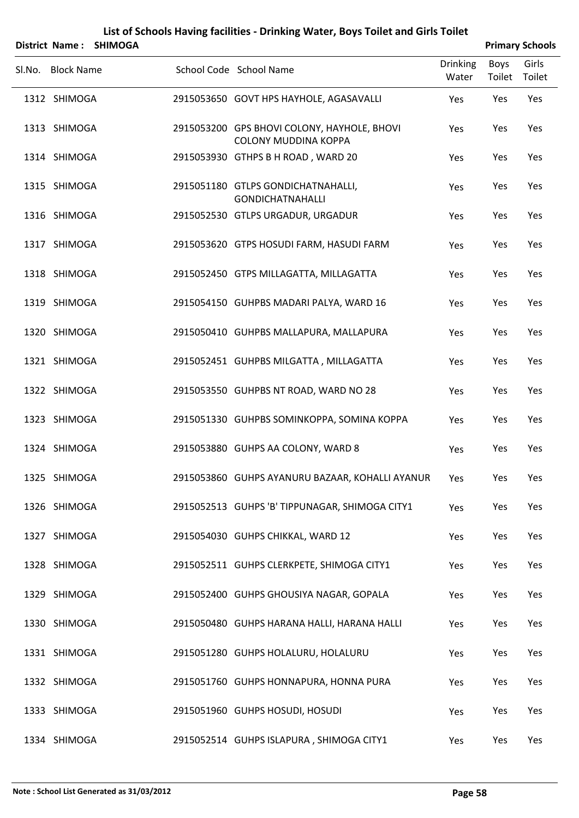|                   | District Name: SHIMOGA |                                                                            |                          |                | <b>Primary Schools</b> |
|-------------------|------------------------|----------------------------------------------------------------------------|--------------------------|----------------|------------------------|
| Sl.No. Block Name |                        | School Code School Name                                                    | <b>Drinking</b><br>Water | Boys<br>Toilet | Girls<br>Toilet        |
| 1312 SHIMOGA      |                        | 2915053650 GOVT HPS HAYHOLE, AGASAVALLI                                    | Yes                      | Yes            | Yes                    |
| 1313 SHIMOGA      |                        | 2915053200 GPS BHOVI COLONY, HAYHOLE, BHOVI<br><b>COLONY MUDDINA KOPPA</b> | Yes                      | Yes            | Yes                    |
| 1314 SHIMOGA      |                        | 2915053930 GTHPS B H ROAD, WARD 20                                         | Yes                      | Yes            | Yes                    |
| 1315 SHIMOGA      |                        | 2915051180 GTLPS GONDICHATNAHALLI,<br><b>GONDICHATNAHALLI</b>              | Yes                      | Yes            | Yes                    |
| 1316 SHIMOGA      |                        | 2915052530 GTLPS URGADUR, URGADUR                                          | Yes                      | Yes            | Yes                    |
| 1317 SHIMOGA      |                        | 2915053620 GTPS HOSUDI FARM, HASUDI FARM                                   | Yes                      | Yes            | Yes                    |
| 1318 SHIMOGA      |                        | 2915052450 GTPS MILLAGATTA, MILLAGATTA                                     | Yes                      | Yes            | Yes                    |
| 1319 SHIMOGA      |                        | 2915054150 GUHPBS MADARI PALYA, WARD 16                                    | Yes                      | Yes            | Yes                    |
| 1320 SHIMOGA      |                        | 2915050410 GUHPBS MALLAPURA, MALLAPURA                                     | Yes                      | Yes            | Yes                    |
| 1321 SHIMOGA      |                        | 2915052451 GUHPBS MILGATTA, MILLAGATTA                                     | Yes                      | Yes            | Yes                    |
| 1322 SHIMOGA      |                        | 2915053550 GUHPBS NT ROAD, WARD NO 28                                      | Yes                      | Yes            | Yes                    |
| 1323 SHIMOGA      |                        | 2915051330 GUHPBS SOMINKOPPA, SOMINA KOPPA                                 | Yes                      | Yes            | Yes                    |
| 1324 SHIMOGA      |                        | 2915053880 GUHPS AA COLONY, WARD 8                                         | Yes                      | Yes            | Yes                    |
| 1325 SHIMOGA      |                        | 2915053860 GUHPS AYANURU BAZAAR, KOHALLI AYANUR                            | Yes                      | Yes            | Yes                    |
| 1326 SHIMOGA      |                        | 2915052513 GUHPS 'B' TIPPUNAGAR, SHIMOGA CITY1                             | Yes                      | Yes            | Yes                    |
| 1327 SHIMOGA      |                        | 2915054030 GUHPS CHIKKAL, WARD 12                                          | Yes                      | Yes            | Yes                    |
| 1328 SHIMOGA      |                        | 2915052511 GUHPS CLERKPETE, SHIMOGA CITY1                                  | Yes                      | Yes            | Yes                    |
| 1329 SHIMOGA      |                        | 2915052400 GUHPS GHOUSIYA NAGAR, GOPALA                                    | Yes                      | Yes            | Yes                    |
| 1330 SHIMOGA      |                        | 2915050480 GUHPS HARANA HALLI, HARANA HALLI                                | Yes                      | Yes            | Yes                    |
| 1331 SHIMOGA      |                        | 2915051280 GUHPS HOLALURU, HOLALURU                                        | Yes                      | Yes            | Yes                    |
| 1332 SHIMOGA      |                        | 2915051760 GUHPS HONNAPURA, HONNA PURA                                     | Yes                      | Yes            | Yes                    |
| 1333 SHIMOGA      |                        | 2915051960 GUHPS HOSUDI, HOSUDI                                            | Yes                      | Yes            | Yes                    |
| 1334 SHIMOGA      |                        | 2915052514 GUHPS ISLAPURA, SHIMOGA CITY1                                   | Yes                      | Yes            | Yes                    |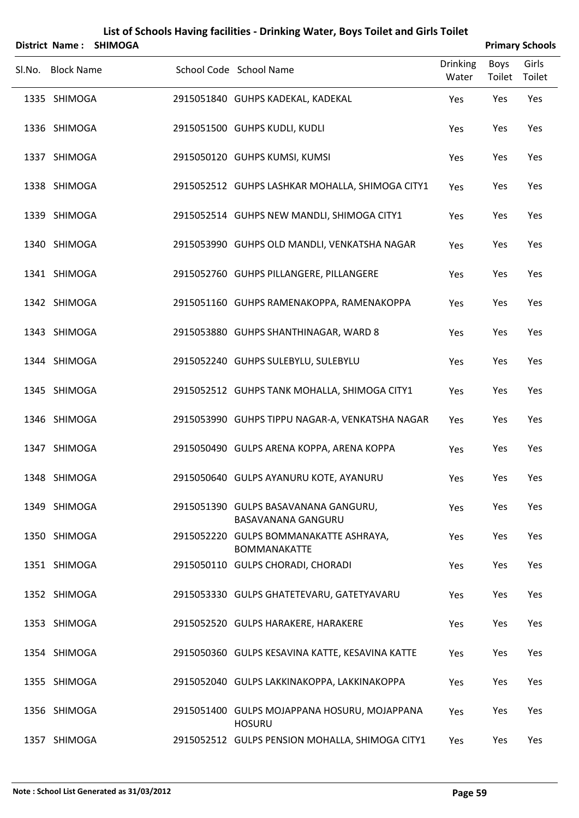|        | District Name:    | <b>SHIMOGA</b> |                                                               |                          |                | <b>Primary Schools</b> |
|--------|-------------------|----------------|---------------------------------------------------------------|--------------------------|----------------|------------------------|
| Sl.No. | <b>Block Name</b> |                | School Code School Name                                       | <b>Drinking</b><br>Water | Boys<br>Toilet | Girls<br>Toilet        |
|        | 1335 SHIMOGA      |                | 2915051840 GUHPS KADEKAL, KADEKAL                             | Yes                      | Yes            | Yes                    |
|        | 1336 SHIMOGA      |                | 2915051500 GUHPS KUDLI, KUDLI                                 | Yes                      | Yes            | Yes                    |
|        | 1337 SHIMOGA      |                | 2915050120 GUHPS KUMSI, KUMSI                                 | Yes                      | Yes            | Yes                    |
|        | 1338 SHIMOGA      |                | 2915052512 GUHPS LASHKAR MOHALLA, SHIMOGA CITY1               | Yes                      | Yes            | Yes                    |
|        | 1339 SHIMOGA      |                | 2915052514 GUHPS NEW MANDLI, SHIMOGA CITY1                    | Yes                      | Yes            | Yes                    |
|        | 1340 SHIMOGA      |                | 2915053990 GUHPS OLD MANDLI, VENKATSHA NAGAR                  | Yes                      | Yes            | Yes                    |
|        | 1341 SHIMOGA      |                | 2915052760 GUHPS PILLANGERE, PILLANGERE                       | Yes                      | Yes            | Yes                    |
|        | 1342 SHIMOGA      |                | 2915051160 GUHPS RAMENAKOPPA, RAMENAKOPPA                     | Yes                      | Yes            | Yes                    |
|        | 1343 SHIMOGA      |                | 2915053880 GUHPS SHANTHINAGAR, WARD 8                         | Yes                      | Yes            | Yes                    |
|        | 1344 SHIMOGA      |                | 2915052240 GUHPS SULEBYLU, SULEBYLU                           | Yes                      | Yes            | Yes                    |
|        | 1345 SHIMOGA      |                | 2915052512 GUHPS TANK MOHALLA, SHIMOGA CITY1                  | Yes                      | Yes            | Yes                    |
|        | 1346 SHIMOGA      |                | 2915053990 GUHPS TIPPU NAGAR-A, VENKATSHA NAGAR               | Yes                      | Yes            | Yes                    |
|        | 1347 SHIMOGA      |                | 2915050490 GULPS ARENA KOPPA, ARENA KOPPA                     | Yes                      | Yes            | Yes                    |
|        | 1348 SHIMOGA      |                | 2915050640 GULPS AYANURU KOTE, AYANURU                        | Yes                      | Yes            | Yes                    |
|        | 1349 SHIMOGA      |                | 2915051390 GULPS BASAVANANA GANGURU,<br>BASAVANANA GANGURU    | Yes                      | Yes            | Yes                    |
|        | 1350 SHIMOGA      |                | 2915052220 GULPS BOMMANAKATTE ASHRAYA,<br><b>BOMMANAKATTE</b> | Yes                      | Yes            | Yes                    |
|        | 1351 SHIMOGA      |                | 2915050110 GULPS CHORADI, CHORADI                             | Yes                      | Yes            | Yes                    |
|        | 1352 SHIMOGA      |                | 2915053330 GULPS GHATETEVARU, GATETYAVARU                     | Yes                      | Yes            | Yes                    |
|        | 1353 SHIMOGA      |                | 2915052520 GULPS HARAKERE, HARAKERE                           | Yes                      | Yes            | Yes                    |
|        | 1354 SHIMOGA      |                | 2915050360 GULPS KESAVINA KATTE, KESAVINA KATTE               | Yes                      | Yes            | Yes                    |
|        | 1355 SHIMOGA      |                | 2915052040 GULPS LAKKINAKOPPA, LAKKINAKOPPA                   | Yes                      | Yes            | Yes                    |
|        | 1356 SHIMOGA      |                | 2915051400 GULPS MOJAPPANA HOSURU, MOJAPPANA<br><b>HOSURU</b> | Yes                      | Yes            | Yes                    |
|        | 1357 SHIMOGA      |                | 2915052512 GULPS PENSION MOHALLA, SHIMOGA CITY1               | Yes                      | Yes            | Yes                    |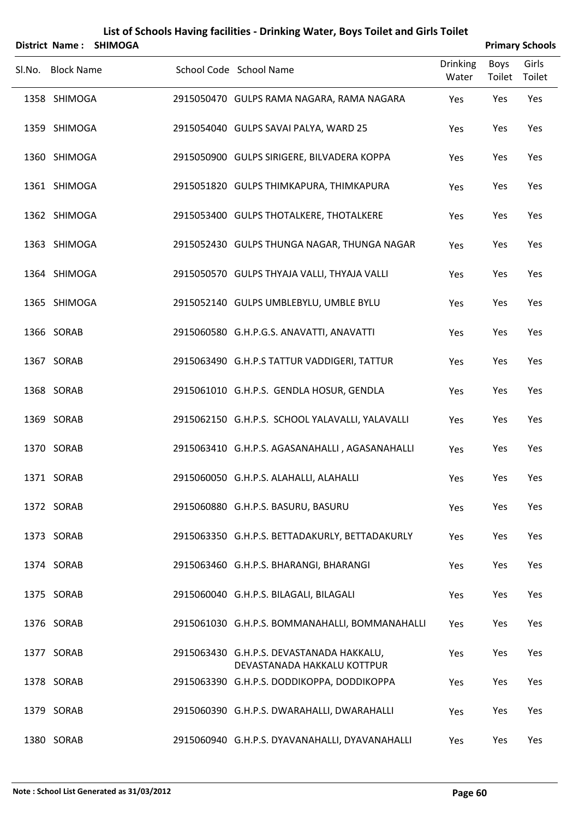|                   | District Name: SHIMOGA |                                                                         |                          |                | <b>Primary Schools</b> |
|-------------------|------------------------|-------------------------------------------------------------------------|--------------------------|----------------|------------------------|
| Sl.No. Block Name |                        | School Code School Name                                                 | <b>Drinking</b><br>Water | Boys<br>Toilet | Girls<br>Toilet        |
| 1358 SHIMOGA      |                        | 2915050470 GULPS RAMA NAGARA, RAMA NAGARA                               | Yes                      | Yes            | Yes                    |
| 1359 SHIMOGA      |                        | 2915054040 GULPS SAVAI PALYA, WARD 25                                   | Yes                      | Yes            | Yes                    |
| 1360 SHIMOGA      |                        | 2915050900 GULPS SIRIGERE, BILVADERA KOPPA                              | Yes                      | Yes            | Yes                    |
| 1361 SHIMOGA      |                        | 2915051820 GULPS THIMKAPURA, THIMKAPURA                                 | Yes                      | Yes            | Yes                    |
| 1362 SHIMOGA      |                        | 2915053400 GULPS THOTALKERE, THOTALKERE                                 | Yes                      | Yes            | Yes                    |
| 1363 SHIMOGA      |                        | 2915052430 GULPS THUNGA NAGAR, THUNGA NAGAR                             | Yes                      | Yes            | Yes                    |
| 1364 SHIMOGA      |                        | 2915050570 GULPS THYAJA VALLI, THYAJA VALLI                             | Yes                      | Yes            | Yes                    |
| 1365 SHIMOGA      |                        | 2915052140 GULPS UMBLEBYLU, UMBLE BYLU                                  | Yes                      | Yes            | Yes                    |
| 1366 SORAB        |                        | 2915060580 G.H.P.G.S. ANAVATTI, ANAVATTI                                | Yes                      | Yes            | Yes                    |
| 1367 SORAB        |                        | 2915063490 G.H.P.S TATTUR VADDIGERI, TATTUR                             | Yes                      | Yes            | Yes                    |
| 1368 SORAB        |                        | 2915061010 G.H.P.S. GENDLA HOSUR, GENDLA                                | Yes                      | Yes            | Yes                    |
| 1369 SORAB        |                        | 2915062150 G.H.P.S. SCHOOL YALAVALLI, YALAVALLI                         | Yes                      | Yes            | Yes                    |
| 1370 SORAB        |                        | 2915063410 G.H.P.S. AGASANAHALLI, AGASANAHALLI                          | Yes                      | Yes            | Yes                    |
| 1371 SORAB        |                        | 2915060050 G.H.P.S. ALAHALLI, ALAHALLI                                  | Yes                      | Yes            | Yes                    |
| 1372 SORAB        |                        | 2915060880 G.H.P.S. BASURU, BASURU                                      | Yes                      | Yes            | Yes                    |
| 1373 SORAB        |                        | 2915063350 G.H.P.S. BETTADAKURLY, BETTADAKURLY                          | Yes                      | Yes            | Yes                    |
| 1374 SORAB        |                        | 2915063460 G.H.P.S. BHARANGI, BHARANGI                                  | Yes                      | Yes            | Yes                    |
| 1375 SORAB        |                        | 2915060040 G.H.P.S. BILAGALI, BILAGALI                                  | Yes                      | Yes            | Yes                    |
| 1376 SORAB        |                        | 2915061030 G.H.P.S. BOMMANAHALLI, BOMMANAHALLI                          | Yes                      | Yes            | Yes                    |
| 1377 SORAB        |                        | 2915063430 G.H.P.S. DEVASTANADA HAKKALU,<br>DEVASTANADA HAKKALU KOTTPUR | Yes                      | Yes            | Yes                    |
| 1378 SORAB        |                        | 2915063390 G.H.P.S. DODDIKOPPA, DODDIKOPPA                              | Yes                      | Yes            | Yes                    |
| 1379 SORAB        |                        | 2915060390 G.H.P.S. DWARAHALLI, DWARAHALLI                              | Yes                      | Yes            | Yes                    |
| 1380 SORAB        |                        | 2915060940 G.H.P.S. DYAVANAHALLI, DYAVANAHALLI                          | Yes                      | Yes            | Yes                    |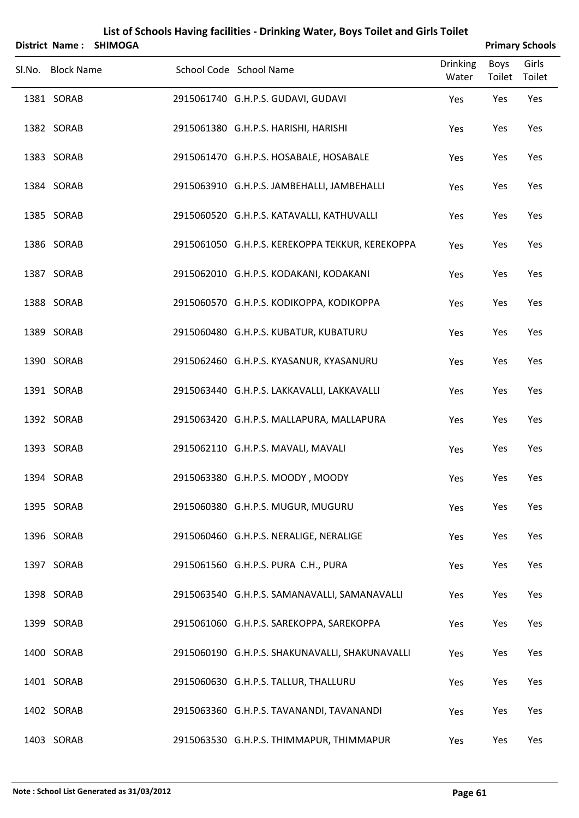|                   | District Name: SHIMOGA |                                                 |                          |                | <b>Primary Schools</b> |
|-------------------|------------------------|-------------------------------------------------|--------------------------|----------------|------------------------|
| Sl.No. Block Name |                        | School Code School Name                         | <b>Drinking</b><br>Water | Boys<br>Toilet | Girls<br>Toilet        |
| 1381 SORAB        |                        | 2915061740 G.H.P.S. GUDAVI, GUDAVI              | Yes                      | Yes            | Yes                    |
| 1382 SORAB        |                        | 2915061380 G.H.P.S. HARISHI, HARISHI            | Yes                      | Yes            | Yes                    |
| 1383 SORAB        |                        | 2915061470 G.H.P.S. HOSABALE, HOSABALE          | Yes                      | Yes            | Yes                    |
| 1384 SORAB        |                        | 2915063910 G.H.P.S. JAMBEHALLI, JAMBEHALLI      | Yes                      | Yes            | Yes                    |
| 1385 SORAB        |                        | 2915060520 G.H.P.S. KATAVALLI, KATHUVALLI       | Yes                      | Yes            | Yes                    |
| 1386 SORAB        |                        | 2915061050 G.H.P.S. KEREKOPPA TEKKUR, KEREKOPPA | Yes                      | Yes            | Yes                    |
| 1387 SORAB        |                        | 2915062010 G.H.P.S. KODAKANI, KODAKANI          | Yes                      | Yes            | Yes                    |
| 1388 SORAB        |                        | 2915060570 G.H.P.S. KODIKOPPA, KODIKOPPA        | Yes                      | Yes            | Yes                    |
| 1389 SORAB        |                        | 2915060480 G.H.P.S. KUBATUR, KUBATURU           | Yes                      | Yes            | Yes                    |
| 1390 SORAB        |                        | 2915062460 G.H.P.S. KYASANUR, KYASANURU         | Yes                      | Yes            | Yes                    |
| 1391 SORAB        |                        | 2915063440 G.H.P.S. LAKKAVALLI, LAKKAVALLI      | Yes                      | Yes            | Yes                    |
| 1392 SORAB        |                        | 2915063420 G.H.P.S. MALLAPURA, MALLAPURA        | Yes                      | Yes            | Yes                    |
| 1393 SORAB        |                        | 2915062110 G.H.P.S. MAVALI, MAVALI              | Yes                      | Yes            | Yes                    |
| 1394 SORAB        |                        | 2915063380 G.H.P.S. MOODY, MOODY                | Yes                      | Yes            | Yes                    |
| 1395 SORAB        |                        | 2915060380 G.H.P.S. MUGUR, MUGURU               | Yes                      | Yes            | Yes                    |
| 1396 SORAB        |                        | 2915060460 G.H.P.S. NERALIGE, NERALIGE          | Yes                      | Yes            | Yes                    |
| 1397 SORAB        |                        | 2915061560 G.H.P.S. PURA C.H., PURA             | Yes                      | Yes            | Yes                    |
| 1398 SORAB        |                        | 2915063540 G.H.P.S. SAMANAVALLI, SAMANAVALLI    | Yes                      | Yes            | Yes                    |
| 1399 SORAB        |                        | 2915061060 G.H.P.S. SAREKOPPA, SAREKOPPA        | Yes                      | Yes            | Yes                    |
| 1400 SORAB        |                        | 2915060190 G.H.P.S. SHAKUNAVALLI, SHAKUNAVALLI  | Yes                      | Yes            | Yes                    |
| 1401 SORAB        |                        | 2915060630 G.H.P.S. TALLUR, THALLURU            | Yes                      | Yes            | Yes                    |
| 1402 SORAB        |                        | 2915063360 G.H.P.S. TAVANANDI, TAVANANDI        | Yes                      | Yes            | Yes                    |
| 1403 SORAB        |                        | 2915063530 G.H.P.S. THIMMAPUR, THIMMAPUR        | Yes                      | Yes            | Yes                    |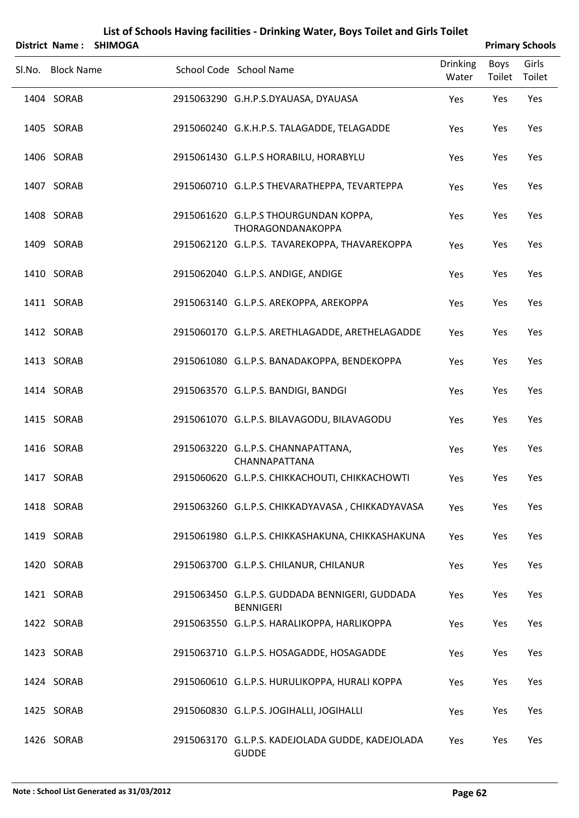| List of Schools Having facilities - Drinking Water, Boys Toilet and Girls Toilet<br><b>Primary Schools</b><br>District Name:<br><b>SHIMOGA</b> |                   |  |                                                                    |                          |                       |                 |  |
|------------------------------------------------------------------------------------------------------------------------------------------------|-------------------|--|--------------------------------------------------------------------|--------------------------|-----------------------|-----------------|--|
|                                                                                                                                                | Sl.No. Block Name |  | School Code School Name                                            | <b>Drinking</b><br>Water | <b>Boys</b><br>Toilet | Girls<br>Toilet |  |
|                                                                                                                                                | 1404 SORAB        |  | 2915063290 G.H.P.S.DYAUASA, DYAUASA                                | Yes                      | Yes                   | Yes             |  |
|                                                                                                                                                | 1405 SORAB        |  | 2915060240 G.K.H.P.S. TALAGADDE, TELAGADDE                         | Yes                      | Yes                   | Yes             |  |
|                                                                                                                                                | 1406 SORAB        |  | 2915061430 G.L.P.S HORABILU, HORABYLU                              | Yes                      | Yes                   | Yes             |  |
|                                                                                                                                                | 1407 SORAB        |  | 2915060710 G.L.P.S THEVARATHEPPA, TEVARTEPPA                       | Yes                      | Yes                   | Yes             |  |
|                                                                                                                                                | 1408 SORAB        |  | 2915061620 G.L.P.S THOURGUNDAN KOPPA,<br>THORAGONDANAKOPPA         | Yes                      | Yes                   | Yes             |  |
|                                                                                                                                                | 1409 SORAB        |  | 2915062120 G.L.P.S. TAVAREKOPPA, THAVAREKOPPA                      | Yes                      | Yes                   | Yes             |  |
|                                                                                                                                                | 1410 SORAB        |  | 2915062040 G.L.P.S. ANDIGE, ANDIGE                                 | Yes                      | Yes                   | Yes             |  |
|                                                                                                                                                | 1411 SORAB        |  | 2915063140 G.L.P.S. AREKOPPA, AREKOPPA                             | Yes                      | Yes                   | Yes             |  |
|                                                                                                                                                | 1412 SORAB        |  | 2915060170 G.L.P.S. ARETHLAGADDE, ARETHELAGADDE                    | Yes                      | Yes                   | Yes             |  |
|                                                                                                                                                | 1413 SORAB        |  | 2915061080 G.L.P.S. BANADAKOPPA, BENDEKOPPA                        | Yes                      | Yes                   | Yes             |  |
|                                                                                                                                                | 1414 SORAB        |  | 2915063570 G.L.P.S. BANDIGI, BANDGI                                | Yes                      | Yes                   | Yes             |  |
|                                                                                                                                                | 1415 SORAB        |  | 2915061070 G.L.P.S. BILAVAGODU, BILAVAGODU                         | Yes                      | Yes                   | Yes             |  |
|                                                                                                                                                | 1416 SORAB        |  | 2915063220 G.L.P.S. CHANNAPATTANA,<br>CHANNAPATTANA                | Yes                      | Yes                   | Yes             |  |
|                                                                                                                                                | 1417 SORAB        |  | 2915060620 G.L.P.S. CHIKKACHOUTI, CHIKKACHOWTI                     | Yes                      | Yes                   | Yes             |  |
|                                                                                                                                                | 1418 SORAB        |  | 2915063260 G.L.P.S. CHIKKADYAVASA, CHIKKADYAVASA                   | Yes                      | Yes                   | Yes             |  |
|                                                                                                                                                | 1419 SORAB        |  | 2915061980 G.L.P.S. CHIKKASHAKUNA, CHIKKASHAKUNA                   | Yes                      | Yes                   | Yes             |  |
|                                                                                                                                                | 1420 SORAB        |  | 2915063700 G.L.P.S. CHILANUR, CHILANUR                             | Yes                      | Yes                   | Yes             |  |
|                                                                                                                                                | 1421 SORAB        |  | 2915063450 G.L.P.S. GUDDADA BENNIGERI, GUDDADA<br><b>BENNIGERI</b> | Yes                      | Yes                   | Yes             |  |
|                                                                                                                                                | 1422 SORAB        |  | 2915063550 G.L.P.S. HARALIKOPPA, HARLIKOPPA                        | Yes                      | Yes                   | Yes             |  |
|                                                                                                                                                | 1423 SORAB        |  | 2915063710 G.L.P.S. HOSAGADDE, HOSAGADDE                           | Yes                      | Yes                   | Yes             |  |
|                                                                                                                                                | 1424 SORAB        |  | 2915060610 G.L.P.S. HURULIKOPPA, HURALI KOPPA                      | Yes                      | Yes                   | Yes             |  |
|                                                                                                                                                | 1425 SORAB        |  | 2915060830 G.L.P.S. JOGIHALLI, JOGIHALLI                           | Yes                      | Yes                   | Yes             |  |
|                                                                                                                                                | 1426 SORAB        |  | 2915063170 G.L.P.S. KADEJOLADA GUDDE, KADEJOLADA<br><b>GUDDE</b>   | Yes                      | Yes                   | Yes             |  |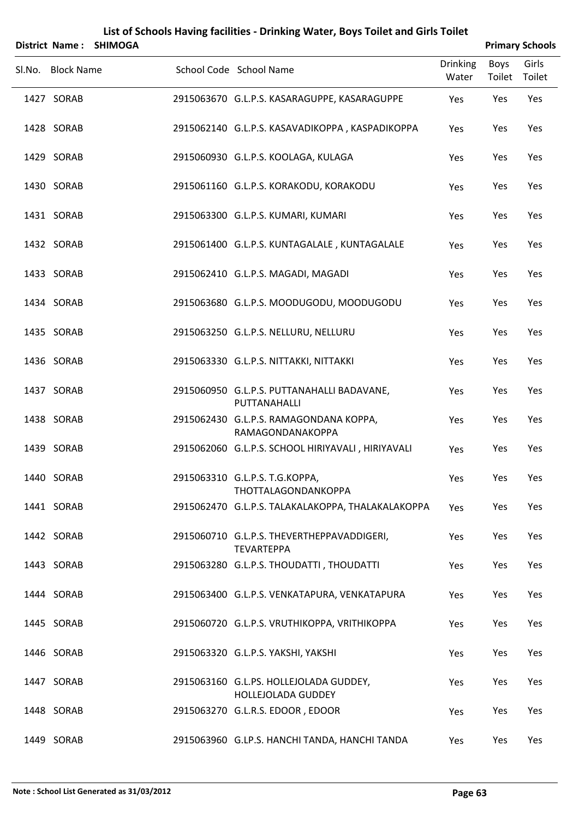|                   | District Name: SHIMOGA |                                                                 |                          |                | <b>Primary Schools</b> |
|-------------------|------------------------|-----------------------------------------------------------------|--------------------------|----------------|------------------------|
| Sl.No. Block Name |                        | School Code School Name                                         | <b>Drinking</b><br>Water | Boys<br>Toilet | Girls<br>Toilet        |
| 1427 SORAB        |                        | 2915063670 G.L.P.S. KASARAGUPPE, KASARAGUPPE                    | Yes                      | Yes            | Yes                    |
| 1428 SORAB        |                        | 2915062140 G.L.P.S. KASAVADIKOPPA, KASPADIKOPPA                 | Yes                      | Yes            | Yes                    |
| 1429 SORAB        |                        | 2915060930 G.L.P.S. KOOLAGA, KULAGA                             | Yes                      | Yes            | Yes                    |
| 1430 SORAB        |                        | 2915061160 G.L.P.S. KORAKODU, KORAKODU                          | Yes                      | Yes            | Yes                    |
| 1431 SORAB        |                        | 2915063300 G.L.P.S. KUMARI, KUMARI                              | Yes                      | Yes            | Yes                    |
| 1432 SORAB        |                        | 2915061400 G.L.P.S. KUNTAGALALE, KUNTAGALALE                    | Yes                      | Yes            | Yes                    |
| 1433 SORAB        |                        | 2915062410 G.L.P.S. MAGADI, MAGADI                              | Yes                      | Yes            | Yes                    |
| 1434 SORAB        |                        | 2915063680 G.L.P.S. MOODUGODU, MOODUGODU                        | Yes                      | Yes            | Yes                    |
| 1435 SORAB        |                        | 2915063250 G.L.P.S. NELLURU, NELLURU                            | Yes                      | Yes            | Yes                    |
| 1436 SORAB        |                        | 2915063330 G.L.P.S. NITTAKKI, NITTAKKI                          | Yes                      | Yes            | Yes                    |
| 1437 SORAB        |                        | 2915060950 G.L.P.S. PUTTANAHALLI BADAVANE,<br>PUTTANAHALLI      | Yes                      | Yes            | Yes                    |
| 1438 SORAB        |                        | 2915062430 G.L.P.S. RAMAGONDANA KOPPA,<br>RAMAGONDANAKOPPA      | Yes                      | Yes            | Yes                    |
| 1439 SORAB        |                        | 2915062060 G.L.P.S. SCHOOL HIRIYAVALI, HIRIYAVALI               | Yes                      | Yes            | Yes                    |
| 1440 SORAB        |                        | 2915063310 G.L.P.S. T.G.KOPPA,<br>THOTTALAGONDANKOPPA           | Yes                      | Yes            | Yes                    |
| 1441 SORAB        |                        | 2915062470 G.L.P.S. TALAKALAKOPPA, THALAKALAKOPPA               | Yes                      | Yes            | Yes                    |
| 1442 SORAB        |                        | 2915060710 G.L.P.S. THEVERTHEPPAVADDIGERI,<br><b>TEVARTEPPA</b> | Yes                      | Yes            | Yes                    |
| 1443 SORAB        |                        | 2915063280 G.L.P.S. THOUDATTI, THOUDATTI                        | Yes                      | Yes            | Yes                    |
| 1444 SORAB        |                        | 2915063400 G.L.P.S. VENKATAPURA, VENKATAPURA                    | Yes                      | Yes            | Yes                    |
| 1445 SORAB        |                        | 2915060720 G.L.P.S. VRUTHIKOPPA, VRITHIKOPPA                    | Yes                      | Yes            | Yes                    |
| 1446 SORAB        |                        | 2915063320 G.L.P.S. YAKSHI, YAKSHI                              | Yes                      | Yes            | Yes                    |
| 1447 SORAB        |                        | 2915063160 G.L.PS. HOLLEJOLADA GUDDEY,<br>HOLLEJOLADA GUDDEY    | Yes                      | Yes            | Yes                    |
| 1448 SORAB        |                        | 2915063270 G.L.R.S. EDOOR, EDOOR                                | Yes                      | Yes            | Yes                    |
| 1449 SORAB        |                        | 2915063960 G.LP.S. HANCHI TANDA, HANCHI TANDA                   | Yes                      | Yes            | Yes                    |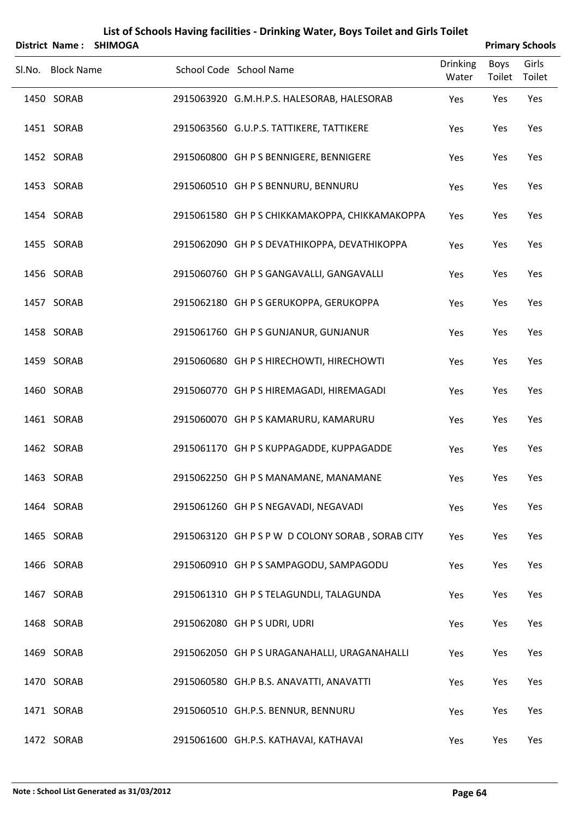|        |                   | District Name: SHIMOGA |                                                  |                          |                | <b>Primary Schools</b> |
|--------|-------------------|------------------------|--------------------------------------------------|--------------------------|----------------|------------------------|
| Sl.No. | <b>Block Name</b> |                        | School Code School Name                          | <b>Drinking</b><br>Water | Boys<br>Toilet | Girls<br>Toilet        |
|        | 1450 SORAB        |                        | 2915063920 G.M.H.P.S. HALESORAB, HALESORAB       | Yes                      | Yes            | Yes                    |
|        | 1451 SORAB        |                        | 2915063560 G.U.P.S. TATTIKERE, TATTIKERE         | Yes                      | Yes            | Yes                    |
|        | 1452 SORAB        |                        | 2915060800 GH P S BENNIGERE, BENNIGERE           | Yes                      | Yes            | Yes                    |
|        | 1453 SORAB        |                        | 2915060510 GH P S BENNURU, BENNURU               | Yes                      | Yes            | Yes                    |
|        | 1454 SORAB        |                        | 2915061580 GH P S CHIKKAMAKOPPA, CHIKKAMAKOPPA   | Yes                      | Yes            | Yes                    |
|        | 1455 SORAB        |                        | 2915062090 GH P S DEVATHIKOPPA, DEVATHIKOPPA     | Yes                      | Yes            | Yes                    |
|        | 1456 SORAB        |                        | 2915060760 GH P S GANGAVALLI, GANGAVALLI         | Yes                      | Yes            | Yes                    |
|        | 1457 SORAB        |                        | 2915062180 GH P S GERUKOPPA, GERUKOPPA           | Yes                      | Yes            | Yes                    |
|        | 1458 SORAB        |                        | 2915061760 GH P S GUNJANUR, GUNJANUR             | Yes                      | Yes            | Yes                    |
|        | 1459 SORAB        |                        | 2915060680 GH P S HIRECHOWTI, HIRECHOWTI         | Yes                      | Yes            | Yes                    |
|        | 1460 SORAB        |                        | 2915060770 GH P S HIREMAGADI, HIREMAGADI         | Yes                      | Yes            | Yes                    |
|        | 1461 SORAB        |                        | 2915060070 GH P S KAMARURU, KAMARURU             | Yes                      | Yes            | Yes                    |
|        | 1462 SORAB        |                        | 2915061170 GH P S KUPPAGADDE, KUPPAGADDE         | Yes                      | Yes            | Yes                    |
|        | 1463 SORAB        |                        | 2915062250 GH P S MANAMANE, MANAMANE             | Yes                      | Yes            | Yes                    |
|        | 1464 SORAB        |                        | 2915061260 GH P S NEGAVADI, NEGAVADI             | Yes                      | Yes            | Yes                    |
|        | 1465 SORAB        |                        | 2915063120 GH P S P W D COLONY SORAB, SORAB CITY | Yes                      | Yes            | Yes                    |
|        | 1466 SORAB        |                        | 2915060910 GH P S SAMPAGODU, SAMPAGODU           | Yes                      | Yes            | Yes                    |
|        | 1467 SORAB        |                        | 2915061310 GH P S TELAGUNDLI, TALAGUNDA          | Yes                      | Yes            | Yes                    |
|        | 1468 SORAB        |                        | 2915062080 GH P S UDRI, UDRI                     | Yes                      | Yes            | Yes                    |
|        | 1469 SORAB        |                        | 2915062050 GH P S URAGANAHALLI, URAGANAHALLI     | Yes                      | Yes            | Yes                    |
|        | 1470 SORAB        |                        | 2915060580 GH.P B.S. ANAVATTI, ANAVATTI          | Yes                      | Yes            | Yes                    |
|        | 1471 SORAB        |                        | 2915060510 GH.P.S. BENNUR, BENNURU               | Yes                      | Yes            | Yes                    |
|        | 1472 SORAB        |                        | 2915061600 GH.P.S. KATHAVAI, KATHAVAI            | Yes                      | Yes            | Yes                    |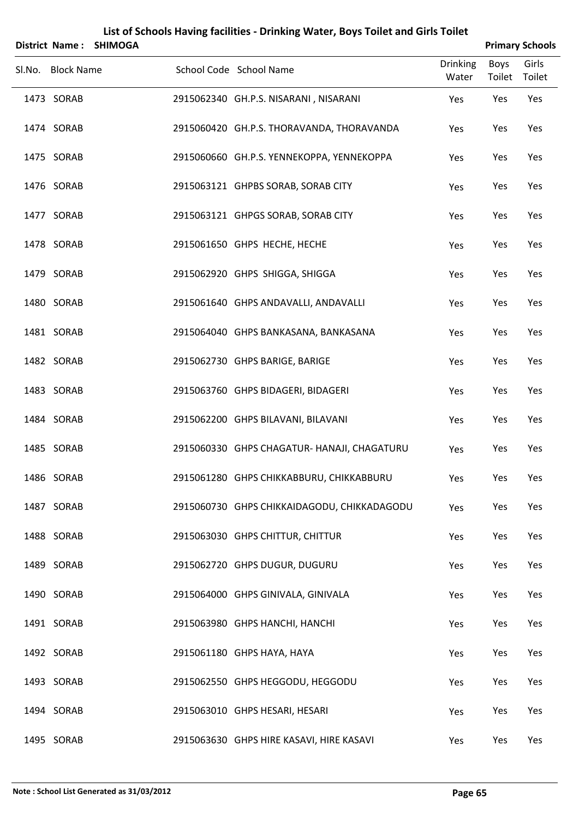|        |                   | District Name: SHIMOGA |                                             |                          |                       | <b>Primary Schools</b> |
|--------|-------------------|------------------------|---------------------------------------------|--------------------------|-----------------------|------------------------|
| Sl.No. | <b>Block Name</b> |                        | School Code School Name                     | <b>Drinking</b><br>Water | <b>Boys</b><br>Toilet | Girls<br>Toilet        |
|        | 1473 SORAB        |                        | 2915062340 GH.P.S. NISARANI, NISARANI       | Yes                      | Yes                   | Yes                    |
|        | 1474 SORAB        |                        | 2915060420 GH.P.S. THORAVANDA, THORAVANDA   | Yes                      | Yes                   | Yes                    |
|        | 1475 SORAB        |                        | 2915060660 GH.P.S. YENNEKOPPA, YENNEKOPPA   | Yes                      | Yes                   | Yes                    |
|        | 1476 SORAB        |                        | 2915063121 GHPBS SORAB, SORAB CITY          | Yes                      | Yes                   | Yes                    |
|        | 1477 SORAB        |                        | 2915063121 GHPGS SORAB, SORAB CITY          | Yes                      | Yes                   | Yes                    |
|        | 1478 SORAB        |                        | 2915061650 GHPS HECHE, HECHE                | Yes                      | Yes                   | Yes                    |
|        | 1479 SORAB        |                        | 2915062920 GHPS SHIGGA, SHIGGA              | Yes                      | Yes                   | Yes                    |
|        | 1480 SORAB        |                        | 2915061640 GHPS ANDAVALLI, ANDAVALLI        | Yes                      | Yes                   | Yes                    |
|        | 1481 SORAB        |                        | 2915064040 GHPS BANKASANA, BANKASANA        | Yes                      | Yes                   | Yes                    |
|        | 1482 SORAB        |                        | 2915062730 GHPS BARIGE, BARIGE              | Yes                      | Yes                   | Yes                    |
|        | 1483 SORAB        |                        | 2915063760 GHPS BIDAGERI, BIDAGERI          | Yes                      | Yes                   | Yes                    |
|        | 1484 SORAB        |                        | 2915062200 GHPS BILAVANI, BILAVANI          | Yes                      | Yes                   | Yes                    |
|        | 1485 SORAB        |                        | 2915060330 GHPS CHAGATUR- HANAJI, CHAGATURU | Yes                      | Yes                   | Yes                    |
|        | 1486 SORAB        |                        | 2915061280 GHPS CHIKKABBURU, CHIKKABBURU    | Yes                      | Yes                   | Yes                    |
|        | 1487 SORAB        |                        | 2915060730 GHPS CHIKKAIDAGODU, CHIKKADAGODU | Yes                      | Yes                   | Yes                    |
|        | 1488 SORAB        |                        | 2915063030 GHPS CHITTUR, CHITTUR            | Yes                      | Yes                   | Yes                    |
|        | 1489 SORAB        |                        | 2915062720 GHPS DUGUR, DUGURU               | Yes                      | Yes                   | Yes                    |
|        | 1490 SORAB        |                        | 2915064000 GHPS GINIVALA, GINIVALA          | Yes                      | Yes                   | Yes                    |
|        | 1491 SORAB        |                        | 2915063980 GHPS HANCHI, HANCHI              | Yes                      | Yes                   | Yes                    |
|        | 1492 SORAB        |                        | 2915061180 GHPS HAYA, HAYA                  | Yes                      | Yes                   | Yes                    |
|        | 1493 SORAB        |                        | 2915062550 GHPS HEGGODU, HEGGODU            | Yes                      | Yes                   | Yes                    |
|        | 1494 SORAB        |                        | 2915063010 GHPS HESARI, HESARI              | Yes                      | Yes                   | Yes                    |
|        | 1495 SORAB        |                        | 2915063630 GHPS HIRE KASAVI, HIRE KASAVI    | Yes                      | Yes                   | Yes                    |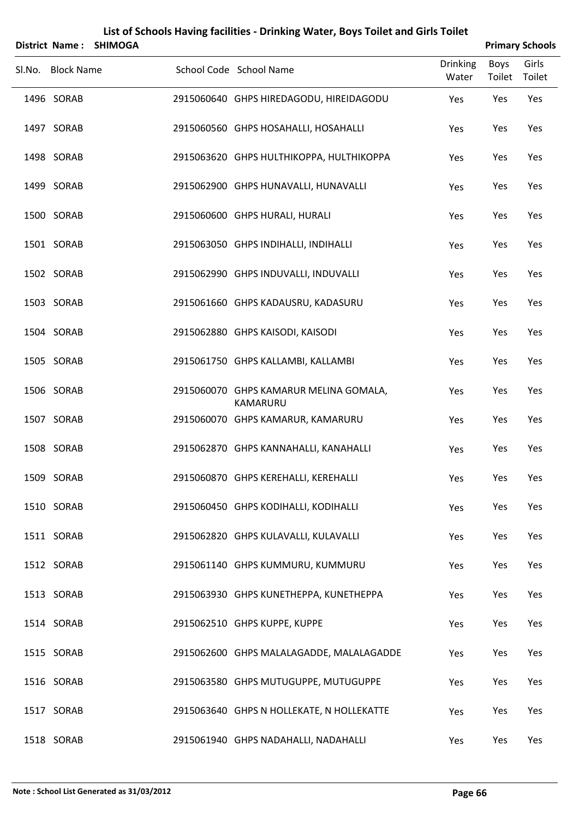|        | District Name:    | <b>SHIMOGA</b> |                                                    |                          |                | <b>Primary Schools</b> |
|--------|-------------------|----------------|----------------------------------------------------|--------------------------|----------------|------------------------|
| Sl.No. | <b>Block Name</b> |                | School Code School Name                            | <b>Drinking</b><br>Water | Boys<br>Toilet | Girls<br>Toilet        |
|        | 1496 SORAB        |                | 2915060640 GHPS HIREDAGODU, HIREIDAGODU            | Yes                      | Yes            | Yes                    |
|        | 1497 SORAB        |                | 2915060560 GHPS HOSAHALLI, HOSAHALLI               | Yes                      | Yes            | Yes                    |
|        | 1498 SORAB        |                | 2915063620 GHPS HULTHIKOPPA, HULTHIKOPPA           | Yes                      | Yes            | Yes                    |
|        | 1499 SORAB        |                | 2915062900 GHPS HUNAVALLI, HUNAVALLI               | Yes                      | Yes            | Yes                    |
|        | 1500 SORAB        |                | 2915060600 GHPS HURALI, HURALI                     | Yes                      | Yes            | Yes                    |
|        | 1501 SORAB        |                | 2915063050 GHPS INDIHALLI, INDIHALLI               | Yes                      | Yes            | Yes                    |
|        | 1502 SORAB        |                | 2915062990 GHPS INDUVALLI, INDUVALLI               | Yes                      | Yes            | Yes                    |
|        | 1503 SORAB        |                | 2915061660 GHPS KADAUSRU, KADASURU                 | Yes                      | Yes            | Yes                    |
|        | 1504 SORAB        |                | 2915062880 GHPS KAISODI, KAISODI                   | Yes                      | Yes            | Yes                    |
|        | 1505 SORAB        |                | 2915061750 GHPS KALLAMBI, KALLAMBI                 | Yes                      | Yes            | Yes                    |
|        | 1506 SORAB        |                | 2915060070 GHPS KAMARUR MELINA GOMALA,<br>KAMARURU | Yes                      | Yes            | Yes                    |
|        | 1507 SORAB        |                | 2915060070 GHPS KAMARUR, KAMARURU                  | Yes                      | Yes            | Yes                    |
|        | 1508 SORAB        |                | 2915062870 GHPS KANNAHALLI, KANAHALLI              | Yes                      | Yes            | Yes                    |
|        | 1509 SORAB        |                | 2915060870 GHPS KEREHALLI, KEREHALLI               | Yes                      | Yes            | Yes                    |
|        | 1510 SORAB        |                | 2915060450 GHPS KODIHALLI, KODIHALLI               | Yes                      | Yes            | Yes                    |
|        | 1511 SORAB        |                | 2915062820 GHPS KULAVALLI, KULAVALLI               | Yes                      | Yes            | Yes                    |
|        | 1512 SORAB        |                | 2915061140 GHPS KUMMURU, KUMMURU                   | Yes                      | Yes            | Yes                    |
|        | 1513 SORAB        |                | 2915063930 GHPS KUNETHEPPA, KUNETHEPPA             | Yes                      | Yes            | Yes                    |
|        | 1514 SORAB        |                | 2915062510 GHPS KUPPE, KUPPE                       | Yes                      | Yes            | Yes                    |
|        | 1515 SORAB        |                | 2915062600 GHPS MALALAGADDE, MALALAGADDE           | Yes                      | Yes            | Yes                    |
|        | 1516 SORAB        |                | 2915063580 GHPS MUTUGUPPE, MUTUGUPPE               | Yes                      | Yes            | Yes                    |
|        | 1517 SORAB        |                | 2915063640 GHPS N HOLLEKATE, N HOLLEKATTE          | Yes                      | Yes            | Yes                    |
|        | 1518 SORAB        |                | 2915061940 GHPS NADAHALLI, NADAHALLI               | Yes                      | Yes            | Yes                    |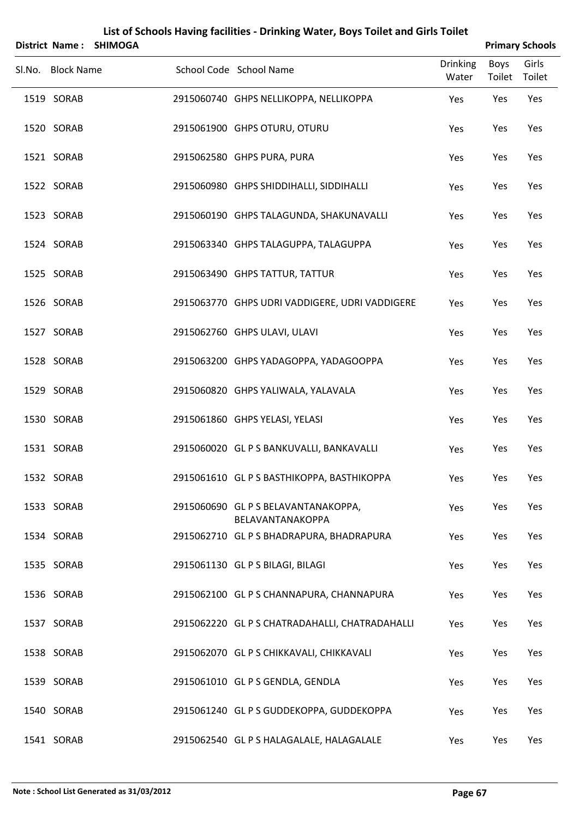|                   | District Name: SHIMOGA |                                                         |                          |                | <b>Primary Schools</b> |
|-------------------|------------------------|---------------------------------------------------------|--------------------------|----------------|------------------------|
| Sl.No. Block Name |                        | School Code School Name                                 | <b>Drinking</b><br>Water | Boys<br>Toilet | Girls<br>Toilet        |
| 1519 SORAB        |                        | 2915060740 GHPS NELLIKOPPA, NELLIKOPPA                  | Yes                      | Yes            | Yes                    |
| 1520 SORAB        |                        | 2915061900 GHPS OTURU, OTURU                            | Yes                      | Yes            | Yes                    |
| 1521 SORAB        |                        | 2915062580 GHPS PURA, PURA                              | Yes                      | Yes            | Yes                    |
| 1522 SORAB        |                        | 2915060980 GHPS SHIDDIHALLI, SIDDIHALLI                 | Yes                      | Yes            | Yes                    |
| 1523 SORAB        |                        | 2915060190 GHPS TALAGUNDA, SHAKUNAVALLI                 | Yes                      | Yes            | Yes                    |
| 1524 SORAB        |                        | 2915063340 GHPS TALAGUPPA, TALAGUPPA                    | Yes                      | Yes            | Yes                    |
| 1525 SORAB        |                        | 2915063490 GHPS TATTUR, TATTUR                          | Yes                      | Yes            | Yes                    |
| 1526 SORAB        |                        | 2915063770 GHPS UDRI VADDIGERE, UDRI VADDIGERE          | Yes                      | Yes            | Yes                    |
| 1527 SORAB        |                        | 2915062760 GHPS ULAVI, ULAVI                            | Yes                      | Yes            | Yes                    |
| 1528 SORAB        |                        | 2915063200 GHPS YADAGOPPA, YADAGOOPPA                   | Yes                      | Yes            | Yes                    |
| 1529 SORAB        |                        | 2915060820 GHPS YALIWALA, YALAVALA                      | Yes                      | Yes            | Yes                    |
| 1530 SORAB        |                        | 2915061860 GHPS YELASI, YELASI                          | Yes                      | Yes            | Yes                    |
| 1531 SORAB        |                        | 2915060020 GL P S BANKUVALLI, BANKAVALLI                | Yes                      | Yes            | Yes                    |
| 1532 SORAB        |                        | 2915061610 GL P S BASTHIKOPPA, BASTHIKOPPA              | Yes                      | Yes            | Yes                    |
| 1533 SORAB        |                        | 2915060690 GL P S BELAVANTANAKOPPA,<br>BELAVANTANAKOPPA | Yes                      | Yes            | Yes                    |
| 1534 SORAB        |                        | 2915062710 GL P S BHADRAPURA, BHADRAPURA                | Yes                      | Yes            | Yes                    |
| 1535 SORAB        |                        | 2915061130 GL P S BILAGI, BILAGI                        | Yes                      | Yes            | Yes                    |
| 1536 SORAB        |                        | 2915062100 GL P S CHANNAPURA, CHANNAPURA                | Yes                      | Yes            | Yes                    |
| 1537 SORAB        |                        | 2915062220 GL P S CHATRADAHALLI, CHATRADAHALLI          | Yes                      | Yes            | Yes                    |
| 1538 SORAB        |                        | 2915062070 GL P S CHIKKAVALI, CHIKKAVALI                | Yes                      | Yes            | Yes                    |
| 1539 SORAB        |                        | 2915061010 GL P S GENDLA, GENDLA                        | Yes                      | Yes            | Yes                    |
| 1540 SORAB        |                        | 2915061240 GL P S GUDDEKOPPA, GUDDEKOPPA                | Yes                      | Yes            | Yes                    |
| 1541 SORAB        |                        | 2915062540 GL P S HALAGALALE, HALAGALALE                | Yes                      | Yes            | Yes                    |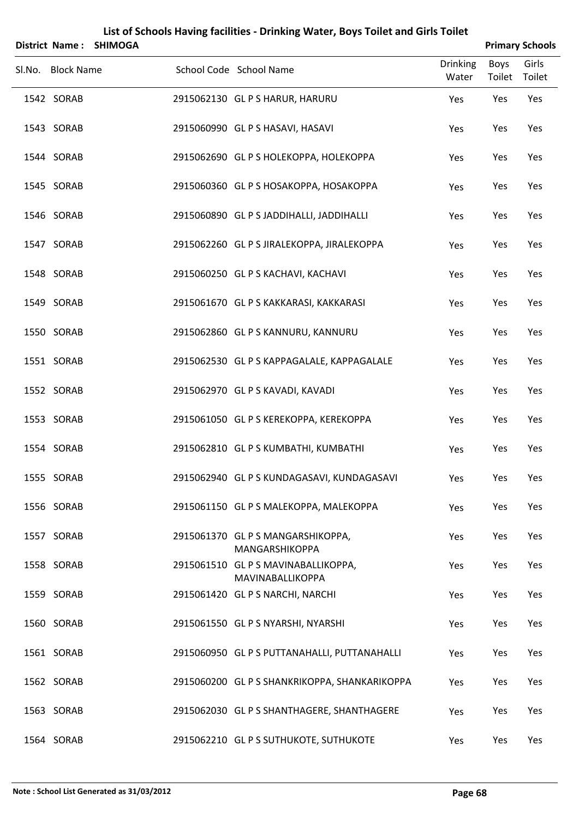|                   | District Name: SHIMOGA |                                                         |                          |                | <b>Primary Schools</b> |
|-------------------|------------------------|---------------------------------------------------------|--------------------------|----------------|------------------------|
| Sl.No. Block Name |                        | School Code School Name                                 | <b>Drinking</b><br>Water | Boys<br>Toilet | Girls<br>Toilet        |
| 1542 SORAB        |                        | 2915062130 GL P S HARUR, HARURU                         | Yes                      | Yes            | Yes                    |
| 1543 SORAB        |                        | 2915060990 GL P S HASAVI, HASAVI                        | Yes                      | Yes            | Yes                    |
| 1544 SORAB        |                        | 2915062690 GL P S HOLEKOPPA, HOLEKOPPA                  | Yes                      | Yes            | Yes                    |
| 1545 SORAB        |                        | 2915060360 GL P S HOSAKOPPA, HOSAKOPPA                  | Yes                      | Yes            | Yes                    |
| 1546 SORAB        |                        | 2915060890 GL P S JADDIHALLI, JADDIHALLI                | Yes                      | Yes            | Yes                    |
| 1547 SORAB        |                        | 2915062260 GL P S JIRALEKOPPA, JIRALEKOPPA              | Yes                      | Yes            | Yes                    |
| 1548 SORAB        |                        | 2915060250 GL P S KACHAVI, KACHAVI                      | Yes                      | Yes            | Yes                    |
| 1549 SORAB        |                        | 2915061670 GL P S KAKKARASI, KAKKARASI                  | Yes                      | Yes            | Yes                    |
| 1550 SORAB        |                        | 2915062860 GL P S KANNURU, KANNURU                      | Yes                      | Yes            | Yes                    |
| 1551 SORAB        |                        | 2915062530 GL P S KAPPAGALALE, KAPPAGALALE              | Yes                      | Yes            | Yes                    |
| 1552 SORAB        |                        | 2915062970 GL P S KAVADI, KAVADI                        | Yes                      | Yes            | Yes                    |
| 1553 SORAB        |                        | 2915061050 GL P S KEREKOPPA, KEREKOPPA                  | Yes                      | Yes            | Yes                    |
| 1554 SORAB        |                        | 2915062810 GL P S KUMBATHI, KUMBATHI                    | Yes                      | Yes            | Yes                    |
| 1555 SORAB        |                        | 2915062940 GL P S KUNDAGASAVI, KUNDAGASAVI              | Yes                      | Yes            | Yes                    |
| 1556 SORAB        |                        | 2915061150 GL P S MALEKOPPA, MALEKOPPA                  | Yes                      | Yes            | Yes                    |
| 1557 SORAB        |                        | 2915061370 GL P S MANGARSHIKOPPA,<br>MANGARSHIKOPPA     | Yes                      | Yes            | Yes                    |
| 1558 SORAB        |                        | 2915061510 GL P S MAVINABALLIKOPPA,<br>MAVINABALLIKOPPA | Yes                      | Yes            | Yes                    |
| 1559 SORAB        |                        | 2915061420 GL P S NARCHI, NARCHI                        | Yes                      | Yes            | Yes                    |
| 1560 SORAB        |                        | 2915061550 GL P S NYARSHI, NYARSHI                      | Yes                      | Yes            | Yes                    |
| 1561 SORAB        |                        | 2915060950 GL P S PUTTANAHALLI, PUTTANAHALLI            | Yes                      | Yes            | Yes                    |
| 1562 SORAB        |                        | 2915060200 GL P S SHANKRIKOPPA, SHANKARIKOPPA           | Yes                      | Yes            | Yes                    |
| 1563 SORAB        |                        | 2915062030 GL P S SHANTHAGERE, SHANTHAGERE              | Yes                      | Yes            | Yes                    |
| 1564 SORAB        |                        | 2915062210 GL P S SUTHUKOTE, SUTHUKOTE                  | Yes                      | Yes            | Yes                    |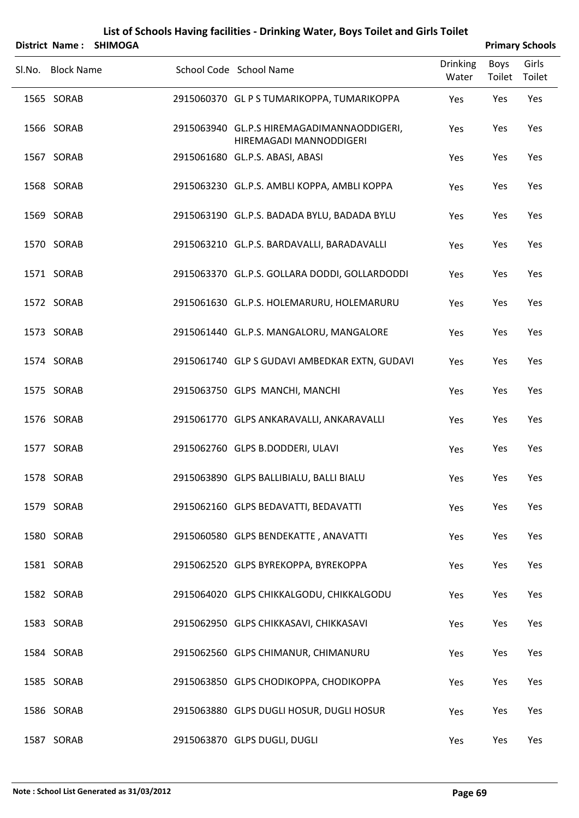|        |                   | District Name: SHIMOGA |                                                                       |                          |                | <b>Primary Schools</b> |
|--------|-------------------|------------------------|-----------------------------------------------------------------------|--------------------------|----------------|------------------------|
| Sl.No. | <b>Block Name</b> |                        | School Code School Name                                               | <b>Drinking</b><br>Water | Boys<br>Toilet | Girls<br>Toilet        |
|        | 1565 SORAB        |                        | 2915060370 GL P S TUMARIKOPPA, TUMARIKOPPA                            | Yes                      | Yes            | Yes                    |
|        | 1566 SORAB        |                        | 2915063940 GL.P.S HIREMAGADIMANNAODDIGERI,<br>HIREMAGADI MANNODDIGERI | Yes                      | Yes            | Yes                    |
|        | 1567 SORAB        |                        | 2915061680 GL.P.S. ABASI, ABASI                                       | Yes                      | Yes            | Yes                    |
|        | 1568 SORAB        |                        | 2915063230 GL.P.S. AMBLI KOPPA, AMBLI KOPPA                           | Yes                      | Yes            | Yes                    |
|        | 1569 SORAB        |                        | 2915063190 GL.P.S. BADADA BYLU, BADADA BYLU                           | Yes                      | Yes            | Yes                    |
|        | 1570 SORAB        |                        | 2915063210 GL.P.S. BARDAVALLI, BARADAVALLI                            | Yes                      | Yes            | Yes                    |
|        | 1571 SORAB        |                        | 2915063370 GL.P.S. GOLLARA DODDI, GOLLARDODDI                         | Yes                      | Yes            | Yes                    |
|        | 1572 SORAB        |                        | 2915061630 GL.P.S. HOLEMARURU, HOLEMARURU                             | Yes                      | Yes            | Yes                    |
|        | 1573 SORAB        |                        | 2915061440 GL.P.S. MANGALORU, MANGALORE                               | Yes                      | Yes            | Yes                    |
|        | 1574 SORAB        |                        | 2915061740 GLP S GUDAVI AMBEDKAR EXTN, GUDAVI                         | Yes                      | Yes            | Yes                    |
|        | 1575 SORAB        |                        | 2915063750 GLPS MANCHI, MANCHI                                        | Yes                      | Yes            | Yes                    |
|        | 1576 SORAB        |                        | 2915061770 GLPS ANKARAVALLI, ANKARAVALLI                              | Yes                      | Yes            | Yes                    |
|        | 1577 SORAB        |                        | 2915062760 GLPS B.DODDERI, ULAVI                                      | Yes                      | Yes            | Yes                    |
|        | 1578 SORAB        |                        | 2915063890 GLPS BALLIBIALU, BALLI BIALU                               | Yes                      | Yes            | Yes                    |
|        | 1579 SORAB        |                        | 2915062160 GLPS BEDAVATTI, BEDAVATTI                                  | Yes                      | Yes            | Yes                    |
|        | 1580 SORAB        |                        | 2915060580 GLPS BENDEKATTE, ANAVATTI                                  | Yes                      | Yes            | Yes                    |
|        | 1581 SORAB        |                        | 2915062520 GLPS BYREKOPPA, BYREKOPPA                                  | Yes                      | Yes            | Yes                    |
|        | 1582 SORAB        |                        | 2915064020 GLPS CHIKKALGODU, CHIKKALGODU                              | Yes                      | Yes            | Yes                    |
|        | 1583 SORAB        |                        | 2915062950 GLPS CHIKKASAVI, CHIKKASAVI                                | Yes                      | Yes            | Yes                    |
|        | 1584 SORAB        |                        | 2915062560 GLPS CHIMANUR, CHIMANURU                                   | Yes                      | Yes            | Yes                    |
|        | 1585 SORAB        |                        | 2915063850 GLPS CHODIKOPPA, CHODIKOPPA                                | Yes                      | Yes            | Yes                    |
|        | 1586 SORAB        |                        | 2915063880 GLPS DUGLI HOSUR, DUGLI HOSUR                              | Yes                      | Yes            | Yes                    |
|        | 1587 SORAB        |                        | 2915063870 GLPS DUGLI, DUGLI                                          | Yes                      | Yes            | Yes                    |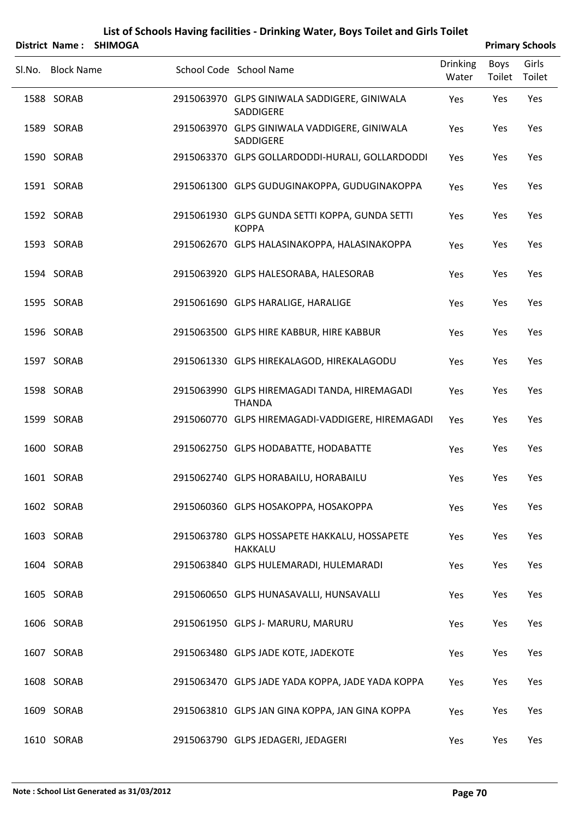|        |                   | District Name: SHIMOGA |                                                                |                          | <b>Primary Schools</b> |                 |
|--------|-------------------|------------------------|----------------------------------------------------------------|--------------------------|------------------------|-----------------|
| Sl.No. | <b>Block Name</b> |                        | School Code School Name                                        | <b>Drinking</b><br>Water | Boys<br>Toilet         | Girls<br>Toilet |
|        | 1588 SORAB        |                        | 2915063970 GLPS GINIWALA SADDIGERE, GINIWALA<br>SADDIGERE      | Yes                      | Yes                    | Yes             |
|        | 1589 SORAB        |                        | 2915063970 GLPS GINIWALA VADDIGERE, GINIWALA<br>SADDIGERE      | Yes                      | Yes                    | Yes             |
|        | 1590 SORAB        |                        | 2915063370 GLPS GOLLARDODDI-HURALI, GOLLARDODDI                | Yes                      | Yes                    | Yes             |
|        | 1591 SORAB        |                        | 2915061300 GLPS GUDUGINAKOPPA, GUDUGINAKOPPA                   | Yes                      | Yes                    | Yes             |
|        | 1592 SORAB        |                        | 2915061930 GLPS GUNDA SETTI KOPPA, GUNDA SETTI<br><b>KOPPA</b> | Yes                      | Yes                    | Yes             |
|        | 1593 SORAB        |                        | 2915062670 GLPS HALASINAKOPPA, HALASINAKOPPA                   | Yes                      | Yes                    | Yes             |
|        | 1594 SORAB        |                        | 2915063920 GLPS HALESORABA, HALESORAB                          | Yes                      | Yes                    | Yes             |
|        | 1595 SORAB        |                        | 2915061690 GLPS HARALIGE, HARALIGE                             | Yes                      | Yes                    | Yes             |
|        | 1596 SORAB        |                        | 2915063500 GLPS HIRE KABBUR, HIRE KABBUR                       | Yes                      | Yes                    | Yes             |
|        | 1597 SORAB        |                        | 2915061330 GLPS HIREKALAGOD, HIREKALAGODU                      | Yes                      | Yes                    | Yes             |
|        | 1598 SORAB        |                        | 2915063990 GLPS HIREMAGADI TANDA, HIREMAGADI<br><b>THANDA</b>  | Yes                      | Yes                    | Yes             |
|        | 1599 SORAB        |                        | 2915060770 GLPS HIREMAGADI-VADDIGERE, HIREMAGADI               | Yes                      | Yes                    | Yes             |
|        | 1600 SORAB        |                        | 2915062750 GLPS HODABATTE, HODABATTE                           | Yes                      | Yes                    | Yes             |
|        | 1601 SORAB        |                        | 2915062740 GLPS HORABAILU, HORABAILU                           | Yes                      | Yes                    | Yes             |
|        | 1602 SORAB        |                        | 2915060360 GLPS HOSAKOPPA, HOSAKOPPA                           | Yes                      | Yes                    | Yes             |
|        | 1603 SORAB        |                        | 2915063780 GLPS HOSSAPETE HAKKALU, HOSSAPETE<br><b>HAKKALU</b> | Yes                      | Yes                    | Yes             |
|        | 1604 SORAB        |                        | 2915063840 GLPS HULEMARADI, HULEMARADI                         | Yes                      | Yes                    | Yes             |
|        | 1605 SORAB        |                        | 2915060650 GLPS HUNASAVALLI, HUNSAVALLI                        | Yes                      | Yes                    | Yes             |
|        | 1606 SORAB        |                        | 2915061950 GLPS J- MARURU, MARURU                              | Yes                      | Yes                    | Yes             |
|        | 1607 SORAB        |                        | 2915063480 GLPS JADE KOTE, JADEKOTE                            | Yes                      | Yes                    | Yes             |
|        | 1608 SORAB        |                        | 2915063470 GLPS JADE YADA KOPPA, JADE YADA KOPPA               | Yes                      | Yes                    | Yes             |
|        | 1609 SORAB        |                        | 2915063810 GLPS JAN GINA KOPPA, JAN GINA KOPPA                 | Yes                      | Yes                    | Yes             |

1610 SORAB 2915063790 GLPS JEDAGERI, JEDAGERI Yes Yes Yes Yes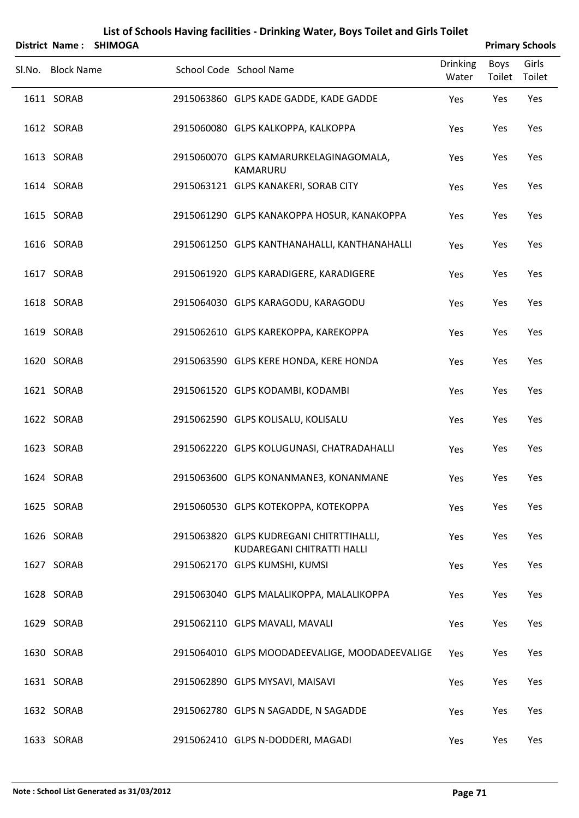|                   | District Name: SHIMOGA |                                                                        |                          | <b>Primary Schools</b> |                 |
|-------------------|------------------------|------------------------------------------------------------------------|--------------------------|------------------------|-----------------|
| Sl.No. Block Name |                        | School Code School Name                                                | <b>Drinking</b><br>Water | Boys<br>Toilet         | Girls<br>Toilet |
| 1611 SORAB        |                        | 2915063860 GLPS KADE GADDE, KADE GADDE                                 | Yes                      | Yes                    | Yes             |
| 1612 SORAB        |                        | 2915060080 GLPS KALKOPPA, KALKOPPA                                     | Yes                      | Yes                    | Yes             |
| 1613 SORAB        |                        | 2915060070 GLPS KAMARURKELAGINAGOMALA,<br>KAMARURU                     | Yes                      | Yes                    | Yes             |
| 1614 SORAB        |                        | 2915063121 GLPS KANAKERI, SORAB CITY                                   | Yes                      | Yes                    | Yes             |
| 1615 SORAB        |                        | 2915061290 GLPS KANAKOPPA HOSUR, KANAKOPPA                             | Yes                      | Yes                    | Yes             |
| 1616 SORAB        |                        | 2915061250 GLPS KANTHANAHALLI, KANTHANAHALLI                           | Yes                      | Yes                    | Yes             |
| 1617 SORAB        |                        | 2915061920 GLPS KARADIGERE, KARADIGERE                                 | Yes                      | Yes                    | Yes             |
| 1618 SORAB        |                        | 2915064030 GLPS KARAGODU, KARAGODU                                     | Yes                      | Yes                    | Yes             |
| 1619 SORAB        |                        | 2915062610 GLPS KAREKOPPA, KAREKOPPA                                   | Yes                      | Yes                    | Yes             |
| 1620 SORAB        |                        | 2915063590 GLPS KERE HONDA, KERE HONDA                                 | Yes                      | Yes                    | Yes             |
| 1621 SORAB        |                        | 2915061520 GLPS KODAMBI, KODAMBI                                       | Yes                      | Yes                    | Yes             |
| 1622 SORAB        |                        | 2915062590 GLPS KOLISALU, KOLISALU                                     | Yes                      | Yes                    | Yes             |
| 1623 SORAB        |                        | 2915062220 GLPS KOLUGUNASI, CHATRADAHALLI                              | Yes                      | Yes                    | Yes             |
| 1624 SORAB        |                        | 2915063600 GLPS KONANMANE3, KONANMANE                                  | Yes                      | Yes                    | Yes             |
| 1625 SORAB        |                        | 2915060530 GLPS KOTEKOPPA, KOTEKOPPA                                   | Yes                      | Yes                    | Yes             |
| 1626 SORAB        |                        | 2915063820 GLPS KUDREGANI CHITRTTIHALLI,<br>KUDAREGANI CHITRATTI HALLI | Yes                      | Yes                    | Yes             |
| 1627 SORAB        |                        | 2915062170 GLPS KUMSHI, KUMSI                                          | Yes                      | Yes                    | Yes             |
| 1628 SORAB        |                        | 2915063040 GLPS MALALIKOPPA, MALALIKOPPA                               | Yes                      | Yes                    | Yes             |
| 1629 SORAB        |                        | 2915062110 GLPS MAVALI, MAVALI                                         | Yes                      | Yes                    | Yes             |
| 1630 SORAB        |                        | 2915064010 GLPS MOODADEEVALIGE, MOODADEEVALIGE                         | Yes                      | Yes                    | Yes             |
| 1631 SORAB        |                        | 2915062890 GLPS MYSAVI, MAISAVI                                        | Yes                      | Yes                    | Yes             |
| 1632 SORAB        |                        | 2915062780 GLPS N SAGADDE, N SAGADDE                                   | Yes                      | Yes                    | Yes             |
| 1633 SORAB        |                        | 2915062410 GLPS N-DODDERI, MAGADI                                      | Yes                      | Yes                    | Yes             |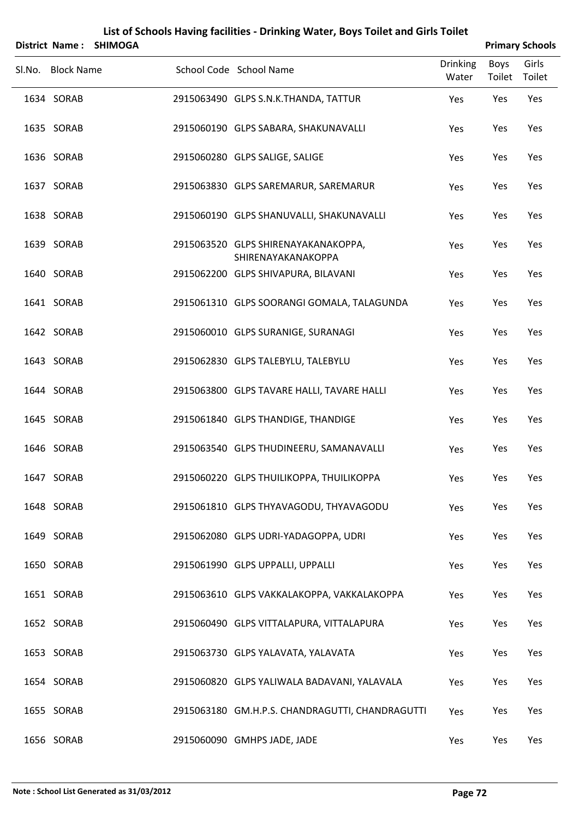|                   | District Name: SHIMOGA |                                                           |                          |                | <b>Primary Schools</b> |
|-------------------|------------------------|-----------------------------------------------------------|--------------------------|----------------|------------------------|
| Sl.No. Block Name |                        | School Code School Name                                   | <b>Drinking</b><br>Water | Boys<br>Toilet | Girls<br>Toilet        |
| 1634 SORAB        |                        | 2915063490 GLPS S.N.K.THANDA, TATTUR                      | Yes                      | Yes            | Yes                    |
| 1635 SORAB        |                        | 2915060190 GLPS SABARA, SHAKUNAVALLI                      | Yes                      | Yes            | Yes                    |
| 1636 SORAB        |                        | 2915060280 GLPS SALIGE, SALIGE                            | Yes                      | Yes            | Yes                    |
| 1637 SORAB        |                        | 2915063830 GLPS SAREMARUR, SAREMARUR                      | Yes                      | Yes            | Yes                    |
| 1638 SORAB        |                        | 2915060190 GLPS SHANUVALLI, SHAKUNAVALLI                  | Yes                      | Yes            | Yes                    |
| 1639 SORAB        |                        | 2915063520 GLPS SHIRENAYAKANAKOPPA,<br>SHIRENAYAKANAKOPPA | Yes                      | Yes            | Yes                    |
| 1640 SORAB        |                        | 2915062200 GLPS SHIVAPURA, BILAVANI                       | Yes                      | Yes            | Yes                    |
| 1641 SORAB        |                        | 2915061310 GLPS SOORANGI GOMALA, TALAGUNDA                | Yes                      | Yes            | Yes                    |
| 1642 SORAB        |                        | 2915060010 GLPS SURANIGE, SURANAGI                        | Yes                      | Yes            | Yes                    |
| 1643 SORAB        |                        | 2915062830 GLPS TALEBYLU, TALEBYLU                        | Yes                      | Yes            | Yes                    |
| 1644 SORAB        |                        | 2915063800 GLPS TAVARE HALLI, TAVARE HALLI                | Yes                      | Yes            | Yes                    |
| 1645 SORAB        |                        | 2915061840 GLPS THANDIGE, THANDIGE                        | Yes                      | Yes            | Yes                    |
| 1646 SORAB        |                        | 2915063540 GLPS THUDINEERU, SAMANAVALLI                   | Yes                      | Yes            | Yes                    |
| 1647 SORAB        |                        | 2915060220 GLPS THUILIKOPPA, THUILIKOPPA                  | Yes                      | Yes            | Yes                    |
| 1648 SORAB        |                        | 2915061810 GLPS THYAVAGODU, THYAVAGODU                    | Yes                      | Yes            | Yes                    |
| 1649 SORAB        |                        | 2915062080 GLPS UDRI-YADAGOPPA, UDRI                      | Yes                      | Yes            | Yes                    |
| 1650 SORAB        |                        | 2915061990 GLPS UPPALLI, UPPALLI                          | Yes                      | Yes            | Yes                    |
| 1651 SORAB        |                        | 2915063610 GLPS VAKKALAKOPPA, VAKKALAKOPPA                | Yes                      | Yes            | Yes                    |
| 1652 SORAB        |                        | 2915060490 GLPS VITTALAPURA, VITTALAPURA                  | Yes                      | Yes            | Yes                    |
| 1653 SORAB        |                        | 2915063730 GLPS YALAVATA, YALAVATA                        | Yes                      | Yes            | Yes                    |
| 1654 SORAB        |                        | 2915060820 GLPS YALIWALA BADAVANI, YALAVALA               | Yes                      | Yes            | Yes                    |
| 1655 SORAB        |                        | 2915063180 GM.H.P.S. CHANDRAGUTTI, CHANDRAGUTTI           | Yes                      | Yes            | Yes                    |
| 1656 SORAB        |                        | 2915060090 GMHPS JADE, JADE                               | Yes                      | Yes            | Yes                    |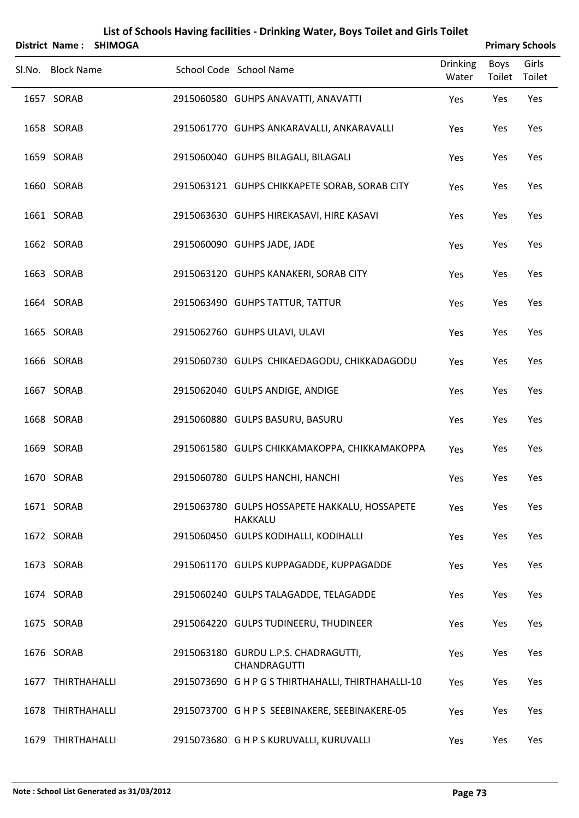|                   | District Name: SHIMOGA |                                                                 |                          |                | <b>Primary Schools</b> |
|-------------------|------------------------|-----------------------------------------------------------------|--------------------------|----------------|------------------------|
| Sl.No. Block Name |                        | School Code School Name                                         | <b>Drinking</b><br>Water | Boys<br>Toilet | Girls<br>Toilet        |
| 1657 SORAB        |                        | 2915060580 GUHPS ANAVATTI, ANAVATTI                             | Yes                      | Yes            | Yes                    |
| 1658 SORAB        |                        | 2915061770 GUHPS ANKARAVALLI, ANKARAVALLI                       | Yes                      | Yes            | Yes                    |
| 1659 SORAB        |                        | 2915060040 GUHPS BILAGALI, BILAGALI                             | Yes                      | Yes            | Yes                    |
| 1660 SORAB        |                        | 2915063121 GUHPS CHIKKAPETE SORAB, SORAB CITY                   | Yes                      | Yes            | Yes                    |
| 1661 SORAB        |                        | 2915063630 GUHPS HIREKASAVI, HIRE KASAVI                        | Yes                      | Yes            | Yes                    |
| 1662 SORAB        |                        | 2915060090 GUHPS JADE, JADE                                     | Yes                      | Yes            | Yes                    |
| 1663 SORAB        |                        | 2915063120 GUHPS KANAKERI, SORAB CITY                           | Yes                      | Yes            | Yes                    |
| 1664 SORAB        |                        | 2915063490 GUHPS TATTUR, TATTUR                                 | Yes                      | Yes            | Yes                    |
| 1665 SORAB        |                        | 2915062760 GUHPS ULAVI, ULAVI                                   | Yes                      | Yes            | Yes                    |
| 1666 SORAB        |                        | 2915060730 GULPS CHIKAEDAGODU, CHIKKADAGODU                     | Yes                      | Yes            | Yes                    |
| 1667 SORAB        |                        | 2915062040 GULPS ANDIGE, ANDIGE                                 | Yes                      | Yes            | Yes                    |
| 1668 SORAB        |                        | 2915060880 GULPS BASURU, BASURU                                 | Yes                      | Yes            | Yes                    |
| 1669 SORAB        |                        | 2915061580 GULPS CHIKKAMAKOPPA, CHIKKAMAKOPPA                   | Yes                      | Yes            | Yes                    |
| 1670 SORAB        |                        | 2915060780 GULPS HANCHI, HANCHI                                 | Yes                      | Yes            | Yes                    |
| 1671 SORAB        |                        | 2915063780 GULPS HOSSAPETE HAKKALU, HOSSAPETE<br><b>HAKKALU</b> | Yes                      | Yes            | Yes                    |
| 1672 SORAB        |                        | 2915060450 GULPS KODIHALLI, KODIHALLI                           | Yes                      | Yes            | Yes                    |
| 1673 SORAB        |                        | 2915061170 GULPS KUPPAGADDE, KUPPAGADDE                         | Yes                      | Yes            | Yes                    |
| 1674 SORAB        |                        | 2915060240 GULPS TALAGADDE, TELAGADDE                           | Yes                      | Yes            | Yes                    |
| 1675 SORAB        |                        | 2915064220 GULPS TUDINEERU, THUDINEER                           | Yes                      | Yes            | Yes                    |
| 1676 SORAB        |                        | 2915063180 GURDU L.P.S. CHADRAGUTTI,<br><b>CHANDRAGUTTI</b>     | Yes                      | Yes            | Yes                    |
| 1677 THIRTHAHALLI |                        | 2915073690 G H P G S THIRTHAHALLI, THIRTHAHALLI-10              | Yes                      | Yes            | Yes                    |
| 1678 THIRTHAHALLI |                        | 2915073700 G H P S SEEBINAKERE, SEEBINAKERE-05                  | Yes                      | Yes            | Yes                    |
| 1679 THIRTHAHALLI |                        | 2915073680 G H P S KURUVALLI, KURUVALLI                         | Yes                      | Yes            | Yes                    |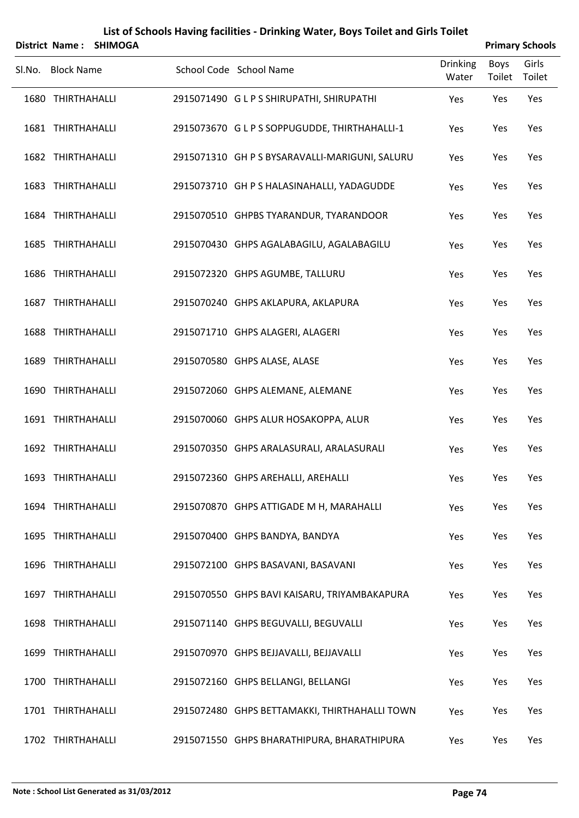|        | District Name:    | <b>SHIMOGA</b> |                                                |                          | <b>Primary Schools</b> |                 |
|--------|-------------------|----------------|------------------------------------------------|--------------------------|------------------------|-----------------|
| Sl.No. | <b>Block Name</b> |                | School Code School Name                        | <b>Drinking</b><br>Water | Boys<br>Toilet         | Girls<br>Toilet |
|        | 1680 THIRTHAHALLI |                | 2915071490 GLPS SHIRUPATHI, SHIRUPATHI         | Yes                      | Yes                    | Yes             |
|        | 1681 THIRTHAHALLI |                | 2915073670 GLPS SOPPUGUDDE, THIRTHAHALLI-1     | Yes                      | Yes                    | Yes             |
|        | 1682 THIRTHAHALLI |                | 2915071310 GH P S BYSARAVALLI-MARIGUNI, SALURU | Yes                      | Yes                    | Yes             |
|        | 1683 THIRTHAHALLI |                | 2915073710 GH P S HALASINAHALLI, YADAGUDDE     | Yes                      | Yes                    | Yes             |
|        | 1684 THIRTHAHALLI |                | 2915070510 GHPBS TYARANDUR, TYARANDOOR         | Yes                      | Yes                    | Yes             |
|        | 1685 THIRTHAHALLI |                | 2915070430 GHPS AGALABAGILU, AGALABAGILU       | Yes                      | Yes                    | Yes             |
|        | 1686 THIRTHAHALLI |                | 2915072320 GHPS AGUMBE, TALLURU                | Yes                      | Yes                    | Yes             |
|        | 1687 THIRTHAHALLI |                | 2915070240 GHPS AKLAPURA, AKLAPURA             | Yes                      | Yes                    | Yes             |
|        | 1688 THIRTHAHALLI |                | 2915071710 GHPS ALAGERI, ALAGERI               | Yes                      | Yes                    | Yes             |
|        | 1689 THIRTHAHALLI |                | 2915070580 GHPS ALASE, ALASE                   | Yes                      | Yes                    | Yes             |
|        | 1690 THIRTHAHALLI |                | 2915072060 GHPS ALEMANE, ALEMANE               | Yes                      | Yes                    | Yes             |
|        | 1691 THIRTHAHALLI |                | 2915070060 GHPS ALUR HOSAKOPPA, ALUR           | Yes                      | Yes                    | Yes             |
|        | 1692 THIRTHAHALLI |                | 2915070350 GHPS ARALASURALI, ARALASURALI       | Yes                      | Yes                    | Yes             |
|        | 1693 THIRTHAHALLI |                | 2915072360 GHPS AREHALLI, AREHALLI             | Yes                      | Yes                    | Yes             |
|        | 1694 THIRTHAHALLI |                | 2915070870 GHPS ATTIGADE M H, MARAHALLI        | Yes                      | Yes                    | Yes             |
|        | 1695 THIRTHAHALLI |                | 2915070400 GHPS BANDYA, BANDYA                 | Yes                      | Yes                    | Yes             |
|        | 1696 THIRTHAHALLI |                | 2915072100 GHPS BASAVANI, BASAVANI             | Yes                      | Yes                    | Yes             |
|        | 1697 THIRTHAHALLI |                | 2915070550 GHPS BAVI KAISARU, TRIYAMBAKAPURA   | Yes                      | Yes                    | Yes             |
|        | 1698 THIRTHAHALLI |                | 2915071140 GHPS BEGUVALLI, BEGUVALLI           | Yes                      | Yes                    | Yes             |
|        | 1699 THIRTHAHALLI |                | 2915070970 GHPS BEJJAVALLI, BEJJAVALLI         | Yes                      | Yes                    | Yes             |
|        | 1700 THIRTHAHALLI |                | 2915072160 GHPS BELLANGI, BELLANGI             | Yes                      | Yes                    | Yes             |
|        | 1701 THIRTHAHALLI |                | 2915072480 GHPS BETTAMAKKI, THIRTHAHALLI TOWN  | Yes                      | Yes                    | Yes             |
|        | 1702 THIRTHAHALLI |                | 2915071550 GHPS BHARATHIPURA, BHARATHIPURA     | Yes                      | Yes                    | Yes             |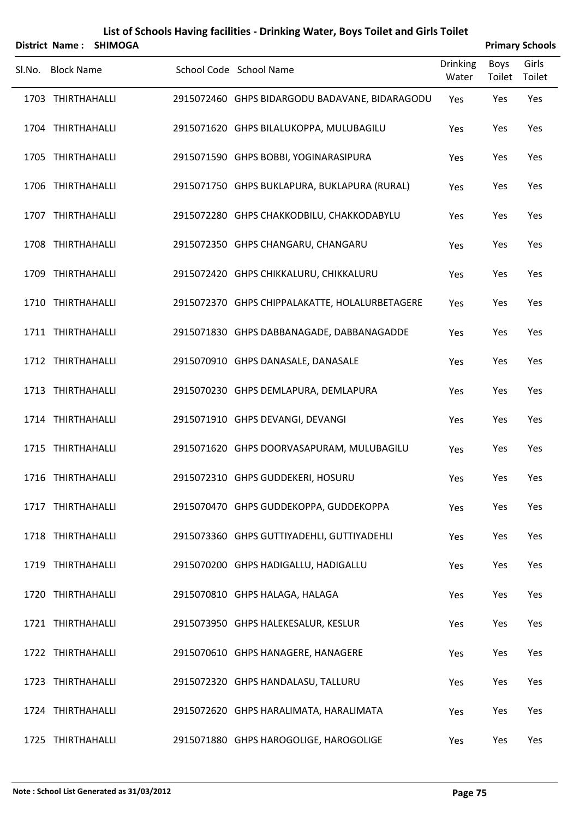|        | <b>District Name:</b> | <b>SHIMOGA</b> | List of Schools Having facilities - Drinking Water, Boys Toilet and Girls Toilet |                          |                       | <b>Primary Schools</b> |
|--------|-----------------------|----------------|----------------------------------------------------------------------------------|--------------------------|-----------------------|------------------------|
| SI.No. | <b>Block Name</b>     |                | School Code School Name                                                          | <b>Drinking</b><br>Water | <b>Boys</b><br>Toilet | Girls<br>Toilet        |
|        | 1703 THIRTHAHALLI     |                | 2915072460 GHPS BIDARGODU BADAVANE, BIDARAGODU                                   | Yes                      | Yes                   | Yes                    |
|        | 1704 THIRTHAHALLI     |                | 2915071620 GHPS BILALUKOPPA, MULUBAGILU                                          | Yes                      | Yes                   | Yes                    |
|        | 1705 THIRTHAHALLI     |                | 2915071590 GHPS BOBBI, YOGINARASIPURA                                            | Yes                      | Yes                   | Yes                    |
|        | 1706 THIRTHAHALLI     |                | 2915071750 GHPS BUKLAPURA, BUKLAPURA (RURAL)                                     | Yes                      | Yes                   | Yes                    |
|        | 1707 THIRTHAHALLI     |                | 2915072280 GHPS CHAKKODBILU, CHAKKODABYLU                                        | Yes                      | Yes                   | Yes                    |
|        | 1708 THIRTHAHALLI     |                | 2915072350 GHPS CHANGARU, CHANGARU                                               | Yes                      | Yes                   | Yes                    |
|        | 1709 THIRTHAHALLI     |                | 2915072420 GHPS CHIKKALURU, CHIKKALURU                                           | Yes                      | Yes                   | Yes                    |
|        | 1710 THIRTHAHALLI     |                | 2915072370 GHPS CHIPPALAKATTE, HOLALURBETAGERE                                   | Yes                      | Yes                   | Yes                    |
|        | 1711 THIRTHAHALLI     |                | 2915071830 GHPS DABBANAGADE, DABBANAGADDE                                        | Yes                      | Yes                   | Yes                    |
|        | 1712 THIRTHAHALLI     |                | 2915070910 GHPS DANASALE, DANASALE                                               | Yes                      | Yes                   | Yes                    |
|        | 1713 THIRTHAHALLI     |                | 2915070230 GHPS DEMLAPURA, DEMLAPURA                                             | Yes                      | Yes                   | Yes                    |
|        | 1714 THIRTHAHALLI     |                | 2915071910 GHPS DEVANGI, DEVANGI                                                 | Yes                      | Yes                   | Yes                    |
|        | 1715 THIRTHAHALLI     |                | 2915071620 GHPS DOORVASAPURAM, MULUBAGILU                                        | Yes                      | Yes                   | Yes                    |
|        | 1716 THIRTHAHALLI     |                | 2915072310 GHPS GUDDEKERI, HOSURU                                                | Yes                      | Yes                   | Yes                    |
|        | 1717 THIRTHAHALLI     |                | 2915070470 GHPS GUDDEKOPPA, GUDDEKOPPA                                           | Yes                      | Yes                   | Yes                    |
|        | 1718 THIRTHAHALLI     |                | 2915073360 GHPS GUTTIYADEHLI, GUTTIYADEHLI                                       | Yes                      | Yes                   | Yes                    |
|        | 1719 THIRTHAHALLI     |                | 2915070200 GHPS HADIGALLU, HADIGALLU                                             | Yes                      | Yes                   | Yes                    |
|        | 1720 THIRTHAHALLI     |                | 2915070810 GHPS HALAGA, HALAGA                                                   | Yes                      | Yes                   | Yes                    |
|        | 1721 THIRTHAHALLI     |                | 2915073950 GHPS HALEKESALUR, KESLUR                                              | Yes                      | Yes                   | Yes                    |
|        | 1722 THIRTHAHALLI     |                | 2915070610 GHPS HANAGERE, HANAGERE                                               | Yes                      | Yes                   | Yes                    |
|        | 1723 THIRTHAHALLI     |                | 2915072320 GHPS HANDALASU, TALLURU                                               | Yes                      | Yes                   | Yes                    |
|        | 1724 THIRTHAHALLI     |                | 2915072620 GHPS HARALIMATA, HARALIMATA                                           | Yes                      | Yes                   | Yes                    |
|        | 1725 THIRTHAHALLI     |                | 2915071880 GHPS HAROGOLIGE, HAROGOLIGE                                           | Yes                      | Yes                   | Yes                    |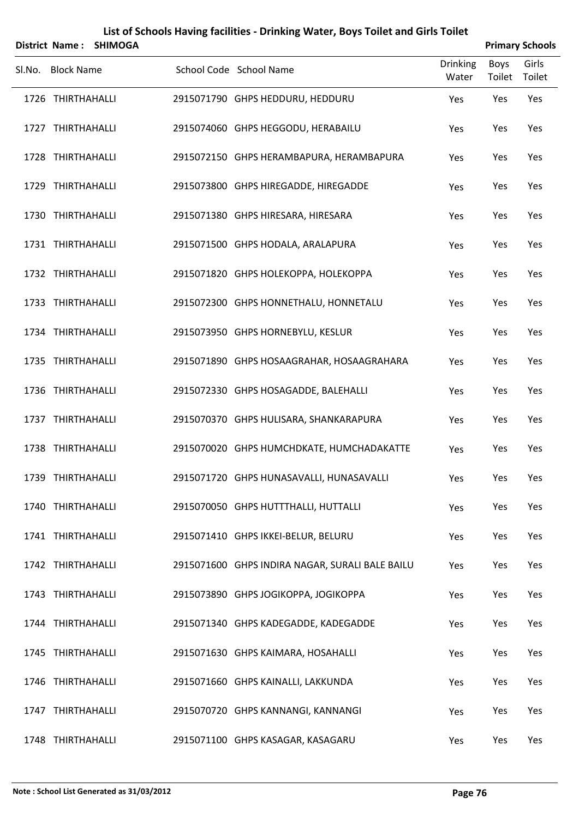|        | <b>District Name:</b> | <b>SHIMOGA</b> |                                                 |                          |                       | <b>Primary Schools</b> |
|--------|-----------------------|----------------|-------------------------------------------------|--------------------------|-----------------------|------------------------|
| Sl.No. | <b>Block Name</b>     |                | School Code School Name                         | <b>Drinking</b><br>Water | <b>Boys</b><br>Toilet | Girls<br>Toilet        |
|        | 1726 THIRTHAHALLI     |                | 2915071790 GHPS HEDDURU, HEDDURU                | Yes                      | Yes                   | Yes                    |
|        | 1727 THIRTHAHALLI     |                | 2915074060 GHPS HEGGODU, HERABAILU              | Yes                      | Yes                   | Yes                    |
|        | 1728 THIRTHAHALLI     |                | 2915072150 GHPS HERAMBAPURA, HERAMBAPURA        | Yes                      | Yes                   | Yes                    |
|        | 1729 THIRTHAHALLI     |                | 2915073800 GHPS HIREGADDE, HIREGADDE            | Yes                      | Yes                   | Yes                    |
|        | 1730 THIRTHAHALLI     |                | 2915071380 GHPS HIRESARA, HIRESARA              | Yes                      | Yes                   | Yes                    |
|        | 1731 THIRTHAHALLI     |                | 2915071500 GHPS HODALA, ARALAPURA               | Yes                      | Yes                   | Yes                    |
|        | 1732 THIRTHAHALLI     |                | 2915071820 GHPS HOLEKOPPA, HOLEKOPPA            | Yes                      | Yes                   | Yes                    |
|        | 1733 THIRTHAHALLI     |                | 2915072300 GHPS HONNETHALU, HONNETALU           | Yes                      | Yes                   | Yes                    |
|        | 1734 THIRTHAHALLI     |                | 2915073950 GHPS HORNEBYLU, KESLUR               | Yes                      | Yes                   | Yes                    |
|        | 1735 THIRTHAHALLI     |                | 2915071890 GHPS HOSAAGRAHAR, HOSAAGRAHARA       | Yes                      | Yes                   | Yes                    |
|        | 1736 THIRTHAHALLI     |                | 2915072330 GHPS HOSAGADDE, BALEHALLI            | Yes                      | Yes                   | Yes                    |
|        | 1737 THIRTHAHALLI     |                | 2915070370 GHPS HULISARA, SHANKARAPURA          | Yes                      | Yes                   | Yes                    |
|        | 1738 THIRTHAHALLI     |                | 2915070020 GHPS HUMCHDKATE, HUMCHADAKATTE       | Yes                      | Yes                   | Yes                    |
|        | 1739 THIRTHAHALLI     |                | 2915071720 GHPS HUNASAVALLI, HUNASAVALLI        | Yes                      | Yes                   | Yes                    |
|        | 1740 THIRTHAHALLI     |                | 2915070050 GHPS HUTTTHALLI, HUTTALLI            | Yes                      | Yes                   | Yes                    |
|        | 1741 THIRTHAHALLI     |                | 2915071410 GHPS IKKEI-BELUR, BELURU             | Yes                      | Yes                   | Yes                    |
|        | 1742 THIRTHAHALLI     |                | 2915071600 GHPS INDIRA NAGAR, SURALI BALE BAILU | Yes                      | Yes                   | Yes                    |
|        | 1743 THIRTHAHALLI     |                | 2915073890 GHPS JOGIKOPPA, JOGIKOPPA            | Yes                      | Yes                   | Yes                    |
|        | 1744 THIRTHAHALLI     |                | 2915071340 GHPS KADEGADDE, KADEGADDE            | Yes                      | Yes                   | Yes                    |
|        | 1745 THIRTHAHALLI     |                | 2915071630 GHPS KAIMARA, HOSAHALLI              | Yes                      | Yes                   | Yes                    |
|        | 1746 THIRTHAHALLI     |                | 2915071660 GHPS KAINALLI, LAKKUNDA              | Yes                      | Yes                   | Yes                    |
|        | 1747 THIRTHAHALLI     |                | 2915070720 GHPS KANNANGI, KANNANGI              | Yes                      | Yes                   | Yes                    |
|        | 1748 THIRTHAHALLI     |                | 2915071100 GHPS KASAGAR, KASAGARU               | Yes                      | Yes                   | Yes                    |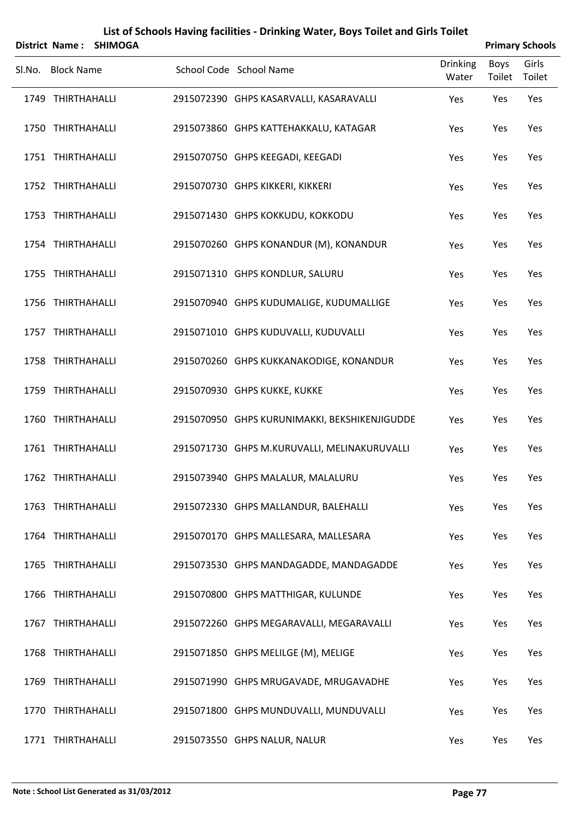|        |                   | District Name: SHIMOGA |                                               |                          |                       | <b>Primary Schools</b> |
|--------|-------------------|------------------------|-----------------------------------------------|--------------------------|-----------------------|------------------------|
| SI.No. | <b>Block Name</b> |                        | School Code School Name                       | <b>Drinking</b><br>Water | <b>Boys</b><br>Toilet | Girls<br>Toilet        |
|        | 1749 THIRTHAHALLI |                        | 2915072390 GHPS KASARVALLI, KASARAVALLI       | Yes                      | Yes                   | Yes                    |
|        | 1750 THIRTHAHALLI |                        | 2915073860 GHPS KATTEHAKKALU, KATAGAR         | Yes                      | Yes                   | Yes                    |
|        | 1751 THIRTHAHALLI |                        | 2915070750 GHPS KEEGADI, KEEGADI              | Yes                      | Yes                   | Yes                    |
|        | 1752 THIRTHAHALLI |                        | 2915070730 GHPS KIKKERI, KIKKERI              | Yes                      | Yes                   | Yes                    |
|        | 1753 THIRTHAHALLI |                        | 2915071430 GHPS KOKKUDU, KOKKODU              | Yes                      | Yes                   | Yes                    |
|        | 1754 THIRTHAHALLI |                        | 2915070260 GHPS KONANDUR (M), KONANDUR        | Yes                      | Yes                   | Yes                    |
|        | 1755 THIRTHAHALLI |                        | 2915071310 GHPS KONDLUR, SALURU               | Yes                      | Yes                   | Yes                    |
|        | 1756 THIRTHAHALLI |                        | 2915070940 GHPS KUDUMALIGE, KUDUMALLIGE       | Yes                      | Yes                   | Yes                    |
|        | 1757 THIRTHAHALLI |                        | 2915071010 GHPS KUDUVALLI, KUDUVALLI          | Yes                      | Yes                   | Yes                    |
|        | 1758 THIRTHAHALLI |                        | 2915070260 GHPS KUKKANAKODIGE, KONANDUR       | Yes                      | Yes                   | Yes                    |
|        | 1759 THIRTHAHALLI |                        | 2915070930 GHPS KUKKE, KUKKE                  | Yes                      | Yes                   | Yes                    |
|        | 1760 THIRTHAHALLI |                        | 2915070950 GHPS KURUNIMAKKI, BEKSHIKENJIGUDDE | Yes                      | Yes                   | Yes                    |
|        | 1761 THIRTHAHALLI |                        | 2915071730 GHPS M.KURUVALLI, MELINAKURUVALLI  | Yes                      | Yes                   | Yes                    |
|        | 1762 THIRTHAHALLI |                        | 2915073940 GHPS MALALUR, MALALURU             | Yes                      | Yes                   | Yes                    |
|        | 1763 THIRTHAHALLI |                        | 2915072330 GHPS MALLANDUR, BALEHALLI          | Yes                      | Yes                   | Yes                    |
|        | 1764 THIRTHAHALLI |                        | 2915070170 GHPS MALLESARA, MALLESARA          | Yes                      | Yes                   | Yes                    |
|        | 1765 THIRTHAHALLI |                        | 2915073530 GHPS MANDAGADDE, MANDAGADDE        | Yes                      | Yes                   | Yes                    |
|        | 1766 THIRTHAHALLI |                        | 2915070800 GHPS MATTHIGAR, KULUNDE            | Yes                      | Yes                   | Yes                    |
|        | 1767 THIRTHAHALLI |                        | 2915072260 GHPS MEGARAVALLI, MEGARAVALLI      | Yes                      | Yes                   | Yes                    |
|        | 1768 THIRTHAHALLI |                        | 2915071850 GHPS MELILGE (M), MELIGE           | Yes                      | Yes                   | Yes                    |
|        | 1769 THIRTHAHALLI |                        | 2915071990 GHPS MRUGAVADE, MRUGAVADHE         | Yes                      | Yes                   | Yes                    |
|        | 1770 THIRTHAHALLI |                        | 2915071800 GHPS MUNDUVALLI, MUNDUVALLI        | Yes                      | Yes                   | Yes                    |
|        | 1771 THIRTHAHALLI |                        | 2915073550 GHPS NALUR, NALUR                  | Yes                      | Yes                   | Yes                    |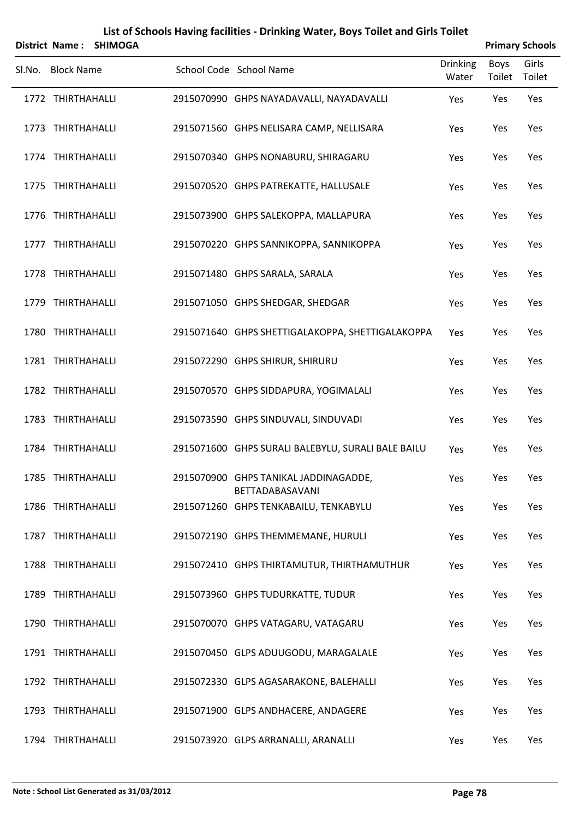|        | <b>District Name:</b> | <b>SHIMOGA</b> |                                                          |                          |                       | <b>Primary Schools</b> |
|--------|-----------------------|----------------|----------------------------------------------------------|--------------------------|-----------------------|------------------------|
| Sl.No. | <b>Block Name</b>     |                | School Code School Name                                  | <b>Drinking</b><br>Water | <b>Boys</b><br>Toilet | Girls<br>Toilet        |
|        | 1772 THIRTHAHALLI     |                | 2915070990 GHPS NAYADAVALLI, NAYADAVALLI                 | Yes                      | Yes                   | Yes                    |
|        | 1773 THIRTHAHALLI     |                | 2915071560 GHPS NELISARA CAMP, NELLISARA                 | Yes                      | Yes                   | Yes                    |
|        | 1774 THIRTHAHALLI     |                | 2915070340 GHPS NONABURU, SHIRAGARU                      | Yes                      | Yes                   | Yes                    |
|        | 1775 THIRTHAHALLI     |                | 2915070520 GHPS PATREKATTE, HALLUSALE                    | Yes                      | Yes                   | Yes                    |
|        | 1776 THIRTHAHALLI     |                | 2915073900 GHPS SALEKOPPA, MALLAPURA                     | Yes                      | Yes                   | Yes                    |
|        | 1777 THIRTHAHALLI     |                | 2915070220 GHPS SANNIKOPPA, SANNIKOPPA                   | Yes                      | Yes                   | Yes                    |
|        | 1778 THIRTHAHALLI     |                | 2915071480 GHPS SARALA, SARALA                           | Yes                      | Yes                   | Yes                    |
|        | 1779 THIRTHAHALLI     |                | 2915071050 GHPS SHEDGAR, SHEDGAR                         | Yes                      | Yes                   | Yes                    |
|        | 1780 THIRTHAHALLI     |                | 2915071640 GHPS SHETTIGALAKOPPA, SHETTIGALAKOPPA         | Yes                      | Yes                   | Yes                    |
|        | 1781 THIRTHAHALLI     |                | 2915072290 GHPS SHIRUR, SHIRURU                          | Yes                      | Yes                   | Yes                    |
|        | 1782 THIRTHAHALLI     |                | 2915070570 GHPS SIDDAPURA, YOGIMALALI                    | Yes                      | Yes                   | Yes                    |
|        | 1783 THIRTHAHALLI     |                | 2915073590 GHPS SINDUVALI, SINDUVADI                     | Yes                      | Yes                   | Yes                    |
|        | 1784 THIRTHAHALLI     |                | 2915071600 GHPS SURALI BALEBYLU, SURALI BALE BAILU       | Yes                      | Yes                   | Yes                    |
|        | 1785 THIRTHAHALLI     |                | 2915070900 GHPS TANIKAL JADDINAGADDE,<br>BETTADABASAVANI | Yes                      | Yes                   | Yes                    |
|        | 1786 THIRTHAHALLI     |                | 2915071260 GHPS TENKABAILU, TENKABYLU                    | Yes                      | Yes                   | Yes                    |
|        | 1787 THIRTHAHALLI     |                | 2915072190 GHPS THEMMEMANE, HURULI                       | Yes                      | Yes                   | Yes                    |
|        | 1788 THIRTHAHALLI     |                | 2915072410 GHPS THIRTAMUTUR, THIRTHAMUTHUR               | Yes                      | Yes                   | Yes                    |
|        | 1789 THIRTHAHALLI     |                | 2915073960 GHPS TUDURKATTE, TUDUR                        | Yes                      | Yes                   | Yes                    |
|        | 1790 THIRTHAHALLI     |                | 2915070070 GHPS VATAGARU, VATAGARU                       | Yes                      | Yes                   | Yes                    |
|        | 1791 THIRTHAHALLI     |                | 2915070450 GLPS ADUUGODU, MARAGALALE                     | Yes                      | Yes                   | Yes                    |
|        | 1792 THIRTHAHALLI     |                | 2915072330 GLPS AGASARAKONE, BALEHALLI                   | Yes                      | Yes                   | Yes                    |
|        | 1793 THIRTHAHALLI     |                | 2915071900 GLPS ANDHACERE, ANDAGERE                      | Yes                      | Yes                   | Yes                    |
|        | 1794 THIRTHAHALLI     |                | 2915073920 GLPS ARRANALLI, ARANALLI                      | Yes                      | Yes                   | Yes                    |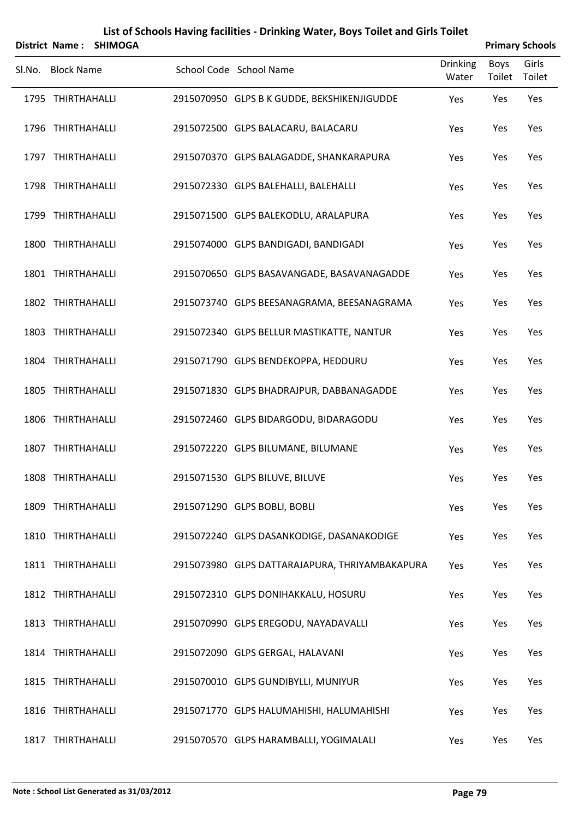|        | <b>District Name:</b> | <b>SHIMOGA</b> |                                                |                          |                       | <b>Primary Schools</b> |
|--------|-----------------------|----------------|------------------------------------------------|--------------------------|-----------------------|------------------------|
| SI.No. | <b>Block Name</b>     |                | School Code School Name                        | <b>Drinking</b><br>Water | <b>Boys</b><br>Toilet | Girls<br>Toilet        |
|        | 1795 THIRTHAHALLI     |                | 2915070950 GLPS B K GUDDE, BEKSHIKENJIGUDDE    | Yes                      | Yes                   | Yes                    |
|        | 1796 THIRTHAHALLI     |                | 2915072500 GLPS BALACARU, BALACARU             | Yes                      | Yes                   | Yes                    |
|        | 1797 THIRTHAHALLI     |                | 2915070370 GLPS BALAGADDE, SHANKARAPURA        | Yes                      | Yes                   | Yes                    |
|        | 1798 THIRTHAHALLI     |                | 2915072330 GLPS BALEHALLI, BALEHALLI           | Yes                      | Yes                   | Yes                    |
|        | 1799 THIRTHAHALLI     |                | 2915071500 GLPS BALEKODLU, ARALAPURA           | Yes                      | Yes                   | Yes                    |
|        | 1800 THIRTHAHALLI     |                | 2915074000 GLPS BANDIGADI, BANDIGADI           | Yes                      | Yes                   | Yes                    |
|        | 1801 THIRTHAHALLI     |                | 2915070650 GLPS BASAVANGADE, BASAVANAGADDE     | Yes                      | Yes                   | Yes                    |
|        | 1802 THIRTHAHALLI     |                | 2915073740 GLPS BEESANAGRAMA, BEESANAGRAMA     | Yes                      | Yes                   | Yes                    |
|        | 1803 THIRTHAHALLI     |                | 2915072340 GLPS BELLUR MASTIKATTE, NANTUR      | Yes                      | Yes                   | Yes                    |
|        | 1804 THIRTHAHALLI     |                | 2915071790 GLPS BENDEKOPPA, HEDDURU            | Yes                      | Yes                   | Yes                    |
|        | 1805 THIRTHAHALLI     |                | 2915071830 GLPS BHADRAJPUR, DABBANAGADDE       | Yes                      | Yes                   | Yes                    |
|        | 1806 THIRTHAHALLI     |                | 2915072460 GLPS BIDARGODU, BIDARAGODU          | Yes                      | Yes                   | Yes                    |
|        | 1807 THIRTHAHALLI     |                | 2915072220 GLPS BILUMANE, BILUMANE             | Yes                      | Yes                   | Yes                    |
|        | 1808 THIRTHAHALLI     |                | 2915071530 GLPS BILUVE, BILUVE                 | Yes                      | Yes                   | Yes                    |
|        | 1809 THIRTHAHALLI     |                | 2915071290 GLPS BOBLI, BOBLI                   | Yes                      | Yes                   | Yes                    |
|        | 1810 THIRTHAHALLI     |                | 2915072240 GLPS DASANKODIGE, DASANAKODIGE      | Yes                      | Yes                   | Yes                    |
|        | 1811 THIRTHAHALLI     |                | 2915073980 GLPS DATTARAJAPURA, THRIYAMBAKAPURA | Yes                      | Yes                   | Yes                    |
|        | 1812 THIRTHAHALLI     |                | 2915072310 GLPS DONIHAKKALU, HOSURU            | Yes                      | Yes                   | Yes                    |
|        | 1813 THIRTHAHALLI     |                | 2915070990 GLPS EREGODU, NAYADAVALLI           | Yes                      | Yes                   | Yes                    |
|        | 1814 THIRTHAHALLI     |                | 2915072090 GLPS GERGAL, HALAVANI               | Yes                      | Yes                   | Yes                    |
|        | 1815 THIRTHAHALLI     |                | 2915070010 GLPS GUNDIBYLLI, MUNIYUR            | Yes                      | Yes                   | Yes                    |
|        | 1816 THIRTHAHALLI     |                | 2915071770 GLPS HALUMAHISHI, HALUMAHISHI       | Yes                      | Yes                   | Yes                    |
|        | 1817 THIRTHAHALLI     |                | 2915070570 GLPS HARAMBALLI, YOGIMALALI         | Yes                      | Yes                   | Yes                    |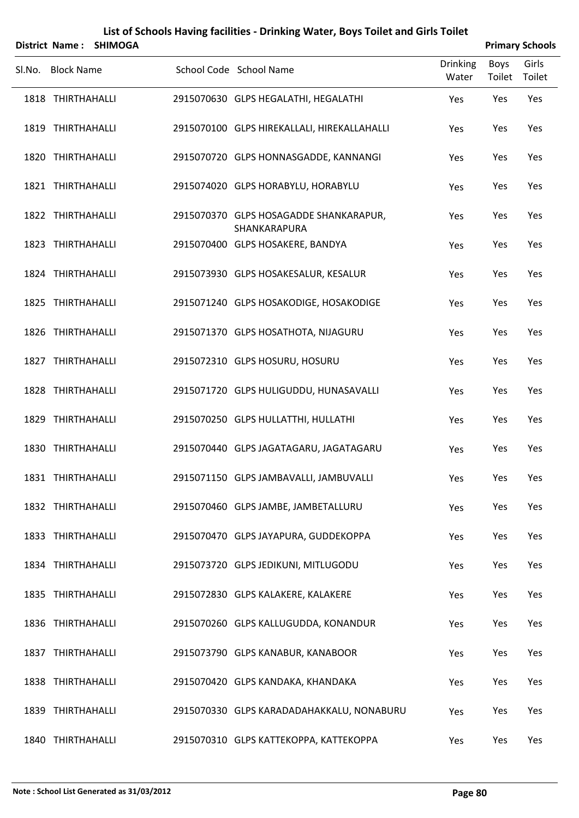| District Name: SHIMOGA |  |  | <b>Primary Schools</b>                                 |                          |                |                 |  |
|------------------------|--|--|--------------------------------------------------------|--------------------------|----------------|-----------------|--|
| Sl.No. Block Name      |  |  | School Code School Name                                | <b>Drinking</b><br>Water | Boys<br>Toilet | Girls<br>Toilet |  |
| 1818 THIRTHAHALLI      |  |  | 2915070630 GLPS HEGALATHI, HEGALATHI                   | Yes                      | Yes            | Yes             |  |
| 1819 THIRTHAHALLI      |  |  | 2915070100 GLPS HIREKALLALI, HIREKALLAHALLI            | Yes                      | Yes            | Yes             |  |
| 1820 THIRTHAHALLI      |  |  | 2915070720 GLPS HONNASGADDE, KANNANGI                  | Yes                      | Yes            | Yes             |  |
| 1821 THIRTHAHALLI      |  |  | 2915074020 GLPS HORABYLU, HORABYLU                     | Yes                      | Yes            | Yes             |  |
| 1822 THIRTHAHALLI      |  |  | 2915070370 GLPS HOSAGADDE SHANKARAPUR,<br>SHANKARAPURA | Yes                      | Yes            | Yes             |  |
| 1823 THIRTHAHALLI      |  |  | 2915070400 GLPS HOSAKERE, BANDYA                       | Yes                      | Yes            | Yes             |  |
| 1824 THIRTHAHALLI      |  |  | 2915073930 GLPS HOSAKESALUR, KESALUR                   | Yes                      | Yes            | Yes             |  |
| 1825 THIRTHAHALLI      |  |  | 2915071240 GLPS HOSAKODIGE, HOSAKODIGE                 | Yes                      | Yes            | Yes             |  |
| 1826 THIRTHAHALLI      |  |  | 2915071370 GLPS HOSATHOTA, NIJAGURU                    | Yes                      | Yes            | Yes             |  |
| 1827 THIRTHAHALLI      |  |  | 2915072310 GLPS HOSURU, HOSURU                         | Yes                      | Yes            | Yes             |  |
| 1828 THIRTHAHALLI      |  |  | 2915071720 GLPS HULIGUDDU, HUNASAVALLI                 | Yes                      | Yes            | Yes             |  |
| 1829 THIRTHAHALLI      |  |  | 2915070250 GLPS HULLATTHI, HULLATHI                    | Yes                      | Yes            | Yes             |  |
| 1830 THIRTHAHALLI      |  |  | 2915070440 GLPS JAGATAGARU, JAGATAGARU                 | Yes                      | Yes            | Yes             |  |
| 1831 THIRTHAHALLI      |  |  | 2915071150 GLPS JAMBAVALLI, JAMBUVALLI                 | Yes                      | Yes            | Yes             |  |
| 1832 THIRTHAHALLI      |  |  | 2915070460 GLPS JAMBE, JAMBETALLURU                    | Yes                      | Yes            | Yes             |  |
| 1833 THIRTHAHALLI      |  |  | 2915070470 GLPS JAYAPURA, GUDDEKOPPA                   | Yes                      | Yes            | Yes             |  |
| 1834 THIRTHAHALLI      |  |  | 2915073720 GLPS JEDIKUNI, MITLUGODU                    | Yes                      | Yes            | Yes             |  |
| 1835 THIRTHAHALLI      |  |  | 2915072830 GLPS KALAKERE, KALAKERE                     | Yes                      | Yes            | Yes             |  |
| 1836 THIRTHAHALLI      |  |  | 2915070260 GLPS KALLUGUDDA, KONANDUR                   | Yes                      | Yes            | Yes             |  |
| 1837 THIRTHAHALLI      |  |  | 2915073790 GLPS KANABUR, KANABOOR                      | Yes                      | Yes            | Yes             |  |
| 1838 THIRTHAHALLI      |  |  | 2915070420 GLPS KANDAKA, KHANDAKA                      | Yes                      | Yes            | Yes             |  |
| 1839 THIRTHAHALLI      |  |  | 2915070330 GLPS KARADADAHAKKALU, NONABURU              | Yes                      | Yes            | Yes             |  |
| 1840 THIRTHAHALLI      |  |  | 2915070310 GLPS KATTEKOPPA, KATTEKOPPA                 | Yes                      | Yes            | Yes             |  |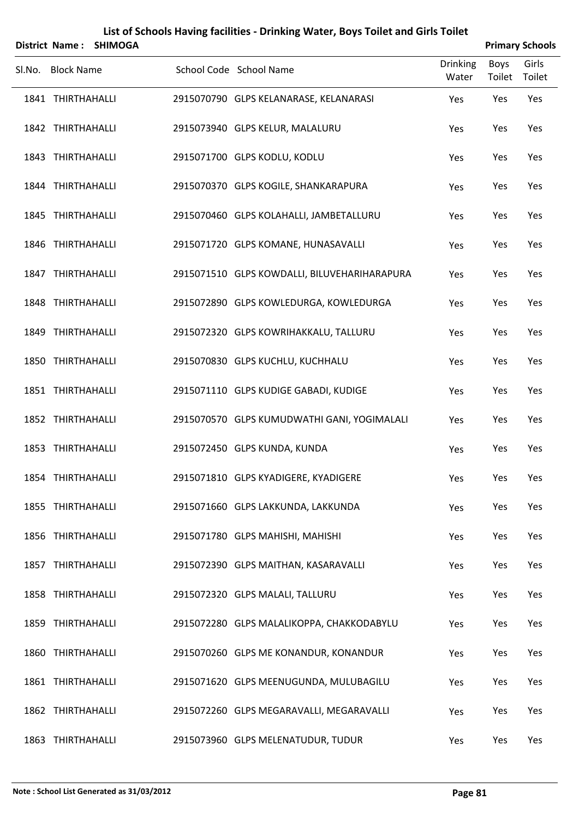|        | <b>District Name:</b> | <b>SHIMOGA</b> |                                              |                          |                | <b>Primary Schools</b> |
|--------|-----------------------|----------------|----------------------------------------------|--------------------------|----------------|------------------------|
| Sl.No. | <b>Block Name</b>     |                | School Code School Name                      | <b>Drinking</b><br>Water | Boys<br>Toilet | Girls<br>Toilet        |
|        | 1841 THIRTHAHALLI     |                | 2915070790 GLPS KELANARASE, KELANARASI       | Yes                      | Yes            | Yes                    |
|        | 1842 THIRTHAHALLI     |                | 2915073940 GLPS KELUR, MALALURU              | Yes                      | Yes            | Yes                    |
|        | 1843 THIRTHAHALLI     |                | 2915071700 GLPS KODLU, KODLU                 | Yes                      | Yes            | Yes                    |
|        | 1844 THIRTHAHALLI     |                | 2915070370 GLPS KOGILE, SHANKARAPURA         | Yes                      | Yes            | Yes                    |
|        | 1845 THIRTHAHALLI     |                | 2915070460 GLPS KOLAHALLI, JAMBETALLURU      | Yes                      | Yes            | Yes                    |
|        | 1846 THIRTHAHALLI     |                | 2915071720 GLPS KOMANE, HUNASAVALLI          | Yes                      | Yes            | Yes                    |
|        | 1847 THIRTHAHALLI     |                | 2915071510 GLPS KOWDALLI, BILUVEHARIHARAPURA | Yes                      | Yes            | Yes                    |
|        | 1848 THIRTHAHALLI     |                | 2915072890 GLPS KOWLEDURGA, KOWLEDURGA       | Yes                      | Yes            | Yes                    |
|        | 1849 THIRTHAHALLI     |                | 2915072320 GLPS KOWRIHAKKALU, TALLURU        | Yes                      | Yes            | Yes                    |
|        | 1850 THIRTHAHALLI     |                | 2915070830 GLPS KUCHLU, KUCHHALU             | Yes                      | Yes            | Yes                    |
|        | 1851 THIRTHAHALLI     |                | 2915071110 GLPS KUDIGE GABADI, KUDIGE        | Yes                      | Yes            | Yes                    |
|        | 1852 THIRTHAHALLI     |                | 2915070570 GLPS KUMUDWATHI GANI, YOGIMALALI  | Yes                      | Yes            | Yes                    |
|        | 1853 THIRTHAHALLI     |                | 2915072450 GLPS KUNDA, KUNDA                 | Yes                      | Yes            | Yes                    |
|        | 1854 THIRTHAHALLI     |                | 2915071810 GLPS KYADIGERE, KYADIGERE         | Yes                      | Yes            | Yes                    |
|        | 1855 THIRTHAHALLI     |                | 2915071660 GLPS LAKKUNDA, LAKKUNDA           | Yes                      | Yes            | Yes                    |
|        | 1856 THIRTHAHALLI     |                | 2915071780 GLPS MAHISHI, MAHISHI             | Yes                      | Yes            | Yes                    |
|        | 1857 THIRTHAHALLI     |                | 2915072390 GLPS MAITHAN, KASARAVALLI         | Yes                      | Yes            | Yes                    |
|        | 1858 THIRTHAHALLI     |                | 2915072320 GLPS MALALI, TALLURU              | Yes                      | Yes            | Yes                    |
|        | 1859 THIRTHAHALLI     |                | 2915072280 GLPS MALALIKOPPA, CHAKKODABYLU    | Yes                      | Yes            | Yes                    |
|        | 1860 THIRTHAHALLI     |                | 2915070260 GLPS ME KONANDUR, KONANDUR        | Yes                      | Yes            | Yes                    |
|        | 1861 THIRTHAHALLI     |                | 2915071620 GLPS MEENUGUNDA, MULUBAGILU       | Yes                      | Yes            | Yes                    |
|        | 1862 THIRTHAHALLI     |                | 2915072260 GLPS MEGARAVALLI, MEGARAVALLI     | Yes                      | Yes            | Yes                    |
|        | 1863 THIRTHAHALLI     |                | 2915073960 GLPS MELENATUDUR, TUDUR           | Yes                      | Yes            | Yes                    |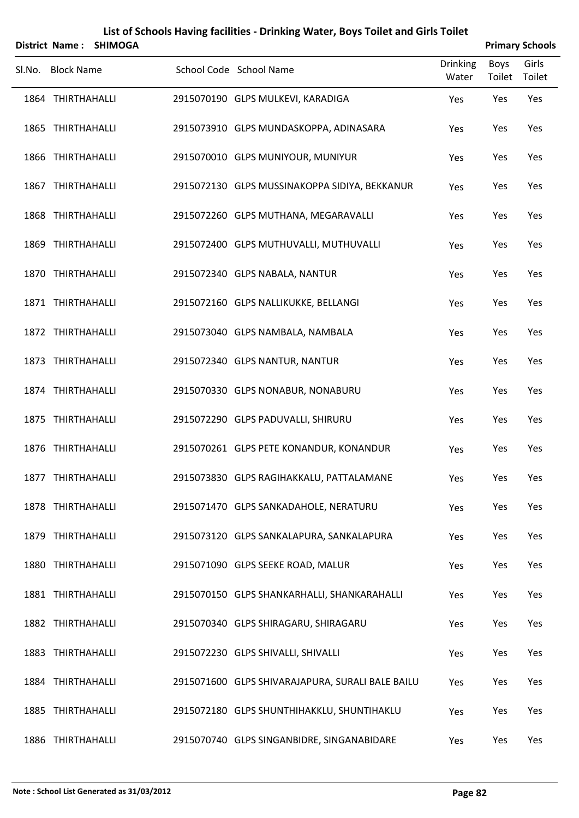|        | <b>District Name:</b> | <b>SHIMOGA</b> |                                                  |                          |                       | <b>Primary Schools</b> |
|--------|-----------------------|----------------|--------------------------------------------------|--------------------------|-----------------------|------------------------|
| Sl.No. | <b>Block Name</b>     |                | School Code School Name                          | <b>Drinking</b><br>Water | <b>Boys</b><br>Toilet | Girls<br>Toilet        |
|        | 1864 THIRTHAHALLI     |                | 2915070190 GLPS MULKEVI, KARADIGA                | Yes                      | Yes                   | Yes                    |
|        | 1865 THIRTHAHALLI     |                | 2915073910 GLPS MUNDASKOPPA, ADINASARA           | Yes                      | Yes                   | Yes                    |
|        | 1866 THIRTHAHALLI     |                | 2915070010 GLPS MUNIYOUR, MUNIYUR                | Yes                      | Yes                   | Yes                    |
|        | 1867 THIRTHAHALLI     |                | 2915072130 GLPS MUSSINAKOPPA SIDIYA, BEKKANUR    | Yes                      | Yes                   | Yes                    |
|        | 1868 THIRTHAHALLI     |                | 2915072260 GLPS MUTHANA, MEGARAVALLI             | Yes                      | Yes                   | Yes                    |
|        | 1869 THIRTHAHALLI     |                | 2915072400 GLPS MUTHUVALLI, MUTHUVALLI           | Yes                      | Yes                   | Yes                    |
|        | 1870 THIRTHAHALLI     |                | 2915072340 GLPS NABALA, NANTUR                   | Yes                      | Yes                   | Yes                    |
|        | 1871 THIRTHAHALLI     |                | 2915072160 GLPS NALLIKUKKE, BELLANGI             | Yes                      | Yes                   | Yes                    |
|        | 1872 THIRTHAHALLI     |                | 2915073040 GLPS NAMBALA, NAMBALA                 | Yes                      | Yes                   | Yes                    |
|        | 1873 THIRTHAHALLI     |                | 2915072340 GLPS NANTUR, NANTUR                   | Yes                      | Yes                   | Yes                    |
|        | 1874 THIRTHAHALLI     |                | 2915070330 GLPS NONABUR, NONABURU                | Yes                      | Yes                   | Yes                    |
|        | 1875 THIRTHAHALLI     |                | 2915072290 GLPS PADUVALLI, SHIRURU               | Yes                      | Yes                   | Yes                    |
|        | 1876 THIRTHAHALLI     |                | 2915070261 GLPS PETE KONANDUR, KONANDUR          | Yes                      | Yes                   | Yes                    |
|        | 1877 THIRTHAHALLI     |                | 2915073830 GLPS RAGIHAKKALU, PATTALAMANE         | Yes                      | Yes                   | Yes                    |
|        | 1878 THIRTHAHALLI     |                | 2915071470 GLPS SANKADAHOLE, NERATURU            | Yes                      | Yes                   | Yes                    |
|        | 1879 THIRTHAHALLI     |                | 2915073120 GLPS SANKALAPURA, SANKALAPURA         | Yes                      | Yes                   | Yes                    |
|        | 1880 THIRTHAHALLI     |                | 2915071090 GLPS SEEKE ROAD, MALUR                | Yes                      | Yes                   | Yes                    |
|        | 1881 THIRTHAHALLI     |                | 2915070150 GLPS SHANKARHALLI, SHANKARAHALLI      | Yes                      | Yes                   | Yes                    |
|        | 1882 THIRTHAHALLI     |                | 2915070340 GLPS SHIRAGARU, SHIRAGARU             | Yes                      | Yes                   | Yes                    |
|        | 1883 THIRTHAHALLI     |                | 2915072230 GLPS SHIVALLI, SHIVALLI               | Yes                      | Yes                   | Yes                    |
|        | 1884 THIRTHAHALLI     |                | 2915071600 GLPS SHIVARAJAPURA, SURALI BALE BAILU | Yes                      | Yes                   | Yes                    |
|        | 1885 THIRTHAHALLI     |                | 2915072180 GLPS SHUNTHIHAKKLU, SHUNTIHAKLU       | Yes                      | Yes                   | Yes                    |
|        | 1886 THIRTHAHALLI     |                | 2915070740 GLPS SINGANBIDRE, SINGANABIDARE       | Yes                      | Yes                   | Yes                    |